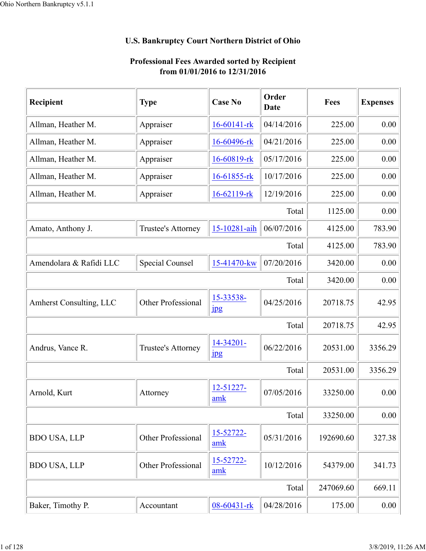## **U.S. Bankruptcy Court Northern District of Ohio**

| Recipient               | <b>Type</b>        | <b>Case No</b>            | Order<br>Date | Fees      | <b>Expenses</b> |
|-------------------------|--------------------|---------------------------|---------------|-----------|-----------------|
| Allman, Heather M.      | Appraiser          | 16-60141-rk               | 04/14/2016    | 225.00    | 0.00            |
| Allman, Heather M.      | Appraiser          | 16-60496-rk               | 04/21/2016    | 225.00    | 0.00            |
| Allman, Heather M.      | Appraiser          | 16-60819-rk               | 05/17/2016    | 225.00    | 0.00            |
| Allman, Heather M.      | Appraiser          | 16-61855-rk               | 10/17/2016    | 225.00    | 0.00            |
| Allman, Heather M.      | Appraiser          | $16-62119$ -rk            | 12/19/2016    | 225.00    | 0.00            |
|                         |                    |                           | Total         | 1125.00   | 0.00            |
| Amato, Anthony J.       | Trustee's Attorney | 15-10281-aih              | 06/07/2016    | 4125.00   | 783.90          |
|                         |                    |                           | Total         | 4125.00   | 783.90          |
| Amendolara & Rafidi LLC | Special Counsel    | 15-41470-kw               | 07/20/2016    | 3420.00   | 0.00            |
|                         |                    |                           | Total         | 3420.00   | 0.00            |
| Amherst Consulting, LLC | Other Professional | 15-33538-<br><b>Jpg</b>   | 04/25/2016    | 20718.75  | 42.95           |
|                         |                    |                           | Total         | 20718.75  | 42.95           |
| Andrus, Vance R.        | Trustee's Attorney | 14-34201-<br>$_{\rm 1pg}$ | 06/22/2016    | 20531.00  | 3356.29         |
|                         |                    |                           | Total         | 20531.00  | 3356.29         |
| Arnold, Kurt            | Attorney           | 12-51227-<br>amk          | 07/05/2016    | 33250.00  | 0.00            |
|                         |                    |                           | Total         | 33250.00  | 0.00            |
| <b>BDO USA, LLP</b>     | Other Professional | 15-52722-<br>amk          | 05/31/2016    | 192690.60 | 327.38          |
| <b>BDO USA, LLP</b>     | Other Professional | 15-52722-<br>amk          | 10/12/2016    | 54379.00  | 341.73          |
|                         |                    |                           | Total         | 247069.60 | 669.11          |
| Baker, Timothy P.       | Accountant         | 08-60431-rk               | 04/28/2016    | 175.00    | 0.00            |

## **Professional Fees Awarded sorted by Recipient from 01/01/2016 to 12/31/2016**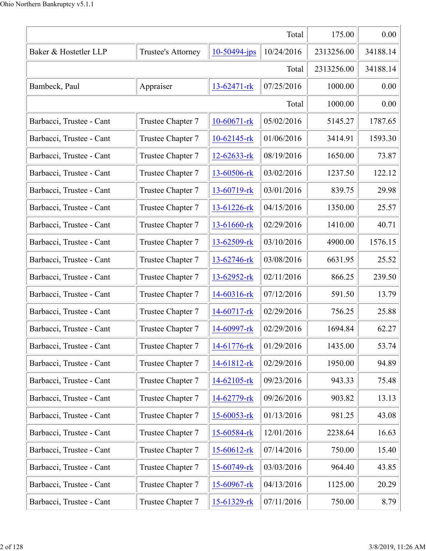| Total                    |                   |                |            |            | 0.00     |
|--------------------------|-------------------|----------------|------------|------------|----------|
| Baker & Hostetler LLP    | 2313256.00        | 34188.14       |            |            |          |
|                          |                   |                | Total      | 2313256.00 | 34188.14 |
| Bambeck, Paul            | Appraiser         | 13-62471-rk    | 07/25/2016 | 1000.00    | 0.00     |
|                          |                   |                | Total      | 1000.00    | 0.00     |
| Barbacci, Trustee - Cant | Trustee Chapter 7 | 10-60671-rk    | 05/02/2016 | 5145.27    | 1787.65  |
| Barbacci, Trustee - Cant | Trustee Chapter 7 | $10-62145$ -rk | 01/06/2016 | 3414.91    | 1593.30  |
| Barbacci, Trustee - Cant | Trustee Chapter 7 | 12-62633-rk    | 08/19/2016 | 1650.00    | 73.87    |
| Barbacci, Trustee - Cant | Trustee Chapter 7 | 13-60506-rk    | 03/02/2016 | 1237.50    | 122.12   |
| Barbacci, Trustee - Cant | Trustee Chapter 7 | 13-60719-rk    | 03/01/2016 | 839.75     | 29.98    |
| Barbacci, Trustee - Cant | Trustee Chapter 7 | 13-61226-rk    | 04/15/2016 | 1350.00    | 25.57    |
| Barbacci, Trustee - Cant | Trustee Chapter 7 | 13-61660-rk    | 02/29/2016 | 1410.00    | 40.71    |
| Barbacci, Trustee - Cant | Trustee Chapter 7 | 13-62509-rk    | 03/10/2016 | 4900.00    | 1576.15  |
| Barbacci, Trustee - Cant | Trustee Chapter 7 | 13-62746-rk    | 03/08/2016 | 6631.95    | 25.52    |
| Barbacci, Trustee - Cant | Trustee Chapter 7 | 13-62952-rk    | 02/11/2016 | 866.25     | 239.50   |
| Barbacci, Trustee - Cant | Trustee Chapter 7 | 14-60316-rk    | 07/12/2016 | 591.50     | 13.79    |
| Barbacci, Trustee - Cant | Trustee Chapter 7 | 14-60717-rk    | 02/29/2016 | 756.25     | 25.88    |
| Barbacci, Trustee - Cant | Trustee Chapter 7 | 14-60997-rk    | 02/29/2016 | 1694.84    | 62.27    |
| Barbacci, Trustee - Cant | Trustee Chapter 7 | 14-61776-rk    | 01/29/2016 | 1435.00    | 53.74    |
| Barbacci, Trustee - Cant | Trustee Chapter 7 | 14-61812-rk    | 02/29/2016 | 1950.00    | 94.89    |
| Barbacci, Trustee - Cant | Trustee Chapter 7 | 14-62105-rk    | 09/23/2016 | 943.33     | 75.48    |
| Barbacci, Trustee - Cant | Trustee Chapter 7 | 14-62779-rk    | 09/26/2016 | 903.82     | 13.13    |
| Barbacci, Trustee - Cant | Trustee Chapter 7 | 15-60053-rk    | 01/13/2016 | 981.25     | 43.08    |
| Barbacci, Trustee - Cant | Trustee Chapter 7 | 15-60584-rk    | 12/01/2016 | 2238.64    | 16.63    |
| Barbacci, Trustee - Cant | Trustee Chapter 7 | 15-60612-rk    | 07/14/2016 | 750.00     | 15.40    |
| Barbacci, Trustee - Cant | Trustee Chapter 7 | 15-60749-rk    | 03/03/2016 | 964.40     | 43.85    |
| Barbacci, Trustee - Cant | Trustee Chapter 7 | 15-60967-rk    | 04/13/2016 | 1125.00    | 20.29    |
| Barbacci, Trustee - Cant | Trustee Chapter 7 | 15-61329-rk    | 07/11/2016 | 750.00     | 8.79     |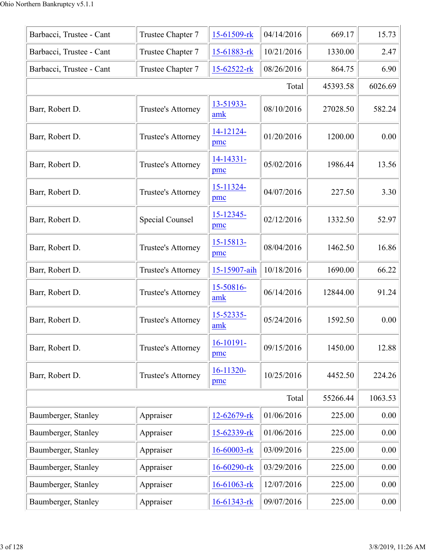| Barbacci, Trustee - Cant | Trustee Chapter 7      | 15-61509-rk      | 04/14/2016 | 669.17   | 15.73   |
|--------------------------|------------------------|------------------|------------|----------|---------|
| Barbacci, Trustee - Cant | Trustee Chapter 7      | 15-61883-rk      | 10/21/2016 | 1330.00  | 2.47    |
| Barbacci, Trustee - Cant | Trustee Chapter 7      | 15-62522-rk      | 08/26/2016 | 864.75   | 6.90    |
|                          |                        |                  | Total      | 45393.58 | 6026.69 |
| Barr, Robert D.          | Trustee's Attorney     | 13-51933-<br>amk | 08/10/2016 | 27028.50 | 582.24  |
| Barr, Robert D.          | Trustee's Attorney     | 14-12124-<br>pmc | 01/20/2016 | 1200.00  | 0.00    |
| Barr, Robert D.          | Trustee's Attorney     | 14-14331-<br>pmc | 05/02/2016 | 1986.44  | 13.56   |
| Barr, Robert D.          | Trustee's Attorney     | 15-11324-<br>pmc | 04/07/2016 | 227.50   | 3.30    |
| Barr, Robert D.          | <b>Special Counsel</b> | 15-12345-<br>pmc | 02/12/2016 | 1332.50  | 52.97   |
| Barr, Robert D.          | Trustee's Attorney     | 15-15813-<br>pmc | 08/04/2016 | 1462.50  | 16.86   |
| Barr, Robert D.          | Trustee's Attorney     | 15-15907-aih     | 10/18/2016 | 1690.00  | 66.22   |
| Barr, Robert D.          | Trustee's Attorney     | 15-50816-<br>amk | 06/14/2016 | 12844.00 | 91.24   |
| Barr, Robert D.          | Trustee's Attorney     | 15-52335-<br>amk | 05/24/2016 | 1592.50  | 0.00    |
| Barr, Robert D.          | Trustee's Attorney     | 16-10191-<br>pmc | 09/15/2016 | 1450.00  | 12.88   |
| Barr, Robert D.          | Trustee's Attorney     | 16-11320-<br>pmc | 10/25/2016 | 4452.50  | 224.26  |
|                          |                        |                  | Total      | 55266.44 | 1063.53 |
| Baumberger, Stanley      | Appraiser              | 12-62679-rk      | 01/06/2016 | 225.00   | 0.00    |
| Baumberger, Stanley      | Appraiser              | 15-62339-rk      | 01/06/2016 | 225.00   | 0.00    |
| Baumberger, Stanley      | Appraiser              | 16-60003-rk      | 03/09/2016 | 225.00   | 0.00    |
| Baumberger, Stanley      | Appraiser              | 16-60290-rk      | 03/29/2016 | 225.00   | 0.00    |
| Baumberger, Stanley      | Appraiser              | 16-61063-rk      | 12/07/2016 | 225.00   | 0.00    |
| Baumberger, Stanley      | Appraiser              | 16-61343-rk      | 09/07/2016 | 225.00   | 0.00    |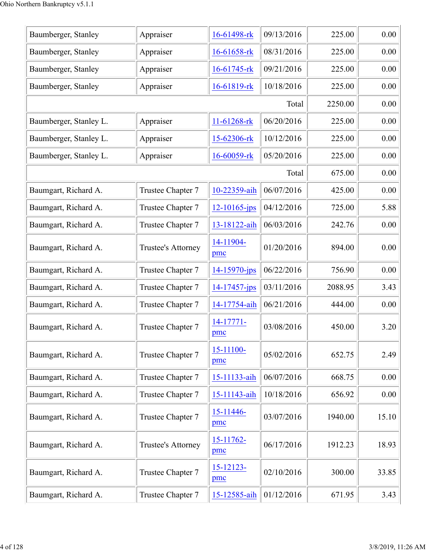| Appraiser          | 16-61498-rk      | 09/13/2016 | 225.00  | 0.00  |
|--------------------|------------------|------------|---------|-------|
| Appraiser          | 16-61658-rk      | 08/31/2016 | 225.00  | 0.00  |
| Appraiser          | 16-61745-rk      | 09/21/2016 | 225.00  | 0.00  |
| Appraiser          | 16-61819-rk      | 10/18/2016 | 225.00  | 0.00  |
|                    |                  | Total      | 2250.00 | 0.00  |
| Appraiser          | 11-61268-rk      | 06/20/2016 | 225.00  | 0.00  |
| Appraiser          | 15-62306-rk      | 10/12/2016 | 225.00  | 0.00  |
| Appraiser          | 16-60059-rk      | 05/20/2016 | 225.00  | 0.00  |
|                    |                  | Total      | 675.00  | 0.00  |
| Trustee Chapter 7  | 10-22359-aih     | 06/07/2016 | 425.00  | 0.00  |
| Trustee Chapter 7  | 12-10165-jps     | 04/12/2016 | 725.00  | 5.88  |
| Trustee Chapter 7  | 13-18122-aih     | 06/03/2016 | 242.76  | 0.00  |
| Trustee's Attorney | 14-11904-<br>pmc | 01/20/2016 | 894.00  | 0.00  |
| Trustee Chapter 7  | 14-15970-jps     | 06/22/2016 | 756.90  | 0.00  |
| Trustee Chapter 7  | 14-17457-jps     | 03/11/2016 | 2088.95 | 3.43  |
| Trustee Chapter 7  | 14-17754-aih     | 06/21/2016 | 444.00  | 0.00  |
| Trustee Chapter 7  | 14-17771-<br>pmc | 03/08/2016 | 450.00  | 3.20  |
| Trustee Chapter 7  | 15-11100-<br>pmc | 05/02/2016 | 652.75  | 2.49  |
| Trustee Chapter 7  | 15-11133-aih     | 06/07/2016 | 668.75  | 0.00  |
| Trustee Chapter 7  | 15-11143-aih     | 10/18/2016 | 656.92  | 0.00  |
| Trustee Chapter 7  | 15-11446-<br>pmc | 03/07/2016 | 1940.00 | 15.10 |
| Trustee's Attorney | 15-11762-<br>pmc | 06/17/2016 | 1912.23 | 18.93 |
| Trustee Chapter 7  | 15-12123-<br>pmc | 02/10/2016 | 300.00  | 33.85 |
| Trustee Chapter 7  | 15-12585-aih     | 01/12/2016 | 671.95  | 3.43  |
|                    |                  |            |         |       |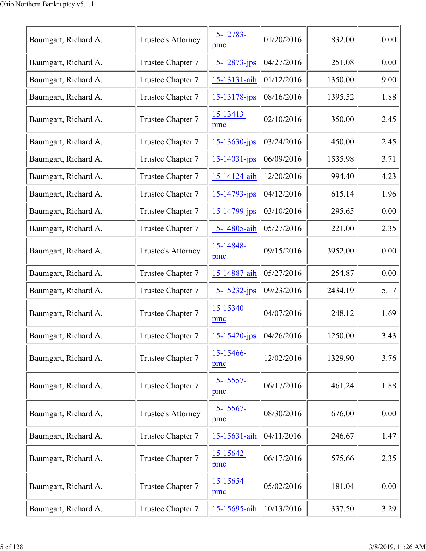| Baumgart, Richard A. | Trustee's Attorney | 15-12783-<br>pmc      | 01/20/2016 | 832.00  | 0.00 |
|----------------------|--------------------|-----------------------|------------|---------|------|
| Baumgart, Richard A. | Trustee Chapter 7  | 15-12873-jps          | 04/27/2016 | 251.08  | 0.00 |
| Baumgart, Richard A. | Trustee Chapter 7  | 15-13131-aih          | 01/12/2016 | 1350.00 | 9.00 |
| Baumgart, Richard A. | Trustee Chapter 7  | $15 - 13178$ -jps     | 08/16/2016 | 1395.52 | 1.88 |
| Baumgart, Richard A. | Trustee Chapter 7  | 15-13413-<br>pmc      | 02/10/2016 | 350.00  | 2.45 |
| Baumgart, Richard A. | Trustee Chapter 7  | 15-13630-jps          | 03/24/2016 | 450.00  | 2.45 |
| Baumgart, Richard A. | Trustee Chapter 7  | $15 - 14031 - ips$    | 06/09/2016 | 1535.98 | 3.71 |
| Baumgart, Richard A. | Trustee Chapter 7  | 15-14124-aih          | 12/20/2016 | 994.40  | 4.23 |
| Baumgart, Richard A. | Trustee Chapter 7  | 15-14793-jps          | 04/12/2016 | 615.14  | 1.96 |
| Baumgart, Richard A. | Trustee Chapter 7  | 15-14799-jps          | 03/10/2016 | 295.65  | 0.00 |
| Baumgart, Richard A. | Trustee Chapter 7  | 15-14805-aih          | 05/27/2016 | 221.00  | 2.35 |
| Baumgart, Richard A. | Trustee's Attorney | 15-14848-<br>pmc      | 09/15/2016 | 3952.00 | 0.00 |
| Baumgart, Richard A. | Trustee Chapter 7  | 15-14887-aih          | 05/27/2016 | 254.87  | 0.00 |
| Baumgart, Richard A. | Trustee Chapter 7  | $15 - 15232 - ips$    | 09/23/2016 | 2434.19 | 5.17 |
| Baumgart, Richard A. | Trustee Chapter 7  | 15-15340-<br>pmc      | 04/07/2016 | 248.12  | 1.69 |
| Baumgart, Richard A. | Trustee Chapter 7  | $15 - 15420 - ips$    | 04/26/2016 | 1250.00 | 3.43 |
| Baumgart, Richard A. | Trustee Chapter 7  | 15-15466-<br>pmc      | 12/02/2016 | 1329.90 | 3.76 |
| Baumgart, Richard A. | Trustee Chapter 7  | $15 - 15557$ -<br>pmc | 06/17/2016 | 461.24  | 1.88 |
| Baumgart, Richard A. | Trustee's Attorney | $15 - 15567 -$<br>pmc | 08/30/2016 | 676.00  | 0.00 |
| Baumgart, Richard A. | Trustee Chapter 7  | 15-15631-aih          | 04/11/2016 | 246.67  | 1.47 |
| Baumgart, Richard A. | Trustee Chapter 7  | $15 - 15642 -$<br>pmc | 06/17/2016 | 575.66  | 2.35 |
| Baumgart, Richard A. | Trustee Chapter 7  | $15 - 15654 -$<br>pmc | 05/02/2016 | 181.04  | 0.00 |
| Baumgart, Richard A. | Trustee Chapter 7  | 15-15695-aih          | 10/13/2016 | 337.50  | 3.29 |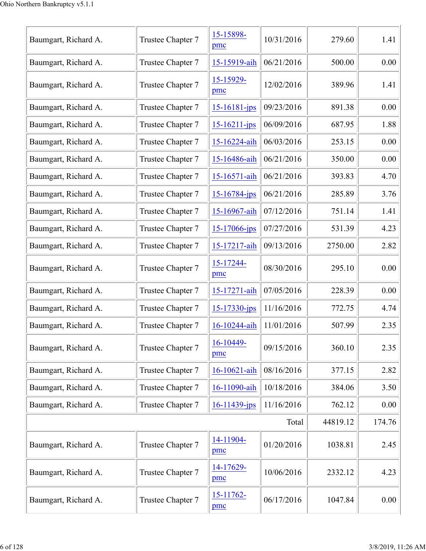| Baumgart, Richard A. | Trustee Chapter 7 | 15-15898-<br>pmc   | 10/31/2016 | 279.60   | 1.41   |
|----------------------|-------------------|--------------------|------------|----------|--------|
| Baumgart, Richard A. | Trustee Chapter 7 | 15-15919-aih       | 06/21/2016 | 500.00   | 0.00   |
| Baumgart, Richard A. | Trustee Chapter 7 | 15-15929-<br>pmc   | 12/02/2016 | 389.96   | 1.41   |
| Baumgart, Richard A. | Trustee Chapter 7 | $15 - 16181 - ips$ | 09/23/2016 | 891.38   | 0.00   |
| Baumgart, Richard A. | Trustee Chapter 7 | $15 - 16211 - ips$ | 06/09/2016 | 687.95   | 1.88   |
| Baumgart, Richard A. | Trustee Chapter 7 | 15-16224-aih       | 06/03/2016 | 253.15   | 0.00   |
| Baumgart, Richard A. | Trustee Chapter 7 | 15-16486-aih       | 06/21/2016 | 350.00   | 0.00   |
| Baumgart, Richard A. | Trustee Chapter 7 | 15-16571-aih       | 06/21/2016 | 393.83   | 4.70   |
| Baumgart, Richard A. | Trustee Chapter 7 | $15 - 16784$ -jps  | 06/21/2016 | 285.89   | 3.76   |
| Baumgart, Richard A. | Trustee Chapter 7 | 15-16967-aih       | 07/12/2016 | 751.14   | 1.41   |
| Baumgart, Richard A. | Trustee Chapter 7 | $15 - 17066$ -jps  | 07/27/2016 | 531.39   | 4.23   |
| Baumgart, Richard A. | Trustee Chapter 7 | 15-17217-aih       | 09/13/2016 | 2750.00  | 2.82   |
| Baumgart, Richard A. | Trustee Chapter 7 | 15-17244-<br>pmc   | 08/30/2016 | 295.10   | 0.00   |
| Baumgart, Richard A. | Trustee Chapter 7 | 15-17271-aih       | 07/05/2016 | 228.39   | 0.00   |
| Baumgart, Richard A. | Trustee Chapter 7 | $15 - 17330 - ips$ | 11/16/2016 | 772.75   | 4.74   |
| Baumgart, Richard A. | Trustee Chapter 7 | 16-10244-aih       | 11/01/2016 | 507.99   | 2.35   |
| Baumgart, Richard A. | Trustee Chapter 7 | 16-10449-<br>pmc   | 09/15/2016 | 360.10   | 2.35   |
| Baumgart, Richard A. | Trustee Chapter 7 | 16-10621-aih       | 08/16/2016 | 377.15   | 2.82   |
| Baumgart, Richard A. | Trustee Chapter 7 | 16-11090-aih       | 10/18/2016 | 384.06   | 3.50   |
| Baumgart, Richard A. | Trustee Chapter 7 | $16 - 11439$ -jps  | 11/16/2016 | 762.12   | 0.00   |
|                      |                   |                    | Total      | 44819.12 | 174.76 |
| Baumgart, Richard A. | Trustee Chapter 7 | 14-11904-<br>pmc   | 01/20/2016 | 1038.81  | 2.45   |
| Baumgart, Richard A. | Trustee Chapter 7 | 14-17629-<br>pmc   | 10/06/2016 | 2332.12  | 4.23   |
| Baumgart, Richard A. | Trustee Chapter 7 | 15-11762-<br>pmc   | 06/17/2016 | 1047.84  | 0.00   |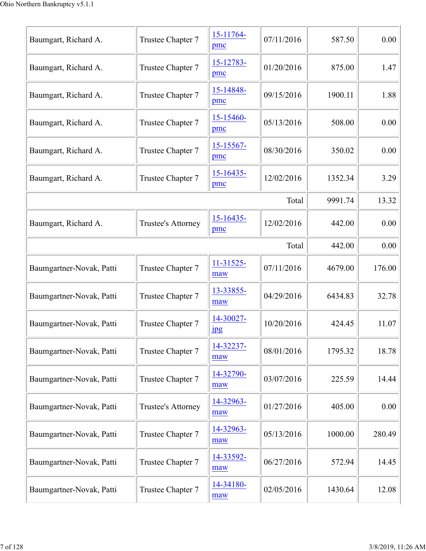| Baumgart, Richard A.     | Trustee Chapter 7  | 15-11764-<br>pmc              | 07/11/2016 | 587.50  | 0.00   |
|--------------------------|--------------------|-------------------------------|------------|---------|--------|
| Baumgart, Richard A.     | Trustee Chapter 7  | 15-12783-<br>pmc              | 01/20/2016 | 875.00  | 1.47   |
| Baumgart, Richard A.     | Trustee Chapter 7  | 15-14848-<br>pmc              | 09/15/2016 | 1900.11 | 1.88   |
| Baumgart, Richard A.     | Trustee Chapter 7  | 15-15460-<br>pmc              | 05/13/2016 | 508.00  | 0.00   |
| Baumgart, Richard A.     | Trustee Chapter 7  | $15 - 15567 -$<br>pmc         | 08/30/2016 | 350.02  | 0.00   |
| Baumgart, Richard A.     | Trustee Chapter 7  | $15 - 16435$<br>pmc           | 12/02/2016 | 1352.34 | 3.29   |
|                          |                    |                               | Total      | 9991.74 | 13.32  |
| Baumgart, Richard A.     | Trustee's Attorney | $15 - 16435$<br>pmc           | 12/02/2016 | 442.00  | 0.00   |
|                          |                    |                               | Total      | 442.00  | 0.00   |
| Baumgartner-Novak, Patti | Trustee Chapter 7  | 11-31525-<br>maw              | 07/11/2016 | 4679.00 | 176.00 |
| Baumgartner-Novak, Patti | Trustee Chapter 7  | 13-33855-<br>maw              | 04/29/2016 | 6434.83 | 32.78  |
| Baumgartner-Novak, Patti | Trustee Chapter 7  | 14-30027-<br>$_{\rm 1\!P\!S}$ | 10/20/2016 | 424.45  | 11.07  |
| Baumgartner-Novak, Patti | Trustee Chapter 7  | 14-32237-<br>maw              | 08/01/2016 | 1795.32 | 18.78  |
| Baumgartner-Novak, Patti | Trustee Chapter 7  | 14-32790-<br>maw              | 03/07/2016 | 225.59  | 14.44  |
| Baumgartner-Novak, Patti | Trustee's Attorney | 14-32963-<br>maw              | 01/27/2016 | 405.00  | 0.00   |
| Baumgartner-Novak, Patti | Trustee Chapter 7  | 14-32963-<br>maw              | 05/13/2016 | 1000.00 | 280.49 |
| Baumgartner-Novak, Patti | Trustee Chapter 7  | 14-33592-<br>maw              | 06/27/2016 | 572.94  | 14.45  |
| Baumgartner-Novak, Patti | Trustee Chapter 7  | 14-34180-<br>maw              | 02/05/2016 | 1430.64 | 12.08  |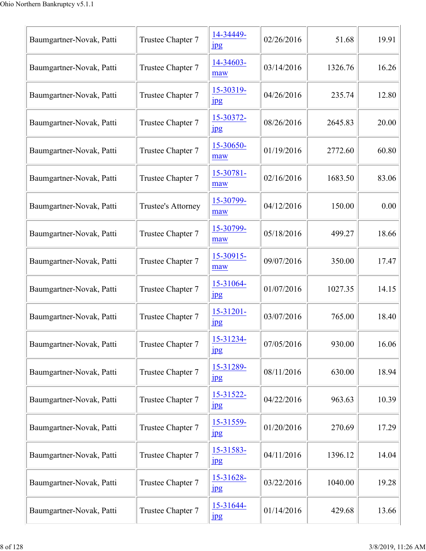| Baumgartner-Novak, Patti | Trustee Chapter 7  | 14-34449-<br>$_{\rm 1\,}$          | 02/26/2016 | 51.68   | 19.91 |
|--------------------------|--------------------|------------------------------------|------------|---------|-------|
| Baumgartner-Novak, Patti | Trustee Chapter 7  | 14-34603-<br>maw                   | 03/14/2016 | 1326.76 | 16.26 |
| Baumgartner-Novak, Patti | Trustee Chapter 7  | 15-30319-<br>$_{\rm 1pg}$          | 04/26/2016 | 235.74  | 12.80 |
| Baumgartner-Novak, Patti | Trustee Chapter 7  | 15-30372-<br>jpg                   | 08/26/2016 | 2645.83 | 20.00 |
| Baumgartner-Novak, Patti | Trustee Chapter 7  | 15-30650-<br>maw                   | 01/19/2016 | 2772.60 | 60.80 |
| Baumgartner-Novak, Patti | Trustee Chapter 7  | 15-30781-<br>maw                   | 02/16/2016 | 1683.50 | 83.06 |
| Baumgartner-Novak, Patti | Trustee's Attorney | 15-30799-<br>maw                   | 04/12/2016 | 150.00  | 0.00  |
| Baumgartner-Novak, Patti | Trustee Chapter 7  | 15-30799-<br>maw                   | 05/18/2016 | 499.27  | 18.66 |
| Baumgartner-Novak, Patti | Trustee Chapter 7  | 15-30915-<br>maw                   | 09/07/2016 | 350.00  | 17.47 |
| Baumgartner-Novak, Patti | Trustee Chapter 7  | 15-31064-<br>$_{\rm 1pg}$          | 01/07/2016 | 1027.35 | 14.15 |
| Baumgartner-Novak, Patti | Trustee Chapter 7  | $15 - 31201 -$<br>$_{\rm 1pg}$     | 03/07/2016 | 765.00  | 18.40 |
| Baumgartner-Novak, Patti | Trustee Chapter 7  | 15-31234-<br>$_{\rm 1pg}$          | 07/05/2016 | 930.00  | 16.06 |
| Baumgartner-Novak, Patti | Trustee Chapter 7  | 15-31289-<br>jpg                   | 08/11/2016 | 630.00  | 18.94 |
| Baumgartner-Novak, Patti | Trustee Chapter 7  | $15 - 31522 -$<br>$_{\rm 1\!P\!S}$ | 04/22/2016 | 963.63  | 10.39 |
| Baumgartner-Novak, Patti | Trustee Chapter 7  | 15-31559-<br>$_{\rm 1pg}$          | 01/20/2016 | 270.69  | 17.29 |
| Baumgartner-Novak, Patti | Trustee Chapter 7  | 15-31583-<br>$_{\rm 1pg}$          | 04/11/2016 | 1396.12 | 14.04 |
| Baumgartner-Novak, Patti | Trustee Chapter 7  | 15-31628-<br>$_{\rm 1\!P\!S}$      | 03/22/2016 | 1040.00 | 19.28 |
| Baumgartner-Novak, Patti | Trustee Chapter 7  | 15-31644-<br>$_{\rm 1\!P\!S}$      | 01/14/2016 | 429.68  | 13.66 |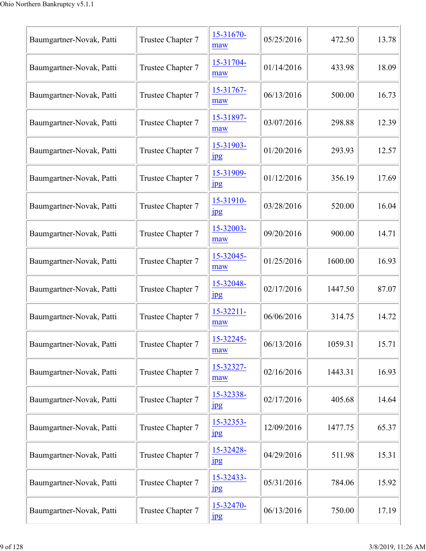| Baumgartner-Novak, Patti | Trustee Chapter 7 | 15-31670-<br>maw              | 05/25/2016 | 472.50  | 13.78 |
|--------------------------|-------------------|-------------------------------|------------|---------|-------|
| Baumgartner-Novak, Patti | Trustee Chapter 7 | 15-31704-<br>maw              | 01/14/2016 | 433.98  | 18.09 |
| Baumgartner-Novak, Patti | Trustee Chapter 7 | 15-31767-<br>maw              | 06/13/2016 | 500.00  | 16.73 |
| Baumgartner-Novak, Patti | Trustee Chapter 7 | 15-31897-<br>maw              | 03/07/2016 | 298.88  | 12.39 |
| Baumgartner-Novak, Patti | Trustee Chapter 7 | 15-31903-<br>$_{\rm 1\,}$     | 01/20/2016 | 293.93  | 12.57 |
| Baumgartner-Novak, Patti | Trustee Chapter 7 | 15-31909-<br>$_{\rm 1\!P\!S}$ | 01/12/2016 | 356.19  | 17.69 |
| Baumgartner-Novak, Patti | Trustee Chapter 7 | 15-31910-<br>$\frac{1}{2}$    | 03/28/2016 | 520.00  | 16.04 |
| Baumgartner-Novak, Patti | Trustee Chapter 7 | 15-32003-<br>maw              | 09/20/2016 | 900.00  | 14.71 |
| Baumgartner-Novak, Patti | Trustee Chapter 7 | 15-32045-<br>maw              | 01/25/2016 | 1600.00 | 16.93 |
| Baumgartner-Novak, Patti | Trustee Chapter 7 | 15-32048-<br>jpg              | 02/17/2016 | 1447.50 | 87.07 |
| Baumgartner-Novak, Patti | Trustee Chapter 7 | 15-32211-<br>maw              | 06/06/2016 | 314.75  | 14.72 |
| Baumgartner-Novak, Patti | Trustee Chapter 7 | 15-32245-<br>maw              | 06/13/2016 | 1059.31 | 15.71 |
| Baumgartner-Novak, Patti | Trustee Chapter 7 | 15-32327-<br>maw              | 02/16/2016 | 1443.31 | 16.93 |
| Baumgartner-Novak, Patti | Trustee Chapter 7 | 15-32338-<br>$_{\rm 1\!P\!S}$ | 02/17/2016 | 405.68  | 14.64 |
| Baumgartner-Novak, Patti | Trustee Chapter 7 | 15-32353-<br>$\frac{1}{2}$    | 12/09/2016 | 1477.75 | 65.37 |
| Baumgartner-Novak, Patti | Trustee Chapter 7 | 15-32428-<br>$_{\rm 1\!P\!S}$ | 04/29/2016 | 511.98  | 15.31 |
| Baumgartner-Novak, Patti | Trustee Chapter 7 | 15-32433-<br>$_{\rm 1\!P\!S}$ | 05/31/2016 | 784.06  | 15.92 |
| Baumgartner-Novak, Patti | Trustee Chapter 7 | 15-32470-<br>jpg              | 06/13/2016 | 750.00  | 17.19 |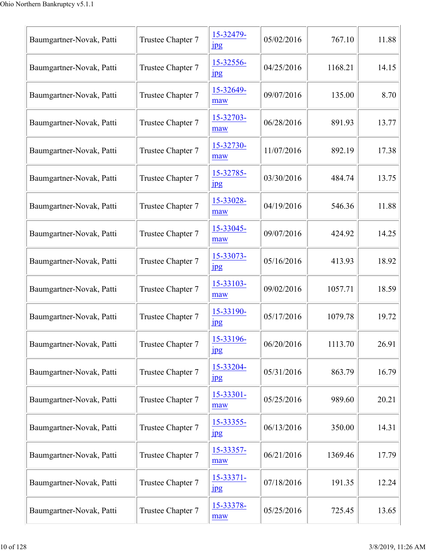| Baumgartner-Novak, Patti | Trustee Chapter 7 | 15-32479-<br>$_{\rm 1pg}$     | 05/02/2016 | 767.10  | 11.88 |
|--------------------------|-------------------|-------------------------------|------------|---------|-------|
| Baumgartner-Novak, Patti | Trustee Chapter 7 | 15-32556-<br>$_{\rm 1pg}$     | 04/25/2016 | 1168.21 | 14.15 |
| Baumgartner-Novak, Patti | Trustee Chapter 7 | 15-32649-<br>maw              | 09/07/2016 | 135.00  | 8.70  |
| Baumgartner-Novak, Patti | Trustee Chapter 7 | 15-32703-<br>maw              | 06/28/2016 | 891.93  | 13.77 |
| Baumgartner-Novak, Patti | Trustee Chapter 7 | 15-32730-<br>maw              | 11/07/2016 | 892.19  | 17.38 |
| Baumgartner-Novak, Patti | Trustee Chapter 7 | 15-32785-<br>$_{\rm 1\!P\!S}$ | 03/30/2016 | 484.74  | 13.75 |
| Baumgartner-Novak, Patti | Trustee Chapter 7 | 15-33028-<br>maw              | 04/19/2016 | 546.36  | 11.88 |
| Baumgartner-Novak, Patti | Trustee Chapter 7 | 15-33045-<br>maw              | 09/07/2016 | 424.92  | 14.25 |
| Baumgartner-Novak, Patti | Trustee Chapter 7 | 15-33073-<br>jpg              | 05/16/2016 | 413.93  | 18.92 |
| Baumgartner-Novak, Patti | Trustee Chapter 7 | 15-33103-<br>maw              | 09/02/2016 | 1057.71 | 18.59 |
| Baumgartner-Novak, Patti | Trustee Chapter 7 | 15-33190-<br>$\mathbf{u}$     | 05/17/2016 | 1079.78 | 19.72 |
| Baumgartner-Novak, Patti | Trustee Chapter 7 | 15-33196-<br>jpg              | 06/20/2016 | 1113.70 | 26.91 |
| Baumgartner-Novak, Patti | Trustee Chapter 7 | 15-33204-<br>$_{\rm 1\!P\!S}$ | 05/31/2016 | 863.79  | 16.79 |
| Baumgartner-Novak, Patti | Trustee Chapter 7 | 15-33301-<br>maw              | 05/25/2016 | 989.60  | 20.21 |
| Baumgartner-Novak, Patti | Trustee Chapter 7 | 15-33355-<br>$_{\rm jpg}$     | 06/13/2016 | 350.00  | 14.31 |
| Baumgartner-Novak, Patti | Trustee Chapter 7 | 15-33357-<br>maw              | 06/21/2016 | 1369.46 | 17.79 |
| Baumgartner-Novak, Patti | Trustee Chapter 7 | 15-33371-<br>$_{\rm 1\!P\!S}$ | 07/18/2016 | 191.35  | 12.24 |
| Baumgartner-Novak, Patti | Trustee Chapter 7 | 15-33378-<br>maw              | 05/25/2016 | 725.45  | 13.65 |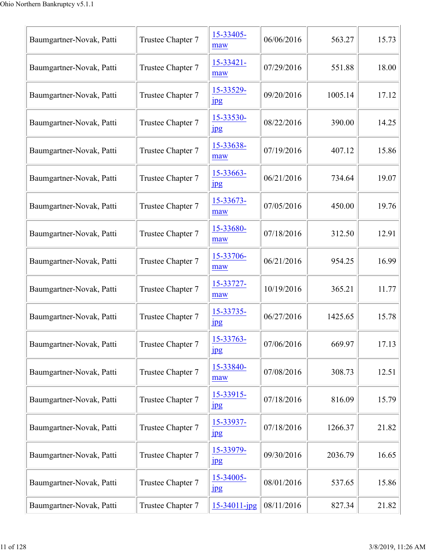| Baumgartner-Novak, Patti | Trustee Chapter 7 | 15-33405-<br>maw              | 06/06/2016 | 563.27  | 15.73 |
|--------------------------|-------------------|-------------------------------|------------|---------|-------|
| Baumgartner-Novak, Patti | Trustee Chapter 7 | 15-33421-<br>maw              | 07/29/2016 | 551.88  | 18.00 |
| Baumgartner-Novak, Patti | Trustee Chapter 7 | 15-33529-<br>$_{\rm 1\!P\!S}$ | 09/20/2016 | 1005.14 | 17.12 |
| Baumgartner-Novak, Patti | Trustee Chapter 7 | 15-33530-<br>jpg              | 08/22/2016 | 390.00  | 14.25 |
| Baumgartner-Novak, Patti | Trustee Chapter 7 | 15-33638-<br>maw              | 07/19/2016 | 407.12  | 15.86 |
| Baumgartner-Novak, Patti | Trustee Chapter 7 | 15-33663-<br>$_{\rm 1\!P\!S}$ | 06/21/2016 | 734.64  | 19.07 |
| Baumgartner-Novak, Patti | Trustee Chapter 7 | 15-33673-<br>maw              | 07/05/2016 | 450.00  | 19.76 |
| Baumgartner-Novak, Patti | Trustee Chapter 7 | 15-33680-<br>maw              | 07/18/2016 | 312.50  | 12.91 |
| Baumgartner-Novak, Patti | Trustee Chapter 7 | 15-33706-<br>maw              | 06/21/2016 | 954.25  | 16.99 |
| Baumgartner-Novak, Patti | Trustee Chapter 7 | 15-33727-<br>maw              | 10/19/2016 | 365.21  | 11.77 |
| Baumgartner-Novak, Patti | Trustee Chapter 7 | 15-33735-<br>$_{\rm 1pg}$     | 06/27/2016 | 1425.65 | 15.78 |
| Baumgartner-Novak, Patti | Trustee Chapter 7 | 15-33763-<br>$_{\rm 1pg}$     | 07/06/2016 | 669.97  | 17.13 |
| Baumgartner-Novak, Patti | Trustee Chapter 7 | 15-33840-<br>maw              | 07/08/2016 | 308.73  | 12.51 |
| Baumgartner-Novak, Patti | Trustee Chapter 7 | 15-33915-<br>$_{\rm 1\!P\!S}$ | 07/18/2016 | 816.09  | 15.79 |
| Baumgartner-Novak, Patti | Trustee Chapter 7 | 15-33937-<br>$_{\rm 1\!P\!S}$ | 07/18/2016 | 1266.37 | 21.82 |
| Baumgartner-Novak, Patti | Trustee Chapter 7 | 15-33979-<br>$_{\rm 1\!P\!S}$ | 09/30/2016 | 2036.79 | 16.65 |
| Baumgartner-Novak, Patti | Trustee Chapter 7 | 15-34005-<br>$_{\rm 1\!P\!S}$ | 08/01/2016 | 537.65  | 15.86 |
| Baumgartner-Novak, Patti | Trustee Chapter 7 | 15-34011-jpg                  | 08/11/2016 | 827.34  | 21.82 |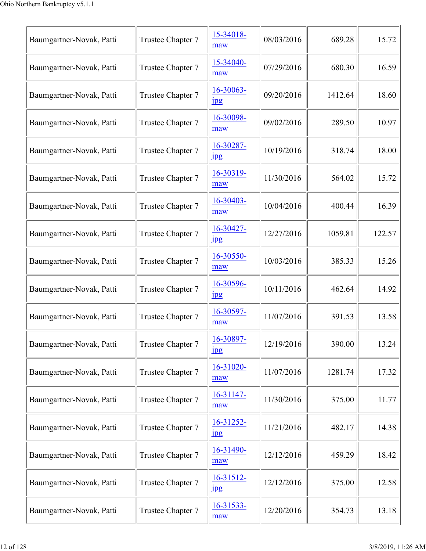| Baumgartner-Novak, Patti | Trustee Chapter 7 | 15-34018-<br>maw              | 08/03/2016 | 689.28  | 15.72  |
|--------------------------|-------------------|-------------------------------|------------|---------|--------|
| Baumgartner-Novak, Patti | Trustee Chapter 7 | 15-34040-<br>maw              | 07/29/2016 | 680.30  | 16.59  |
| Baumgartner-Novak, Patti | Trustee Chapter 7 | 16-30063-<br>$_{\rm 1pg}$     | 09/20/2016 | 1412.64 | 18.60  |
| Baumgartner-Novak, Patti | Trustee Chapter 7 | 16-30098-<br>maw              | 09/02/2016 | 289.50  | 10.97  |
| Baumgartner-Novak, Patti | Trustee Chapter 7 | 16-30287-<br>$_{\rm 1\!P\!S}$ | 10/19/2016 | 318.74  | 18.00  |
| Baumgartner-Novak, Patti | Trustee Chapter 7 | 16-30319-<br>maw              | 11/30/2016 | 564.02  | 15.72  |
| Baumgartner-Novak, Patti | Trustee Chapter 7 | 16-30403-<br>maw              | 10/04/2016 | 400.44  | 16.39  |
| Baumgartner-Novak, Patti | Trustee Chapter 7 | 16-30427-<br>$_{\rm 1pg}$     | 12/27/2016 | 1059.81 | 122.57 |
| Baumgartner-Novak, Patti | Trustee Chapter 7 | 16-30550-<br>maw              | 10/03/2016 | 385.33  | 15.26  |
| Baumgartner-Novak, Patti | Trustee Chapter 7 | 16-30596-<br>$_{\rm 1\!P\!S}$ | 10/11/2016 | 462.64  | 14.92  |
| Baumgartner-Novak, Patti | Trustee Chapter 7 | 16-30597-<br>maw              | 11/07/2016 | 391.53  | 13.58  |
| Baumgartner-Novak, Patti | Trustee Chapter 7 | 16-30897-<br>$_{\rm 1pg}$     | 12/19/2016 | 390.00  | 13.24  |
| Baumgartner-Novak, Patti | Trustee Chapter 7 | 16-31020-<br>maw              | 11/07/2016 | 1281.74 | 17.32  |
| Baumgartner-Novak, Patti | Trustee Chapter 7 | $16 - 31147$<br>maw           | 11/30/2016 | 375.00  | 11.77  |
| Baumgartner-Novak, Patti | Trustee Chapter 7 | 16-31252-<br>$_{\rm 1\!P\!S}$ | 11/21/2016 | 482.17  | 14.38  |
| Baumgartner-Novak, Patti | Trustee Chapter 7 | 16-31490-<br>maw              | 12/12/2016 | 459.29  | 18.42  |
| Baumgartner-Novak, Patti | Trustee Chapter 7 | $16 - 31512$<br>jpg           | 12/12/2016 | 375.00  | 12.58  |
| Baumgartner-Novak, Patti | Trustee Chapter 7 | 16-31533-<br>maw              | 12/20/2016 | 354.73  | 13.18  |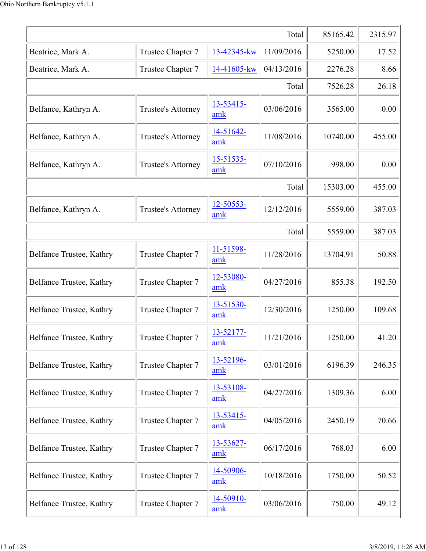|                          | 85165.42                  | 2315.97          |            |          |        |
|--------------------------|---------------------------|------------------|------------|----------|--------|
| Beatrice, Mark A.        | Trustee Chapter 7         | 13-42345-kw      | 11/09/2016 | 5250.00  | 17.52  |
| Beatrice, Mark A.        | Trustee Chapter 7         | 14-41605-kw      | 04/13/2016 | 2276.28  | 8.66   |
|                          |                           |                  | Total      | 7526.28  | 26.18  |
| Belfance, Kathryn A.     | <b>Trustee's Attorney</b> | 13-53415-<br>amk | 03/06/2016 | 3565.00  | 0.00   |
| Belfance, Kathryn A.     | <b>Trustee's Attorney</b> | 14-51642-<br>amk | 11/08/2016 | 10740.00 | 455.00 |
| Belfance, Kathryn A.     | <b>Trustee's Attorney</b> | 15-51535-<br>amk | 07/10/2016 | 998.00   | 0.00   |
|                          |                           |                  | Total      | 15303.00 | 455.00 |
| Belfance, Kathryn A.     | <b>Trustee's Attorney</b> | 12-50553-<br>amk | 12/12/2016 | 5559.00  | 387.03 |
|                          |                           |                  | Total      | 5559.00  | 387.03 |
| Belfance Trustee, Kathry | Trustee Chapter 7         | 11-51598-<br>amk | 11/28/2016 | 13704.91 | 50.88  |
| Belfance Trustee, Kathry | Trustee Chapter 7         | 12-53080-<br>amk | 04/27/2016 | 855.38   | 192.50 |
| Belfance Trustee, Kathry | Trustee Chapter 7         | 13-51530-<br>amk | 12/30/2016 | 1250.00  | 109.68 |
| Belfance Trustee, Kathry | Trustee Chapter 7         | 13-52177-<br>amk | 11/21/2016 | 1250.00  | 41.20  |
| Belfance Trustee, Kathry | Trustee Chapter 7         | 13-52196-<br>amk | 03/01/2016 | 6196.39  | 246.35 |
| Belfance Trustee, Kathry | Trustee Chapter 7         | 13-53108-<br>amk | 04/27/2016 | 1309.36  | 6.00   |
| Belfance Trustee, Kathry | Trustee Chapter 7         | 13-53415-<br>amk | 04/05/2016 | 2450.19  | 70.66  |
| Belfance Trustee, Kathry | Trustee Chapter 7         | 13-53627-<br>amk | 06/17/2016 | 768.03   | 6.00   |
| Belfance Trustee, Kathry | Trustee Chapter 7         | 14-50906-<br>amk | 10/18/2016 | 1750.00  | 50.52  |
| Belfance Trustee, Kathry | Trustee Chapter 7         | 14-50910-<br>amk | 03/06/2016 | 750.00   | 49.12  |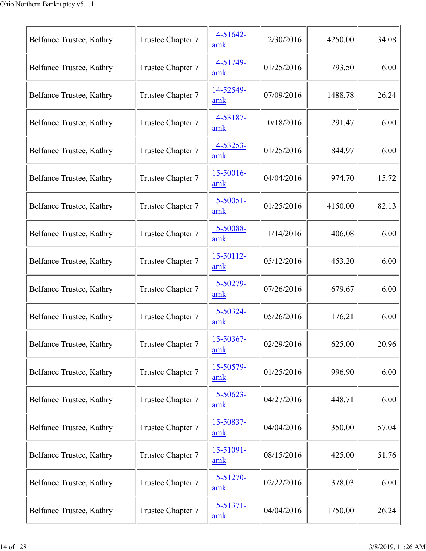| Belfance Trustee, Kathry | Trustee Chapter 7 | 14-51642-<br>amk      | 12/30/2016 | 4250.00 | 34.08 |
|--------------------------|-------------------|-----------------------|------------|---------|-------|
| Belfance Trustee, Kathry | Trustee Chapter 7 | 14-51749-<br>amk      | 01/25/2016 | 793.50  | 6.00  |
| Belfance Trustee, Kathry | Trustee Chapter 7 | 14-52549-<br>amk      | 07/09/2016 | 1488.78 | 26.24 |
| Belfance Trustee, Kathry | Trustee Chapter 7 | 14-53187-<br>amk      | 10/18/2016 | 291.47  | 6.00  |
| Belfance Trustee, Kathry | Trustee Chapter 7 | 14-53253-<br>amk      | 01/25/2016 | 844.97  | 6.00  |
| Belfance Trustee, Kathry | Trustee Chapter 7 | 15-50016-<br>amk      | 04/04/2016 | 974.70  | 15.72 |
| Belfance Trustee, Kathry | Trustee Chapter 7 | $15 - 50051 -$<br>amk | 01/25/2016 | 4150.00 | 82.13 |
| Belfance Trustee, Kathry | Trustee Chapter 7 | 15-50088-<br>amk      | 11/14/2016 | 406.08  | 6.00  |
| Belfance Trustee, Kathry | Trustee Chapter 7 | 15-50112-<br>amk      | 05/12/2016 | 453.20  | 6.00  |
| Belfance Trustee, Kathry | Trustee Chapter 7 | 15-50279-<br>amk      | 07/26/2016 | 679.67  | 6.00  |
| Belfance Trustee, Kathry | Trustee Chapter 7 | 15-50324-<br>amk      | 05/26/2016 | 176.21  | 6.00  |
| Belfance Trustee, Kathry | Trustee Chapter 7 | 15-50367-<br>amk      | 02/29/2016 | 625.00  | 20.96 |
| Belfance Trustee, Kathry | Trustee Chapter 7 | 15-50579-<br>amk      | 01/25/2016 | 996.90  | 6.00  |
| Belfance Trustee, Kathry | Trustee Chapter 7 | 15-50623-<br>amk      | 04/27/2016 | 448.71  | 6.00  |
| Belfance Trustee, Kathry | Trustee Chapter 7 | 15-50837-<br>amk      | 04/04/2016 | 350.00  | 57.04 |
| Belfance Trustee, Kathry | Trustee Chapter 7 | $15 - 51091 -$<br>amk | 08/15/2016 | 425.00  | 51.76 |
| Belfance Trustee, Kathry | Trustee Chapter 7 | 15-51270-<br>amk      | 02/22/2016 | 378.03  | 6.00  |
| Belfance Trustee, Kathry | Trustee Chapter 7 | 15-51371-<br>amk      | 04/04/2016 | 1750.00 | 26.24 |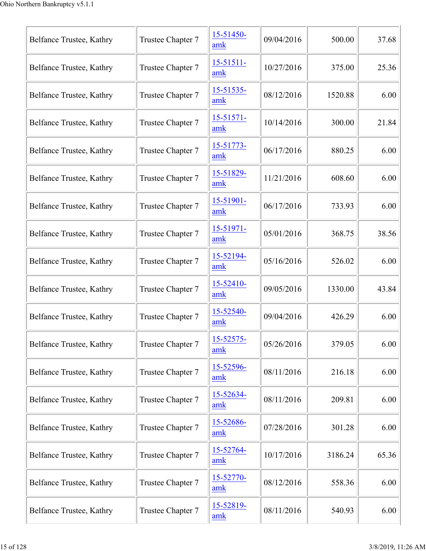| Belfance Trustee, Kathry | Trustee Chapter 7 | 15-51450-<br>amk      | 09/04/2016 | 500.00  | 37.68 |
|--------------------------|-------------------|-----------------------|------------|---------|-------|
| Belfance Trustee, Kathry | Trustee Chapter 7 | $15 - 51511 -$<br>amk | 10/27/2016 | 375.00  | 25.36 |
| Belfance Trustee, Kathry | Trustee Chapter 7 | 15-51535-<br>amk      | 08/12/2016 | 1520.88 | 6.00  |
| Belfance Trustee, Kathry | Trustee Chapter 7 | 15-51571-<br>amk      | 10/14/2016 | 300.00  | 21.84 |
| Belfance Trustee, Kathry | Trustee Chapter 7 | 15-51773-<br>amk      | 06/17/2016 | 880.25  | 6.00  |
| Belfance Trustee, Kathry | Trustee Chapter 7 | 15-51829-<br>amk      | 11/21/2016 | 608.60  | 6.00  |
| Belfance Trustee, Kathry | Trustee Chapter 7 | 15-51901-<br>amk      | 06/17/2016 | 733.93  | 6.00  |
| Belfance Trustee, Kathry | Trustee Chapter 7 | 15-51971-<br>amk      | 05/01/2016 | 368.75  | 38.56 |
| Belfance Trustee, Kathry | Trustee Chapter 7 | 15-52194-<br>amk      | 05/16/2016 | 526.02  | 6.00  |
| Belfance Trustee, Kathry | Trustee Chapter 7 | 15-52410-<br>amk      | 09/05/2016 | 1330.00 | 43.84 |
| Belfance Trustee, Kathry | Trustee Chapter 7 | 15-52540-<br>amk      | 09/04/2016 | 426.29  | 6.00  |
| Belfance Trustee, Kathry | Trustee Chapter 7 | 15-52575-<br>amk      | 05/26/2016 | 379.05  | 6.00  |
| Belfance Trustee, Kathry | Trustee Chapter 7 | 15-52596-<br>amk      | 08/11/2016 | 216.18  | 6.00  |
| Belfance Trustee, Kathry | Trustee Chapter 7 | 15-52634-<br>amk      | 08/11/2016 | 209.81  | 6.00  |
| Belfance Trustee, Kathry | Trustee Chapter 7 | 15-52686-<br>amk      | 07/28/2016 | 301.28  | 6.00  |
| Belfance Trustee, Kathry | Trustee Chapter 7 | 15-52764-<br>amk      | 10/17/2016 | 3186.24 | 65.36 |
| Belfance Trustee, Kathry | Trustee Chapter 7 | 15-52770-<br>amk      | 08/12/2016 | 558.36  | 6.00  |
| Belfance Trustee, Kathry | Trustee Chapter 7 | 15-52819-<br>amk      | 08/11/2016 | 540.93  | 6.00  |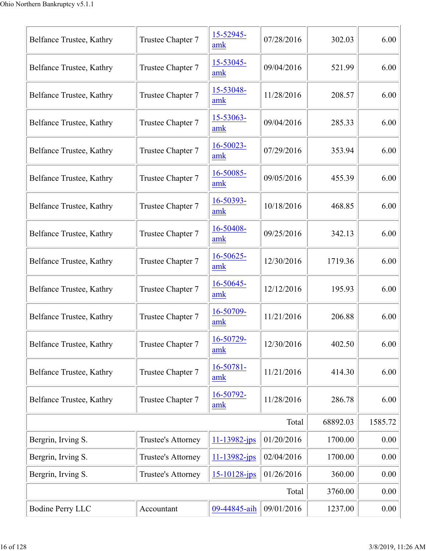| Belfance Trustee, Kathry | Trustee Chapter 7  | 15-52945-<br>amk      | 07/28/2016 | 302.03   | 6.00     |
|--------------------------|--------------------|-----------------------|------------|----------|----------|
| Belfance Trustee, Kathry | Trustee Chapter 7  | 15-53045-<br>amk      | 09/04/2016 | 521.99   | 6.00     |
| Belfance Trustee, Kathry | Trustee Chapter 7  | 15-53048-<br>amk      | 11/28/2016 | 208.57   | 6.00     |
| Belfance Trustee, Kathry | Trustee Chapter 7  | 15-53063-<br>amk      | 09/04/2016 | 285.33   | 6.00     |
| Belfance Trustee, Kathry | Trustee Chapter 7  | 16-50023-<br>amk      | 07/29/2016 | 353.94   | 6.00     |
| Belfance Trustee, Kathry | Trustee Chapter 7  | 16-50085-<br>amk      | 09/05/2016 | 455.39   | 6.00     |
| Belfance Trustee, Kathry | Trustee Chapter 7  | 16-50393-<br>amk      | 10/18/2016 | 468.85   | 6.00     |
| Belfance Trustee, Kathry | Trustee Chapter 7  | 16-50408-<br>amk      | 09/25/2016 | 342.13   | 6.00     |
| Belfance Trustee, Kathry | Trustee Chapter 7  | $16 - 50625 -$<br>amk | 12/30/2016 | 1719.36  | 6.00     |
| Belfance Trustee, Kathry | Trustee Chapter 7  | 16-50645-<br>amk      | 12/12/2016 | 195.93   | 6.00     |
| Belfance Trustee, Kathry | Trustee Chapter 7  | 16-50709-<br>amk      | 11/21/2016 | 206.88   | 6.00     |
| Belfance Trustee, Kathry | Trustee Chapter 7  | 16-50729-<br>amk      | 12/30/2016 | 402.50   | 6.00     |
| Belfance Trustee, Kathry | Trustee Chapter 7  | 16-50781-<br>amk      | 11/21/2016 | 414.30   | 6.00     |
| Belfance Trustee, Kathry | Trustee Chapter 7  | 16-50792-<br>amk      | 11/28/2016 | 286.78   | 6.00     |
|                          |                    |                       | Total      | 68892.03 | 1585.72  |
| Bergrin, Irving S.       | Trustee's Attorney | $11 - 13982$ -jps     | 01/20/2016 | 1700.00  | 0.00     |
| Bergrin, Irving S.       | Trustee's Attorney | 11-13982-jps          | 02/04/2016 | 1700.00  | 0.00     |
| Bergrin, Irving S.       | Trustee's Attorney | 15-10128-jps          | 01/26/2016 | 360.00   | 0.00     |
|                          |                    |                       | Total      | 3760.00  | 0.00     |
| <b>Bodine Perry LLC</b>  | Accountant         | 09-44845-aih          | 09/01/2016 | 1237.00  | $0.00\,$ |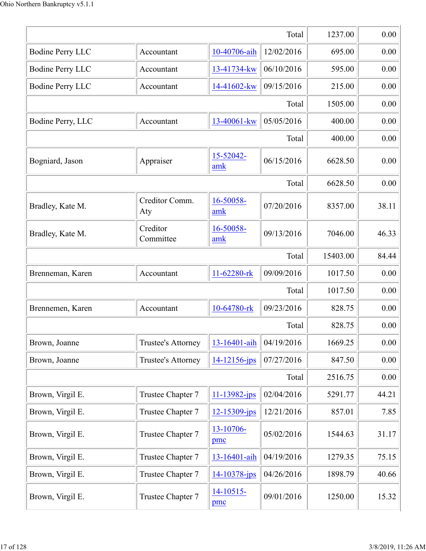|                         | 1237.00                   | 0.00             |            |          |       |
|-------------------------|---------------------------|------------------|------------|----------|-------|
| <b>Bodine Perry LLC</b> | Accountant                | 10-40706-aih     | 12/02/2016 | 695.00   | 0.00  |
| <b>Bodine Perry LLC</b> | Accountant                | 13-41734-kw      | 06/10/2016 | 595.00   | 0.00  |
| <b>Bodine Perry LLC</b> | Accountant                | 14-41602-kw      | 09/15/2016 | 215.00   | 0.00  |
|                         |                           |                  | Total      | 1505.00  | 0.00  |
| Bodine Perry, LLC       | Accountant                | 13-40061-kw      | 05/05/2016 | 400.00   | 0.00  |
|                         |                           |                  | Total      | 400.00   | 0.00  |
| Bogniard, Jason         | Appraiser                 | 15-52042-<br>amk | 06/15/2016 | 6628.50  | 0.00  |
|                         |                           |                  | Total      | 6628.50  | 0.00  |
| Bradley, Kate M.        | Creditor Comm.<br>Aty     | 16-50058-<br>amk | 07/20/2016 | 8357.00  | 38.11 |
| Bradley, Kate M.        | Creditor<br>Committee     | 16-50058-<br>amk | 09/13/2016 | 7046.00  | 46.33 |
|                         |                           |                  | Total      | 15403.00 | 84.44 |
| Brenneman, Karen        | Accountant                | 11-62280-rk      | 09/09/2016 | 1017.50  | 0.00  |
|                         |                           |                  | Total      | 1017.50  | 0.00  |
| Brennemen, Karen        | Accountant                | 10-64780-rk      | 09/23/2016 | 828.75   | 0.00  |
|                         |                           |                  | Total      | 828.75   | 0.00  |
| Brown, Joanne           | <b>Trustee's Attorney</b> | 13-16401-aih     | 04/19/2016 | 1669.25  | 0.00  |
| Brown, Joanne           | Trustee's Attorney        | 14-12156-jps     | 07/27/2016 | 847.50   | 0.00  |
|                         |                           |                  | Total      | 2516.75  | 0.00  |
| Brown, Virgil E.        | Trustee Chapter 7         | 11-13982-jps     | 02/04/2016 | 5291.77  | 44.21 |
| Brown, Virgil E.        | Trustee Chapter 7         | 12-15309-jps     | 12/21/2016 | 857.01   | 7.85  |
| Brown, Virgil E.        | Trustee Chapter 7         | 13-10706-<br>pmc | 05/02/2016 | 1544.63  | 31.17 |
| Brown, Virgil E.        | Trustee Chapter 7         | 13-16401-aih     | 04/19/2016 | 1279.35  | 75.15 |
| Brown, Virgil E.        | Trustee Chapter 7         | 14-10378-jps     | 04/26/2016 | 1898.79  | 40.66 |
| Brown, Virgil E.        | Trustee Chapter 7         | 14-10515-<br>pmc | 09/01/2016 | 1250.00  | 15.32 |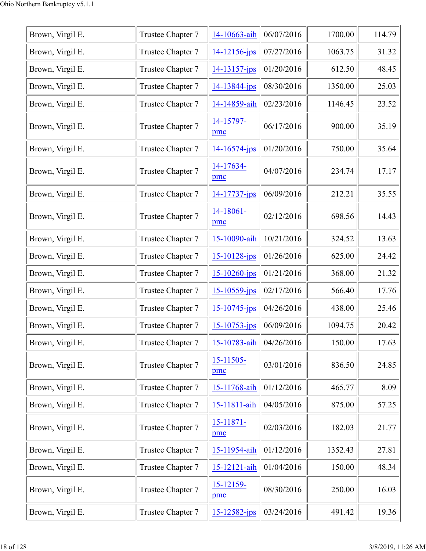| Brown, Virgil E. | Trustee Chapter 7 | 14-10663-aih          | 06/07/2016 | 1700.00 | 114.79 |
|------------------|-------------------|-----------------------|------------|---------|--------|
| Brown, Virgil E. | Trustee Chapter 7 | 14-12156-jps          | 07/27/2016 | 1063.75 | 31.32  |
| Brown, Virgil E. | Trustee Chapter 7 | 14-13157-jps          | 01/20/2016 | 612.50  | 48.45  |
| Brown, Virgil E. | Trustee Chapter 7 | 14-13844-jps          | 08/30/2016 | 1350.00 | 25.03  |
| Brown, Virgil E. | Trustee Chapter 7 | 14-14859-aih          | 02/23/2016 | 1146.45 | 23.52  |
| Brown, Virgil E. | Trustee Chapter 7 | 14-15797-<br>pmc      | 06/17/2016 | 900.00  | 35.19  |
| Brown, Virgil E. | Trustee Chapter 7 | 14-16574-jps          | 01/20/2016 | 750.00  | 35.64  |
| Brown, Virgil E. | Trustee Chapter 7 | 14-17634-<br>pmc      | 04/07/2016 | 234.74  | 17.17  |
| Brown, Virgil E. | Trustee Chapter 7 | 14-17737-jps          | 06/09/2016 | 212.21  | 35.55  |
| Brown, Virgil E. | Trustee Chapter 7 | 14-18061-<br>pmc      | 02/12/2016 | 698.56  | 14.43  |
| Brown, Virgil E. | Trustee Chapter 7 | 15-10090-aih          | 10/21/2016 | 324.52  | 13.63  |
| Brown, Virgil E. | Trustee Chapter 7 | 15-10128-jps          | 01/26/2016 | 625.00  | 24.42  |
| Brown, Virgil E. | Trustee Chapter 7 | 15-10260-jps          | 01/21/2016 | 368.00  | 21.32  |
| Brown, Virgil E. | Trustee Chapter 7 | 15-10559-jps          | 02/17/2016 | 566.40  | 17.76  |
| Brown, Virgil E. | Trustee Chapter 7 | 15-10745-jps          | 04/26/2016 | 438.00  | 25.46  |
| Brown, Virgil E. | Trustee Chapter 7 | 15-10753-jps          | 06/09/2016 | 1094.75 | 20.42  |
| Brown, Virgil E. | Trustee Chapter 7 | 15-10783-aih          | 04/26/2016 | 150.00  | 17.63  |
| Brown, Virgil E. | Trustee Chapter 7 | $15 - 11505$<br>pmc   | 03/01/2016 | 836.50  | 24.85  |
| Brown, Virgil E. | Trustee Chapter 7 | 15-11768-aih          | 01/12/2016 | 465.77  | 8.09   |
| Brown, Virgil E. | Trustee Chapter 7 | 15-11811-aih          | 04/05/2016 | 875.00  | 57.25  |
| Brown, Virgil E. | Trustee Chapter 7 | $15 - 11871 -$<br>pmc | 02/03/2016 | 182.03  | 21.77  |
| Brown, Virgil E. | Trustee Chapter 7 | 15-11954-aih          | 01/12/2016 | 1352.43 | 27.81  |
| Brown, Virgil E. | Trustee Chapter 7 | 15-12121-aih          | 01/04/2016 | 150.00  | 48.34  |
| Brown, Virgil E. | Trustee Chapter 7 | 15-12159-<br>pmc      | 08/30/2016 | 250.00  | 16.03  |
| Brown, Virgil E. | Trustee Chapter 7 | 15-12582-jps          | 03/24/2016 | 491.42  | 19.36  |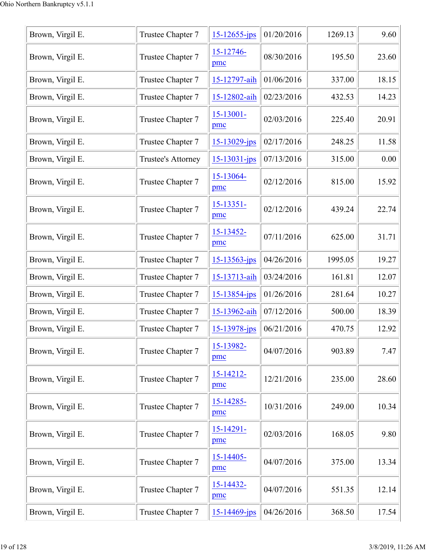| Brown, Virgil E. | Trustee Chapter 7  | $15 - 12655$ -jps     | 01/20/2016 | 1269.13 | 9.60  |
|------------------|--------------------|-----------------------|------------|---------|-------|
| Brown, Virgil E. | Trustee Chapter 7  | 15-12746-<br>pmc      | 08/30/2016 | 195.50  | 23.60 |
| Brown, Virgil E. | Trustee Chapter 7  | 15-12797-aih          | 01/06/2016 | 337.00  | 18.15 |
| Brown, Virgil E. | Trustee Chapter 7  | 15-12802-aih          | 02/23/2016 | 432.53  | 14.23 |
| Brown, Virgil E. | Trustee Chapter 7  | $15 - 13001 -$<br>pmc | 02/03/2016 | 225.40  | 20.91 |
| Brown, Virgil E. | Trustee Chapter 7  | $15 - 13029$ -jps     | 02/17/2016 | 248.25  | 11.58 |
| Brown, Virgil E. | Trustee's Attorney | 15-13031-jps          | 07/13/2016 | 315.00  | 0.00  |
| Brown, Virgil E. | Trustee Chapter 7  | 15-13064-<br>pmc      | 02/12/2016 | 815.00  | 15.92 |
| Brown, Virgil E. | Trustee Chapter 7  | 15-13351-<br>pmc      | 02/12/2016 | 439.24  | 22.74 |
| Brown, Virgil E. | Trustee Chapter 7  | 15-13452-<br>pmc      | 07/11/2016 | 625.00  | 31.71 |
| Brown, Virgil E. | Trustee Chapter 7  | 15-13563-jps          | 04/26/2016 | 1995.05 | 19.27 |
| Brown, Virgil E. | Trustee Chapter 7  | 15-13713-aih          | 03/24/2016 | 161.81  | 12.07 |
| Brown, Virgil E. | Trustee Chapter 7  | 15-13854-jps          | 01/26/2016 | 281.64  | 10.27 |
| Brown, Virgil E. | Trustee Chapter 7  | 15-13962-aih          | 07/12/2016 | 500.00  | 18.39 |
| Brown, Virgil E. | Trustee Chapter 7  | 15-13978-jps          | 06/21/2016 | 470.75  | 12.92 |
| Brown, Virgil E. | Trustee Chapter 7  | 15-13982-<br>pmc      | 04/07/2016 | 903.89  | 7.47  |
| Brown, Virgil E. | Trustee Chapter 7  | 15-14212-<br>pmc      | 12/21/2016 | 235.00  | 28.60 |
| Brown, Virgil E. | Trustee Chapter 7  | 15-14285-<br>pmc      | 10/31/2016 | 249.00  | 10.34 |
| Brown, Virgil E. | Trustee Chapter 7  | 15-14291-<br>pmc      | 02/03/2016 | 168.05  | 9.80  |
| Brown, Virgil E. | Trustee Chapter 7  | 15-14405-<br>pmc      | 04/07/2016 | 375.00  | 13.34 |
| Brown, Virgil E. | Trustee Chapter 7  | 15-14432-<br>pmc      | 04/07/2016 | 551.35  | 12.14 |
| Brown, Virgil E. | Trustee Chapter 7  | $15 - 14469$ -jps     | 04/26/2016 | 368.50  | 17.54 |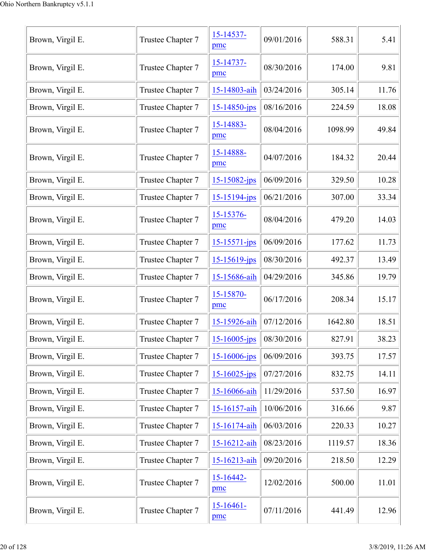| Brown, Virgil E. | Trustee Chapter 7 | 15-14537-<br>pmc      | 09/01/2016 | 588.31  | 5.41  |
|------------------|-------------------|-----------------------|------------|---------|-------|
| Brown, Virgil E. | Trustee Chapter 7 | 15-14737-<br>pmc      | 08/30/2016 | 174.00  | 9.81  |
| Brown, Virgil E. | Trustee Chapter 7 | 15-14803-aih          | 03/24/2016 | 305.14  | 11.76 |
| Brown, Virgil E. | Trustee Chapter 7 | $15 - 14850 - ips$    | 08/16/2016 | 224.59  | 18.08 |
| Brown, Virgil E. | Trustee Chapter 7 | 15-14883-<br>pmc      | 08/04/2016 | 1098.99 | 49.84 |
| Brown, Virgil E. | Trustee Chapter 7 | 15-14888-<br>pmc      | 04/07/2016 | 184.32  | 20.44 |
| Brown, Virgil E. | Trustee Chapter 7 | $15 - 15082 - jps$    | 06/09/2016 | 329.50  | 10.28 |
| Brown, Virgil E. | Trustee Chapter 7 | $15 - 15194 - ips$    | 06/21/2016 | 307.00  | 33.34 |
| Brown, Virgil E. | Trustee Chapter 7 | 15-15376-<br>pmc      | 08/04/2016 | 479.20  | 14.03 |
| Brown, Virgil E. | Trustee Chapter 7 | $15 - 15571 - ips$    | 06/09/2016 | 177.62  | 11.73 |
| Brown, Virgil E. | Trustee Chapter 7 | $15 - 15619$ -jps     | 08/30/2016 | 492.37  | 13.49 |
| Brown, Virgil E. | Trustee Chapter 7 | 15-15686-aih          | 04/29/2016 | 345.86  | 19.79 |
| Brown, Virgil E. | Trustee Chapter 7 | 15-15870-<br>pmc      | 06/17/2016 | 208.34  | 15.17 |
| Brown, Virgil E. | Trustee Chapter 7 | 15-15926-aih          | 07/12/2016 | 1642.80 | 18.51 |
| Brown, Virgil E. | Trustee Chapter 7 | $15 - 16005 - ips$    | 08/30/2016 | 827.91  | 38.23 |
| Brown, Virgil E. | Trustee Chapter 7 | $15 - 16006$ -jps     | 06/09/2016 | 393.75  | 17.57 |
| Brown, Virgil E. | Trustee Chapter 7 | $15 - 16025$ -jps     | 07/27/2016 | 832.75  | 14.11 |
| Brown, Virgil E. | Trustee Chapter 7 | 15-16066-aih          | 11/29/2016 | 537.50  | 16.97 |
| Brown, Virgil E. | Trustee Chapter 7 | 15-16157-aih          | 10/06/2016 | 316.66  | 9.87  |
| Brown, Virgil E. | Trustee Chapter 7 | 15-16174-aih          | 06/03/2016 | 220.33  | 10.27 |
| Brown, Virgil E. | Trustee Chapter 7 | 15-16212-aih          | 08/23/2016 | 1119.57 | 18.36 |
| Brown, Virgil E. | Trustee Chapter 7 | 15-16213-aih          | 09/20/2016 | 218.50  | 12.29 |
| Brown, Virgil E. | Trustee Chapter 7 | $15 - 16442 -$<br>pmc | 12/02/2016 | 500.00  | 11.01 |
| Brown, Virgil E. | Trustee Chapter 7 | $15 - 16461 -$<br>pmc | 07/11/2016 | 441.49  | 12.96 |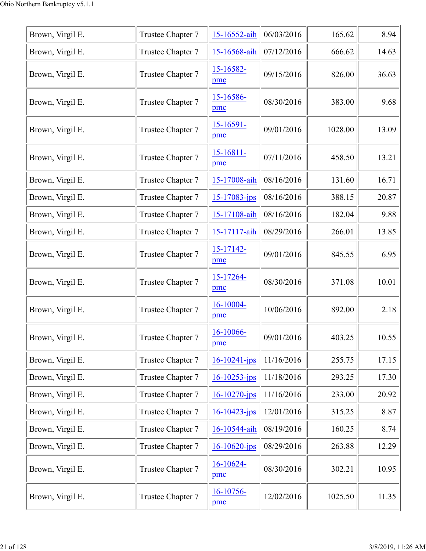| Brown, Virgil E. | Trustee Chapter 7 | 15-16552-aih       | 06/03/2016 | 165.62  | 8.94  |
|------------------|-------------------|--------------------|------------|---------|-------|
| Brown, Virgil E. | Trustee Chapter 7 | 15-16568-aih       | 07/12/2016 | 666.62  | 14.63 |
|                  |                   | 15-16582-          |            |         |       |
| Brown, Virgil E. | Trustee Chapter 7 | pmc                | 09/15/2016 | 826.00  | 36.63 |
| Brown, Virgil E. | Trustee Chapter 7 | 15-16586-<br>pmc   | 08/30/2016 | 383.00  | 9.68  |
| Brown, Virgil E. | Trustee Chapter 7 | 15-16591-<br>pmc   | 09/01/2016 | 1028.00 | 13.09 |
| Brown, Virgil E. | Trustee Chapter 7 | 15-16811-<br>pmc   | 07/11/2016 | 458.50  | 13.21 |
| Brown, Virgil E. | Trustee Chapter 7 | 15-17008-aih       | 08/16/2016 | 131.60  | 16.71 |
| Brown, Virgil E. | Trustee Chapter 7 | 15-17083-jps       | 08/16/2016 | 388.15  | 20.87 |
| Brown, Virgil E. | Trustee Chapter 7 | 15-17108-aih       | 08/16/2016 | 182.04  | 9.88  |
| Brown, Virgil E. | Trustee Chapter 7 | 15-17117-aih       | 08/29/2016 | 266.01  | 13.85 |
| Brown, Virgil E. | Trustee Chapter 7 | 15-17142-<br>pmc   | 09/01/2016 | 845.55  | 6.95  |
| Brown, Virgil E. | Trustee Chapter 7 | 15-17264-<br>pmc   | 08/30/2016 | 371.08  | 10.01 |
| Brown, Virgil E. | Trustee Chapter 7 | 16-10004-<br>pmc   | 10/06/2016 | 892.00  | 2.18  |
| Brown, Virgil E. | Trustee Chapter 7 | 16-10066-<br>pmc   | 09/01/2016 | 403.25  | 10.55 |
| Brown, Virgil E. | Trustee Chapter 7 | $16 - 10241 - ips$ | 11/16/2016 | 255.75  | 17.15 |
| Brown, Virgil E. | Trustee Chapter 7 | $16 - 10253$ -jps  | 11/18/2016 | 293.25  | 17.30 |
| Brown, Virgil E. | Trustee Chapter 7 | $16 - 10270 - ips$ | 11/16/2016 | 233.00  | 20.92 |
| Brown, Virgil E. | Trustee Chapter 7 | 16-10423-jps       | 12/01/2016 | 315.25  | 8.87  |
| Brown, Virgil E. | Trustee Chapter 7 | 16-10544-aih       | 08/19/2016 | 160.25  | 8.74  |
| Brown, Virgil E. | Trustee Chapter 7 | $16 - 10620$ -jps  | 08/29/2016 | 263.88  | 12.29 |
| Brown, Virgil E. | Trustee Chapter 7 | 16-10624-<br>pmc   | 08/30/2016 | 302.21  | 10.95 |
| Brown, Virgil E. | Trustee Chapter 7 | 16-10756-<br>pmc   | 12/02/2016 | 1025.50 | 11.35 |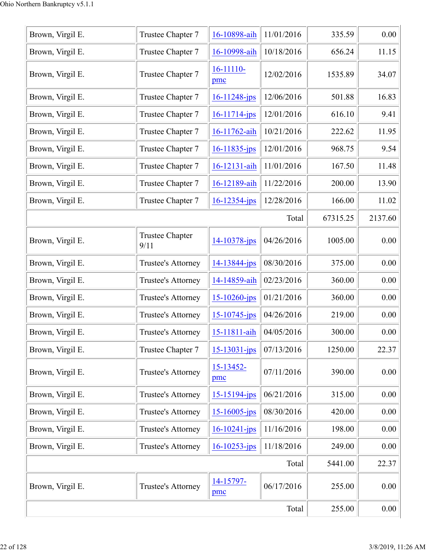| Brown, Virgil E. | Trustee Chapter 7              | 16-10898-aih          | 11/01/2016 | 335.59   | 0.00    |
|------------------|--------------------------------|-----------------------|------------|----------|---------|
| Brown, Virgil E. | Trustee Chapter 7              | 16-10998-aih          | 10/18/2016 | 656.24   | 11.15   |
| Brown, Virgil E. | Trustee Chapter 7              | 16-11110-<br>pmc      | 12/02/2016 | 1535.89  | 34.07   |
| Brown, Virgil E. | Trustee Chapter 7              | $16 - 11248$ -jps     | 12/06/2016 | 501.88   | 16.83   |
| Brown, Virgil E. | Trustee Chapter 7              | 16-11714-jps          | 12/01/2016 | 616.10   | 9.41    |
| Brown, Virgil E. | Trustee Chapter 7              | 16-11762-aih          | 10/21/2016 | 222.62   | 11.95   |
| Brown, Virgil E. | Trustee Chapter 7              | 16-11835-jps          | 12/01/2016 | 968.75   | 9.54    |
| Brown, Virgil E. | Trustee Chapter 7              | 16-12131-aih          | 11/01/2016 | 167.50   | 11.48   |
| Brown, Virgil E. | Trustee Chapter 7              | 16-12189-aih          | 11/22/2016 | 200.00   | 13.90   |
| Brown, Virgil E. | Trustee Chapter 7              | 16-12354-jps          | 12/28/2016 | 166.00   | 11.02   |
|                  |                                |                       | Total      | 67315.25 | 2137.60 |
| Brown, Virgil E. | <b>Trustee Chapter</b><br>9/11 | 14-10378-jps          | 04/26/2016 | 1005.00  | 0.00    |
| Brown, Virgil E. | Trustee's Attorney             | 14-13844-jps          | 08/30/2016 | 375.00   | 0.00    |
| Brown, Virgil E. | Trustee's Attorney             | 14-14859-aih          | 02/23/2016 | 360.00   | 0.00    |
| Brown, Virgil E. | Trustee's Attorney             | 15-10260-jps          | 01/21/2016 | 360.00   | 0.00    |
| Brown, Virgil E. | Trustee's Attorney             | $15 - 10745$ -jps     | 04/26/2016 | 219.00   | 0.00    |
| Brown, Virgil E. | Trustee's Attorney             | 15-11811-aih          | 04/05/2016 | 300.00   | 0.00    |
| Brown, Virgil E. | Trustee Chapter 7              | $15 - 13031 - ips$    | 07/13/2016 | 1250.00  | 22.37   |
| Brown, Virgil E. | <b>Trustee's Attorney</b>      | $15 - 13452 -$<br>pmc | 07/11/2016 | 390.00   | 0.00    |
| Brown, Virgil E. | Trustee's Attorney             | 15-15194-jps          | 06/21/2016 | 315.00   | 0.00    |
| Brown, Virgil E. | Trustee's Attorney             | $15 - 16005$ -jps     | 08/30/2016 | 420.00   | 0.00    |
| Brown, Virgil E. | Trustee's Attorney             | $16 - 10241 - ips$    | 11/16/2016 | 198.00   | 0.00    |
| Brown, Virgil E. | Trustee's Attorney             | $16 - 10253 - ips$    | 11/18/2016 | 249.00   | 0.00    |
|                  |                                |                       | Total      | 5441.00  | 22.37   |
| Brown, Virgil E. | Trustee's Attorney             | 14-15797-<br>pmc      | 06/17/2016 | 255.00   | 0.00    |
|                  | 255.00                         | 0.00                  |            |          |         |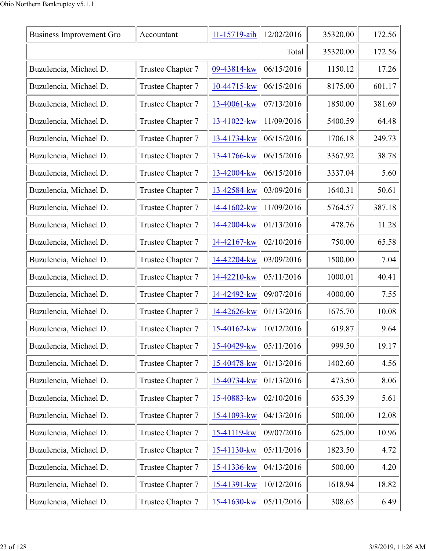| <b>Business Improvement Gro</b> | Accountant        | 11-15719-aih | 12/02/2016 | 35320.00 | 172.56 |
|---------------------------------|-------------------|--------------|------------|----------|--------|
|                                 | 35320.00          | 172.56       |            |          |        |
| Buzulencia, Michael D.          | Trustee Chapter 7 | 09-43814-kw  | 06/15/2016 | 1150.12  | 17.26  |
| Buzulencia, Michael D.          | Trustee Chapter 7 | 10-44715-kw  | 06/15/2016 | 8175.00  | 601.17 |
| Buzulencia, Michael D.          | Trustee Chapter 7 | 13-40061-kw  | 07/13/2016 | 1850.00  | 381.69 |
| Buzulencia, Michael D.          | Trustee Chapter 7 | 13-41022-kw  | 11/09/2016 | 5400.59  | 64.48  |
| Buzulencia, Michael D.          | Trustee Chapter 7 | 13-41734-kw  | 06/15/2016 | 1706.18  | 249.73 |
| Buzulencia, Michael D.          | Trustee Chapter 7 | 13-41766-kw  | 06/15/2016 | 3367.92  | 38.78  |
| Buzulencia, Michael D.          | Trustee Chapter 7 | 13-42004-kw  | 06/15/2016 | 3337.04  | 5.60   |
| Buzulencia, Michael D.          | Trustee Chapter 7 | 13-42584-kw  | 03/09/2016 | 1640.31  | 50.61  |
| Buzulencia, Michael D.          | Trustee Chapter 7 | 14-41602-kw  | 11/09/2016 | 5764.57  | 387.18 |
| Buzulencia, Michael D.          | Trustee Chapter 7 | 14-42004-kw  | 01/13/2016 | 478.76   | 11.28  |
| Buzulencia, Michael D.          | Trustee Chapter 7 | 14-42167-kw  | 02/10/2016 | 750.00   | 65.58  |
| Buzulencia, Michael D.          | Trustee Chapter 7 | 14-42204-kw  | 03/09/2016 | 1500.00  | 7.04   |
| Buzulencia, Michael D.          | Trustee Chapter 7 | 14-42210-kw  | 05/11/2016 | 1000.01  | 40.41  |
| Buzulencia, Michael D.          | Trustee Chapter 7 | 14-42492-kw  | 09/07/2016 | 4000.00  | 7.55   |
| Buzulencia, Michael D.          | Trustee Chapter 7 | 14-42626-kw  | 01/13/2016 | 1675.70  | 10.08  |
| Buzulencia, Michael D.          | Trustee Chapter 7 | 15-40162-kw  | 10/12/2016 | 619.87   | 9.64   |
| Buzulencia, Michael D.          | Trustee Chapter 7 | 15-40429-kw  | 05/11/2016 | 999.50   | 19.17  |
| Buzulencia, Michael D.          | Trustee Chapter 7 | 15-40478-kw  | 01/13/2016 | 1402.60  | 4.56   |
| Buzulencia, Michael D.          | Trustee Chapter 7 | 15-40734-kw  | 01/13/2016 | 473.50   | 8.06   |
| Buzulencia, Michael D.          | Trustee Chapter 7 | 15-40883-kw  | 02/10/2016 | 635.39   | 5.61   |
| Buzulencia, Michael D.          | Trustee Chapter 7 | 15-41093-kw  | 04/13/2016 | 500.00   | 12.08  |
| Buzulencia, Michael D.          | Trustee Chapter 7 | 15-41119-kw  | 09/07/2016 | 625.00   | 10.96  |
| Buzulencia, Michael D.          | Trustee Chapter 7 | 15-41130-kw  | 05/11/2016 | 1823.50  | 4.72   |
| Buzulencia, Michael D.          | Trustee Chapter 7 | 15-41336-kw  | 04/13/2016 | 500.00   | 4.20   |
| Buzulencia, Michael D.          | Trustee Chapter 7 | 15-41391-kw  | 10/12/2016 | 1618.94  | 18.82  |
| Buzulencia, Michael D.          | Trustee Chapter 7 | 15-41630-kw  | 05/11/2016 | 308.65   | 6.49   |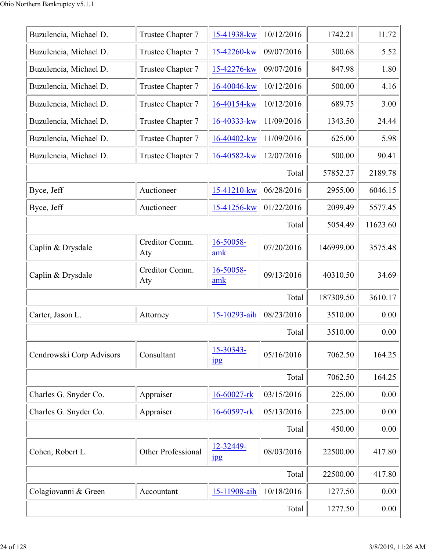| Buzulencia, Michael D.   | Trustee Chapter 7         | 15-41938-kw                   | 10/12/2016 | 1742.21   | 11.72    |
|--------------------------|---------------------------|-------------------------------|------------|-----------|----------|
| Buzulencia, Michael D.   | Trustee Chapter 7         | 15-42260-kw                   | 09/07/2016 | 300.68    | 5.52     |
| Buzulencia, Michael D.   | Trustee Chapter 7         | 15-42276-kw                   | 09/07/2016 | 847.98    | 1.80     |
| Buzulencia, Michael D.   | Trustee Chapter 7         | 16-40046-kw                   | 10/12/2016 | 500.00    | 4.16     |
| Buzulencia, Michael D.   | Trustee Chapter 7         | 16-40154-kw                   | 10/12/2016 | 689.75    | 3.00     |
| Buzulencia, Michael D.   | Trustee Chapter 7         | 16-40333-kw                   | 11/09/2016 | 1343.50   | 24.44    |
| Buzulencia, Michael D.   | Trustee Chapter 7         | 16-40402-kw                   | 11/09/2016 | 625.00    | 5.98     |
| Buzulencia, Michael D.   | Trustee Chapter 7         | 16-40582-kw                   | 12/07/2016 | 500.00    | 90.41    |
|                          |                           |                               | Total      | 57852.27  | 2189.78  |
| Byce, Jeff               | Auctioneer                | 15-41210-kw                   | 06/28/2016 | 2955.00   | 6046.15  |
| Byce, Jeff               | Auctioneer                | 15-41256-kw                   | 01/22/2016 | 2099.49   | 5577.45  |
|                          |                           |                               | Total      | 5054.49   | 11623.60 |
| Caplin & Drysdale        | Creditor Comm.<br>Aty     | 16-50058-<br>amk              | 07/20/2016 | 146999.00 | 3575.48  |
| Caplin & Drysdale        | Creditor Comm.<br>Aty     | 16-50058-<br>amk              | 09/13/2016 | 40310.50  | 34.69    |
|                          |                           |                               | Total      | 187309.50 | 3610.17  |
| Carter, Jason L.         | Attorney                  | 15-10293-aih                  | 08/23/2016 | 3510.00   | 0.00     |
|                          |                           |                               | Total      | 3510.00   | 0.00     |
| Cendrowski Corp Advisors | Consultant                | 15-30343-<br>jpg              | 05/16/2016 | 7062.50   | 164.25   |
|                          |                           |                               | Total      | 7062.50   | 164.25   |
| Charles G. Snyder Co.    | Appraiser                 | 16-60027-rk                   | 03/15/2016 | 225.00    | 0.00     |
| Charles G. Snyder Co.    | Appraiser                 | 16-60597-rk                   | 05/13/2016 | 225.00    | 0.00     |
|                          |                           |                               | Total      | 450.00    | 0.00     |
| Cohen, Robert L.         | <b>Other Professional</b> | 12-32449-<br>$_{\rm 1\!P\!S}$ | 08/03/2016 | 22500.00  | 417.80   |
|                          |                           |                               | Total      | 22500.00  | 417.80   |
| Colagiovanni & Green     | Accountant                | 15-11908-aih                  | 10/18/2016 | 1277.50   | 0.00     |
|                          | 1277.50                   | 0.00                          |            |           |          |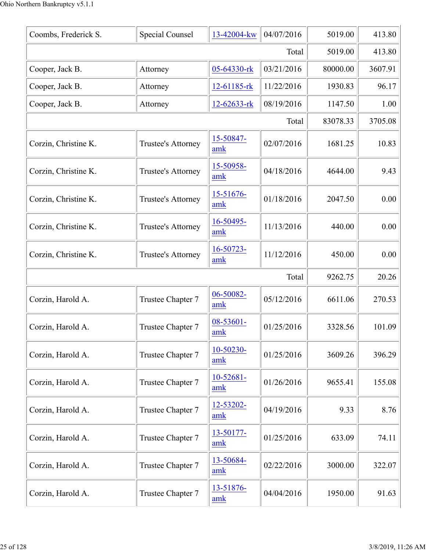| Coombs, Frederick S. | <b>Special Counsel</b>    | 13-42004-kw           | 04/07/2016 | 5019.00  | 413.80  |
|----------------------|---------------------------|-----------------------|------------|----------|---------|
|                      | 5019.00                   | 413.80                |            |          |         |
| Cooper, Jack B.      | Attorney                  | 05-64330-rk           | 03/21/2016 | 80000.00 | 3607.91 |
| Cooper, Jack B.      | Attorney                  | 12-61185-rk           | 11/22/2016 | 1930.83  | 96.17   |
| Cooper, Jack B.      | Attorney                  | 12-62633-rk           | 08/19/2016 | 1147.50  | 1.00    |
|                      |                           |                       | Total      | 83078.33 | 3705.08 |
| Corzin, Christine K. | <b>Trustee's Attorney</b> | 15-50847-<br>amk      | 02/07/2016 | 1681.25  | 10.83   |
| Corzin, Christine K. | Trustee's Attorney        | 15-50958-<br>amk      | 04/18/2016 | 4644.00  | 9.43    |
| Corzin, Christine K. | <b>Trustee's Attorney</b> | 15-51676-<br>amk      | 01/18/2016 | 2047.50  | 0.00    |
| Corzin, Christine K. | <b>Trustee's Attorney</b> | 16-50495-<br>amk      | 11/13/2016 | 440.00   | 0.00    |
| Corzin, Christine K. | Trustee's Attorney        | 16-50723-<br>amk      | 11/12/2016 | 450.00   | 0.00    |
|                      |                           |                       | Total      | 9262.75  | 20.26   |
| Corzin, Harold A.    | Trustee Chapter 7         | 06-50082-<br>amk      | 05/12/2016 | 6611.06  | 270.53  |
| Corzin, Harold A.    | Trustee Chapter 7         | 08-53601-<br>amk      | 01/25/2016 | 3328.56  | 101.09  |
| Corzin, Harold A.    | Trustee Chapter 7         | 10-50230-<br>amk      | 01/25/2016 | 3609.26  | 396.29  |
| Corzin, Harold A.    | Trustee Chapter 7         | $10 - 52681 -$<br>amk | 01/26/2016 | 9655.41  | 155.08  |
| Corzin, Harold A.    | Trustee Chapter 7         | 12-53202-<br>amk      | 04/19/2016 | 9.33     | 8.76    |
| Corzin, Harold A.    | Trustee Chapter 7         | 13-50177-<br>amk      | 01/25/2016 | 633.09   | 74.11   |
| Corzin, Harold A.    | Trustee Chapter 7         | 13-50684-<br>amk      | 02/22/2016 | 3000.00  | 322.07  |
| Corzin, Harold A.    | Trustee Chapter 7         | 13-51876-<br>amk      | 04/04/2016 | 1950.00  | 91.63   |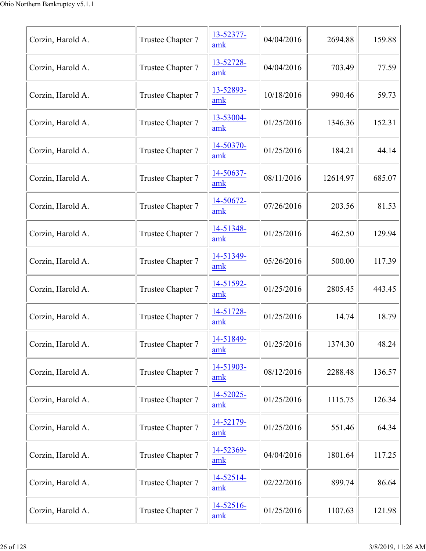| Corzin, Harold A. | Trustee Chapter 7 | 13-52377-<br>amk | 04/04/2016 | 2694.88  | 159.88 |
|-------------------|-------------------|------------------|------------|----------|--------|
| Corzin, Harold A. | Trustee Chapter 7 | 13-52728-<br>amk | 04/04/2016 | 703.49   | 77.59  |
| Corzin, Harold A. | Trustee Chapter 7 | 13-52893-<br>amk | 10/18/2016 | 990.46   | 59.73  |
| Corzin, Harold A. | Trustee Chapter 7 | 13-53004-<br>amk | 01/25/2016 | 1346.36  | 152.31 |
| Corzin, Harold A. | Trustee Chapter 7 | 14-50370-<br>amk | 01/25/2016 | 184.21   | 44.14  |
| Corzin, Harold A. | Trustee Chapter 7 | 14-50637-<br>amk | 08/11/2016 | 12614.97 | 685.07 |
| Corzin, Harold A. | Trustee Chapter 7 | 14-50672-<br>amk | 07/26/2016 | 203.56   | 81.53  |
| Corzin, Harold A. | Trustee Chapter 7 | 14-51348-<br>amk | 01/25/2016 | 462.50   | 129.94 |
| Corzin, Harold A. | Trustee Chapter 7 | 14-51349-<br>amk | 05/26/2016 | 500.00   | 117.39 |
| Corzin, Harold A. | Trustee Chapter 7 | 14-51592-<br>amk | 01/25/2016 | 2805.45  | 443.45 |
| Corzin, Harold A. | Trustee Chapter 7 | 14-51728-<br>amk | 01/25/2016 | 14.74    | 18.79  |
| Corzin, Harold A. | Trustee Chapter 7 | 14-51849-<br>amk | 01/25/2016 | 1374.30  | 48.24  |
| Corzin, Harold A. | Trustee Chapter 7 | 14-51903-<br>amk | 08/12/2016 | 2288.48  | 136.57 |
| Corzin, Harold A. | Trustee Chapter 7 | 14-52025-<br>amk | 01/25/2016 | 1115.75  | 126.34 |
| Corzin, Harold A. | Trustee Chapter 7 | 14-52179-<br>amk | 01/25/2016 | 551.46   | 64.34  |
| Corzin, Harold A. | Trustee Chapter 7 | 14-52369-<br>amk | 04/04/2016 | 1801.64  | 117.25 |
| Corzin, Harold A. | Trustee Chapter 7 | 14-52514-<br>amk | 02/22/2016 | 899.74   | 86.64  |
| Corzin, Harold A. | Trustee Chapter 7 | 14-52516-<br>amk | 01/25/2016 | 1107.63  | 121.98 |
|                   |                   |                  |            |          |        |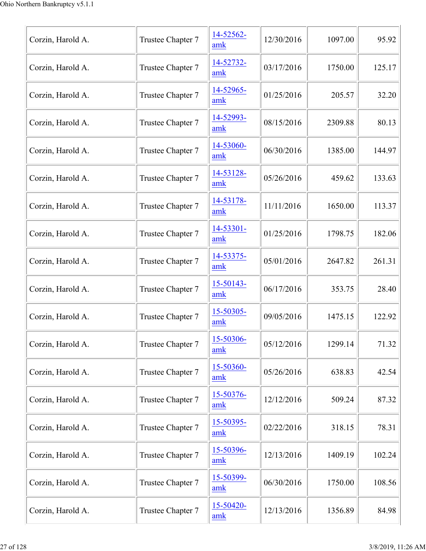| Corzin, Harold A. | Trustee Chapter 7 | 14-52562-<br>amk            | 12/30/2016 | 1097.00 | 95.92  |
|-------------------|-------------------|-----------------------------|------------|---------|--------|
| Corzin, Harold A. | Trustee Chapter 7 | 14-52732-<br>amk            | 03/17/2016 | 1750.00 | 125.17 |
| Corzin, Harold A. | Trustee Chapter 7 | 14-52965-<br>amk            | 01/25/2016 | 205.57  | 32.20  |
| Corzin, Harold A. | Trustee Chapter 7 | 14-52993-<br>amk            | 08/15/2016 | 2309.88 | 80.13  |
| Corzin, Harold A. | Trustee Chapter 7 | 14-53060-<br>amk            | 06/30/2016 | 1385.00 | 144.97 |
| Corzin, Harold A. | Trustee Chapter 7 | 14-53128-<br>amk            | 05/26/2016 | 459.62  | 133.63 |
| Corzin, Harold A. | Trustee Chapter 7 | 14-53178-<br>amk            | 11/11/2016 | 1650.00 | 113.37 |
| Corzin, Harold A. | Trustee Chapter 7 | 14-53301-<br>amk            | 01/25/2016 | 1798.75 | 182.06 |
| Corzin, Harold A. | Trustee Chapter 7 | 14-53375-<br>amk            | 05/01/2016 | 2647.82 | 261.31 |
| Corzin, Harold A. | Trustee Chapter 7 | 15-50143-<br>amk            | 06/17/2016 | 353.75  | 28.40  |
| Corzin, Harold A. | Trustee Chapter 7 | 15-50305-<br>amk            | 09/05/2016 | 1475.15 | 122.92 |
| Corzin, Harold A. | Trustee Chapter 7 | 15-50306-<br>amk            | 05/12/2016 | 1299.14 | 71.32  |
| Corzin, Harold A. | Trustee Chapter 7 | 15-50360-<br>amk            | 05/26/2016 | 638.83  | 42.54  |
| Corzin, Harold A. | Trustee Chapter 7 | 15-50376-<br>$\mathbf{amk}$ | 12/12/2016 | 509.24  | 87.32  |
| Corzin, Harold A. | Trustee Chapter 7 | 15-50395-<br>amk            | 02/22/2016 | 318.15  | 78.31  |
| Corzin, Harold A. | Trustee Chapter 7 | 15-50396-<br>amk            | 12/13/2016 | 1409.19 | 102.24 |
| Corzin, Harold A. | Trustee Chapter 7 | 15-50399-<br>amk            | 06/30/2016 | 1750.00 | 108.56 |
| Corzin, Harold A. | Trustee Chapter 7 | 15-50420-<br>amk            | 12/13/2016 | 1356.89 | 84.98  |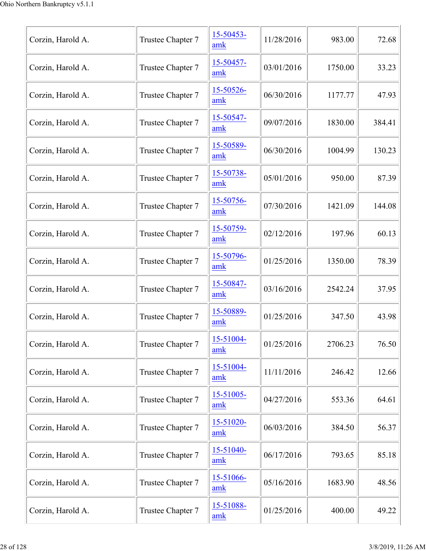| Corzin, Harold A. | Trustee Chapter 7 | 15-50453-<br>amk      | 11/28/2016 | 983.00  | 72.68  |
|-------------------|-------------------|-----------------------|------------|---------|--------|
| Corzin, Harold A. | Trustee Chapter 7 | 15-50457-<br>amk      | 03/01/2016 | 1750.00 | 33.23  |
| Corzin, Harold A. | Trustee Chapter 7 | 15-50526-<br>amk      | 06/30/2016 | 1177.77 | 47.93  |
| Corzin, Harold A. | Trustee Chapter 7 | 15-50547-<br>amk      | 09/07/2016 | 1830.00 | 384.41 |
| Corzin, Harold A. | Trustee Chapter 7 | 15-50589-<br>amk      | 06/30/2016 | 1004.99 | 130.23 |
| Corzin, Harold A. | Trustee Chapter 7 | 15-50738-<br>amk      | 05/01/2016 | 950.00  | 87.39  |
| Corzin, Harold A. | Trustee Chapter 7 | 15-50756-<br>amk      | 07/30/2016 | 1421.09 | 144.08 |
| Corzin, Harold A. | Trustee Chapter 7 | 15-50759-<br>amk      | 02/12/2016 | 197.96  | 60.13  |
| Corzin, Harold A. | Trustee Chapter 7 | 15-50796-<br>amk      | 01/25/2016 | 1350.00 | 78.39  |
| Corzin, Harold A. | Trustee Chapter 7 | 15-50847-<br>amk      | 03/16/2016 | 2542.24 | 37.95  |
| Corzin, Harold A. | Trustee Chapter 7 | 15-50889-<br>amk      | 01/25/2016 | 347.50  | 43.98  |
| Corzin, Harold A. | Trustee Chapter 7 | 15-51004-<br>amk      | 01/25/2016 | 2706.23 | 76.50  |
| Corzin, Harold A. | Trustee Chapter 7 | 15-51004-<br>amk      | 11/11/2016 | 246.42  | 12.66  |
| Corzin, Harold A. | Trustee Chapter 7 | $15 - 51005 -$<br>amk | 04/27/2016 | 553.36  | 64.61  |
| Corzin, Harold A. | Trustee Chapter 7 | 15-51020-<br>amk      | 06/03/2016 | 384.50  | 56.37  |
| Corzin, Harold A. | Trustee Chapter 7 | 15-51040-<br>amk      | 06/17/2016 | 793.65  | 85.18  |
| Corzin, Harold A. | Trustee Chapter 7 | 15-51066-<br>amk      | 05/16/2016 | 1683.90 | 48.56  |
| Corzin, Harold A. | Trustee Chapter 7 | 15-51088-<br>amk      | 01/25/2016 | 400.00  | 49.22  |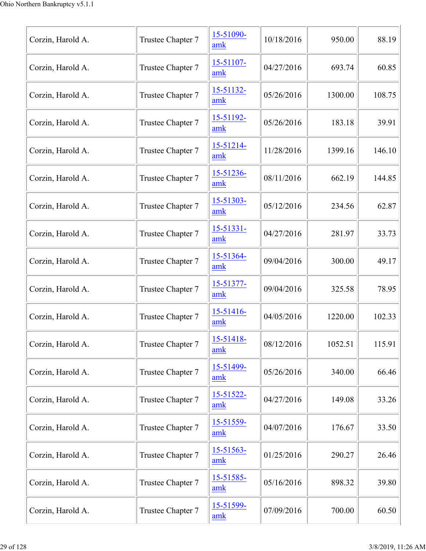| Corzin, Harold A. | Trustee Chapter 7 | 15-51090-<br>amk            | 10/18/2016 | 950.00  | 88.19  |
|-------------------|-------------------|-----------------------------|------------|---------|--------|
| Corzin, Harold A. | Trustee Chapter 7 | 15-51107-<br>amk            | 04/27/2016 | 693.74  | 60.85  |
| Corzin, Harold A. | Trustee Chapter 7 | 15-51132-<br>amk            | 05/26/2016 | 1300.00 | 108.75 |
| Corzin, Harold A. | Trustee Chapter 7 | 15-51192-<br>amk            | 05/26/2016 | 183.18  | 39.91  |
| Corzin, Harold A. | Trustee Chapter 7 | 15-51214-<br>amk            | 11/28/2016 | 1399.16 | 146.10 |
| Corzin, Harold A. | Trustee Chapter 7 | 15-51236-<br>amk            | 08/11/2016 | 662.19  | 144.85 |
| Corzin, Harold A. | Trustee Chapter 7 | 15-51303-<br>amk            | 05/12/2016 | 234.56  | 62.87  |
| Corzin, Harold A. | Trustee Chapter 7 | 15-51331-<br>amk            | 04/27/2016 | 281.97  | 33.73  |
| Corzin, Harold A. | Trustee Chapter 7 | 15-51364-<br>amk            | 09/04/2016 | 300.00  | 49.17  |
| Corzin, Harold A. | Trustee Chapter 7 | 15-51377-<br>amk            | 09/04/2016 | 325.58  | 78.95  |
| Corzin, Harold A. | Trustee Chapter 7 | 15-51416-<br>amk            | 04/05/2016 | 1220.00 | 102.33 |
| Corzin, Harold A. | Trustee Chapter 7 | 15-51418-<br>amk            | 08/12/2016 | 1052.51 | 115.91 |
| Corzin, Harold A. | Trustee Chapter 7 | 15-51499-<br>amk            | 05/26/2016 | 340.00  | 66.46  |
| Corzin, Harold A. | Trustee Chapter 7 | 15-51522-<br>$\mathbf{amk}$ | 04/27/2016 | 149.08  | 33.26  |
| Corzin, Harold A. | Trustee Chapter 7 | 15-51559-<br>amk            | 04/07/2016 | 176.67  | 33.50  |
| Corzin, Harold A. | Trustee Chapter 7 | $15 - 51563 -$<br>amk       | 01/25/2016 | 290.27  | 26.46  |
| Corzin, Harold A. | Trustee Chapter 7 | 15-51585-<br>amk            | 05/16/2016 | 898.32  | 39.80  |
| Corzin, Harold A. | Trustee Chapter 7 | 15-51599-<br>amk            | 07/09/2016 | 700.00  | 60.50  |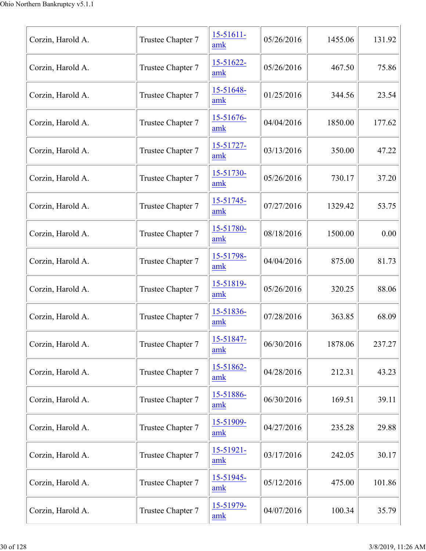| Corzin, Harold A. | Trustee Chapter 7 | $15 - 51611 -$<br>amk | 05/26/2016 | 1455.06 | 131.92 |
|-------------------|-------------------|-----------------------|------------|---------|--------|
| Corzin, Harold A. | Trustee Chapter 7 | 15-51622-<br>amk      | 05/26/2016 | 467.50  | 75.86  |
| Corzin, Harold A. | Trustee Chapter 7 | 15-51648-<br>amk      | 01/25/2016 | 344.56  | 23.54  |
| Corzin, Harold A. | Trustee Chapter 7 | 15-51676-<br>amk      | 04/04/2016 | 1850.00 | 177.62 |
| Corzin, Harold A. | Trustee Chapter 7 | 15-51727-<br>amk      | 03/13/2016 | 350.00  | 47.22  |
| Corzin, Harold A. | Trustee Chapter 7 | 15-51730-<br>amk      | 05/26/2016 | 730.17  | 37.20  |
| Corzin, Harold A. | Trustee Chapter 7 | 15-51745-<br>amk      | 07/27/2016 | 1329.42 | 53.75  |
| Corzin, Harold A. | Trustee Chapter 7 | 15-51780-<br>amk      | 08/18/2016 | 1500.00 | 0.00   |
| Corzin, Harold A. | Trustee Chapter 7 | 15-51798-<br>amk      | 04/04/2016 | 875.00  | 81.73  |
| Corzin, Harold A. | Trustee Chapter 7 | 15-51819-<br>amk      | 05/26/2016 | 320.25  | 88.06  |
| Corzin, Harold A. | Trustee Chapter 7 | 15-51836-<br>amk      | 07/28/2016 | 363.85  | 68.09  |
| Corzin, Harold A. | Trustee Chapter 7 | 15-51847-<br>amk      | 06/30/2016 | 1878.06 | 237.27 |
| Corzin, Harold A. | Trustee Chapter 7 | 15-51862-<br>amk      | 04/28/2016 | 212.31  | 43.23  |
| Corzin, Harold A. | Trustee Chapter 7 | 15-51886-<br>amk      | 06/30/2016 | 169.51  | 39.11  |
| Corzin, Harold A. | Trustee Chapter 7 | 15-51909-<br>amk      | 04/27/2016 | 235.28  | 29.88  |
| Corzin, Harold A. | Trustee Chapter 7 | 15-51921-<br>amk      | 03/17/2016 | 242.05  | 30.17  |
| Corzin, Harold A. | Trustee Chapter 7 | 15-51945-<br>amk      | 05/12/2016 | 475.00  | 101.86 |
| Corzin, Harold A. | Trustee Chapter 7 | 15-51979-<br>amk      | 04/07/2016 | 100.34  | 35.79  |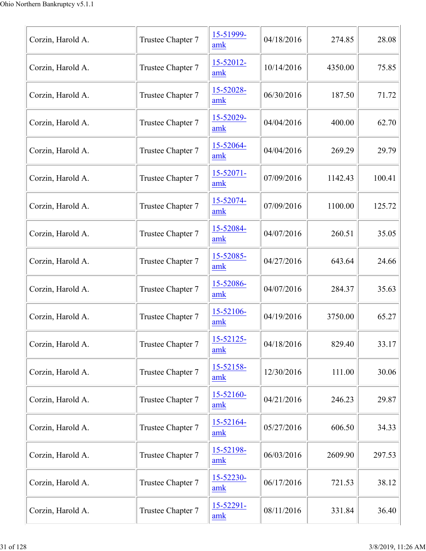| Corzin, Harold A. | Trustee Chapter 7 | 15-51999-<br>amk      | 04/18/2016 | 274.85  | 28.08  |
|-------------------|-------------------|-----------------------|------------|---------|--------|
| Corzin, Harold A. | Trustee Chapter 7 | 15-52012-<br>amk      | 10/14/2016 | 4350.00 | 75.85  |
| Corzin, Harold A. | Trustee Chapter 7 | 15-52028-<br>amk      | 06/30/2016 | 187.50  | 71.72  |
| Corzin, Harold A. | Trustee Chapter 7 | 15-52029-<br>amk      | 04/04/2016 | 400.00  | 62.70  |
| Corzin, Harold A. | Trustee Chapter 7 | 15-52064-<br>amk      | 04/04/2016 | 269.29  | 29.79  |
| Corzin, Harold A. | Trustee Chapter 7 | $15 - 52071 -$<br>amk | 07/09/2016 | 1142.43 | 100.41 |
| Corzin, Harold A. | Trustee Chapter 7 | 15-52074-<br>amk      | 07/09/2016 | 1100.00 | 125.72 |
| Corzin, Harold A. | Trustee Chapter 7 | 15-52084-<br>amk      | 04/07/2016 | 260.51  | 35.05  |
| Corzin, Harold A. | Trustee Chapter 7 | 15-52085-<br>amk      | 04/27/2016 | 643.64  | 24.66  |
| Corzin, Harold A. | Trustee Chapter 7 | 15-52086-<br>amk      | 04/07/2016 | 284.37  | 35.63  |
| Corzin, Harold A. | Trustee Chapter 7 | 15-52106-<br>amk      | 04/19/2016 | 3750.00 | 65.27  |
| Corzin, Harold A. | Trustee Chapter 7 | 15-52125-<br>amk      | 04/18/2016 | 829.40  | 33.17  |
| Corzin, Harold A. | Trustee Chapter 7 | 15-52158-<br>amk      | 12/30/2016 | 111.00  | 30.06  |
| Corzin, Harold A. | Trustee Chapter 7 | 15-52160-<br>amk      | 04/21/2016 | 246.23  | 29.87  |
| Corzin, Harold A. | Trustee Chapter 7 | 15-52164-<br>amk      | 05/27/2016 | 606.50  | 34.33  |
| Corzin, Harold A. | Trustee Chapter 7 | 15-52198-<br>amk      | 06/03/2016 | 2609.90 | 297.53 |
| Corzin, Harold A. | Trustee Chapter 7 | 15-52230-<br>amk      | 06/17/2016 | 721.53  | 38.12  |
| Corzin, Harold A. | Trustee Chapter 7 | 15-52291-<br>amk      | 08/11/2016 | 331.84  | 36.40  |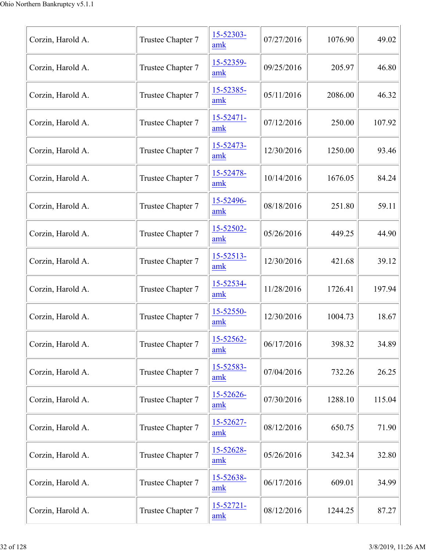| Corzin, Harold A. | Trustee Chapter 7 | 15-52303-<br>amk      | 07/27/2016 | 1076.90 | 49.02  |
|-------------------|-------------------|-----------------------|------------|---------|--------|
| Corzin, Harold A. | Trustee Chapter 7 | 15-52359-<br>amk      | 09/25/2016 | 205.97  | 46.80  |
| Corzin, Harold A. | Trustee Chapter 7 | 15-52385-<br>amk      | 05/11/2016 | 2086.00 | 46.32  |
| Corzin, Harold A. | Trustee Chapter 7 | $15 - 52471 -$<br>amk | 07/12/2016 | 250.00  | 107.92 |
| Corzin, Harold A. | Trustee Chapter 7 | 15-52473-<br>amk      | 12/30/2016 | 1250.00 | 93.46  |
| Corzin, Harold A. | Trustee Chapter 7 | 15-52478-<br>amk      | 10/14/2016 | 1676.05 | 84.24  |
| Corzin, Harold A. | Trustee Chapter 7 | 15-52496-<br>amk      | 08/18/2016 | 251.80  | 59.11  |
| Corzin, Harold A. | Trustee Chapter 7 | 15-52502-<br>amk      | 05/26/2016 | 449.25  | 44.90  |
| Corzin, Harold A. | Trustee Chapter 7 | 15-52513-<br>amk      | 12/30/2016 | 421.68  | 39.12  |
| Corzin, Harold A. | Trustee Chapter 7 | 15-52534-<br>amk      | 11/28/2016 | 1726.41 | 197.94 |
| Corzin, Harold A. | Trustee Chapter 7 | 15-52550-<br>amk      | 12/30/2016 | 1004.73 | 18.67  |
| Corzin, Harold A. | Trustee Chapter 7 | 15-52562-<br>amk      | 06/17/2016 | 398.32  | 34.89  |
| Corzin, Harold A. | Trustee Chapter 7 | 15-52583-<br>amk      | 07/04/2016 | 732.26  | 26.25  |
| Corzin, Harold A. | Trustee Chapter 7 | 15-52626-<br>amk      | 07/30/2016 | 1288.10 | 115.04 |
| Corzin, Harold A. | Trustee Chapter 7 | 15-52627-<br>amk      | 08/12/2016 | 650.75  | 71.90  |
| Corzin, Harold A. | Trustee Chapter 7 | 15-52628-<br>amk      | 05/26/2016 | 342.34  | 32.80  |
| Corzin, Harold A. | Trustee Chapter 7 | 15-52638-<br>amk      | 06/17/2016 | 609.01  | 34.99  |
| Corzin, Harold A. | Trustee Chapter 7 | $15 - 52721 -$<br>amk | 08/12/2016 | 1244.25 | 87.27  |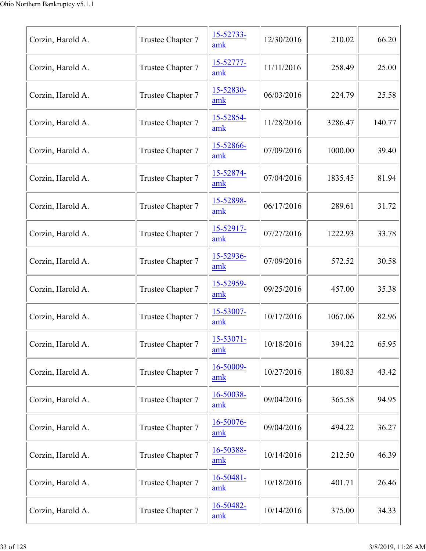| Corzin, Harold A. | Trustee Chapter 7 | 15-52733-<br>amk      | 12/30/2016 | 210.02  | 66.20  |
|-------------------|-------------------|-----------------------|------------|---------|--------|
| Corzin, Harold A. | Trustee Chapter 7 | 15-52777-<br>amk      | 11/11/2016 | 258.49  | 25.00  |
| Corzin, Harold A. | Trustee Chapter 7 | 15-52830-<br>amk      | 06/03/2016 | 224.79  | 25.58  |
| Corzin, Harold A. | Trustee Chapter 7 | 15-52854-<br>amk      | 11/28/2016 | 3286.47 | 140.77 |
| Corzin, Harold A. | Trustee Chapter 7 | 15-52866-<br>amk      | 07/09/2016 | 1000.00 | 39.40  |
| Corzin, Harold A. | Trustee Chapter 7 | 15-52874-<br>amk      | 07/04/2016 | 1835.45 | 81.94  |
| Corzin, Harold A. | Trustee Chapter 7 | 15-52898-<br>amk      | 06/17/2016 | 289.61  | 31.72  |
| Corzin, Harold A. | Trustee Chapter 7 | 15-52917-<br>amk      | 07/27/2016 | 1222.93 | 33.78  |
| Corzin, Harold A. | Trustee Chapter 7 | 15-52936-<br>amk      | 07/09/2016 | 572.52  | 30.58  |
| Corzin, Harold A. | Trustee Chapter 7 | 15-52959-<br>amk      | 09/25/2016 | 457.00  | 35.38  |
| Corzin, Harold A. | Trustee Chapter 7 | 15-53007-<br>amk      | 10/17/2016 | 1067.06 | 82.96  |
| Corzin, Harold A. | Trustee Chapter 7 | $15 - 53071 -$<br>amk | 10/18/2016 | 394.22  | 65.95  |
| Corzin, Harold A. | Trustee Chapter 7 | 16-50009-<br>amk      | 10/27/2016 | 180.83  | 43.42  |
| Corzin, Harold A. | Trustee Chapter 7 | 16-50038-<br>amk      | 09/04/2016 | 365.58  | 94.95  |
| Corzin, Harold A. | Trustee Chapter 7 | 16-50076-<br>amk      | 09/04/2016 | 494.22  | 36.27  |
| Corzin, Harold A. | Trustee Chapter 7 | 16-50388-<br>amk      | 10/14/2016 | 212.50  | 46.39  |
| Corzin, Harold A. | Trustee Chapter 7 | $16 - 50481 -$<br>amk | 10/18/2016 | 401.71  | 26.46  |
| Corzin, Harold A. | Trustee Chapter 7 | 16-50482-<br>amk      | 10/14/2016 | 375.00  | 34.33  |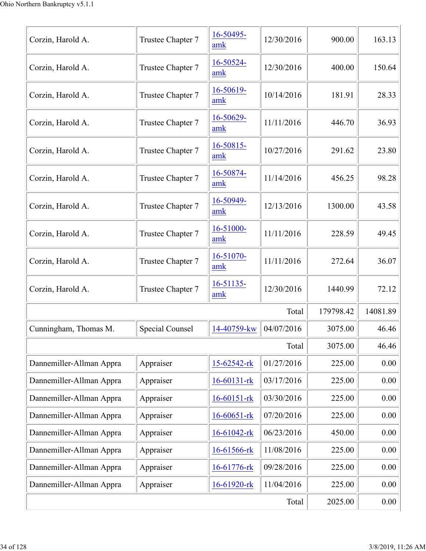| Corzin, Harold A.        | Trustee Chapter 7 | 16-50495-<br>amk      | 12/30/2016 | 900.00    | 163.13   |
|--------------------------|-------------------|-----------------------|------------|-----------|----------|
| Corzin, Harold A.        | Trustee Chapter 7 | 16-50524-<br>amk      | 12/30/2016 | 400.00    | 150.64   |
| Corzin, Harold A.        | Trustee Chapter 7 | 16-50619-<br>amk      | 10/14/2016 | 181.91    | 28.33    |
| Corzin, Harold A.        | Trustee Chapter 7 | 16-50629-<br>amk      | 11/11/2016 | 446.70    | 36.93    |
| Corzin, Harold A.        | Trustee Chapter 7 | 16-50815-<br>amk      | 10/27/2016 | 291.62    | 23.80    |
| Corzin, Harold A.        | Trustee Chapter 7 | 16-50874-<br>amk      | 11/14/2016 | 456.25    | 98.28    |
| Corzin, Harold A.        | Trustee Chapter 7 | 16-50949-<br>amk      | 12/13/2016 | 1300.00   | 43.58    |
| Corzin, Harold A.        | Trustee Chapter 7 | 16-51000-<br>amk      | 11/11/2016 | 228.59    | 49.45    |
| Corzin, Harold A.        | Trustee Chapter 7 | 16-51070-<br>amk      | 11/11/2016 | 272.64    | 36.07    |
| Corzin, Harold A.        | Trustee Chapter 7 | $16 - 51135$ -<br>amk | 12/30/2016 | 1440.99   | 72.12    |
|                          |                   |                       | Total      | 179798.42 | 14081.89 |
| Cunningham, Thomas M.    | Special Counsel   | 14-40759-kw           | 04/07/2016 | 3075.00   | 46.46    |
|                          |                   |                       | Total      | 3075.00   | 46.46    |
| Dannemiller-Allman Appra | Appraiser         | 15-62542-rk           | 01/27/2016 | 225.00    | 0.00     |
| Dannemiller-Allman Appra | Appraiser         | $16 - 60131 - rk$     | 03/17/2016 | 225.00    | 0.00     |
| Dannemiller-Allman Appra | Appraiser         | $16 - 60151 - rk$     | 03/30/2016 | 225.00    | 0.00     |
| Dannemiller-Allman Appra | Appraiser         | $16 - 60651 - rk$     | 07/20/2016 | 225.00    | 0.00     |
| Dannemiller-Allman Appra | Appraiser         | 16-61042-rk           | 06/23/2016 | 450.00    | 0.00     |
| Dannemiller-Allman Appra | Appraiser         | 16-61566-rk           | 11/08/2016 | 225.00    | 0.00     |
| Dannemiller-Allman Appra | Appraiser         | 16-61776-rk           | 09/28/2016 | 225.00    | 0.00     |
| Dannemiller-Allman Appra | Appraiser         | 16-61920-rk           | 11/04/2016 | 225.00    | 0.00     |
|                          | 2025.00           | $0.00\,$              |            |           |          |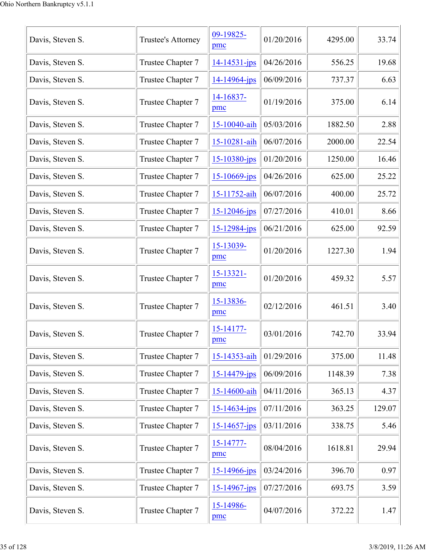| Davis, Steven S. | Trustee's Attorney | 09-19825-<br>pmc      | 01/20/2016 | 4295.00 | 33.74  |
|------------------|--------------------|-----------------------|------------|---------|--------|
| Davis, Steven S. | Trustee Chapter 7  | 14-14531-jps          | 04/26/2016 | 556.25  | 19.68  |
| Davis, Steven S. | Trustee Chapter 7  | 14-14964-jps          | 06/09/2016 | 737.37  | 6.63   |
| Davis, Steven S. | Trustee Chapter 7  | $14 - 16837 -$<br>pmc | 01/19/2016 | 375.00  | 6.14   |
| Davis, Steven S. | Trustee Chapter 7  | 15-10040-aih          | 05/03/2016 | 1882.50 | 2.88   |
| Davis, Steven S. | Trustee Chapter 7  | 15-10281-aih          | 06/07/2016 | 2000.00 | 22.54  |
| Davis, Steven S. | Trustee Chapter 7  | $15 - 10380 - ips$    | 01/20/2016 | 1250.00 | 16.46  |
| Davis, Steven S. | Trustee Chapter 7  | 15-10669-jps          | 04/26/2016 | 625.00  | 25.22  |
| Davis, Steven S. | Trustee Chapter 7  | 15-11752-aih          | 06/07/2016 | 400.00  | 25.72  |
| Davis, Steven S. | Trustee Chapter 7  | $15 - 12046$ -jps     | 07/27/2016 | 410.01  | 8.66   |
| Davis, Steven S. | Trustee Chapter 7  | 15-12984-jps          | 06/21/2016 | 625.00  | 92.59  |
| Davis, Steven S. | Trustee Chapter 7  | 15-13039-<br>pmc      | 01/20/2016 | 1227.30 | 1.94   |
| Davis, Steven S. | Trustee Chapter 7  | 15-13321-<br>pmc      | 01/20/2016 | 459.32  | 5.57   |
| Davis, Steven S. | Trustee Chapter 7  | 15-13836-<br>pmc      | 02/12/2016 | 461.51  | 3.40   |
| Davis, Steven S. | Trustee Chapter 7  | $15 - 14177$<br>pmc   | 03/01/2016 | 742.70  | 33.94  |
| Davis, Steven S. | Trustee Chapter 7  | 15-14353-aih          | 01/29/2016 | 375.00  | 11.48  |
| Davis, Steven S. | Trustee Chapter 7  | 15-14479-jps          | 06/09/2016 | 1148.39 | 7.38   |
| Davis, Steven S. | Trustee Chapter 7  | 15-14600-aih          | 04/11/2016 | 365.13  | 4.37   |
| Davis, Steven S. | Trustee Chapter 7  | 15-14634-jps          | 07/11/2016 | 363.25  | 129.07 |
| Davis, Steven S. | Trustee Chapter 7  | $15 - 14657$ -jps     | 03/11/2016 | 338.75  | 5.46   |
| Davis, Steven S. | Trustee Chapter 7  | 15-14777-<br>pmc      | 08/04/2016 | 1618.81 | 29.94  |
| Davis, Steven S. | Trustee Chapter 7  | 15-14966-jps          | 03/24/2016 | 396.70  | 0.97   |
| Davis, Steven S. | Trustee Chapter 7  | 15-14967-jps          | 07/27/2016 | 693.75  | 3.59   |
| Davis, Steven S. | Trustee Chapter 7  | 15-14986-<br>pmc      | 04/07/2016 | 372.22  | 1.47   |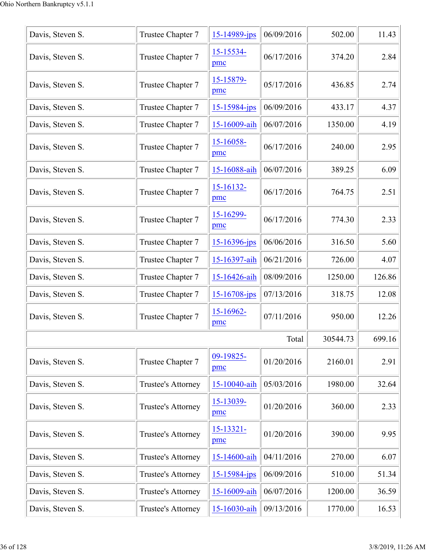| Davis, Steven S. | Trustee Chapter 7         | $15 - 14989$ -jps     | 06/09/2016 | 502.00   | 11.43  |
|------------------|---------------------------|-----------------------|------------|----------|--------|
| Davis, Steven S. | Trustee Chapter 7         | 15-15534-<br>pmc      | 06/17/2016 | 374.20   | 2.84   |
| Davis, Steven S. | Trustee Chapter 7         | 15-15879-<br>pmc      | 05/17/2016 | 436.85   | 2.74   |
| Davis, Steven S. | Trustee Chapter 7         | $15 - 15984 - ips$    | 06/09/2016 | 433.17   | 4.37   |
| Davis, Steven S. | Trustee Chapter 7         | 15-16009-aih          | 06/07/2016 | 1350.00  | 4.19   |
| Davis, Steven S. | Trustee Chapter 7         | 15-16058-<br>pmc      | 06/17/2016 | 240.00   | 2.95   |
| Davis, Steven S. | Trustee Chapter 7         | 15-16088-aih          | 06/07/2016 | 389.25   | 6.09   |
| Davis, Steven S. | Trustee Chapter 7         | $15 - 16132 -$<br>pmc | 06/17/2016 | 764.75   | 2.51   |
| Davis, Steven S. | Trustee Chapter 7         | 15-16299-<br>pmc      | 06/17/2016 | 774.30   | 2.33   |
| Davis, Steven S. | Trustee Chapter 7         | 15-16396-jps          | 06/06/2016 | 316.50   | 5.60   |
| Davis, Steven S. | Trustee Chapter 7         | 15-16397-aih          | 06/21/2016 | 726.00   | 4.07   |
| Davis, Steven S. | Trustee Chapter 7         | 15-16426-aih          | 08/09/2016 | 1250.00  | 126.86 |
| Davis, Steven S. | Trustee Chapter 7         | 15-16708-jps          | 07/13/2016 | 318.75   | 12.08  |
| Davis, Steven S. | Trustee Chapter 7         | 15-16962-<br>pmc      | 07/11/2016 | 950.00   | 12.26  |
|                  |                           |                       | Total      | 30544.73 | 699.16 |
| Davis, Steven S. | Trustee Chapter 7         | 09-19825-<br>pmc      | 01/20/2016 | 2160.01  | 2.91   |
| Davis, Steven S. | <b>Trustee's Attorney</b> | 15-10040-aih          | 05/03/2016 | 1980.00  | 32.64  |
| Davis, Steven S. | Trustee's Attorney        | 15-13039-<br>pmc      | 01/20/2016 | 360.00   | 2.33   |
| Davis, Steven S. | Trustee's Attorney        | 15-13321-<br>pmc      | 01/20/2016 | 390.00   | 9.95   |
| Davis, Steven S. | Trustee's Attorney        | 15-14600-aih          | 04/11/2016 | 270.00   | 6.07   |
| Davis, Steven S. | Trustee's Attorney        | 15-15984-jps          | 06/09/2016 | 510.00   | 51.34  |
| Davis, Steven S. | Trustee's Attorney        | 15-16009-aih          | 06/07/2016 | 1200.00  | 36.59  |
| Davis, Steven S. | Trustee's Attorney        | 15-16030-aih          | 09/13/2016 | 1770.00  | 16.53  |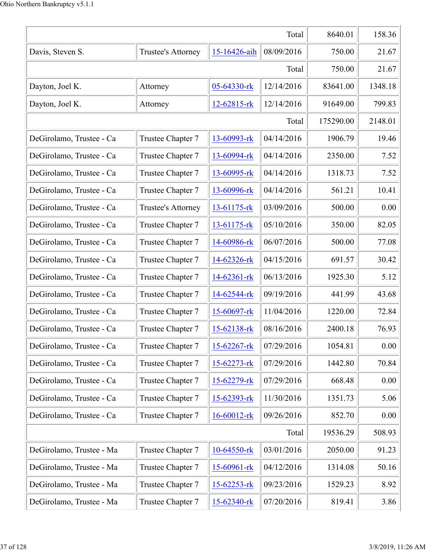|                          |                    |                   | Total      | 8640.01   | 158.36  |
|--------------------------|--------------------|-------------------|------------|-----------|---------|
| Davis, Steven S.         | Trustee's Attorney | 15-16426-aih      | 08/09/2016 | 750.00    | 21.67   |
|                          |                    |                   | Total      | 750.00    | 21.67   |
| Dayton, Joel K.          | Attorney           | 05-64330-rk       | 12/14/2016 | 83641.00  | 1348.18 |
| Dayton, Joel K.          | Attorney           | $12 - 62815 - rk$ | 12/14/2016 | 91649.00  | 799.83  |
|                          |                    |                   | Total      | 175290.00 | 2148.01 |
| DeGirolamo, Trustee - Ca | Trustee Chapter 7  | 13-60993-rk       | 04/14/2016 | 1906.79   | 19.46   |
| DeGirolamo, Trustee - Ca | Trustee Chapter 7  | 13-60994-rk       | 04/14/2016 | 2350.00   | 7.52    |
| DeGirolamo, Trustee - Ca | Trustee Chapter 7  | 13-60995-rk       | 04/14/2016 | 1318.73   | 7.52    |
| DeGirolamo, Trustee - Ca | Trustee Chapter 7  | 13-60996-rk       | 04/14/2016 | 561.21    | 10.41   |
| DeGirolamo, Trustee - Ca | Trustee's Attorney | 13-61175-rk       | 03/09/2016 | 500.00    | 0.00    |
| DeGirolamo, Trustee - Ca | Trustee Chapter 7  | 13-61175-rk       | 05/10/2016 | 350.00    | 82.05   |
| DeGirolamo, Trustee - Ca | Trustee Chapter 7  | 14-60986-rk       | 06/07/2016 | 500.00    | 77.08   |
| DeGirolamo, Trustee - Ca | Trustee Chapter 7  | 14-62326-rk       | 04/15/2016 | 691.57    | 30.42   |
| DeGirolamo, Trustee - Ca | Trustee Chapter 7  | 14-62361-rk       | 06/13/2016 | 1925.30   | 5.12    |
| DeGirolamo, Trustee - Ca | Trustee Chapter 7  | 14-62544-rk       | 09/19/2016 | 441.99    | 43.68   |
| DeGirolamo, Trustee - Ca | Trustee Chapter 7  | 15-60697-rk       | 11/04/2016 | 1220.00   | 72.84   |
| DeGirolamo, Trustee - Ca | Trustee Chapter 7  | 15-62138-rk       | 08/16/2016 | 2400.18   | 76.93   |
| DeGirolamo, Trustee - Ca | Trustee Chapter 7  | 15-62267-rk       | 07/29/2016 | 1054.81   | 0.00    |
| DeGirolamo, Trustee - Ca | Trustee Chapter 7  | 15-62273-rk       | 07/29/2016 | 1442.80   | 70.84   |
| DeGirolamo, Trustee - Ca | Trustee Chapter 7  | 15-62279-rk       | 07/29/2016 | 668.48    | 0.00    |
| DeGirolamo, Trustee - Ca | Trustee Chapter 7  | 15-62393-rk       | 11/30/2016 | 1351.73   | 5.06    |
| DeGirolamo, Trustee - Ca | Trustee Chapter 7  | 16-60012-rk       | 09/26/2016 | 852.70    | 0.00    |
|                          |                    |                   | Total      | 19536.29  | 508.93  |
| DeGirolamo, Trustee - Ma | Trustee Chapter 7  | 10-64550-rk       | 03/01/2016 | 2050.00   | 91.23   |
| DeGirolamo, Trustee - Ma | Trustee Chapter 7  | 15-60961-rk       | 04/12/2016 | 1314.08   | 50.16   |
| DeGirolamo, Trustee - Ma | Trustee Chapter 7  | 15-62253-rk       | 09/23/2016 | 1529.23   | 8.92    |
| DeGirolamo, Trustee - Ma | Trustee Chapter 7  | 15-62340-rk       | 07/20/2016 | 819.41    | 3.86    |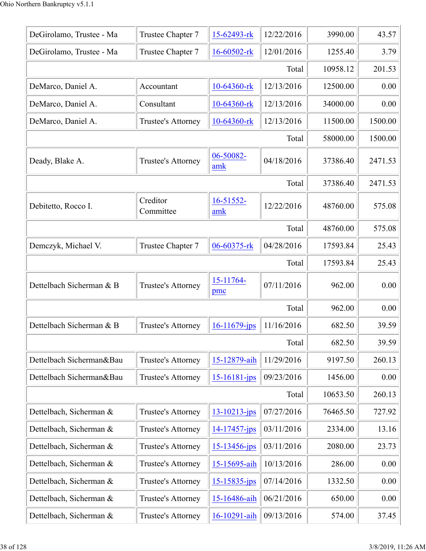| DeGirolamo, Trustee - Ma | Trustee Chapter 7         | 15-62493-rk        | 12/22/2016 | 3990.00  | 43.57   |
|--------------------------|---------------------------|--------------------|------------|----------|---------|
| DeGirolamo, Trustee - Ma | Trustee Chapter 7         | 16-60502-rk        | 12/01/2016 | 1255.40  | 3.79    |
|                          |                           |                    | Total      | 10958.12 | 201.53  |
| DeMarco, Daniel A.       | Accountant                | 10-64360-rk        | 12/13/2016 | 12500.00 | 0.00    |
| DeMarco, Daniel A.       | Consultant                | $10-64360$ -rk     | 12/13/2016 | 34000.00 | 0.00    |
| DeMarco, Daniel A.       | Trustee's Attorney        | $10-64360$ -rk     | 12/13/2016 | 11500.00 | 1500.00 |
|                          |                           |                    | Total      | 58000.00 | 1500.00 |
| Deady, Blake A.          | Trustee's Attorney        | 06-50082-<br>amk   | 04/18/2016 | 37386.40 | 2471.53 |
|                          |                           |                    | Total      | 37386.40 | 2471.53 |
| Debitetto, Rocco I.      | Creditor<br>Committee     | 16-51552-<br>amk   | 12/22/2016 | 48760.00 | 575.08  |
|                          |                           |                    | Total      | 48760.00 | 575.08  |
| Demczyk, Michael V.      | Trustee Chapter 7         | 06-60375-rk        | 04/28/2016 | 17593.84 | 25.43   |
|                          |                           |                    | Total      | 17593.84 | 25.43   |
| Dettelbach Sicherman & B | <b>Trustee's Attorney</b> | 15-11764-<br>pmc   | 07/11/2016 | 962.00   | 0.00    |
|                          |                           |                    | Total      | 962.00   | 0.00    |
| Dettelbach Sicherman & B | Trustee's Attorney        | $16 - 11679$ -jps  | 11/16/2016 | 682.50   | 39.59   |
|                          |                           |                    | Total      | 682.50   | 39.59   |
| Dettelbach Sicherman&Bau | Trustee's Attorney        | 15-12879-aih       | 11/29/2016 | 9197.50  | 260.13  |
| Dettelbach Sicherman&Bau | Trustee's Attorney        | $15 - 16181 - ips$ | 09/23/2016 | 1456.00  | 0.00    |
|                          |                           |                    | Total      | 10653.50 | 260.13  |
| Dettelbach, Sicherman &  | Trustee's Attorney        | $13 - 10213 - ips$ | 07/27/2016 | 76465.50 | 727.92  |
| Dettelbach, Sicherman &  | Trustee's Attorney        | $14 - 17457 - ips$ | 03/11/2016 | 2334.00  | 13.16   |
| Dettelbach, Sicherman &  | Trustee's Attorney        | $15 - 13456 - ips$ | 03/11/2016 | 2080.00  | 23.73   |
| Dettelbach, Sicherman &  | Trustee's Attorney        | 15-15695-aih       | 10/13/2016 | 286.00   | 0.00    |
| Dettelbach, Sicherman &  | Trustee's Attorney        | 15-15835-jps       | 07/14/2016 | 1332.50  | 0.00    |
| Dettelbach, Sicherman &  | Trustee's Attorney        | 15-16486-aih       | 06/21/2016 | 650.00   | 0.00    |
| Dettelbach, Sicherman &  | Trustee's Attorney        | 16-10291-aih       | 09/13/2016 | 574.00   | 37.45   |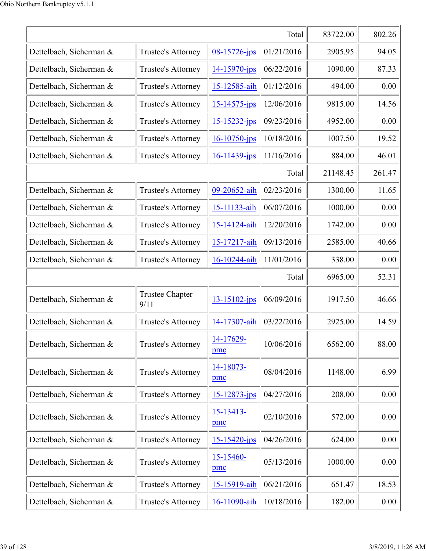|                         |                                |                       | Total      | 83722.00 | 802.26 |
|-------------------------|--------------------------------|-----------------------|------------|----------|--------|
| Dettelbach, Sicherman & | Trustee's Attorney             | 08-15726-jps          | 01/21/2016 | 2905.95  | 94.05  |
| Dettelbach, Sicherman & | Trustee's Attorney             | 14-15970-jps          | 06/22/2016 | 1090.00  | 87.33  |
| Dettelbach, Sicherman & | Trustee's Attorney             | 15-12585-aih          | 01/12/2016 | 494.00   | 0.00   |
| Dettelbach, Sicherman & | Trustee's Attorney             | $15 - 14575$ -jps     | 12/06/2016 | 9815.00  | 14.56  |
| Dettelbach, Sicherman & | Trustee's Attorney             | $15 - 15232 - ips$    | 09/23/2016 | 4952.00  | 0.00   |
| Dettelbach, Sicherman & | Trustee's Attorney             | $16 - 10750$ -jps     | 10/18/2016 | 1007.50  | 19.52  |
| Dettelbach, Sicherman & | Trustee's Attorney             | $16 - 11439$ -jps     | 11/16/2016 | 884.00   | 46.01  |
|                         |                                |                       | Total      | 21148.45 | 261.47 |
| Dettelbach, Sicherman & | Trustee's Attorney             | 09-20652-aih          | 02/23/2016 | 1300.00  | 11.65  |
| Dettelbach, Sicherman & | Trustee's Attorney             | 15-11133-aih          | 06/07/2016 | 1000.00  | 0.00   |
| Dettelbach, Sicherman & | Trustee's Attorney             | 15-14124-aih          | 12/20/2016 | 1742.00  | 0.00   |
| Dettelbach, Sicherman & | Trustee's Attorney             | 15-17217-aih          | 09/13/2016 | 2585.00  | 40.66  |
| Dettelbach, Sicherman & | Trustee's Attorney             | 16-10244-aih          | 11/01/2016 | 338.00   | 0.00   |
|                         |                                |                       | Total      | 6965.00  | 52.31  |
| Dettelbach, Sicherman & | <b>Trustee Chapter</b><br>9/11 | $13 - 15102 - ips$    | 06/09/2016 | 1917.50  | 46.66  |
| Dettelbach, Sicherman & | Trustee's Attorney             | 14-17307-aih          | 03/22/2016 | 2925.00  | 14.59  |
| Dettelbach, Sicherman & | Trustee's Attorney             | 14-17629-<br>pmc      | 10/06/2016 | 6562.00  | 88.00  |
| Dettelbach, Sicherman & | Trustee's Attorney             | 14-18073-<br>pmc      | 08/04/2016 | 1148.00  | 6.99   |
| Dettelbach, Sicherman & | Trustee's Attorney             | 15-12873-jps          | 04/27/2016 | 208.00   | 0.00   |
| Dettelbach, Sicherman & | Trustee's Attorney             | 15-13413-<br>pmc      | 02/10/2016 | 572.00   | 0.00   |
| Dettelbach, Sicherman & | Trustee's Attorney             | $15 - 15420$ -jps     | 04/26/2016 | 624.00   | 0.00   |
| Dettelbach, Sicherman & | Trustee's Attorney             | $15 - 15460 -$<br>pmc | 05/13/2016 | 1000.00  | 0.00   |
| Dettelbach, Sicherman & | Trustee's Attorney             | 15-15919-aih          | 06/21/2016 | 651.47   | 18.53  |
| Dettelbach, Sicherman & | Trustee's Attorney             | 16-11090-aih          | 10/18/2016 | 182.00   | 0.00   |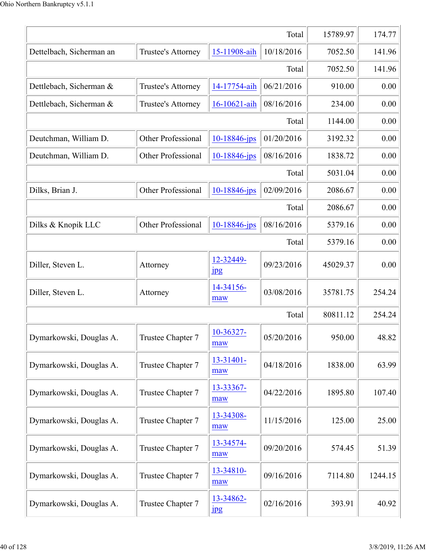|                          |                           |                            | Total      | 15789.97 | 174.77  |
|--------------------------|---------------------------|----------------------------|------------|----------|---------|
| Dettelbach, Sicherman an | Trustee's Attorney        | 15-11908-aih               | 10/18/2016 | 7052.50  | 141.96  |
|                          |                           |                            | Total      | 7052.50  | 141.96  |
| Dettlebach, Sicherman &  | Trustee's Attorney        | 14-17754-aih               | 06/21/2016 | 910.00   | 0.00    |
| Dettlebach, Sicherman &  | <b>Trustee's Attorney</b> | 16-10621-aih               | 08/16/2016 | 234.00   | 0.00    |
|                          |                           |                            | Total      | 1144.00  | 0.00    |
| Deutchman, William D.    | Other Professional        | 10-18846-jps               | 01/20/2016 | 3192.32  | 0.00    |
| Deutchman, William D.    | Other Professional        | 10-18846-jps               | 08/16/2016 | 1838.72  | 0.00    |
|                          |                           |                            | Total      | 5031.04  | 0.00    |
| Dilks, Brian J.          | <b>Other Professional</b> | 10-18846-jps               | 02/09/2016 | 2086.67  | 0.00    |
|                          |                           |                            | Total      | 2086.67  | 0.00    |
| Dilks & Knopik LLC       | Other Professional        | 10-18846-jps               | 08/16/2016 | 5379.16  | 0.00    |
|                          |                           |                            | Total      | 5379.16  | 0.00    |
| Diller, Steven L.        | Attorney                  | 12-32449-<br>$_{\rm 1\,}$  | 09/23/2016 | 45029.37 | 0.00    |
| Diller, Steven L.        | Attorney                  | 14-34156-<br>maw           | 03/08/2016 | 35781.75 | 254.24  |
|                          |                           |                            | Total      | 80811.12 | 254.24  |
| Dymarkowski, Douglas A.  | Trustee Chapter 7         | 10-36327-<br>maw           | 05/20/2016 | 950.00   | 48.82   |
| Dymarkowski, Douglas A.  | Trustee Chapter 7         | 13-31401-<br>maw           | 04/18/2016 | 1838.00  | 63.99   |
| Dymarkowski, Douglas A.  | Trustee Chapter 7         | 13-33367-<br>maw           | 04/22/2016 | 1895.80  | 107.40  |
| Dymarkowski, Douglas A.  | Trustee Chapter 7         | 13-34308-<br>maw           | 11/15/2016 | 125.00   | 25.00   |
| Dymarkowski, Douglas A.  | Trustee Chapter 7         | 13-34574-<br>maw           | 09/20/2016 | 574.45   | 51.39   |
| Dymarkowski, Douglas A.  | Trustee Chapter 7         | 13-34810-<br>maw           | 09/16/2016 | 7114.80  | 1244.15 |
| Dymarkowski, Douglas A.  | Trustee Chapter 7         | 13-34862-<br>$\frac{1}{2}$ | 02/16/2016 | 393.91   | 40.92   |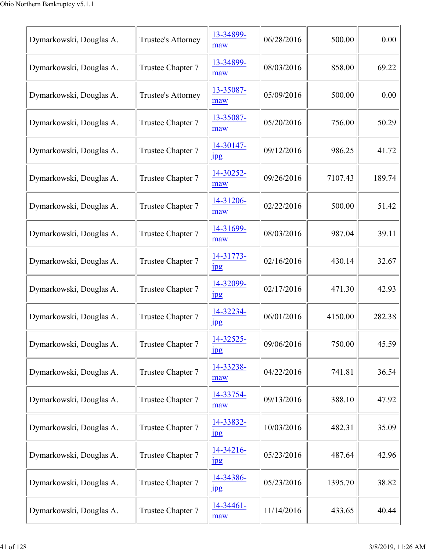| Dymarkowski, Douglas A. | Trustee's Attorney | 13-34899-<br>maw              | 06/28/2016 | 500.00  | 0.00   |
|-------------------------|--------------------|-------------------------------|------------|---------|--------|
| Dymarkowski, Douglas A. | Trustee Chapter 7  | 13-34899-<br>maw              | 08/03/2016 | 858.00  | 69.22  |
| Dymarkowski, Douglas A. | Trustee's Attorney | 13-35087-<br>maw              | 05/09/2016 | 500.00  | 0.00   |
| Dymarkowski, Douglas A. | Trustee Chapter 7  | 13-35087-<br>maw              | 05/20/2016 | 756.00  | 50.29  |
| Dymarkowski, Douglas A. | Trustee Chapter 7  | 14-30147-<br>$_{\rm 1\!P\!S}$ | 09/12/2016 | 986.25  | 41.72  |
| Dymarkowski, Douglas A. | Trustee Chapter 7  | 14-30252-<br>maw              | 09/26/2016 | 7107.43 | 189.74 |
| Dymarkowski, Douglas A. | Trustee Chapter 7  | 14-31206-<br>maw              | 02/22/2016 | 500.00  | 51.42  |
| Dymarkowski, Douglas A. | Trustee Chapter 7  | 14-31699-<br>maw              | 08/03/2016 | 987.04  | 39.11  |
| Dymarkowski, Douglas A. | Trustee Chapter 7  | 14-31773-<br>1 <sub>pg</sub>  | 02/16/2016 | 430.14  | 32.67  |
| Dymarkowski, Douglas A. | Trustee Chapter 7  | 14-32099-<br>$_{\rm 1pg}$     | 02/17/2016 | 471.30  | 42.93  |
| Dymarkowski, Douglas A. | Trustee Chapter 7  | 14-32234-<br>$_{\rm 1pg}$     | 06/01/2016 | 4150.00 | 282.38 |
| Dymarkowski, Douglas A. | Trustee Chapter 7  | 14-32525-<br>$_{\rm 1pg}$     | 09/06/2016 | 750.00  | 45.59  |
| Dymarkowski, Douglas A. | Trustee Chapter 7  | 14-33238-<br>maw              | 04/22/2016 | 741.81  | 36.54  |
| Dymarkowski, Douglas A. | Trustee Chapter 7  | 14-33754-<br>maw              | 09/13/2016 | 388.10  | 47.92  |
| Dymarkowski, Douglas A. | Trustee Chapter 7  | 14-33832-<br>jpg              | 10/03/2016 | 482.31  | 35.09  |
| Dymarkowski, Douglas A. | Trustee Chapter 7  | 14-34216-<br>$_{\rm 1\!P\!S}$ | 05/23/2016 | 487.64  | 42.96  |
| Dymarkowski, Douglas A. | Trustee Chapter 7  | 14-34386-<br>$_{\rm 1\!P\!S}$ | 05/23/2016 | 1395.70 | 38.82  |
| Dymarkowski, Douglas A. | Trustee Chapter 7  | 14-34461-<br>maw              | 11/14/2016 | 433.65  | 40.44  |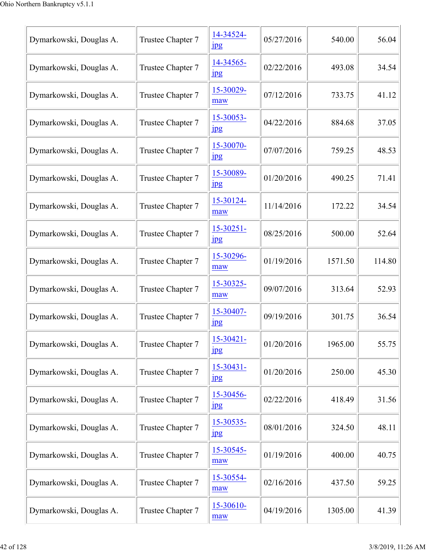| Dymarkowski, Douglas A. | Trustee Chapter 7 | 14-34524-<br>$_{\rm 1pg}$          | 05/27/2016 | 540.00  | 56.04  |
|-------------------------|-------------------|------------------------------------|------------|---------|--------|
| Dymarkowski, Douglas A. | Trustee Chapter 7 | 14-34565-<br>$_{\rm 1pg}$          | 02/22/2016 | 493.08  | 34.54  |
| Dymarkowski, Douglas A. | Trustee Chapter 7 | 15-30029-<br>maw                   | 07/12/2016 | 733.75  | 41.12  |
| Dymarkowski, Douglas A. | Trustee Chapter 7 | 15-30053-<br>jpg                   | 04/22/2016 | 884.68  | 37.05  |
| Dymarkowski, Douglas A. | Trustee Chapter 7 | 15-30070-<br>$_{\rm 1\!P\!S}$      | 07/07/2016 | 759.25  | 48.53  |
| Dymarkowski, Douglas A. | Trustee Chapter 7 | 15-30089-<br>1 <sub>p</sub> g      | 01/20/2016 | 490.25  | 71.41  |
| Dymarkowski, Douglas A. | Trustee Chapter 7 | 15-30124-<br>maw                   | 11/14/2016 | 172.22  | 34.54  |
| Dymarkowski, Douglas A. | Trustee Chapter 7 | $15 - 30251 -$<br>$_{\rm 1\!P\!S}$ | 08/25/2016 | 500.00  | 52.64  |
| Dymarkowski, Douglas A. | Trustee Chapter 7 | 15-30296-<br>maw                   | 01/19/2016 | 1571.50 | 114.80 |
| Dymarkowski, Douglas A. | Trustee Chapter 7 | 15-30325-<br>maw                   | 09/07/2016 | 313.64  | 52.93  |
| Dymarkowski, Douglas A. | Trustee Chapter 7 | 15-30407-<br>$_{\rm 1pg}$          | 09/19/2016 | 301.75  | 36.54  |
| Dymarkowski, Douglas A. | Trustee Chapter 7 | $15 - 30421 -$<br>jpg              | 01/20/2016 | 1965.00 | 55.75  |
| Dymarkowski, Douglas A. | Trustee Chapter 7 | 15-30431-<br>$_{\rm 1pg}$          | 01/20/2016 | 250.00  | 45.30  |
| Dymarkowski, Douglas A. | Trustee Chapter 7 | 15-30456-<br>$_{\rm 1\!P\!S}$      | 02/22/2016 | 418.49  | 31.56  |
| Dymarkowski, Douglas A. | Trustee Chapter 7 | 15-30535-<br>jpg                   | 08/01/2016 | 324.50  | 48.11  |
| Dymarkowski, Douglas A. | Trustee Chapter 7 | 15-30545-<br>maw                   | 01/19/2016 | 400.00  | 40.75  |
| Dymarkowski, Douglas A. | Trustee Chapter 7 | 15-30554-<br>maw                   | 02/16/2016 | 437.50  | 59.25  |
| Dymarkowski, Douglas A. | Trustee Chapter 7 | 15-30610-<br>maw                   | 04/19/2016 | 1305.00 | 41.39  |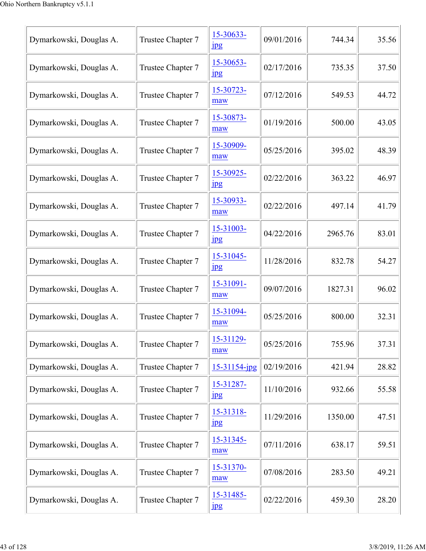| Dymarkowski, Douglas A. | Trustee Chapter 7 | 15-30633-<br>$_{\rm 1\!P\!S}$ | 09/01/2016 | 744.34  | 35.56 |
|-------------------------|-------------------|-------------------------------|------------|---------|-------|
| Dymarkowski, Douglas A. | Trustee Chapter 7 | 15-30653-<br>$_{\rm 1\!P\!S}$ | 02/17/2016 | 735.35  | 37.50 |
| Dymarkowski, Douglas A. | Trustee Chapter 7 | 15-30723-<br>maw              | 07/12/2016 | 549.53  | 44.72 |
| Dymarkowski, Douglas A. | Trustee Chapter 7 | 15-30873-<br>maw              | 01/19/2016 | 500.00  | 43.05 |
| Dymarkowski, Douglas A. | Trustee Chapter 7 | 15-30909-<br>maw              | 05/25/2016 | 395.02  | 48.39 |
| Dymarkowski, Douglas A. | Trustee Chapter 7 | 15-30925-<br>$\frac{1}{2}$    | 02/22/2016 | 363.22  | 46.97 |
| Dymarkowski, Douglas A. | Trustee Chapter 7 | 15-30933-<br>maw              | 02/22/2016 | 497.14  | 41.79 |
| Dymarkowski, Douglas A. | Trustee Chapter 7 | 15-31003-<br>$_{\rm 1\!P\!S}$ | 04/22/2016 | 2965.76 | 83.01 |
| Dymarkowski, Douglas A. | Trustee Chapter 7 | 15-31045-<br>$\frac{1}{2}$    | 11/28/2016 | 832.78  | 54.27 |
| Dymarkowski, Douglas A. | Trustee Chapter 7 | 15-31091-<br>maw              | 09/07/2016 | 1827.31 | 96.02 |
| Dymarkowski, Douglas A. | Trustee Chapter 7 | 15-31094-<br>maw              | 05/25/2016 | 800.00  | 32.31 |
| Dymarkowski, Douglas A. | Trustee Chapter 7 | 15-31129-<br>maw              | 05/25/2016 | 755.96  | 37.31 |
| Dymarkowski, Douglas A. | Trustee Chapter 7 | 15-31154-jpg                  | 02/19/2016 | 421.94  | 28.82 |
| Dymarkowski, Douglas A. | Trustee Chapter 7 | 15-31287-<br><b>Jpg</b>       | 11/10/2016 | 932.66  | 55.58 |
| Dymarkowski, Douglas A. | Trustee Chapter 7 | 15-31318-<br>$_{\rm 1\!P\!S}$ | 11/29/2016 | 1350.00 | 47.51 |
| Dymarkowski, Douglas A. | Trustee Chapter 7 | 15-31345-<br>maw              | 07/11/2016 | 638.17  | 59.51 |
| Dymarkowski, Douglas A. | Trustee Chapter 7 | 15-31370-<br>maw              | 07/08/2016 | 283.50  | 49.21 |
| Dymarkowski, Douglas A. | Trustee Chapter 7 | 15-31485-<br>1 <sub>p</sub> g | 02/22/2016 | 459.30  | 28.20 |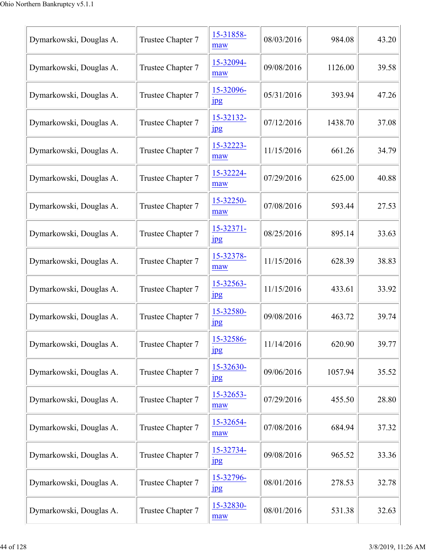| Dymarkowski, Douglas A. | Trustee Chapter 7 | 15-31858-<br>maw              | 08/03/2016 | 984.08  | 43.20 |
|-------------------------|-------------------|-------------------------------|------------|---------|-------|
| Dymarkowski, Douglas A. | Trustee Chapter 7 | 15-32094-<br>maw              | 09/08/2016 | 1126.00 | 39.58 |
| Dymarkowski, Douglas A. | Trustee Chapter 7 | 15-32096-<br>1 <sub>pg</sub>  | 05/31/2016 | 393.94  | 47.26 |
| Dymarkowski, Douglas A. | Trustee Chapter 7 | 15-32132-<br>jpg              | 07/12/2016 | 1438.70 | 37.08 |
| Dymarkowski, Douglas A. | Trustee Chapter 7 | 15-32223-<br>maw              | 11/15/2016 | 661.26  | 34.79 |
| Dymarkowski, Douglas A. | Trustee Chapter 7 | 15-32224-<br>maw              | 07/29/2016 | 625.00  | 40.88 |
| Dymarkowski, Douglas A. | Trustee Chapter 7 | 15-32250-<br>maw              | 07/08/2016 | 593.44  | 27.53 |
| Dymarkowski, Douglas A. | Trustee Chapter 7 | 15-32371-<br>$_{\rm 1\!P\!S}$ | 08/25/2016 | 895.14  | 33.63 |
| Dymarkowski, Douglas A. | Trustee Chapter 7 | 15-32378-<br>maw              | 11/15/2016 | 628.39  | 38.83 |
| Dymarkowski, Douglas A. | Trustee Chapter 7 | 15-32563-<br>$_{\rm 1\,}$     | 11/15/2016 | 433.61  | 33.92 |
| Dymarkowski, Douglas A. | Trustee Chapter 7 | 15-32580-<br>$_{\rm 1\,}$     | 09/08/2016 | 463.72  | 39.74 |
| Dymarkowski, Douglas A. | Trustee Chapter 7 | 15-32586-<br>jpg              | 11/14/2016 | 620.90  | 39.77 |
| Dymarkowski, Douglas A. | Trustee Chapter 7 | 15-32630-<br>$_{\rm 1\,}$     | 09/06/2016 | 1057.94 | 35.52 |
| Dymarkowski, Douglas A. | Trustee Chapter 7 | 15-32653-<br>maw              | 07/29/2016 | 455.50  | 28.80 |
| Dymarkowski, Douglas A. | Trustee Chapter 7 | 15-32654-<br>maw              | 07/08/2016 | 684.94  | 37.32 |
| Dymarkowski, Douglas A. | Trustee Chapter 7 | 15-32734-<br>$_{\rm 1\!P\!S}$ | 09/08/2016 | 965.52  | 33.36 |
| Dymarkowski, Douglas A. | Trustee Chapter 7 | 15-32796-<br>$_{\rm 1\!P\!S}$ | 08/01/2016 | 278.53  | 32.78 |
| Dymarkowski, Douglas A. | Trustee Chapter 7 | 15-32830-<br>maw              | 08/01/2016 | 531.38  | 32.63 |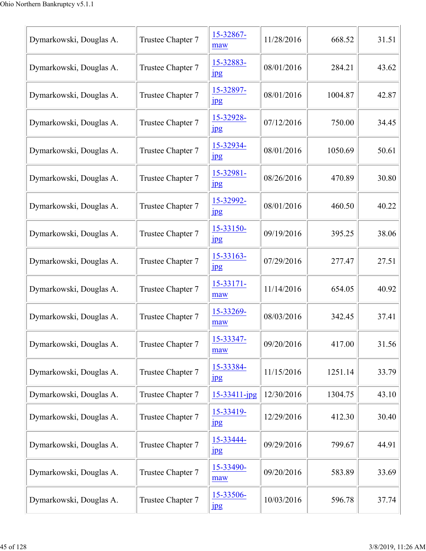| Dymarkowski, Douglas A. | Trustee Chapter 7 | 15-32867-<br>maw              | 11/28/2016 | 668.52  | 31.51 |
|-------------------------|-------------------|-------------------------------|------------|---------|-------|
| Dymarkowski, Douglas A. | Trustee Chapter 7 | 15-32883-<br>jpg              | 08/01/2016 | 284.21  | 43.62 |
| Dymarkowski, Douglas A. | Trustee Chapter 7 | 15-32897-<br>$_{\rm 1\!P\!S}$ | 08/01/2016 | 1004.87 | 42.87 |
| Dymarkowski, Douglas A. | Trustee Chapter 7 | 15-32928-<br>jpg              | 07/12/2016 | 750.00  | 34.45 |
| Dymarkowski, Douglas A. | Trustee Chapter 7 | 15-32934-<br>$_{\rm 1pg}$     | 08/01/2016 | 1050.69 | 50.61 |
| Dymarkowski, Douglas A. | Trustee Chapter 7 | 15-32981-<br>$_{\rm 1\!P\!S}$ | 08/26/2016 | 470.89  | 30.80 |
| Dymarkowski, Douglas A. | Trustee Chapter 7 | 15-32992-<br>jpg              | 08/01/2016 | 460.50  | 40.22 |
| Dymarkowski, Douglas A. | Trustee Chapter 7 | 15-33150-<br>$_{\rm 1\!P\!S}$ | 09/19/2016 | 395.25  | 38.06 |
| Dymarkowski, Douglas A. | Trustee Chapter 7 | 15-33163-<br>$_{\rm 1pg}$     | 07/29/2016 | 277.47  | 27.51 |
| Dymarkowski, Douglas A. | Trustee Chapter 7 | 15-33171-<br>maw              | 11/14/2016 | 654.05  | 40.92 |
| Dymarkowski, Douglas A. | Trustee Chapter 7 | 15-33269-<br>maw              | 08/03/2016 | 342.45  | 37.41 |
| Dymarkowski, Douglas A. | Trustee Chapter 7 | 15-33347-<br>maw              | 09/20/2016 | 417.00  | 31.56 |
| Dymarkowski, Douglas A. | Trustee Chapter 7 | 15-33384-<br><u>Ipg</u>       | 11/15/2016 | 1251.14 | 33.79 |
| Dymarkowski, Douglas A. | Trustee Chapter 7 | 15-33411-jpg                  | 12/30/2016 | 1304.75 | 43.10 |
| Dymarkowski, Douglas A. | Trustee Chapter 7 | 15-33419-<br>$_{\rm 1\!P\!S}$ | 12/29/2016 | 412.30  | 30.40 |
| Dymarkowski, Douglas A. | Trustee Chapter 7 | 15-33444-<br><b>Jpg</b>       | 09/29/2016 | 799.67  | 44.91 |
| Dymarkowski, Douglas A. | Trustee Chapter 7 | 15-33490-<br>maw              | 09/20/2016 | 583.89  | 33.69 |
| Dymarkowski, Douglas A. | Trustee Chapter 7 | 15-33506-<br>$_{\rm 1\!P\!S}$ | 10/03/2016 | 596.78  | 37.74 |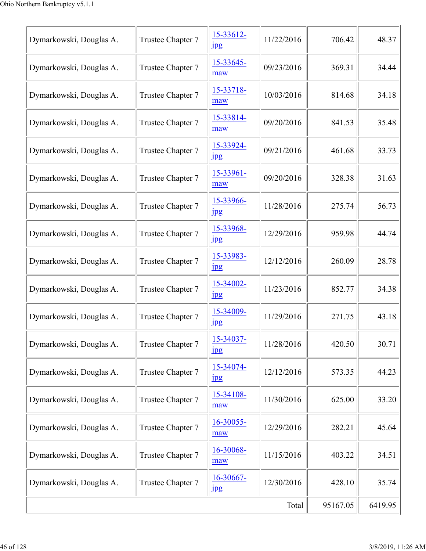| Dymarkowski, Douglas A. | Trustee Chapter 7 | 15-33612-<br>$_{\rm 1\!P\!S}$ | 11/22/2016 | 706.42   | 48.37   |
|-------------------------|-------------------|-------------------------------|------------|----------|---------|
| Dymarkowski, Douglas A. | Trustee Chapter 7 | 15-33645-<br>maw              | 09/23/2016 | 369.31   | 34.44   |
| Dymarkowski, Douglas A. | Trustee Chapter 7 | 15-33718-<br>maw              | 10/03/2016 | 814.68   | 34.18   |
| Dymarkowski, Douglas A. | Trustee Chapter 7 | 15-33814-<br>maw              | 09/20/2016 | 841.53   | 35.48   |
| Dymarkowski, Douglas A. | Trustee Chapter 7 | 15-33924-<br>$_{\rm 1\!P\!S}$ | 09/21/2016 | 461.68   | 33.73   |
| Dymarkowski, Douglas A. | Trustee Chapter 7 | 15-33961-<br>maw              | 09/20/2016 | 328.38   | 31.63   |
| Dymarkowski, Douglas A. | Trustee Chapter 7 | 15-33966-<br>$\frac{1}{2}$    | 11/28/2016 | 275.74   | 56.73   |
| Dymarkowski, Douglas A. | Trustee Chapter 7 | 15-33968-<br>$_{\rm 1pg}$     | 12/29/2016 | 959.98   | 44.74   |
| Dymarkowski, Douglas A. | Trustee Chapter 7 | 15-33983-<br>jpg              | 12/12/2016 | 260.09   | 28.78   |
| Dymarkowski, Douglas A. | Trustee Chapter 7 | 15-34002-<br>$_{\rm 1pg}$     | 11/23/2016 | 852.77   | 34.38   |
| Dymarkowski, Douglas A. | Trustee Chapter 7 | 15-34009-<br>$_{\rm 1\!P\!S}$ | 11/29/2016 | 271.75   | 43.18   |
| Dymarkowski, Douglas A. | Trustee Chapter 7 | 15-34037-<br>$_{\rm 1\!P\!S}$ | 11/28/2016 | 420.50   | 30.71   |
| Dymarkowski, Douglas A. | Trustee Chapter 7 | 15-34074-<br>$_{\rm 1\!P\!S}$ | 12/12/2016 | 573.35   | 44.23   |
| Dymarkowski, Douglas A. | Trustee Chapter 7 | 15-34108-<br>maw              | 11/30/2016 | 625.00   | 33.20   |
| Dymarkowski, Douglas A. | Trustee Chapter 7 | 16-30055-<br>maw              | 12/29/2016 | 282.21   | 45.64   |
| Dymarkowski, Douglas A. | Trustee Chapter 7 | 16-30068-<br>maw              | 11/15/2016 | 403.22   | 34.51   |
| Dymarkowski, Douglas A. | Trustee Chapter 7 | 16-30667-<br>$_{\rm 1\!P\!S}$ | 12/30/2016 | 428.10   | 35.74   |
|                         |                   |                               | Total      | 95167.05 | 6419.95 |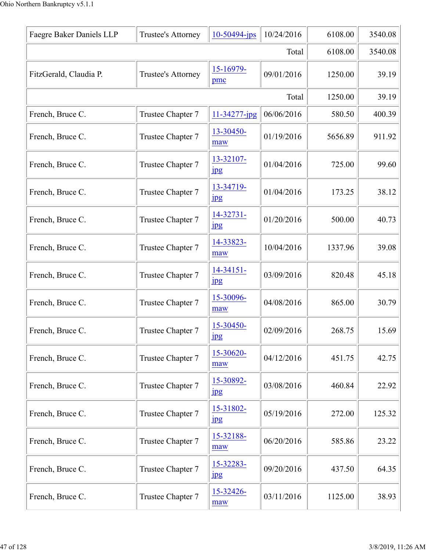| Faegre Baker Daniels LLP | Trustee's Attorney | $10-50494$ -jps               | 10/24/2016 | 6108.00 | 3540.08 |
|--------------------------|--------------------|-------------------------------|------------|---------|---------|
|                          |                    |                               | Total      | 6108.00 | 3540.08 |
| FitzGerald, Claudia P.   | Trustee's Attorney | 15-16979-<br>pmc              | 09/01/2016 | 1250.00 | 39.19   |
|                          |                    |                               | Total      | 1250.00 | 39.19   |
| French, Bruce C.         | Trustee Chapter 7  | 11-34277-jpg                  | 06/06/2016 | 580.50  | 400.39  |
| French, Bruce C.         | Trustee Chapter 7  | 13-30450-<br>maw              | 01/19/2016 | 5656.89 | 911.92  |
| French, Bruce C.         | Trustee Chapter 7  | 13-32107-<br>$_{\rm 1\,}$     | 01/04/2016 | 725.00  | 99.60   |
| French, Bruce C.         | Trustee Chapter 7  | 13-34719-<br>$\frac{1}{2}$    | 01/04/2016 | 173.25  | 38.12   |
| French, Bruce C.         | Trustee Chapter 7  | 14-32731-<br>$_{\rm 1\!P\!S}$ | 01/20/2016 | 500.00  | 40.73   |
| French, Bruce C.         | Trustee Chapter 7  | 14-33823-<br>maw              | 10/04/2016 | 1337.96 | 39.08   |
| French, Bruce C.         | Trustee Chapter 7  | 14-34151-<br>$_{\rm 1\!P\!S}$ | 03/09/2016 | 820.48  | 45.18   |
| French, Bruce C.         | Trustee Chapter 7  | 15-30096-<br>maw              | 04/08/2016 | 865.00  | 30.79   |
| French, Bruce C.         | Trustee Chapter 7  | 15-30450-<br>1 <sub>p</sub> g | 02/09/2016 | 268.75  | 15.69   |
| French, Bruce C.         | Trustee Chapter 7  | 15-30620-<br>maw              | 04/12/2016 | 451.75  | 42.75   |
| French, Bruce C.         | Trustee Chapter 7  | 15-30892-<br>$_{\rm 1\!P\!S}$ | 03/08/2016 | 460.84  | 22.92   |
| French, Bruce C.         | Trustee Chapter 7  | 15-31802-<br>$\frac{1}{2}$    | 05/19/2016 | 272.00  | 125.32  |
| French, Bruce C.         | Trustee Chapter 7  | 15-32188-<br>maw              | 06/20/2016 | 585.86  | 23.22   |
| French, Bruce C.         | Trustee Chapter 7  | 15-32283-<br>$_{\rm 1\!P\!S}$ | 09/20/2016 | 437.50  | 64.35   |
| French, Bruce C.         | Trustee Chapter 7  | 15-32426-<br>maw              | 03/11/2016 | 1125.00 | 38.93   |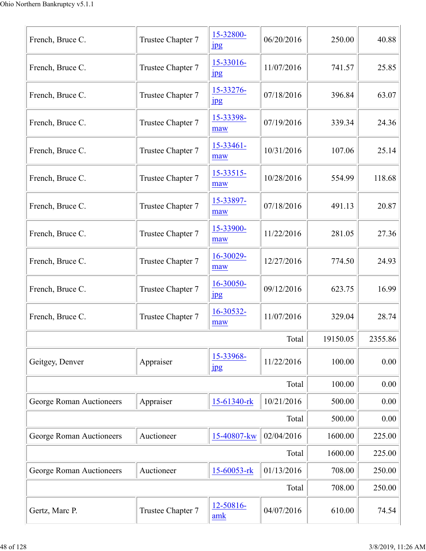| French, Bruce C.                | Trustee Chapter 7 | 15-32800-<br>$_{\rm 1\!P\!S}$ | 06/20/2016 | 250.00   | 40.88   |
|---------------------------------|-------------------|-------------------------------|------------|----------|---------|
| French, Bruce C.                | Trustee Chapter 7 | 15-33016-<br>$_{\rm 1\!P\!S}$ | 11/07/2016 | 741.57   | 25.85   |
| French, Bruce C.                | Trustee Chapter 7 | 15-33276-<br>$_{\rm 1\,}$     | 07/18/2016 | 396.84   | 63.07   |
| French, Bruce C.                | Trustee Chapter 7 | 15-33398-<br>maw              | 07/19/2016 | 339.34   | 24.36   |
| French, Bruce C.                | Trustee Chapter 7 | 15-33461-<br>maw              | 10/31/2016 | 107.06   | 25.14   |
| French, Bruce C.                | Trustee Chapter 7 | 15-33515-<br>maw              | 10/28/2016 | 554.99   | 118.68  |
| French, Bruce C.                | Trustee Chapter 7 | 15-33897-<br>maw              | 07/18/2016 | 491.13   | 20.87   |
| French, Bruce C.                | Trustee Chapter 7 | 15-33900-<br>maw              | 11/22/2016 | 281.05   | 27.36   |
| French, Bruce C.                | Trustee Chapter 7 | 16-30029-<br>maw              | 12/27/2016 | 774.50   | 24.93   |
| French, Bruce C.                | Trustee Chapter 7 | 16-30050-<br>$_{\rm jpg}$     | 09/12/2016 | 623.75   | 16.99   |
| French, Bruce C.                | Trustee Chapter 7 | 16-30532-<br>maw              | 11/07/2016 | 329.04   | 28.74   |
|                                 |                   |                               | Total      | 19150.05 | 2355.86 |
| Geitgey, Denver                 | Appraiser         | 15-33968-<br>$_{\rm 1\!P\!S}$ | 11/22/2016 | 100.00   | 0.00    |
|                                 |                   |                               | Total      | 100.00   | 0.00    |
| <b>George Roman Auctioneers</b> | Appraiser         | 15-61340-rk                   | 10/21/2016 | 500.00   | 0.00    |
|                                 |                   |                               | Total      | 500.00   | 0.00    |
| George Roman Auctioneers        | Auctioneer        | 15-40807-kw                   | 02/04/2016 | 1600.00  | 225.00  |
|                                 |                   |                               | Total      | 1600.00  | 225.00  |
| George Roman Auctioneers        | Auctioneer        | 15-60053-rk                   | 01/13/2016 | 708.00   | 250.00  |
|                                 |                   |                               | Total      | 708.00   | 250.00  |
| Gertz, Marc P.                  | Trustee Chapter 7 | 12-50816-<br>amk              | 04/07/2016 | 610.00   | 74.54   |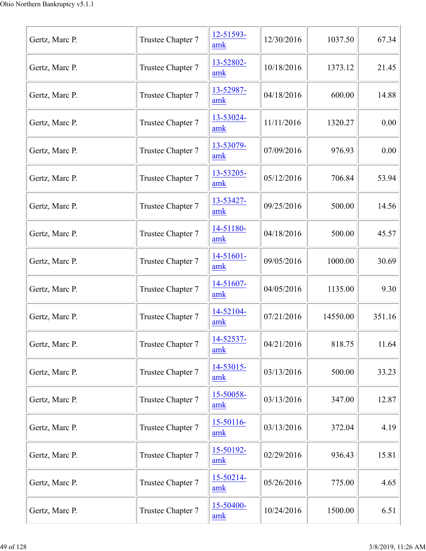| Gertz, Marc P. | Trustee Chapter 7 | 12-51593-<br>amk      | 12/30/2016 | 1037.50  | 67.34  |
|----------------|-------------------|-----------------------|------------|----------|--------|
| Gertz, Marc P. | Trustee Chapter 7 | 13-52802-<br>amk      | 10/18/2016 | 1373.12  | 21.45  |
| Gertz, Marc P. | Trustee Chapter 7 | 13-52987-<br>amk      | 04/18/2016 | 600.00   | 14.88  |
| Gertz, Marc P. | Trustee Chapter 7 | 13-53024-<br>amk      | 11/11/2016 | 1320.27  | 0.00   |
| Gertz, Marc P. | Trustee Chapter 7 | 13-53079-<br>amk      | 07/09/2016 | 976.93   | 0.00   |
| Gertz, Marc P. | Trustee Chapter 7 | 13-53205-<br>amk      | 05/12/2016 | 706.84   | 53.94  |
| Gertz, Marc P. | Trustee Chapter 7 | 13-53427-<br>amk      | 09/25/2016 | 500.00   | 14.56  |
| Gertz, Marc P. | Trustee Chapter 7 | 14-51180-<br>amk      | 04/18/2016 | 500.00   | 45.57  |
| Gertz, Marc P. | Trustee Chapter 7 | $14 - 51601 -$<br>amk | 09/05/2016 | 1000.00  | 30.69  |
| Gertz, Marc P. | Trustee Chapter 7 | 14-51607-<br>amk      | 04/05/2016 | 1135.00  | 9.30   |
| Gertz, Marc P. | Trustee Chapter 7 | 14-52104-<br>amk      | 07/21/2016 | 14550.00 | 351.16 |
| Gertz, Marc P. | Trustee Chapter 7 | 14-52537-<br>amk      | 04/21/2016 | 818.75   | 11.64  |
| Gertz, Marc P. | Trustee Chapter 7 | 14-53015-<br>amk      | 03/13/2016 | 500.00   | 33.23  |
| Gertz, Marc P. | Trustee Chapter 7 | $15 - 50058 -$<br>amk | 03/13/2016 | 347.00   | 12.87  |
| Gertz, Marc P. | Trustee Chapter 7 | 15-50116-<br>amk      | 03/13/2016 | 372.04   | 4.19   |
| Gertz, Marc P. | Trustee Chapter 7 | 15-50192-<br>amk      | 02/29/2016 | 936.43   | 15.81  |
| Gertz, Marc P. | Trustee Chapter 7 | 15-50214-<br>amk      | 05/26/2016 | 775.00   | 4.65   |
| Gertz, Marc P. | Trustee Chapter 7 | 15-50400-<br>amk      | 10/24/2016 | 1500.00  | 6.51   |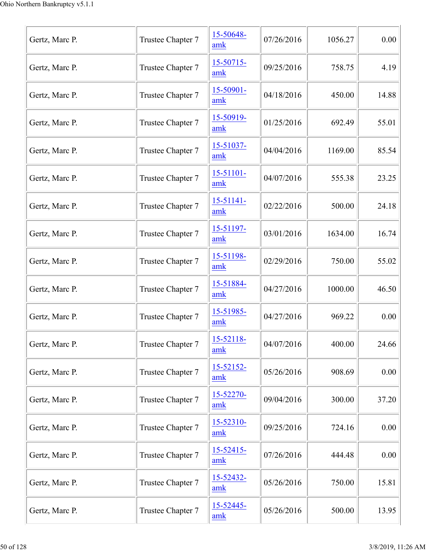| Gertz, Marc P. | Trustee Chapter 7 | 15-50648-<br>amk      | 07/26/2016 | 1056.27 | 0.00  |
|----------------|-------------------|-----------------------|------------|---------|-------|
| Gertz, Marc P. | Trustee Chapter 7 | 15-50715-<br>amk      | 09/25/2016 | 758.75  | 4.19  |
| Gertz, Marc P. | Trustee Chapter 7 | 15-50901-<br>amk      | 04/18/2016 | 450.00  | 14.88 |
| Gertz, Marc P. | Trustee Chapter 7 | 15-50919-<br>amk      | 01/25/2016 | 692.49  | 55.01 |
| Gertz, Marc P. | Trustee Chapter 7 | 15-51037-<br>amk      | 04/04/2016 | 1169.00 | 85.54 |
| Gertz, Marc P. | Trustee Chapter 7 | $15 - 51101 -$<br>amk | 04/07/2016 | 555.38  | 23.25 |
| Gertz, Marc P. | Trustee Chapter 7 | $15 - 51141 -$<br>amk | 02/22/2016 | 500.00  | 24.18 |
| Gertz, Marc P. | Trustee Chapter 7 | $15 - 51197 -$<br>amk | 03/01/2016 | 1634.00 | 16.74 |
| Gertz, Marc P. | Trustee Chapter 7 | 15-51198-<br>amk      | 02/29/2016 | 750.00  | 55.02 |
| Gertz, Marc P. | Trustee Chapter 7 | 15-51884-<br>amk      | 04/27/2016 | 1000.00 | 46.50 |
| Gertz, Marc P. | Trustee Chapter 7 | 15-51985-<br>amk      | 04/27/2016 | 969.22  | 0.00  |
| Gertz, Marc P. | Trustee Chapter 7 | 15-52118-<br>amk      | 04/07/2016 | 400.00  | 24.66 |
| Gertz, Marc P. | Trustee Chapter 7 | 15-52152-<br>amk      | 05/26/2016 | 908.69  | 0.00  |
| Gertz, Marc P. | Trustee Chapter 7 | 15-52270-<br>amk      | 09/04/2016 | 300.00  | 37.20 |
| Gertz, Marc P. | Trustee Chapter 7 | 15-52310-<br>amk      | 09/25/2016 | 724.16  | 0.00  |
| Gertz, Marc P. | Trustee Chapter 7 | $15 - 52415$<br>amk   | 07/26/2016 | 444.48  | 0.00  |
| Gertz, Marc P. | Trustee Chapter 7 | 15-52432-<br>amk      | 05/26/2016 | 750.00  | 15.81 |
| Gertz, Marc P. | Trustee Chapter 7 | 15-52445-<br>amk      | 05/26/2016 | 500.00  | 13.95 |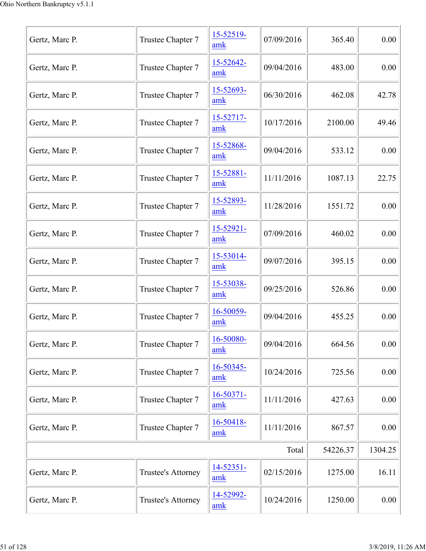| Gertz, Marc P. | Trustee Chapter 7  | 15-52519-<br>amk      | 07/09/2016 | 365.40   | 0.00    |
|----------------|--------------------|-----------------------|------------|----------|---------|
| Gertz, Marc P. | Trustee Chapter 7  | 15-52642-<br>amk      | 09/04/2016 | 483.00   | 0.00    |
| Gertz, Marc P. | Trustee Chapter 7  | 15-52693-<br>amk      | 06/30/2016 | 462.08   | 42.78   |
| Gertz, Marc P. | Trustee Chapter 7  | 15-52717-<br>amk      | 10/17/2016 | 2100.00  | 49.46   |
| Gertz, Marc P. | Trustee Chapter 7  | 15-52868-<br>amk      | 09/04/2016 | 533.12   | 0.00    |
| Gertz, Marc P. | Trustee Chapter 7  | 15-52881-<br>amk      | 11/11/2016 | 1087.13  | 22.75   |
| Gertz, Marc P. | Trustee Chapter 7  | 15-52893-<br>amk      | 11/28/2016 | 1551.72  | 0.00    |
| Gertz, Marc P. | Trustee Chapter 7  | $15 - 52921 -$<br>amk | 07/09/2016 | 460.02   | 0.00    |
| Gertz, Marc P. | Trustee Chapter 7  | 15-53014-<br>amk      | 09/07/2016 | 395.15   | 0.00    |
| Gertz, Marc P. | Trustee Chapter 7  | 15-53038-<br>amk      | 09/25/2016 | 526.86   | 0.00    |
| Gertz, Marc P. | Trustee Chapter 7  | 16-50059-<br>amk      | 09/04/2016 | 455.25   | 0.00    |
| Gertz, Marc P. | Trustee Chapter 7  | 16-50080-<br>amk      | 09/04/2016 | 664.56   | 0.00    |
| Gertz, Marc P. | Trustee Chapter 7  | 16-50345-<br>amk      | 10/24/2016 | 725.56   | 0.00    |
| Gertz, Marc P. | Trustee Chapter 7  | $16 - 50371 -$<br>amk | 11/11/2016 | 427.63   | 0.00    |
| Gertz, Marc P. | Trustee Chapter 7  | 16-50418-<br>amk      | 11/11/2016 | 867.57   | 0.00    |
|                |                    |                       | Total      | 54226.37 | 1304.25 |
| Gertz, Marc P. | Trustee's Attorney | 14-52351-<br>amk      | 02/15/2016 | 1275.00  | 16.11   |
| Gertz, Marc P. | Trustee's Attorney | 14-52992-<br>amk      | 10/24/2016 | 1250.00  | 0.00    |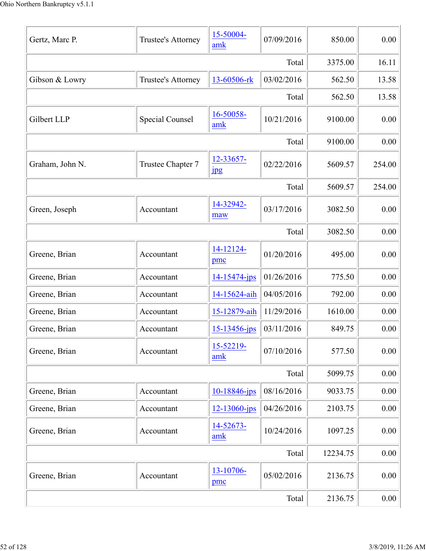| Gertz, Marc P.  | Trustee's Attorney     | 15-50004-<br>amk          | 07/09/2016 | 850.00   | 0.00   |
|-----------------|------------------------|---------------------------|------------|----------|--------|
|                 |                        |                           | Total      | 3375.00  | 16.11  |
| Gibson & Lowry  | Trustee's Attorney     | 13-60506-rk               | 03/02/2016 | 562.50   | 13.58  |
|                 |                        |                           | Total      | 562.50   | 13.58  |
| Gilbert LLP     | <b>Special Counsel</b> | 16-50058-<br>amk          | 10/21/2016 | 9100.00  | 0.00   |
|                 |                        |                           | Total      | 9100.00  | 0.00   |
| Graham, John N. | Trustee Chapter 7      | 12-33657-<br>$_{\rm 1\,}$ | 02/22/2016 | 5609.57  | 254.00 |
|                 |                        |                           | Total      | 5609.57  | 254.00 |
| Green, Joseph   | Accountant             | 14-32942-<br>maw          | 03/17/2016 | 3082.50  | 0.00   |
|                 |                        |                           | Total      | 3082.50  | 0.00   |
| Greene, Brian   | Accountant             | 14-12124-<br>pmc          | 01/20/2016 | 495.00   | 0.00   |
| Greene, Brian   | Accountant             | 14-15474-jps              | 01/26/2016 | 775.50   | 0.00   |
| Greene, Brian   | Accountant             | 14-15624-aih              | 04/05/2016 | 792.00   | 0.00   |
| Greene, Brian   | Accountant             | 15-12879-aih              | 11/29/2016 | 1610.00  | 0.00   |
| Greene, Brian   | Accountant             | $15 - 13456 - ips$        | 03/11/2016 | 849.75   | 0.00   |
| Greene, Brian   | Accountant             | 15-52219-<br>amk          | 07/10/2016 | 577.50   | 0.00   |
|                 |                        |                           | Total      | 5099.75  | 0.00   |
| Greene, Brian   | Accountant             | 10-18846-jps              | 08/16/2016 | 9033.75  | 0.00   |
| Greene, Brian   | Accountant             | $12 - 13060 - ips$        | 04/26/2016 | 2103.75  | 0.00   |
| Greene, Brian   | Accountant             | 14-52673-<br>amk          | 10/24/2016 | 1097.25  | 0.00   |
|                 |                        |                           | Total      | 12234.75 | 0.00   |
| Greene, Brian   | Accountant             | 13-10706-<br>pmc          | 05/02/2016 | 2136.75  | 0.00   |
|                 |                        |                           | Total      | 2136.75  | 0.00   |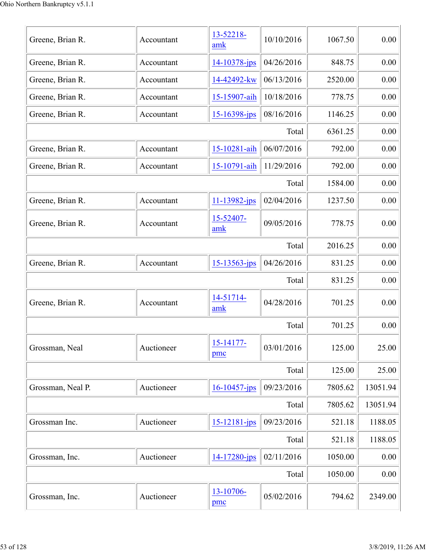| Greene, Brian R.  | Accountant | 13-52218-<br>amk   | 10/10/2016 | 1067.50 | 0.00     |
|-------------------|------------|--------------------|------------|---------|----------|
| Greene, Brian R.  | Accountant | 14-10378-jps       | 04/26/2016 | 848.75  | 0.00     |
| Greene, Brian R.  | Accountant | 14-42492-kw        | 06/13/2016 | 2520.00 | 0.00     |
| Greene, Brian R.  | Accountant | 15-15907-aih       | 10/18/2016 | 778.75  | 0.00     |
| Greene, Brian R.  | Accountant | $15 - 16398 - ips$ | 08/16/2016 | 1146.25 | 0.00     |
|                   |            |                    | Total      | 6361.25 | 0.00     |
| Greene, Brian R.  | Accountant | 15-10281-aih       | 06/07/2016 | 792.00  | 0.00     |
| Greene, Brian R.  | Accountant | 15-10791-aih       | 11/29/2016 | 792.00  | 0.00     |
|                   |            |                    | Total      | 1584.00 | 0.00     |
| Greene, Brian R.  | Accountant | 11-13982-jps       | 02/04/2016 | 1237.50 | 0.00     |
| Greene, Brian R.  | Accountant | 15-52407-<br>amk   | 09/05/2016 | 778.75  | 0.00     |
|                   |            |                    | Total      | 2016.25 | 0.00     |
| Greene, Brian R.  | Accountant | $15 - 13563 - ips$ | 04/26/2016 | 831.25  | 0.00     |
|                   |            |                    | Total      | 831.25  | 0.00     |
| Greene, Brian R.  | Accountant | 14-51714-<br>amk   | 04/28/2016 | 701.25  | 0.00     |
|                   |            |                    | Total      | 701.25  | 0.00     |
| Grossman, Neal    | Auctioneer | 15-14177-<br>pmc   | 03/01/2016 | 125.00  | 25.00    |
|                   |            |                    | Total      | 125.00  | 25.00    |
| Grossman, Neal P. | Auctioneer | $16 - 10457$ -jps  | 09/23/2016 | 7805.62 | 13051.94 |
|                   |            |                    | Total      | 7805.62 | 13051.94 |
| Grossman Inc.     | Auctioneer | 15-12181-jps       | 09/23/2016 | 521.18  | 1188.05  |
|                   |            |                    | Total      | 521.18  | 1188.05  |
| Grossman, Inc.    | Auctioneer | 14-17280-jps       | 02/11/2016 | 1050.00 | 0.00     |
|                   |            |                    | Total      | 1050.00 | 0.00     |
| Grossman, Inc.    | Auctioneer | 13-10706-<br>pmc   | 05/02/2016 | 794.62  | 2349.00  |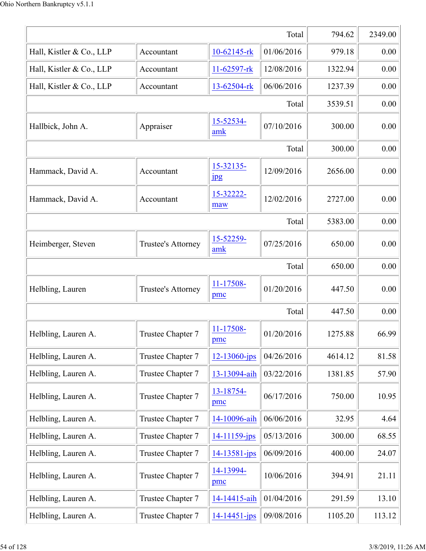|                          |                    |                           | Total      | 794.62  | 2349.00 |
|--------------------------|--------------------|---------------------------|------------|---------|---------|
| Hall, Kistler & Co., LLP | Accountant         | 10-62145-rk               | 01/06/2016 | 979.18  | 0.00    |
| Hall, Kistler & Co., LLP | Accountant         | 11-62597-rk               | 12/08/2016 | 1322.94 | 0.00    |
| Hall, Kistler & Co., LLP | Accountant         | 13-62504-rk               | 06/06/2016 | 1237.39 | 0.00    |
|                          |                    |                           | Total      | 3539.51 | 0.00    |
| Hallbick, John A.        | Appraiser          | 15-52534-<br>amk          | 07/10/2016 | 300.00  | 0.00    |
|                          |                    |                           | Total      | 300.00  | 0.00    |
| Hammack, David A.        | Accountant         | 15-32135-<br>$_{\rm 1pg}$ | 12/09/2016 | 2656.00 | 0.00    |
| Hammack, David A.        | Accountant         | 15-32222-<br>maw          | 12/02/2016 | 2727.00 | 0.00    |
|                          |                    |                           | Total      | 5383.00 | 0.00    |
| Heimberger, Steven       | Trustee's Attorney | 15-52259-<br>amk          | 07/25/2016 | 650.00  | 0.00    |
|                          |                    |                           | Total      | 650.00  | 0.00    |
| Helbling, Lauren         | Trustee's Attorney | 11-17508-<br>pmc          | 01/20/2016 | 447.50  | 0.00    |
|                          |                    |                           | Total      | 447.50  | 0.00    |
| Helbling, Lauren A.      | Trustee Chapter 7  | 11-17508-<br>pmc          | 01/20/2016 | 1275.88 | 66.99   |
| Helbling, Lauren A.      | Trustee Chapter 7  | 12-13060-jps              | 04/26/2016 | 4614.12 | 81.58   |
| Helbling, Lauren A.      | Trustee Chapter 7  | 13-13094-aih              | 03/22/2016 | 1381.85 | 57.90   |
| Helbling, Lauren A.      | Trustee Chapter 7  | 13-18754-<br>pmc          | 06/17/2016 | 750.00  | 10.95   |
| Helbling, Lauren A.      | Trustee Chapter 7  | 14-10096-aih              | 06/06/2016 | 32.95   | 4.64    |
| Helbling, Lauren A.      | Trustee Chapter 7  | 14-11159-jps              | 05/13/2016 | 300.00  | 68.55   |
| Helbling, Lauren A.      | Trustee Chapter 7  | 14-13581-jps              | 06/09/2016 | 400.00  | 24.07   |
| Helbling, Lauren A.      | Trustee Chapter 7  | 14-13994-<br>pmc          | 10/06/2016 | 394.91  | 21.11   |
| Helbling, Lauren A.      | Trustee Chapter 7  | 14-14415-aih              | 01/04/2016 | 291.59  | 13.10   |
| Helbling, Lauren A.      | Trustee Chapter 7  | 14-14451-jps              | 09/08/2016 | 1105.20 | 113.12  |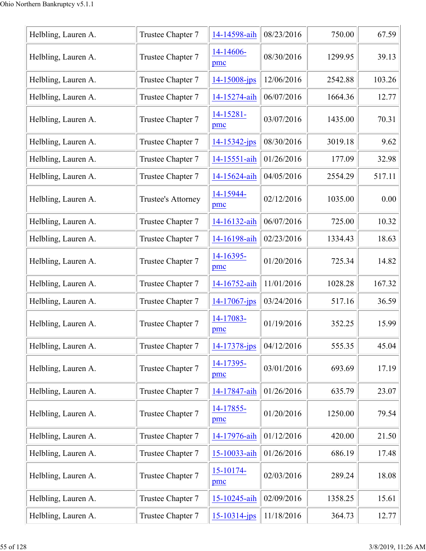| Helbling, Lauren A. | Trustee Chapter 7  | 14-14598-aih       | 08/23/2016 | 750.00  | 67.59  |
|---------------------|--------------------|--------------------|------------|---------|--------|
|                     |                    |                    |            |         |        |
| Helbling, Lauren A. | Trustee Chapter 7  | 14-14606-<br>pmc   | 08/30/2016 | 1299.95 | 39.13  |
| Helbling, Lauren A. | Trustee Chapter 7  | $14 - 15008 - ips$ | 12/06/2016 | 2542.88 | 103.26 |
| Helbling, Lauren A. | Trustee Chapter 7  | 14-15274-aih       | 06/07/2016 | 1664.36 | 12.77  |
| Helbling, Lauren A. | Trustee Chapter 7  | 14-15281-<br>pmc   | 03/07/2016 | 1435.00 | 70.31  |
| Helbling, Lauren A. | Trustee Chapter 7  | 14-15342-jps       | 08/30/2016 | 3019.18 | 9.62   |
| Helbling, Lauren A. | Trustee Chapter 7  | 14-15551-aih       | 01/26/2016 | 177.09  | 32.98  |
| Helbling, Lauren A. | Trustee Chapter 7  | 14-15624-aih       | 04/05/2016 | 2554.29 | 517.11 |
| Helbling, Lauren A. | Trustee's Attorney | 14-15944-<br>pmc   | 02/12/2016 | 1035.00 | 0.00   |
| Helbling, Lauren A. | Trustee Chapter 7  | 14-16132-aih       | 06/07/2016 | 725.00  | 10.32  |
| Helbling, Lauren A. | Trustee Chapter 7  | 14-16198-aih       | 02/23/2016 | 1334.43 | 18.63  |
| Helbling, Lauren A. | Trustee Chapter 7  | 14-16395-<br>pmc   | 01/20/2016 | 725.34  | 14.82  |
| Helbling, Lauren A. | Trustee Chapter 7  | 14-16752-aih       | 11/01/2016 | 1028.28 | 167.32 |
| Helbling, Lauren A. | Trustee Chapter 7  | $14 - 17067$ -jps  | 03/24/2016 | 517.16  | 36.59  |
| Helbling, Lauren A. | Trustee Chapter 7  | 14-17083-<br>pmc   | 01/19/2016 | 352.25  | 15.99  |
| Helbling, Lauren A. | Trustee Chapter 7  | 14-17378-jps       | 04/12/2016 | 555.35  | 45.04  |
| Helbling, Lauren A. | Trustee Chapter 7  | 14-17395-<br>pmc   | 03/01/2016 | 693.69  | 17.19  |
| Helbling, Lauren A. | Trustee Chapter 7  | 14-17847-aih       | 01/26/2016 | 635.79  | 23.07  |
| Helbling, Lauren A. | Trustee Chapter 7  | 14-17855-<br>pmc   | 01/20/2016 | 1250.00 | 79.54  |
| Helbling, Lauren A. | Trustee Chapter 7  | 14-17976-aih       | 01/12/2016 | 420.00  | 21.50  |
| Helbling, Lauren A. | Trustee Chapter 7  | 15-10033-aih       | 01/26/2016 | 686.19  | 17.48  |
| Helbling, Lauren A. | Trustee Chapter 7  | 15-10174-<br>pmc   | 02/03/2016 | 289.24  | 18.08  |
| Helbling, Lauren A. | Trustee Chapter 7  | 15-10245-aih       | 02/09/2016 | 1358.25 | 15.61  |
| Helbling, Lauren A. | Trustee Chapter 7  | $15 - 10314 - jps$ | 11/18/2016 | 364.73  | 12.77  |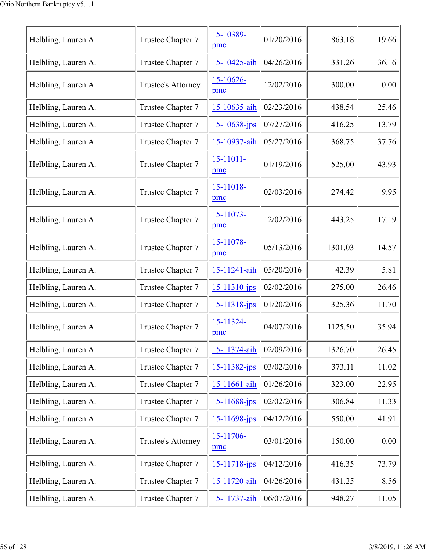| Helbling, Lauren A. | Trustee Chapter 7  | 15-10389-<br>pmc  | 01/20/2016 | 863.18  | 19.66 |
|---------------------|--------------------|-------------------|------------|---------|-------|
| Helbling, Lauren A. | Trustee Chapter 7  | 15-10425-aih      | 04/26/2016 | 331.26  | 36.16 |
| Helbling, Lauren A. | Trustee's Attorney | 15-10626-<br>pmc  | 12/02/2016 | 300.00  | 0.00  |
| Helbling, Lauren A. | Trustee Chapter 7  | 15-10635-aih      | 02/23/2016 | 438.54  | 25.46 |
| Helbling, Lauren A. | Trustee Chapter 7  | $15 - 10638$ -jps | 07/27/2016 | 416.25  | 13.79 |
| Helbling, Lauren A. | Trustee Chapter 7  | 15-10937-aih      | 05/27/2016 | 368.75  | 37.76 |
| Helbling, Lauren A. | Trustee Chapter 7  | 15-11011-<br>pmc  | 01/19/2016 | 525.00  | 43.93 |
| Helbling, Lauren A. | Trustee Chapter 7  | 15-11018-<br>pmc  | 02/03/2016 | 274.42  | 9.95  |
| Helbling, Lauren A. | Trustee Chapter 7  | 15-11073-<br>pmc  | 12/02/2016 | 443.25  | 17.19 |
| Helbling, Lauren A. | Trustee Chapter 7  | 15-11078-<br>pmc  | 05/13/2016 | 1301.03 | 14.57 |
| Helbling, Lauren A. | Trustee Chapter 7  | 15-11241-aih      | 05/20/2016 | 42.39   | 5.81  |
| Helbling, Lauren A. | Trustee Chapter 7  | 15-11310-jps      | 02/02/2016 | 275.00  | 26.46 |
| Helbling, Lauren A. | Trustee Chapter 7  | 15-11318-jps      | 01/20/2016 | 325.36  | 11.70 |
| Helbling, Lauren A. | Trustee Chapter 7  | 15-11324-<br>pmc  | 04/07/2016 | 1125.50 | 35.94 |
| Helbling, Lauren A. | Trustee Chapter 7  | 15-11374-aih      | 02/09/2016 | 1326.70 | 26.45 |
| Helbling, Lauren A. | Trustee Chapter 7  | 15-11382-jps      | 03/02/2016 | 373.11  | 11.02 |
| Helbling, Lauren A. | Trustee Chapter 7  | 15-11661-aih      | 01/26/2016 | 323.00  | 22.95 |
| Helbling, Lauren A. | Trustee Chapter 7  | 15-11688-jps      | 02/02/2016 | 306.84  | 11.33 |
| Helbling, Lauren A. | Trustee Chapter 7  | 15-11698-jps      | 04/12/2016 | 550.00  | 41.91 |
| Helbling, Lauren A. | Trustee's Attorney | 15-11706-<br>pmc  | 03/01/2016 | 150.00  | 0.00  |
| Helbling, Lauren A. | Trustee Chapter 7  | 15-11718-jps      | 04/12/2016 | 416.35  | 73.79 |
| Helbling, Lauren A. | Trustee Chapter 7  | 15-11720-aih      | 04/26/2016 | 431.25  | 8.56  |
| Helbling, Lauren A. | Trustee Chapter 7  | 15-11737-aih      | 06/07/2016 | 948.27  | 11.05 |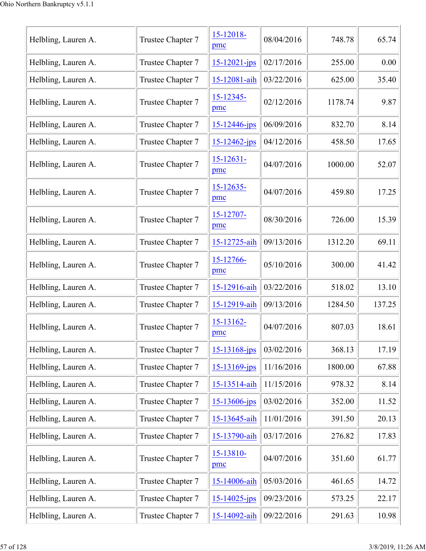| Helbling, Lauren A. | Trustee Chapter 7 | 15-12018-<br>pmc      | 08/04/2016 | 748.78  | 65.74  |
|---------------------|-------------------|-----------------------|------------|---------|--------|
| Helbling, Lauren A. | Trustee Chapter 7 | 15-12021-jps          | 02/17/2016 | 255.00  | 0.00   |
| Helbling, Lauren A. | Trustee Chapter 7 | 15-12081-aih          | 03/22/2016 | 625.00  | 35.40  |
| Helbling, Lauren A. | Trustee Chapter 7 | 15-12345-<br>pmc      | 02/12/2016 | 1178.74 | 9.87   |
| Helbling, Lauren A. | Trustee Chapter 7 | $15 - 12446$ -jps     | 06/09/2016 | 832.70  | 8.14   |
| Helbling, Lauren A. | Trustee Chapter 7 | $15 - 12462 - ips$    | 04/12/2016 | 458.50  | 17.65  |
| Helbling, Lauren A. | Trustee Chapter 7 | $15 - 12631 -$<br>pmc | 04/07/2016 | 1000.00 | 52.07  |
| Helbling, Lauren A. | Trustee Chapter 7 | $15 - 12635$<br>pmc   | 04/07/2016 | 459.80  | 17.25  |
| Helbling, Lauren A. | Trustee Chapter 7 | 15-12707-<br>pmc      | 08/30/2016 | 726.00  | 15.39  |
| Helbling, Lauren A. | Trustee Chapter 7 | 15-12725-aih          | 09/13/2016 | 1312.20 | 69.11  |
| Helbling, Lauren A. | Trustee Chapter 7 | 15-12766-<br>pmc      | 05/10/2016 | 300.00  | 41.42  |
| Helbling, Lauren A. | Trustee Chapter 7 | 15-12916-aih          | 03/22/2016 | 518.02  | 13.10  |
| Helbling, Lauren A. | Trustee Chapter 7 | 15-12919-aih          | 09/13/2016 | 1284.50 | 137.25 |
| Helbling, Lauren A. | Trustee Chapter 7 | 15-13162-<br>pmc      | 04/07/2016 | 807.03  | 18.61  |
| Helbling, Lauren A. | Trustee Chapter 7 | $15 - 13168$ -jps     | 03/02/2016 | 368.13  | 17.19  |
| Helbling, Lauren A. | Trustee Chapter 7 | 15-13169-jps          | 11/16/2016 | 1800.00 | 67.88  |
| Helbling, Lauren A. | Trustee Chapter 7 | 15-13514-aih          | 11/15/2016 | 978.32  | 8.14   |
| Helbling, Lauren A. | Trustee Chapter 7 | $15 - 13606$ -jps     | 03/02/2016 | 352.00  | 11.52  |
| Helbling, Lauren A. | Trustee Chapter 7 | 15-13645-aih          | 11/01/2016 | 391.50  | 20.13  |
| Helbling, Lauren A. | Trustee Chapter 7 | 15-13790-aih          | 03/17/2016 | 276.82  | 17.83  |
| Helbling, Lauren A. | Trustee Chapter 7 | 15-13810-<br>pmc      | 04/07/2016 | 351.60  | 61.77  |
| Helbling, Lauren A. | Trustee Chapter 7 | 15-14006-aih          | 05/03/2016 | 461.65  | 14.72  |
| Helbling, Lauren A. | Trustee Chapter 7 | $15 - 14025$ -jps     | 09/23/2016 | 573.25  | 22.17  |
| Helbling, Lauren A. | Trustee Chapter 7 | 15-14092-aih          | 09/22/2016 | 291.63  | 10.98  |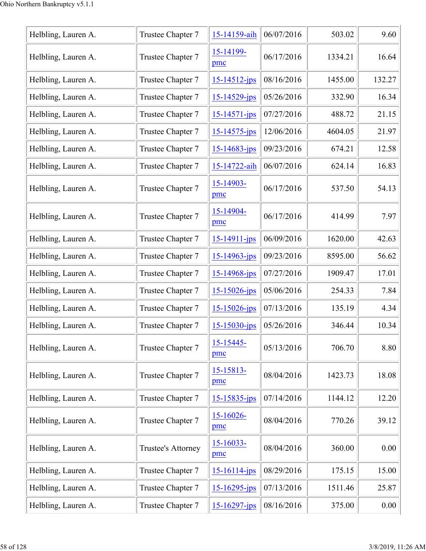| Helbling, Lauren A. | Trustee Chapter 7  | 15-14159-aih          | 06/07/2016 | 503.02  | 9.60   |
|---------------------|--------------------|-----------------------|------------|---------|--------|
| Helbling, Lauren A. | Trustee Chapter 7  | 15-14199-<br>pmc      | 06/17/2016 | 1334.21 | 16.64  |
| Helbling, Lauren A. | Trustee Chapter 7  | 15-14512-jps          | 08/16/2016 | 1455.00 | 132.27 |
| Helbling, Lauren A. | Trustee Chapter 7  | 15-14529-jps          | 05/26/2016 | 332.90  | 16.34  |
| Helbling, Lauren A. | Trustee Chapter 7  | 15-14571-jps          | 07/27/2016 | 488.72  | 21.15  |
| Helbling, Lauren A. | Trustee Chapter 7  | 15-14575-jps          | 12/06/2016 | 4604.05 | 21.97  |
| Helbling, Lauren A. | Trustee Chapter 7  | 15-14683-jps          | 09/23/2016 | 674.21  | 12.58  |
| Helbling, Lauren A. | Trustee Chapter 7  | 15-14722-aih          | 06/07/2016 | 624.14  | 16.83  |
| Helbling, Lauren A. | Trustee Chapter 7  | 15-14903-<br>pmc      | 06/17/2016 | 537.50  | 54.13  |
| Helbling, Lauren A. | Trustee Chapter 7  | 15-14904-<br>pmc      | 06/17/2016 | 414.99  | 7.97   |
| Helbling, Lauren A. | Trustee Chapter 7  | 15-14911-jps          | 06/09/2016 | 1620.00 | 42.63  |
| Helbling, Lauren A. | Trustee Chapter 7  | 15-14963-jps          | 09/23/2016 | 8595.00 | 56.62  |
| Helbling, Lauren A. | Trustee Chapter 7  | 15-14968-jps          | 07/27/2016 | 1909.47 | 17.01  |
| Helbling, Lauren A. | Trustee Chapter 7  | 15-15026-jps          | 05/06/2016 | 254.33  | 7.84   |
| Helbling, Lauren A. | Trustee Chapter 7  | 15-15026-jps          | 07/13/2016 | 135.19  | 4.34   |
| Helbling, Lauren A. | Trustee Chapter 7  | 15-15030-jps          | 05/26/2016 | 346.44  | 10.34  |
| Helbling, Lauren A. | Trustee Chapter 7  | 15-15445-<br>pmc      | 05/13/2016 | 706.70  | 8.80   |
| Helbling, Lauren A. | Trustee Chapter 7  | 15-15813-<br>pmc      | 08/04/2016 | 1423.73 | 18.08  |
| Helbling, Lauren A. | Trustee Chapter 7  | $15 - 15835$ -jps     | 07/14/2016 | 1144.12 | 12.20  |
| Helbling, Lauren A. | Trustee Chapter 7  | 15-16026-<br>pmc      | 08/04/2016 | 770.26  | 39.12  |
| Helbling, Lauren A. | Trustee's Attorney | $15 - 16033 -$<br>pmc | 08/04/2016 | 360.00  | 0.00   |
| Helbling, Lauren A. | Trustee Chapter 7  | 15-16114-jps          | 08/29/2016 | 175.15  | 15.00  |
| Helbling, Lauren A. | Trustee Chapter 7  | 15-16295-jps          | 07/13/2016 | 1511.46 | 25.87  |
| Helbling, Lauren A. | Trustee Chapter 7  | 15-16297-jps          | 08/16/2016 | 375.00  | 0.00   |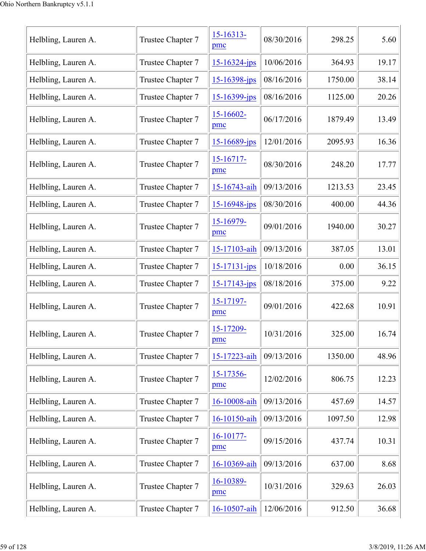| Helbling, Lauren A. | Trustee Chapter 7 | $15 - 16313 -$<br>pmc | 08/30/2016 | 298.25  | 5.60  |
|---------------------|-------------------|-----------------------|------------|---------|-------|
| Helbling, Lauren A. | Trustee Chapter 7 | 15-16324-jps          | 10/06/2016 | 364.93  | 19.17 |
| Helbling, Lauren A. | Trustee Chapter 7 | 15-16398-jps          | 08/16/2016 | 1750.00 | 38.14 |
| Helbling, Lauren A. | Trustee Chapter 7 | 15-16399-jps          | 08/16/2016 | 1125.00 | 20.26 |
| Helbling, Lauren A. | Trustee Chapter 7 | 15-16602-<br>pmc      | 06/17/2016 | 1879.49 | 13.49 |
| Helbling, Lauren A. | Trustee Chapter 7 | 15-16689-jps          | 12/01/2016 | 2095.93 | 16.36 |
| Helbling, Lauren A. | Trustee Chapter 7 | $15 - 16717 -$<br>pmc | 08/30/2016 | 248.20  | 17.77 |
| Helbling, Lauren A. | Trustee Chapter 7 | 15-16743-aih          | 09/13/2016 | 1213.53 | 23.45 |
| Helbling, Lauren A. | Trustee Chapter 7 | 15-16948-jps          | 08/30/2016 | 400.00  | 44.36 |
| Helbling, Lauren A. | Trustee Chapter 7 | 15-16979-<br>pmc      | 09/01/2016 | 1940.00 | 30.27 |
| Helbling, Lauren A. | Trustee Chapter 7 | 15-17103-aih          | 09/13/2016 | 387.05  | 13.01 |
| Helbling, Lauren A. | Trustee Chapter 7 | 15-17131-jps          | 10/18/2016 | 0.00    | 36.15 |
| Helbling, Lauren A. | Trustee Chapter 7 | 15-17143-jps          | 08/18/2016 | 375.00  | 9.22  |
| Helbling, Lauren A. | Trustee Chapter 7 | 15-17197-<br>pmc      | 09/01/2016 | 422.68  | 10.91 |
| Helbling, Lauren A. | Trustee Chapter 7 | 15-17209-<br>pmc      | 10/31/2016 | 325.00  | 16.74 |
| Helbling, Lauren A. | Trustee Chapter 7 | 15-17223-aih          | 09/13/2016 | 1350.00 | 48.96 |
| Helbling, Lauren A. | Trustee Chapter 7 | 15-17356-<br>pmc      | 12/02/2016 | 806.75  | 12.23 |
| Helbling, Lauren A. | Trustee Chapter 7 | 16-10008-aih          | 09/13/2016 | 457.69  | 14.57 |
| Helbling, Lauren A. | Trustee Chapter 7 | 16-10150-aih          | 09/13/2016 | 1097.50 | 12.98 |
| Helbling, Lauren A. | Trustee Chapter 7 | $16-10177-$<br>pmc    | 09/15/2016 | 437.74  | 10.31 |
| Helbling, Lauren A. | Trustee Chapter 7 | 16-10369-aih          | 09/13/2016 | 637.00  | 8.68  |
| Helbling, Lauren A. | Trustee Chapter 7 | 16-10389-<br>pmc      | 10/31/2016 | 329.63  | 26.03 |
| Helbling, Lauren A. | Trustee Chapter 7 | 16-10507-aih          | 12/06/2016 | 912.50  | 36.68 |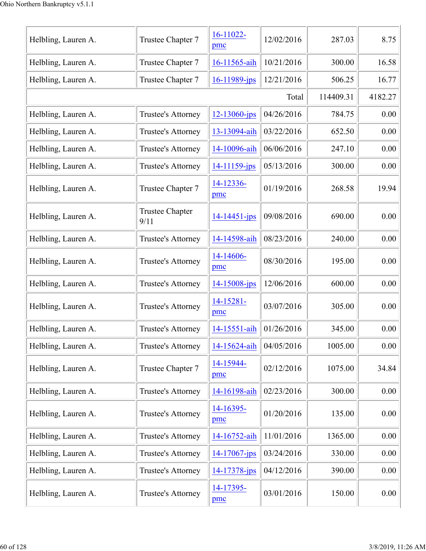| Helbling, Lauren A. | Trustee Chapter 7              | 16-11022-<br>pmc  | 12/02/2016 | 287.03    | 8.75    |
|---------------------|--------------------------------|-------------------|------------|-----------|---------|
| Helbling, Lauren A. | Trustee Chapter 7              | 16-11565-aih      | 10/21/2016 | 300.00    | 16.58   |
| Helbling, Lauren A. | Trustee Chapter 7              | 16-11989-jps      | 12/21/2016 | 506.25    | 16.77   |
|                     |                                |                   | Total      | 114409.31 | 4182.27 |
| Helbling, Lauren A. | <b>Trustee's Attorney</b>      | $12 - 13060$ -jps | 04/26/2016 | 784.75    | 0.00    |
| Helbling, Lauren A. | Trustee's Attorney             | 13-13094-aih      | 03/22/2016 | 652.50    | 0.00    |
| Helbling, Lauren A. | Trustee's Attorney             | 14-10096-aih      | 06/06/2016 | 247.10    | 0.00    |
| Helbling, Lauren A. | Trustee's Attorney             | 14-11159-jps      | 05/13/2016 | 300.00    | 0.00    |
| Helbling, Lauren A. | Trustee Chapter 7              | 14-12336-<br>pmc  | 01/19/2016 | 268.58    | 19.94   |
| Helbling, Lauren A. | <b>Trustee Chapter</b><br>9/11 | 14-14451-jps      | 09/08/2016 | 690.00    | 0.00    |
| Helbling, Lauren A. | Trustee's Attorney             | 14-14598-aih      | 08/23/2016 | 240.00    | 0.00    |
| Helbling, Lauren A. | Trustee's Attorney             | 14-14606-<br>pmc  | 08/30/2016 | 195.00    | 0.00    |
| Helbling, Lauren A. | Trustee's Attorney             | 14-15008-jps      | 12/06/2016 | 600.00    | 0.00    |
| Helbling, Lauren A. | Trustee's Attorney             | 14-15281-<br>pmc  | 03/07/2016 | 305.00    | 0.00    |
| Helbling, Lauren A. | Trustee's Attorney             | 14-15551-aih      | 01/26/2016 | 345.00    | 0.00    |
| Helbling, Lauren A. | Trustee's Attorney             | 14-15624-aih      | 04/05/2016 | 1005.00   | 0.00    |
| Helbling, Lauren A. | Trustee Chapter 7              | 14-15944-<br>pmc  | 02/12/2016 | 1075.00   | 34.84   |
| Helbling, Lauren A. | Trustee's Attorney             | 14-16198-aih      | 02/23/2016 | 300.00    | 0.00    |
| Helbling, Lauren A. | Trustee's Attorney             | 14-16395-<br>pmc  | 01/20/2016 | 135.00    | 0.00    |
| Helbling, Lauren A. | Trustee's Attorney             | 14-16752-aih      | 11/01/2016 | 1365.00   | 0.00    |
| Helbling, Lauren A. | Trustee's Attorney             | $14 - 17067$ -jps | 03/24/2016 | 330.00    | 0.00    |
| Helbling, Lauren A. | Trustee's Attorney             | 14-17378-jps      | 04/12/2016 | 390.00    | 0.00    |
| Helbling, Lauren A. | Trustee's Attorney             | 14-17395-<br>pmc  | 03/01/2016 | 150.00    | 0.00    |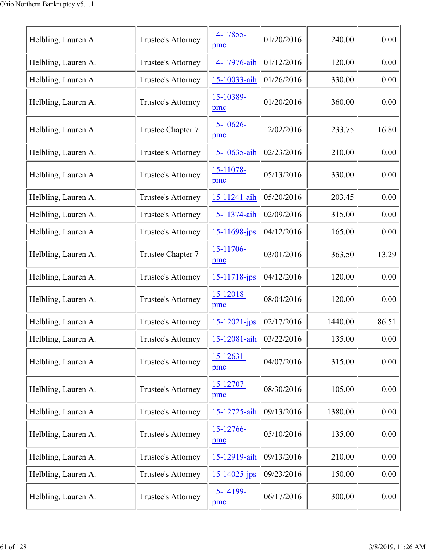| Helbling, Lauren A. | Trustee's Attorney | 14-17855-<br>pmc        | 01/20/2016 | 240.00  | 0.00  |
|---------------------|--------------------|-------------------------|------------|---------|-------|
| Helbling, Lauren A. | Trustee's Attorney | 14-17976-aih            | 01/12/2016 | 120.00  | 0.00  |
| Helbling, Lauren A. | Trustee's Attorney | 15-10033-aih            | 01/26/2016 | 330.00  | 0.00  |
| Helbling, Lauren A. | Trustee's Attorney | 15-10389-<br>pmc        | 01/20/2016 | 360.00  | 0.00  |
| Helbling, Lauren A. | Trustee Chapter 7  | 15-10626-<br>pmc        | 12/02/2016 | 233.75  | 16.80 |
| Helbling, Lauren A. | Trustee's Attorney | 15-10635-aih            | 02/23/2016 | 210.00  | 0.00  |
| Helbling, Lauren A. | Trustee's Attorney | 15-11078-<br>pmc        | 05/13/2016 | 330.00  | 0.00  |
| Helbling, Lauren A. | Trustee's Attorney | 15-11241-aih            | 05/20/2016 | 203.45  | 0.00  |
| Helbling, Lauren A. | Trustee's Attorney | 15-11374-aih            | 02/09/2016 | 315.00  | 0.00  |
| Helbling, Lauren A. | Trustee's Attorney | 15-11698-jps            | 04/12/2016 | 165.00  | 0.00  |
| Helbling, Lauren A. | Trustee Chapter 7  | 15-11706-<br>pmc        | 03/01/2016 | 363.50  | 13.29 |
| Helbling, Lauren A. | Trustee's Attorney | $15 - 11718$ -jps       | 04/12/2016 | 120.00  | 0.00  |
| Helbling, Lauren A. | Trustee's Attorney | $15 - 12018$<br>pmc     | 08/04/2016 | 120.00  | 0.00  |
| Helbling, Lauren A. | Trustee's Attorney | $15 - 12021 - ips$      | 02/17/2016 | 1440.00 | 86.51 |
| Helbling, Lauren A. | Trustee's Attorney | 15-12081-aih 03/22/2016 |            | 135.00  | 0.00  |
| Helbling, Lauren A. | Trustee's Attorney | $15 - 12631 -$<br>pmc   | 04/07/2016 | 315.00  | 0.00  |
| Helbling, Lauren A. | Trustee's Attorney | 15-12707-<br>pmc        | 08/30/2016 | 105.00  | 0.00  |
| Helbling, Lauren A. | Trustee's Attorney | 15-12725-aih            | 09/13/2016 | 1380.00 | 0.00  |
| Helbling, Lauren A. | Trustee's Attorney | 15-12766-<br>pmc        | 05/10/2016 | 135.00  | 0.00  |
| Helbling, Lauren A. | Trustee's Attorney | 15-12919-aih            | 09/13/2016 | 210.00  | 0.00  |
| Helbling, Lauren A. | Trustee's Attorney | $15 - 14025$ -jps       | 09/23/2016 | 150.00  | 0.00  |
| Helbling, Lauren A. | Trustee's Attorney | 15-14199-<br>pmc        | 06/17/2016 | 300.00  | 0.00  |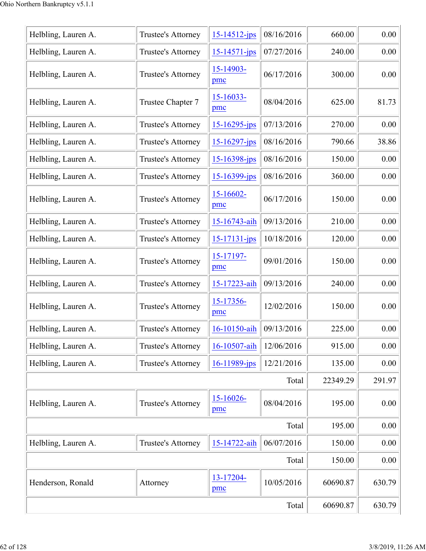| Helbling, Lauren A. | Trustee's Attorney | 15-14512-jps          | 08/16/2016 | 660.00   | 0.00   |
|---------------------|--------------------|-----------------------|------------|----------|--------|
| Helbling, Lauren A. | Trustee's Attorney | $15 - 14571 - jps$    | 07/27/2016 | 240.00   | 0.00   |
| Helbling, Lauren A. | Trustee's Attorney | 15-14903-<br>pmc      | 06/17/2016 | 300.00   | 0.00   |
| Helbling, Lauren A. | Trustee Chapter 7  | 15-16033-<br>pmc      | 08/04/2016 | 625.00   | 81.73  |
| Helbling, Lauren A. | Trustee's Attorney | 15-16295-jps          | 07/13/2016 | 270.00   | 0.00   |
| Helbling, Lauren A. | Trustee's Attorney | 15-16297-jps          | 08/16/2016 | 790.66   | 38.86  |
| Helbling, Lauren A. | Trustee's Attorney | 15-16398-jps          | 08/16/2016 | 150.00   | 0.00   |
| Helbling, Lauren A. | Trustee's Attorney | 15-16399-jps          | 08/16/2016 | 360.00   | 0.00   |
| Helbling, Lauren A. | Trustee's Attorney | $15-16602-$<br>pmc    | 06/17/2016 | 150.00   | 0.00   |
| Helbling, Lauren A. | Trustee's Attorney | 15-16743-aih          | 09/13/2016 | 210.00   | 0.00   |
| Helbling, Lauren A. | Trustee's Attorney | 15-17131-jps          | 10/18/2016 | 120.00   | 0.00   |
| Helbling, Lauren A. | Trustee's Attorney | 15-17197-<br>pmc      | 09/01/2016 | 150.00   | 0.00   |
| Helbling, Lauren A. | Trustee's Attorney | 15-17223-aih          | 09/13/2016 | 240.00   | 0.00   |
| Helbling, Lauren A. | Trustee's Attorney | 15-17356-<br>pmc      | 12/02/2016 | 150.00   | 0.00   |
| Helbling, Lauren A. | Trustee's Attorney | 16-10150-aih          | 09/13/2016 | 225.00   | 0.00   |
| Helbling, Lauren A. | Trustee's Attorney | 16-10507-aih          | 12/06/2016 | 915.00   | 0.00   |
| Helbling, Lauren A. | Trustee's Attorney | 16-11989-jps          | 12/21/2016 | 135.00   | 0.00   |
|                     |                    |                       | Total      | 22349.29 | 291.97 |
| Helbling, Lauren A. | Trustee's Attorney | $15 - 16026 -$<br>pmc | 08/04/2016 | 195.00   | 0.00   |
|                     |                    |                       | Total      | 195.00   | 0.00   |
| Helbling, Lauren A. | Trustee's Attorney | 15-14722-aih          | 06/07/2016 | 150.00   | 0.00   |
|                     |                    |                       | Total      | 150.00   | 0.00   |
| Henderson, Ronald   | Attorney           | 13-17204-<br>pmc      | 10/05/2016 | 60690.87 | 630.79 |
|                     |                    |                       | Total      | 60690.87 | 630.79 |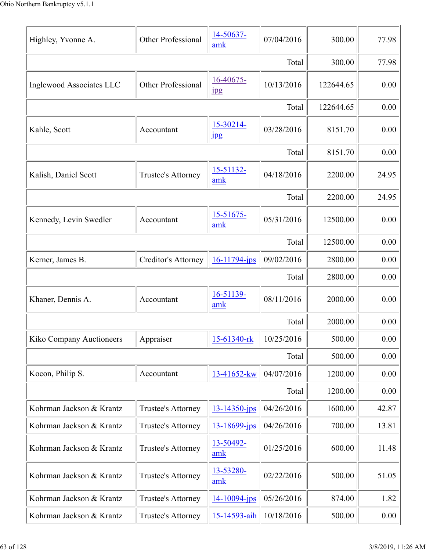| Highley, Yvonne A.       | Other Professional         | 14-50637-<br>amk              | 07/04/2016 | 300.00    | 77.98 |
|--------------------------|----------------------------|-------------------------------|------------|-----------|-------|
|                          |                            |                               | Total      | 300.00    | 77.98 |
| Inglewood Associates LLC | Other Professional         | 16-40675-<br>$_{\rm 1\!P\!S}$ | 10/13/2016 | 122644.65 | 0.00  |
|                          |                            |                               | Total      | 122644.65 | 0.00  |
| Kahle, Scott             | Accountant                 | 15-30214-<br>$_{\rm 1\!P\!S}$ | 03/28/2016 | 8151.70   | 0.00  |
|                          |                            |                               | Total      | 8151.70   | 0.00  |
| Kalish, Daniel Scott     | Trustee's Attorney         | 15-51132-<br>amk              | 04/18/2016 | 2200.00   | 24.95 |
|                          |                            |                               | Total      | 2200.00   | 24.95 |
| Kennedy, Levin Swedler   | Accountant                 | $15 - 51675$<br>amk           | 05/31/2016 | 12500.00  | 0.00  |
|                          |                            |                               | Total      | 12500.00  | 0.00  |
| Kerner, James B.         | <b>Creditor's Attorney</b> | $16-11794$ -jps               | 09/02/2016 | 2800.00   | 0.00  |
|                          |                            |                               | Total      | 2800.00   | 0.00  |
| Khaner, Dennis A.        | Accountant                 | 16-51139-<br>amk              | 08/11/2016 | 2000.00   | 0.00  |
|                          |                            |                               | Total      | 2000.00   | 0.00  |
| Kiko Company Auctioneers | Appraiser                  | 15-61340-rk                   | 10/25/2016 | 500.00    | 0.00  |
|                          |                            |                               | Total      | 500.00    | 0.00  |
| Kocon, Philip S.         | Accountant                 | 13-41652-kw                   | 04/07/2016 | 1200.00   | 0.00  |
|                          |                            |                               | Total      | 1200.00   | 0.00  |
| Kohrman Jackson & Krantz | Trustee's Attorney         | $13 - 14350 - ips$            | 04/26/2016 | 1600.00   | 42.87 |
| Kohrman Jackson & Krantz | Trustee's Attorney         | 13-18699-jps                  | 04/26/2016 | 700.00    | 13.81 |
| Kohrman Jackson & Krantz | Trustee's Attorney         | 13-50492-<br>amk              | 01/25/2016 | 600.00    | 11.48 |
| Kohrman Jackson & Krantz | Trustee's Attorney         | 13-53280-<br>amk              | 02/22/2016 | 500.00    | 51.05 |
| Kohrman Jackson & Krantz | Trustee's Attorney         | $14 - 10094$ -jps             | 05/26/2016 | 874.00    | 1.82  |
| Kohrman Jackson & Krantz | Trustee's Attorney         | 15-14593-aih                  | 10/18/2016 | 500.00    | 0.00  |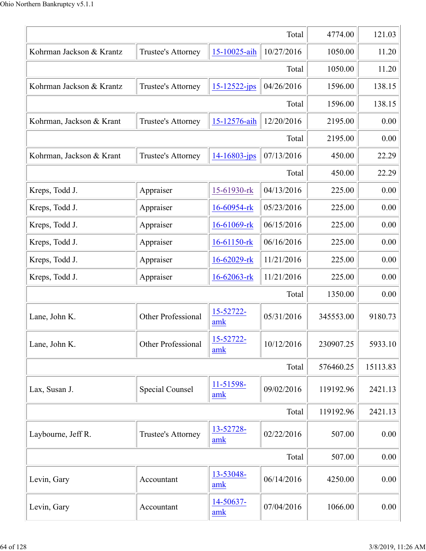|                          |                           |                    | Total      | 4774.00   | 121.03   |
|--------------------------|---------------------------|--------------------|------------|-----------|----------|
| Kohrman Jackson & Krantz | Trustee's Attorney        | 15-10025-aih       | 10/27/2016 | 1050.00   | 11.20    |
|                          |                           |                    | Total      | 1050.00   | 11.20    |
| Kohrman Jackson & Krantz | Trustee's Attorney        | $15 - 12522 - ips$ | 04/26/2016 | 1596.00   | 138.15   |
|                          |                           |                    | Total      | 1596.00   | 138.15   |
| Kohrman, Jackson & Krant | Trustee's Attorney        | 15-12576-aih       | 12/20/2016 | 2195.00   | 0.00     |
|                          |                           |                    | Total      | 2195.00   | 0.00     |
| Kohrman, Jackson & Krant | Trustee's Attorney        | 14-16803-jps       | 07/13/2016 | 450.00    | 22.29    |
|                          |                           |                    | Total      | 450.00    | 22.29    |
| Kreps, Todd J.           | Appraiser                 | 15-61930-rk        | 04/13/2016 | 225.00    | 0.00     |
| Kreps, Todd J.           | Appraiser                 | 16-60954-rk        | 05/23/2016 | 225.00    | 0.00     |
| Kreps, Todd J.           | Appraiser                 | 16-61069-rk        | 06/15/2016 | 225.00    | 0.00     |
| Kreps, Todd J.           | Appraiser                 | 16-61150-rk        | 06/16/2016 | 225.00    | 0.00     |
| Kreps, Todd J.           | Appraiser                 | 16-62029-rk        | 11/21/2016 | 225.00    | 0.00     |
| Kreps, Todd J.           | Appraiser                 | 16-62063-rk        | 11/21/2016 | 225.00    | 0.00     |
|                          |                           |                    | Total      | 1350.00   | 0.00     |
| Lane, John K.            | <b>Other Professional</b> | 15-52722-<br>amk   | 05/31/2016 | 345553.00 | 9180.73  |
| Lane, John K.            | Other Professional        | 15-52722-<br>amk   | 10/12/2016 | 230907.25 | 5933.10  |
|                          |                           |                    | Total      | 576460.25 | 15113.83 |
| Lax, Susan J.            | <b>Special Counsel</b>    | 11-51598-<br>amk   | 09/02/2016 | 119192.96 | 2421.13  |
|                          |                           |                    | Total      | 119192.96 | 2421.13  |
| Laybourne, Jeff R.       | Trustee's Attorney        | 13-52728-<br>amk   | 02/22/2016 | 507.00    | 0.00     |
|                          |                           |                    | Total      | 507.00    | 0.00     |
| Levin, Gary              | Accountant                | 13-53048-<br>amk   | 06/14/2016 | 4250.00   | 0.00     |
| Levin, Gary              | Accountant                | 14-50637-<br>amk   | 07/04/2016 | 1066.00   | 0.00     |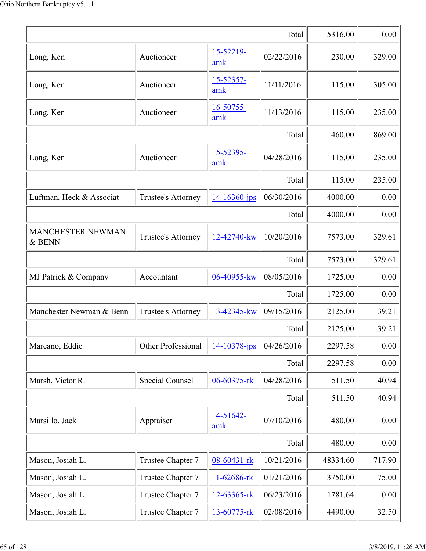|                                    |                           |                    | Total      | 5316.00  | 0.00   |
|------------------------------------|---------------------------|--------------------|------------|----------|--------|
| Long, Ken                          | Auctioneer                | 15-52219-<br>amk   | 02/22/2016 | 230.00   | 329.00 |
| Long, Ken                          | Auctioneer                | 15-52357-<br>amk   | 11/11/2016 | 115.00   | 305.00 |
| Long, Ken                          | Auctioneer                | 16-50755-<br>amk   | 11/13/2016 | 115.00   | 235.00 |
|                                    |                           |                    | Total      | 460.00   | 869.00 |
| Long, Ken                          | Auctioneer                | 15-52395-<br>amk   | 04/28/2016 | 115.00   | 235.00 |
|                                    |                           |                    | Total      | 115.00   | 235.00 |
| Luftman, Heck & Associat           | Trustee's Attorney        | $14 - 16360 - ips$ | 06/30/2016 | 4000.00  | 0.00   |
|                                    |                           |                    | Total      | 4000.00  | 0.00   |
| <b>MANCHESTER NEWMAN</b><br>& BENN | Trustee's Attorney        | 12-42740-kw        | 10/20/2016 | 7573.00  | 329.61 |
|                                    |                           |                    | Total      | 7573.00  | 329.61 |
| MJ Patrick & Company               | Accountant                | 06-40955-kw        | 08/05/2016 | 1725.00  | 0.00   |
|                                    |                           |                    | Total      | 1725.00  | 0.00   |
| Manchester Newman & Benn           | Trustee's Attorney        | 13-42345-kw        | 09/15/2016 | 2125.00  | 39.21  |
|                                    |                           |                    | Total      | 2125.00  | 39.21  |
| Marcano, Eddie                     | <b>Other Professional</b> | 14-10378-jps       | 04/26/2016 | 2297.58  | 0.00   |
|                                    |                           |                    | Total      | 2297.58  | 0.00   |
| Marsh, Victor R.                   | <b>Special Counsel</b>    | 06-60375-rk        | 04/28/2016 | 511.50   | 40.94  |
|                                    |                           |                    | Total      | 511.50   | 40.94  |
| Marsillo, Jack                     | Appraiser                 | 14-51642-<br>amk   | 07/10/2016 | 480.00   | 0.00   |
|                                    |                           |                    | Total      | 480.00   | 0.00   |
| Mason, Josiah L.                   | Trustee Chapter 7         | 08-60431-rk        | 10/21/2016 | 48334.60 | 717.90 |
| Mason, Josiah L.                   | Trustee Chapter 7         | 11-62686-rk        | 01/21/2016 | 3750.00  | 75.00  |
| Mason, Josiah L.                   | Trustee Chapter 7         | 12-63365-rk        | 06/23/2016 | 1781.64  | 0.00   |
| Mason, Josiah L.                   | Trustee Chapter 7         | 13-60775-rk        | 02/08/2016 | 4490.00  | 32.50  |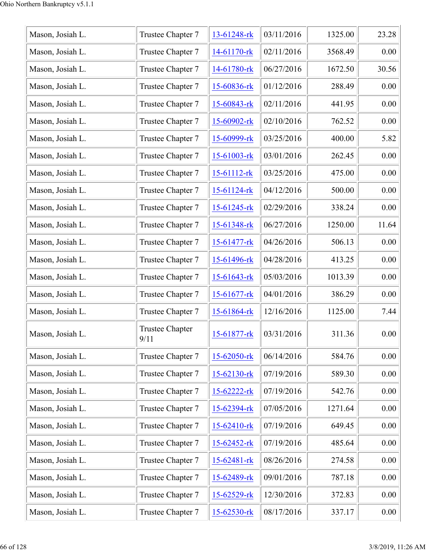| Mason, Josiah L. | Trustee Chapter 7              | 13-61248-rk       | 03/11/2016 | 1325.00 | 23.28 |
|------------------|--------------------------------|-------------------|------------|---------|-------|
| Mason, Josiah L. | Trustee Chapter 7              | 14-61170-rk       | 02/11/2016 | 3568.49 | 0.00  |
| Mason, Josiah L. | Trustee Chapter 7              | 14-61780-rk       | 06/27/2016 | 1672.50 | 30.56 |
| Mason, Josiah L. | Trustee Chapter 7              | 15-60836-rk       | 01/12/2016 | 288.49  | 0.00  |
| Mason, Josiah L. | Trustee Chapter 7              | 15-60843-rk       | 02/11/2016 | 441.95  | 0.00  |
| Mason, Josiah L. | Trustee Chapter 7              | $15 - 60902$ -rk  | 02/10/2016 | 762.52  | 0.00  |
| Mason, Josiah L. | Trustee Chapter 7              | 15-60999-rk       | 03/25/2016 | 400.00  | 5.82  |
| Mason, Josiah L. | Trustee Chapter 7              | $15-61003$ -rk    | 03/01/2016 | 262.45  | 0.00  |
| Mason, Josiah L. | Trustee Chapter 7              | 15-61112-rk       | 03/25/2016 | 475.00  | 0.00  |
| Mason, Josiah L. | Trustee Chapter 7              | 15-61124-rk       | 04/12/2016 | 500.00  | 0.00  |
| Mason, Josiah L. | Trustee Chapter 7              | $15-61245$ -rk    | 02/29/2016 | 338.24  | 0.00  |
| Mason, Josiah L. | Trustee Chapter 7              | 15-61348-rk       | 06/27/2016 | 1250.00 | 11.64 |
| Mason, Josiah L. | Trustee Chapter 7              | 15-61477-rk       | 04/26/2016 | 506.13  | 0.00  |
| Mason, Josiah L. | Trustee Chapter 7              | 15-61496-rk       | 04/28/2016 | 413.25  | 0.00  |
| Mason, Josiah L. | Trustee Chapter 7              | $15 - 61643 - rk$ | 05/03/2016 | 1013.39 | 0.00  |
| Mason, Josiah L. | Trustee Chapter 7              | $15 - 61677 -$ rk | 04/01/2016 | 386.29  | 0.00  |
| Mason, Josiah L. | Trustee Chapter 7              | 15-61864-rk       | 12/16/2016 | 1125.00 | 7.44  |
| Mason, Josiah L. | <b>Trustee Chapter</b><br>9/11 | 15-61877-rk       | 03/31/2016 | 311.36  | 0.00  |
| Mason, Josiah L. | Trustee Chapter 7              | 15-62050-rk       | 06/14/2016 | 584.76  | 0.00  |
| Mason, Josiah L. | Trustee Chapter 7              | 15-62130-rk       | 07/19/2016 | 589.30  | 0.00  |
| Mason, Josiah L. | Trustee Chapter 7              | 15-62222-rk       | 07/19/2016 | 542.76  | 0.00  |
| Mason, Josiah L. | Trustee Chapter 7              | 15-62394-rk       | 07/05/2016 | 1271.64 | 0.00  |
| Mason, Josiah L. | Trustee Chapter 7              | 15-62410-rk       | 07/19/2016 | 649.45  | 0.00  |
| Mason, Josiah L. | Trustee Chapter 7              | 15-62452-rk       | 07/19/2016 | 485.64  | 0.00  |
| Mason, Josiah L. | Trustee Chapter 7              | 15-62481-rk       | 08/26/2016 | 274.58  | 0.00  |
| Mason, Josiah L. | Trustee Chapter 7              | 15-62489-rk       | 09/01/2016 | 787.18  | 0.00  |
| Mason, Josiah L. | Trustee Chapter 7              | 15-62529-rk       | 12/30/2016 | 372.83  | 0.00  |
| Mason, Josiah L. | Trustee Chapter 7              | 15-62530-rk       | 08/17/2016 | 337.17  | 0.00  |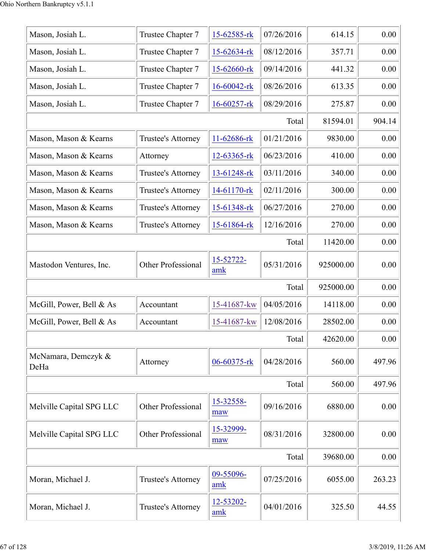| Mason, Josiah L.            | Trustee Chapter 7         | 15-62585-rk       | 07/26/2016 | 614.15    | 0.00   |
|-----------------------------|---------------------------|-------------------|------------|-----------|--------|
| Mason, Josiah L.            | Trustee Chapter 7         | 15-62634-rk       | 08/12/2016 | 357.71    | 0.00   |
| Mason, Josiah L.            | Trustee Chapter 7         | 15-62660-rk       | 09/14/2016 | 441.32    | 0.00   |
| Mason, Josiah L.            | Trustee Chapter 7         | 16-60042-rk       | 08/26/2016 | 613.35    | 0.00   |
| Mason, Josiah L.            | Trustee Chapter 7         | 16-60257-rk       | 08/29/2016 | 275.87    | 0.00   |
|                             |                           |                   | Total      | 81594.01  | 904.14 |
| Mason, Mason & Kearns       | Trustee's Attorney        | 11-62686-rk       | 01/21/2016 | 9830.00   | 0.00   |
| Mason, Mason & Kearns       | Attorney                  | $12 - 63365 - rk$ | 06/23/2016 | 410.00    | 0.00   |
| Mason, Mason & Kearns       | Trustee's Attorney        | 13-61248-rk       | 03/11/2016 | 340.00    | 0.00   |
| Mason, Mason & Kearns       | Trustee's Attorney        | 14-61170-rk       | 02/11/2016 | 300.00    | 0.00   |
| Mason, Mason & Kearns       | Trustee's Attorney        | 15-61348-rk       | 06/27/2016 | 270.00    | 0.00   |
| Mason, Mason & Kearns       | Trustee's Attorney        | 15-61864-rk       | 12/16/2016 | 270.00    | 0.00   |
|                             |                           |                   | Total      | 11420.00  | 0.00   |
| Mastodon Ventures, Inc.     | Other Professional        | 15-52722-<br>amk  | 05/31/2016 | 925000.00 | 0.00   |
|                             |                           |                   | Total      | 925000.00 | 0.00   |
| McGill, Power, Bell & As    | Accountant                | 15-41687-kw       | 04/05/2016 | 14118.00  | 0.00   |
| McGill, Power, Bell & As    | Accountant                | 15-41687-kw       | 12/08/2016 | 28502.00  | 0.00   |
|                             |                           |                   | Total      | 42620.00  | 0.00   |
| McNamara, Demczyk &<br>DeHa | Attorney                  | 06-60375-rk       | 04/28/2016 | 560.00    | 497.96 |
|                             |                           |                   | Total      | 560.00    | 497.96 |
| Melville Capital SPG LLC    | <b>Other Professional</b> | 15-32558-<br>maw  | 09/16/2016 | 6880.00   | 0.00   |
| Melville Capital SPG LLC    | <b>Other Professional</b> | 15-32999-<br>maw  | 08/31/2016 | 32800.00  | 0.00   |
|                             |                           |                   | Total      | 39680.00  | 0.00   |
| Moran, Michael J.           | Trustee's Attorney        | 09-55096-<br>amk  | 07/25/2016 | 6055.00   | 263.23 |
| Moran, Michael J.           | Trustee's Attorney        | 12-53202-<br>amk  | 04/01/2016 | 325.50    | 44.55  |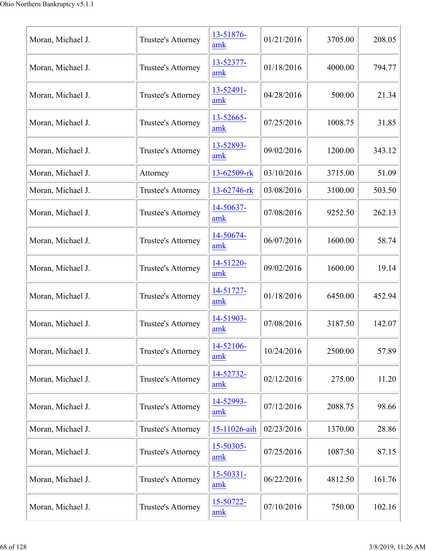| Moran, Michael J. | Trustee's Attorney | 13-51876-<br>amk      | 01/21/2016 | 3705.00 | 208.05 |
|-------------------|--------------------|-----------------------|------------|---------|--------|
| Moran, Michael J. | Trustee's Attorney | 13-52377-<br>amk      | 01/18/2016 | 4000.00 | 794.77 |
| Moran, Michael J. | Trustee's Attorney | 13-52491-<br>amk      | 04/28/2016 | 500.00  | 21.34  |
| Moran, Michael J. | Trustee's Attorney | 13-52665-<br>amk      | 07/25/2016 | 1008.75 | 31.85  |
| Moran, Michael J. | Trustee's Attorney | 13-52893-<br>amk      | 09/02/2016 | 1200.00 | 343.12 |
| Moran, Michael J. | Attorney           | 13-62509-rk           | 03/10/2016 | 3715.00 | 51.09  |
| Moran, Michael J. | Trustee's Attorney | 13-62746-rk           | 03/08/2016 | 3100.00 | 503.50 |
| Moran, Michael J. | Trustee's Attorney | 14-50637-<br>amk      | 07/08/2016 | 9252.50 | 262.13 |
| Moran, Michael J. | Trustee's Attorney | 14-50674-<br>amk      | 06/07/2016 | 1600.00 | 58.74  |
| Moran, Michael J. | Trustee's Attorney | 14-51220-<br>amk      | 09/02/2016 | 1600.00 | 19.14  |
| Moran, Michael J. | Trustee's Attorney | 14-51727-<br>amk      | 01/18/2016 | 6450.00 | 452.94 |
| Moran, Michael J. | Trustee's Attorney | 14-51903-<br>amk      | 07/08/2016 | 3187.50 | 142.07 |
| Moran, Michael J. | Trustee's Attorney | 14-52106-<br>amk      | 10/24/2016 | 2500.00 | 57.89  |
| Moran, Michael J. | Trustee's Attorney | 14-52732-<br>amk      | 02/12/2016 | 275.00  | 11.20  |
| Moran, Michael J. | Trustee's Attorney | 14-52993-<br>amk      | 07/12/2016 | 2088.75 | 98.66  |
| Moran, Michael J. | Trustee's Attorney | 15-11026-aih          | 02/23/2016 | 1370.00 | 28.86  |
| Moran, Michael J. | Trustee's Attorney | 15-50305-<br>amk      | 07/25/2016 | 1087.50 | 87.15  |
| Moran, Michael J. | Trustee's Attorney | $15 - 50331 -$<br>amk | 06/22/2016 | 4812.50 | 161.76 |
| Moran, Michael J. | Trustee's Attorney | 15-50722-<br>amk      | 07/10/2016 | 750.00  | 102.16 |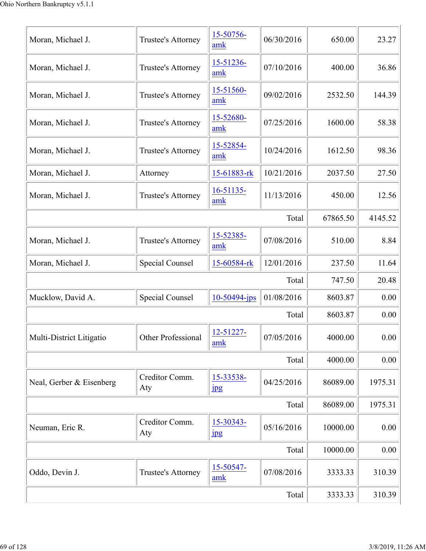| Moran, Michael J.        | Trustee's Attorney     | 15-50756-<br>amk              | 06/30/2016 | 650.00   | 23.27   |
|--------------------------|------------------------|-------------------------------|------------|----------|---------|
| Moran, Michael J.        | Trustee's Attorney     | 15-51236-<br>amk              | 07/10/2016 | 400.00   | 36.86   |
| Moran, Michael J.        | Trustee's Attorney     | 15-51560-<br>amk              | 09/02/2016 | 2532.50  | 144.39  |
| Moran, Michael J.        | Trustee's Attorney     | 15-52680-<br>amk              | 07/25/2016 | 1600.00  | 58.38   |
| Moran, Michael J.        | Trustee's Attorney     | 15-52854-<br>amk              | 10/24/2016 | 1612.50  | 98.36   |
| Moran, Michael J.        | Attorney               | 15-61883-rk                   | 10/21/2016 | 2037.50  | 27.50   |
| Moran, Michael J.        | Trustee's Attorney     | $16 - 51135$<br>amk           | 11/13/2016 | 450.00   | 12.56   |
|                          |                        |                               | Total      | 67865.50 | 4145.52 |
| Moran, Michael J.        | Trustee's Attorney     | 15-52385-<br>amk              | 07/08/2016 | 510.00   | 8.84    |
| Moran, Michael J.        | Special Counsel        | 15-60584-rk                   | 12/01/2016 | 237.50   | 11.64   |
|                          |                        |                               | Total      | 747.50   | 20.48   |
| Mucklow, David A.        | <b>Special Counsel</b> | 10-50494-jps                  | 01/08/2016 | 8603.87  | 0.00    |
|                          |                        |                               | Total      | 8603.87  | 0.00    |
| Multi-District Litigatio | Other Professional     | 12-51227-<br>amk              | 07/05/2016 | 4000.00  | 0.00    |
|                          |                        |                               | Total      | 4000.00  | 0.00    |
| Neal, Gerber & Eisenberg | Creditor Comm.<br>Aty  | 15-33538-<br>$_{\rm 1\!P\!S}$ | 04/25/2016 | 86089.00 | 1975.31 |
|                          |                        |                               | Total      | 86089.00 | 1975.31 |
| Neuman, Eric R.          | Creditor Comm.<br>Aty  | 15-30343-<br>jpg              | 05/16/2016 | 10000.00 | 0.00    |
|                          |                        |                               | Total      | 10000.00 | 0.00    |
| Oddo, Devin J.           | Trustee's Attorney     | 15-50547-<br>amk              | 07/08/2016 | 3333.33  | 310.39  |
|                          |                        |                               | Total      | 3333.33  | 310.39  |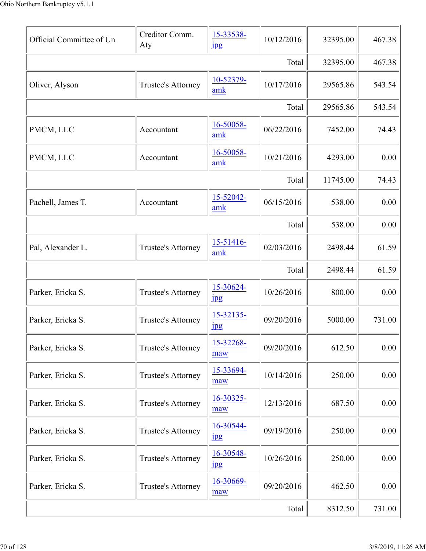| Official Committee of Un | Creditor Comm.<br>Aty     | 15-33538-<br>$_{\rm 1\!P\!S}$ | 10/12/2016 | 32395.00 | 467.38 |
|--------------------------|---------------------------|-------------------------------|------------|----------|--------|
|                          |                           |                               | Total      | 32395.00 | 467.38 |
| Oliver, Alyson           | <b>Trustee's Attorney</b> | 10-52379-<br>amk              | 10/17/2016 | 29565.86 | 543.54 |
|                          |                           |                               | Total      | 29565.86 | 543.54 |
| PMCM, LLC                | Accountant                | 16-50058-<br>amk              | 06/22/2016 | 7452.00  | 74.43  |
| PMCM, LLC                | Accountant                | 16-50058-<br>amk              | 10/21/2016 | 4293.00  | 0.00   |
|                          |                           |                               | Total      | 11745.00 | 74.43  |
| Pachell, James T.        | Accountant                | 15-52042-<br>amk              | 06/15/2016 | 538.00   | 0.00   |
|                          |                           |                               | Total      | 538.00   | 0.00   |
| Pal, Alexander L.        | Trustee's Attorney        | 15-51416-<br>amk              | 02/03/2016 | 2498.44  | 61.59  |
|                          |                           |                               | Total      | 2498.44  | 61.59  |
| Parker, Ericka S.        | Trustee's Attorney        | 15-30624-<br>$\frac{1}{2}$    | 10/26/2016 | 800.00   | 0.00   |
| Parker, Ericka S.        | Trustee's Attorney        | 15-32135-<br>$_{\rm 1\!P\!S}$ | 09/20/2016 | 5000.00  | 731.00 |
| Parker, Ericka S.        | Trustee's Attorney        | 15-32268-<br>maw              | 09/20/2016 | 612.50   | 0.00   |
| Parker, Ericka S.        | Trustee's Attorney        | 15-33694-<br>maw              | 10/14/2016 | 250.00   | 0.00   |
| Parker, Ericka S.        | Trustee's Attorney        | 16-30325-<br>maw              | 12/13/2016 | 687.50   | 0.00   |
| Parker, Ericka S.        | Trustee's Attorney        | 16-30544-<br>$_{\rm 1\!P\!S}$ | 09/19/2016 | 250.00   | 0.00   |
| Parker, Ericka S.        | Trustee's Attorney        | 16-30548-<br>1 <sub>p</sub> g | 10/26/2016 | 250.00   | 0.00   |
| Parker, Ericka S.        | Trustee's Attorney        | 16-30669-<br>maw              | 09/20/2016 | 462.50   | 0.00   |
|                          |                           |                               | Total      | 8312.50  | 731.00 |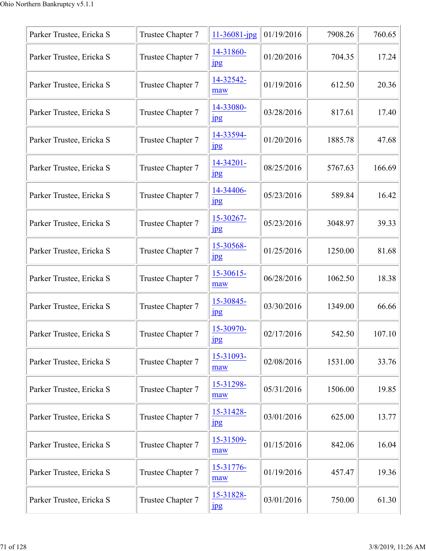| Parker Trustee, Ericka S | Trustee Chapter 7 | 11-36081-jpg                  | 01/19/2016 | 7908.26 | 760.65 |
|--------------------------|-------------------|-------------------------------|------------|---------|--------|
| Parker Trustee, Ericka S | Trustee Chapter 7 | 14-31860-<br>$_{\rm 1\,}$     | 01/20/2016 | 704.35  | 17.24  |
| Parker Trustee, Ericka S | Trustee Chapter 7 | 14-32542-<br>maw              | 01/19/2016 | 612.50  | 20.36  |
| Parker Trustee, Ericka S | Trustee Chapter 7 | 14-33080-<br>$_{\rm 1\!P\!S}$ | 03/28/2016 | 817.61  | 17.40  |
| Parker Trustee, Ericka S | Trustee Chapter 7 | 14-33594-<br>$_{\rm 1\!P\!S}$ | 01/20/2016 | 1885.78 | 47.68  |
| Parker Trustee, Ericka S | Trustee Chapter 7 | 14-34201-<br>$\frac{1}{2}$    | 08/25/2016 | 5767.63 | 166.69 |
| Parker Trustee, Ericka S | Trustee Chapter 7 | 14-34406-<br>$_{\rm 1\!P\!S}$ | 05/23/2016 | 589.84  | 16.42  |
| Parker Trustee, Ericka S | Trustee Chapter 7 | 15-30267-<br>$_{\rm 1\!P\!S}$ | 05/23/2016 | 3048.97 | 39.33  |
| Parker Trustee, Ericka S | Trustee Chapter 7 | 15-30568-<br>$_{\rm 1\!P\!S}$ | 01/25/2016 | 1250.00 | 81.68  |
| Parker Trustee, Ericka S | Trustee Chapter 7 | 15-30615-<br>maw              | 06/28/2016 | 1062.50 | 18.38  |
| Parker Trustee, Ericka S | Trustee Chapter 7 | 15-30845-<br>1 <sub>p</sub> g | 03/30/2016 | 1349.00 | 66.66  |
| Parker Trustee, Ericka S | Trustee Chapter 7 | 15-30970-<br>jpg              | 02/17/2016 | 542.50  | 107.10 |
| Parker Trustee, Ericka S | Trustee Chapter 7 | 15-31093-<br>maw              | 02/08/2016 | 1531.00 | 33.76  |
| Parker Trustee, Ericka S | Trustee Chapter 7 | 15-31298-<br>maw              | 05/31/2016 | 1506.00 | 19.85  |
| Parker Trustee, Ericka S | Trustee Chapter 7 | 15-31428-<br>1 <sub>p</sub> g | 03/01/2016 | 625.00  | 13.77  |
| Parker Trustee, Ericka S | Trustee Chapter 7 | 15-31509-<br>maw              | 01/15/2016 | 842.06  | 16.04  |
| Parker Trustee, Ericka S | Trustee Chapter 7 | 15-31776-<br>maw              | 01/19/2016 | 457.47  | 19.36  |
| Parker Trustee, Ericka S | Trustee Chapter 7 | 15-31828-<br>1 <sub>pg</sub>  | 03/01/2016 | 750.00  | 61.30  |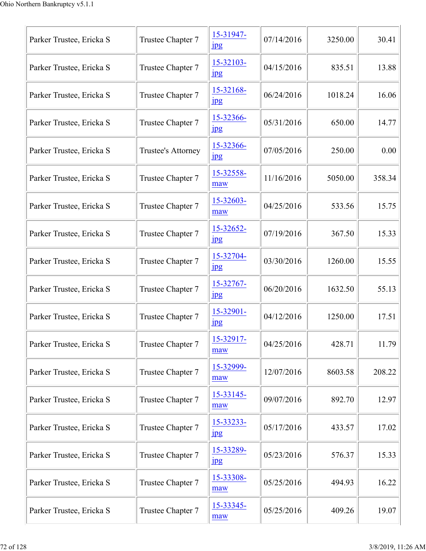| Parker Trustee, Ericka S | Trustee Chapter 7  | 15-31947-<br>$_{\rm 1pg}$     | 07/14/2016 | 3250.00 | 30.41  |
|--------------------------|--------------------|-------------------------------|------------|---------|--------|
| Parker Trustee, Ericka S | Trustee Chapter 7  | 15-32103-<br>$_{\rm 1pg}$     | 04/15/2016 | 835.51  | 13.88  |
| Parker Trustee, Ericka S | Trustee Chapter 7  | 15-32168-<br>$\mathbf{u}$     | 06/24/2016 | 1018.24 | 16.06  |
| Parker Trustee, Ericka S | Trustee Chapter 7  | 15-32366-<br>jpg              | 05/31/2016 | 650.00  | 14.77  |
| Parker Trustee, Ericka S | Trustee's Attorney | 15-32366-<br>$_{\rm 1pg}$     | 07/05/2016 | 250.00  | 0.00   |
| Parker Trustee, Ericka S | Trustee Chapter 7  | 15-32558-<br>maw              | 11/16/2016 | 5050.00 | 358.34 |
| Parker Trustee, Ericka S | Trustee Chapter 7  | 15-32603-<br>maw              | 04/25/2016 | 533.56  | 15.75  |
| Parker Trustee, Ericka S | Trustee Chapter 7  | 15-32652-<br>$_{\rm 1\!P\!S}$ | 07/19/2016 | 367.50  | 15.33  |
| Parker Trustee, Ericka S | Trustee Chapter 7  | 15-32704-<br>$\frac{1}{2}$    | 03/30/2016 | 1260.00 | 15.55  |
| Parker Trustee, Ericka S | Trustee Chapter 7  | 15-32767-<br>jpg              | 06/20/2016 | 1632.50 | 55.13  |
| Parker Trustee, Ericka S | Trustee Chapter 7  | 15-32901-<br>$_{\rm 1pg}$     | 04/12/2016 | 1250.00 | 17.51  |
| Parker Trustee, Ericka S | Trustee Chapter 7  | 15-32917-<br>maw              | 04/25/2016 | 428.71  | 11.79  |
| Parker Trustee, Ericka S | Trustee Chapter 7  | 15-32999-<br>maw              | 12/07/2016 | 8603.58 | 208.22 |
| Parker Trustee, Ericka S | Trustee Chapter 7  | 15-33145-<br>maw              | 09/07/2016 | 892.70  | 12.97  |
| Parker Trustee, Ericka S | Trustee Chapter 7  | 15-33233-<br>jpg              | 05/17/2016 | 433.57  | 17.02  |
| Parker Trustee, Ericka S | Trustee Chapter 7  | 15-33289-<br>$_{\rm 1\!P\!S}$ | 05/23/2016 | 576.37  | 15.33  |
| Parker Trustee, Ericka S | Trustee Chapter 7  | 15-33308-<br>maw              | 05/25/2016 | 494.93  | 16.22  |
| Parker Trustee, Ericka S | Trustee Chapter 7  | 15-33345-<br>maw              | 05/25/2016 | 409.26  | 19.07  |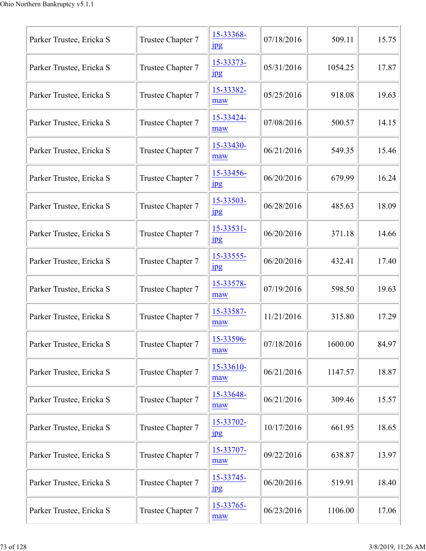| Parker Trustee, Ericka S | Trustee Chapter 7 | 15-33368-<br>$_{\rm 1pg}$     | 07/18/2016 | 509.11  | 15.75 |
|--------------------------|-------------------|-------------------------------|------------|---------|-------|
| Parker Trustee, Ericka S | Trustee Chapter 7 | 15-33373-<br>$_{\rm 1\!P\!S}$ | 05/31/2016 | 1054.25 | 17.87 |
| Parker Trustee, Ericka S | Trustee Chapter 7 | 15-33382-<br>maw              | 05/25/2016 | 918.08  | 19.63 |
| Parker Trustee, Ericka S | Trustee Chapter 7 | 15-33424-<br>maw              | 07/08/2016 | 500.57  | 14.15 |
| Parker Trustee, Ericka S | Trustee Chapter 7 | 15-33430-<br>maw              | 06/21/2016 | 549.35  | 15.46 |
| Parker Trustee, Ericka S | Trustee Chapter 7 | 15-33456-<br>$_{\rm 1pg}$     | 06/20/2016 | 679.99  | 16.24 |
| Parker Trustee, Ericka S | Trustee Chapter 7 | 15-33503-<br>$_{\rm 1pg}$     | 06/28/2016 | 485.63  | 18.09 |
| Parker Trustee, Ericka S | Trustee Chapter 7 | 15-33531-<br>$_{\rm 1\!P\!S}$ | 06/20/2016 | 371.18  | 14.66 |
| Parker Trustee, Ericka S | Trustee Chapter 7 | 15-33555-<br>jpg              | 06/20/2016 | 432.41  | 17.40 |
| Parker Trustee, Ericka S | Trustee Chapter 7 | 15-33578-<br>maw              | 07/19/2016 | 598.50  | 19.63 |
| Parker Trustee, Ericka S | Trustee Chapter 7 | 15-33587-<br>maw              | 11/21/2016 | 315.80  | 17.29 |
| Parker Trustee, Ericka S | Trustee Chapter 7 | 15-33596-<br>maw              | 07/18/2016 | 1600.00 | 84.97 |
| Parker Trustee, Ericka S | Trustee Chapter 7 | 15-33610-<br>maw              | 06/21/2016 | 1147.57 | 18.87 |
| Parker Trustee, Ericka S | Trustee Chapter 7 | 15-33648-<br>maw              | 06/21/2016 | 309.46  | 15.57 |
| Parker Trustee, Ericka S | Trustee Chapter 7 | 15-33702-<br>$_{\rm 1pg}$     | 10/17/2016 | 661.95  | 18.65 |
| Parker Trustee, Ericka S | Trustee Chapter 7 | 15-33707-<br>maw              | 09/22/2016 | 638.87  | 13.97 |
| Parker Trustee, Ericka S | Trustee Chapter 7 | 15-33745-<br>$_{\rm 1pg}$     | 06/20/2016 | 519.91  | 18.40 |
| Parker Trustee, Ericka S | Trustee Chapter 7 | 15-33765-<br>maw              | 06/23/2016 | 1106.00 | 17.06 |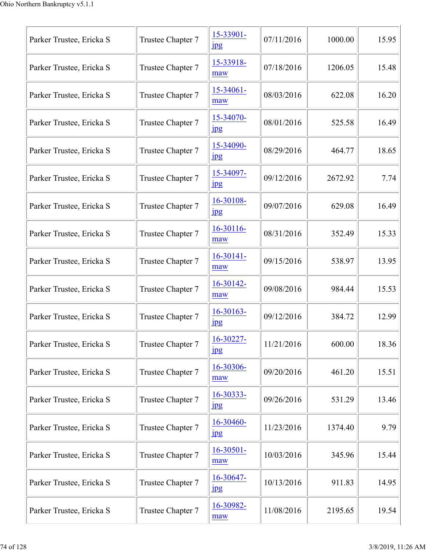| Parker Trustee, Ericka S | Trustee Chapter 7 | 15-33901-<br>$_{\rm 1pg}$      | 07/11/2016 | 1000.00 | 15.95 |
|--------------------------|-------------------|--------------------------------|------------|---------|-------|
| Parker Trustee, Ericka S | Trustee Chapter 7 | 15-33918-<br>maw               | 07/18/2016 | 1206.05 | 15.48 |
| Parker Trustee, Ericka S | Trustee Chapter 7 | $15 - 34061 -$<br>maw          | 08/03/2016 | 622.08  | 16.20 |
| Parker Trustee, Ericka S | Trustee Chapter 7 | 15-34070-<br>jpg               | 08/01/2016 | 525.58  | 16.49 |
| Parker Trustee, Ericka S | Trustee Chapter 7 | 15-34090-<br>$_{\rm 1\!P\!S}$  | 08/29/2016 | 464.77  | 18.65 |
| Parker Trustee, Ericka S | Trustee Chapter 7 | 15-34097-<br>$_{\rm 1pg}$      | 09/12/2016 | 2672.92 | 7.74  |
| Parker Trustee, Ericka S | Trustee Chapter 7 | 16-30108-<br>jpg               | 09/07/2016 | 629.08  | 16.49 |
| Parker Trustee, Ericka S | Trustee Chapter 7 | 16-30116-<br>maw               | 08/31/2016 | 352.49  | 15.33 |
| Parker Trustee, Ericka S | Trustee Chapter 7 | $16-30141-$<br>maw             | 09/15/2016 | 538.97  | 13.95 |
| Parker Trustee, Ericka S | Trustee Chapter 7 | 16-30142-<br>maw               | 09/08/2016 | 984.44  | 15.53 |
| Parker Trustee, Ericka S | Trustee Chapter 7 | $16-30163-$<br>1 <sub>pg</sub> | 09/12/2016 | 384.72  | 12.99 |
| Parker Trustee, Ericka S | Trustee Chapter 7 | 16-30227-<br>$_{\rm 1pg}$      | 11/21/2016 | 600.00  | 18.36 |
| Parker Trustee, Ericka S | Trustee Chapter 7 | 16-30306-<br>maw               | 09/20/2016 | 461.20  | 15.51 |
| Parker Trustee, Ericka S | Trustee Chapter 7 | 16-30333-<br>$_{\rm 1pg}$      | 09/26/2016 | 531.29  | 13.46 |
| Parker Trustee, Ericka S | Trustee Chapter 7 | 16-30460-<br>jpg               | 11/23/2016 | 1374.40 | 9.79  |
| Parker Trustee, Ericka S | Trustee Chapter 7 | 16-30501-<br>maw               | 10/03/2016 | 345.96  | 15.44 |
| Parker Trustee, Ericka S | Trustee Chapter 7 | 16-30647-<br>$_{\rm 1\!P\!S}$  | 10/13/2016 | 911.83  | 14.95 |
| Parker Trustee, Ericka S | Trustee Chapter 7 | 16-30982-<br>maw               | 11/08/2016 | 2195.65 | 19.54 |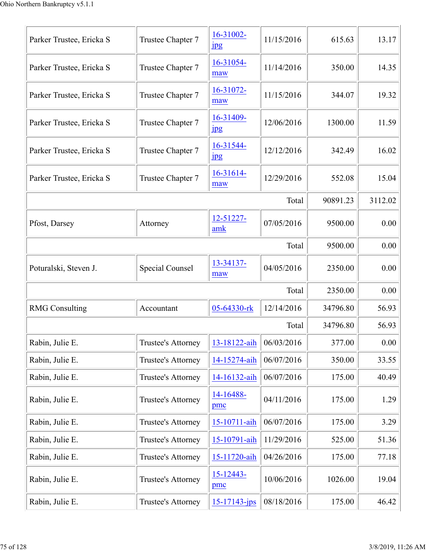| Parker Trustee, Ericka S | Trustee Chapter 7      | 16-31002-<br>$_{\rm 1\!P\!S}$ | 11/15/2016 | 615.63   | 13.17   |
|--------------------------|------------------------|-------------------------------|------------|----------|---------|
| Parker Trustee, Ericka S | Trustee Chapter 7      | 16-31054-<br>maw              | 11/14/2016 | 350.00   | 14.35   |
| Parker Trustee, Ericka S | Trustee Chapter 7      | 16-31072-<br>maw              | 11/15/2016 | 344.07   | 19.32   |
| Parker Trustee, Ericka S | Trustee Chapter 7      | 16-31409-<br><b>Jpg</b>       | 12/06/2016 | 1300.00  | 11.59   |
| Parker Trustee, Ericka S | Trustee Chapter 7      | 16-31544-<br>jpg              | 12/12/2016 | 342.49   | 16.02   |
| Parker Trustee, Ericka S | Trustee Chapter 7      | 16-31614-<br>maw              | 12/29/2016 | 552.08   | 15.04   |
|                          |                        |                               | Total      | 90891.23 | 3112.02 |
| Pfost, Darsey            | Attorney               | 12-51227-<br>amk              | 07/05/2016 | 9500.00  | 0.00    |
|                          |                        |                               | Total      | 9500.00  | 0.00    |
| Poturalski, Steven J.    | <b>Special Counsel</b> | 13-34137-<br>maw              | 04/05/2016 | 2350.00  | 0.00    |
|                          |                        |                               | Total      | 2350.00  | 0.00    |
| <b>RMG</b> Consulting    | Accountant             | 05-64330-rk                   | 12/14/2016 | 34796.80 | 56.93   |
|                          |                        |                               | Total      | 34796.80 | 56.93   |
| Rabin, Julie E.          | Trustee's Attorney     | 13-18122-aih                  | 06/03/2016 | 377.00   | 0.00    |
| Rabin, Julie E.          | Trustee's Attorney     | 14-15274-aih                  | 06/07/2016 | 350.00   | 33.55   |
| Rabin, Julie E.          | Trustee's Attorney     | 14-16132-aih                  | 06/07/2016 | 175.00   | 40.49   |
| Rabin, Julie E.          | Trustee's Attorney     | 14-16488-<br>pmc              | 04/11/2016 | 175.00   | 1.29    |
| Rabin, Julie E.          | Trustee's Attorney     | 15-10711-aih                  | 06/07/2016 | 175.00   | 3.29    |
| Rabin, Julie E.          | Trustee's Attorney     | 15-10791-aih                  | 11/29/2016 | 525.00   | 51.36   |
| Rabin, Julie E.          | Trustee's Attorney     | 15-11720-aih                  | 04/26/2016 | 175.00   | 77.18   |
| Rabin, Julie E.          | Trustee's Attorney     | $15 - 12443 -$<br>pmc         | 10/06/2016 | 1026.00  | 19.04   |
| Rabin, Julie E.          | Trustee's Attorney     | $15 - 17143 - ips$            | 08/18/2016 | 175.00   | 46.42   |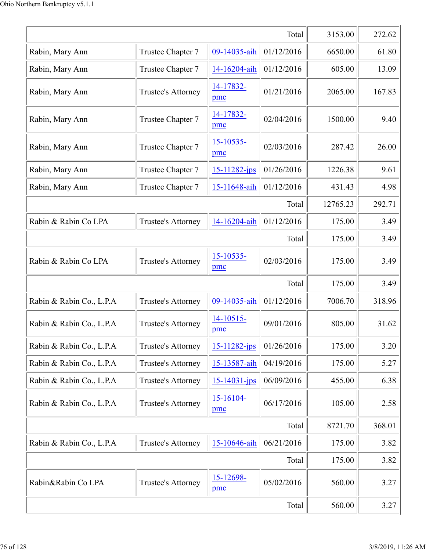|                          | 3153.00            | 272.62                |            |          |        |
|--------------------------|--------------------|-----------------------|------------|----------|--------|
| Rabin, Mary Ann          | Trustee Chapter 7  | 09-14035-aih          | 01/12/2016 | 6650.00  | 61.80  |
| Rabin, Mary Ann          | Trustee Chapter 7  | 14-16204-aih          | 01/12/2016 | 605.00   | 13.09  |
| Rabin, Mary Ann          | Trustee's Attorney | 14-17832-<br>pmc      | 01/21/2016 | 2065.00  | 167.83 |
| Rabin, Mary Ann          | Trustee Chapter 7  | 14-17832-<br>pmc      | 02/04/2016 | 1500.00  | 9.40   |
| Rabin, Mary Ann          | Trustee Chapter 7  | 15-10535-<br>pmc      | 02/03/2016 | 287.42   | 26.00  |
| Rabin, Mary Ann          | Trustee Chapter 7  | 15-11282-jps          | 01/26/2016 | 1226.38  | 9.61   |
| Rabin, Mary Ann          | Trustee Chapter 7  | 15-11648-aih          | 01/12/2016 | 431.43   | 4.98   |
|                          |                    |                       | Total      | 12765.23 | 292.71 |
| Rabin & Rabin Co LPA     | Trustee's Attorney | 14-16204-aih          | 01/12/2016 | 175.00   | 3.49   |
|                          |                    |                       | Total      | 175.00   | 3.49   |
| Rabin & Rabin Co LPA     | Trustee's Attorney | $15 - 10535$<br>pmc   | 02/03/2016 | 175.00   | 3.49   |
|                          |                    |                       | Total      | 175.00   | 3.49   |
| Rabin & Rabin Co., L.P.A | Trustee's Attorney | 09-14035-aih          | 01/12/2016 | 7006.70  | 318.96 |
| Rabin & Rabin Co., L.P.A | Trustee's Attorney | $14 - 10515$<br>pmc   | 09/01/2016 | 805.00   | 31.62  |
| Rabin & Rabin Co., L.P.A | Trustee's Attorney | $15 - 11282$ -jps     | 01/26/2016 | 175.00   | 3.20   |
| Rabin & Rabin Co., L.P.A | Trustee's Attorney | 15-13587-aih          | 04/19/2016 | 175.00   | 5.27   |
| Rabin & Rabin Co., L.P.A | Trustee's Attorney | $15 - 14031 - ips$    | 06/09/2016 | 455.00   | 6.38   |
| Rabin & Rabin Co., L.P.A | Trustee's Attorney | $15 - 16104 -$<br>pmc | 06/17/2016 | 105.00   | 2.58   |
|                          |                    |                       | Total      | 8721.70  | 368.01 |
| Rabin & Rabin Co., L.P.A | Trustee's Attorney | 15-10646-aih          | 06/21/2016 | 175.00   | 3.82   |
|                          |                    |                       | Total      | 175.00   | 3.82   |
| Rabin&Rabin Co LPA       | Trustee's Attorney | 15-12698-<br>pmc      | 05/02/2016 | 560.00   | 3.27   |
|                          |                    |                       | Total      | 560.00   | 3.27   |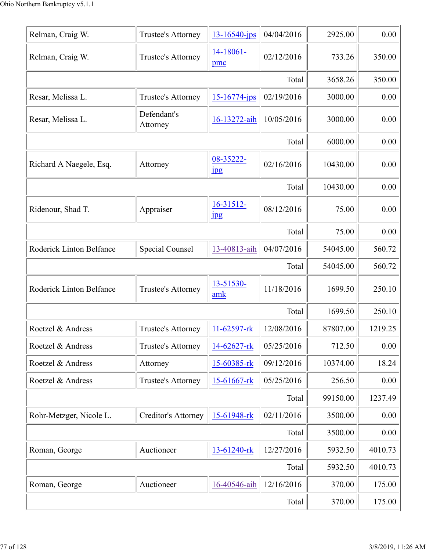| Relman, Craig W.         | Trustee's Attorney        | $13 - 16540 - ips$        | 04/04/2016 | 2925.00  | 0.00    |
|--------------------------|---------------------------|---------------------------|------------|----------|---------|
| Relman, Craig W.         | Trustee's Attorney        | 14-18061-<br>pmc          | 02/12/2016 | 733.26   | 350.00  |
|                          |                           |                           | Total      | 3658.26  | 350.00  |
| Resar, Melissa L.        | Trustee's Attorney        | 15-16774-jps              | 02/19/2016 | 3000.00  | 0.00    |
| Resar, Melissa L.        | Defendant's<br>Attorney   | 16-13272-aih              | 10/05/2016 | 3000.00  | 0.00    |
|                          |                           |                           | Total      | 6000.00  | 0.00    |
| Richard A Naegele, Esq.  | Attorney                  | 08-35222-<br><b>Jpg</b>   | 02/16/2016 | 10430.00 | 0.00    |
|                          |                           |                           | Total      | 10430.00 | 0.00    |
| Ridenour, Shad T.        | Appraiser                 | 16-31512-<br>$_{\rm 1pg}$ | 08/12/2016 | 75.00    | 0.00    |
|                          |                           |                           | Total      | 75.00    | 0.00    |
| Roderick Linton Belfance | <b>Special Counsel</b>    | 13-40813-aih              | 04/07/2016 | 54045.00 | 560.72  |
|                          |                           |                           | Total      | 54045.00 | 560.72  |
| Roderick Linton Belfance | Trustee's Attorney        | 13-51530-<br>amk          | 11/18/2016 | 1699.50  | 250.10  |
|                          |                           |                           | Total      | 1699.50  | 250.10  |
| Roetzel & Andress        | Trustee's Attorney        | 11-62597-rk               | 12/08/2016 | 87807.00 | 1219.25 |
| Roetzel & Andress        | Trustee's Attorney        | 14-62627-rk               | 05/25/2016 | 712.50   | 0.00    |
| Roetzel & Andress        | Attorney                  | 15-60385-rk               | 09/12/2016 | 10374.00 | 18.24   |
| Roetzel & Andress        | <b>Trustee's Attorney</b> | 15-61667-rk               | 05/25/2016 | 256.50   | 0.00    |
|                          |                           |                           | Total      | 99150.00 | 1237.49 |
| Rohr-Metzger, Nicole L.  | Creditor's Attorney       | 15-61948-rk               | 02/11/2016 | 3500.00  | 0.00    |
|                          |                           |                           | Total      | 3500.00  | 0.00    |
| Roman, George            | Auctioneer                | 13-61240-rk               | 12/27/2016 | 5932.50  | 4010.73 |
|                          |                           |                           | Total      | 5932.50  | 4010.73 |
| Roman, George            | Auctioneer                | 16-40546-aih              | 12/16/2016 | 370.00   | 175.00  |
|                          |                           |                           | Total      | 370.00   | 175.00  |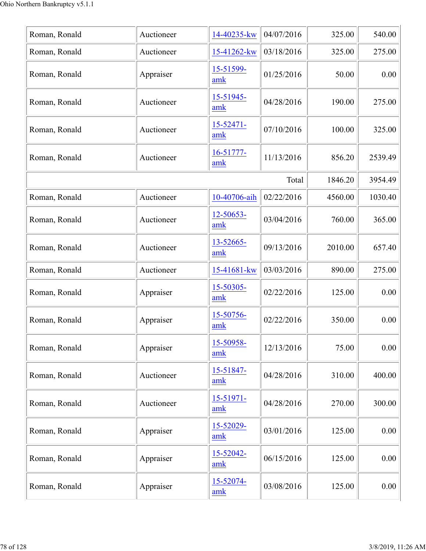| Roman, Ronald | Auctioneer | 14-40235-kw           | 04/07/2016 | 325.00  | 540.00  |
|---------------|------------|-----------------------|------------|---------|---------|
| Roman, Ronald | Auctioneer | 15-41262-kw           | 03/18/2016 | 325.00  | 275.00  |
| Roman, Ronald | Appraiser  | 15-51599-<br>amk      | 01/25/2016 | 50.00   | 0.00    |
| Roman, Ronald | Auctioneer | 15-51945-<br>amk      | 04/28/2016 | 190.00  | 275.00  |
| Roman, Ronald | Auctioneer | $15 - 52471 -$<br>amk | 07/10/2016 | 100.00  | 325.00  |
| Roman, Ronald | Auctioneer | 16-51777-<br>amk      | 11/13/2016 | 856.20  | 2539.49 |
|               |            |                       | Total      | 1846.20 | 3954.49 |
| Roman, Ronald | Auctioneer | 10-40706-aih          | 02/22/2016 | 4560.00 | 1030.40 |
| Roman, Ronald | Auctioneer | 12-50653-<br>amk      | 03/04/2016 | 760.00  | 365.00  |
| Roman, Ronald | Auctioneer | 13-52665-<br>amk      | 09/13/2016 | 2010.00 | 657.40  |
| Roman, Ronald | Auctioneer | 15-41681-kw           | 03/03/2016 | 890.00  | 275.00  |
| Roman, Ronald | Appraiser  | 15-50305-<br>amk      | 02/22/2016 | 125.00  | 0.00    |
| Roman, Ronald | Appraiser  | 15-50756-<br>amk      | 02/22/2016 | 350.00  | 0.00    |
| Roman, Ronald | Appraiser  | 15-50958-<br>amk      | 12/13/2016 | 75.00   | 0.00    |
| Roman, Ronald | Auctioneer | 15-51847-<br>amk      | 04/28/2016 | 310.00  | 400.00  |
| Roman, Ronald | Auctioneer | 15-51971-<br>amk      | 04/28/2016 | 270.00  | 300.00  |
| Roman, Ronald | Appraiser  | 15-52029-<br>amk      | 03/01/2016 | 125.00  | 0.00    |
| Roman, Ronald | Appraiser  | 15-52042-<br>amk      | 06/15/2016 | 125.00  | 0.00    |
| Roman, Ronald | Appraiser  | 15-52074-<br>amk      | 03/08/2016 | 125.00  | 0.00    |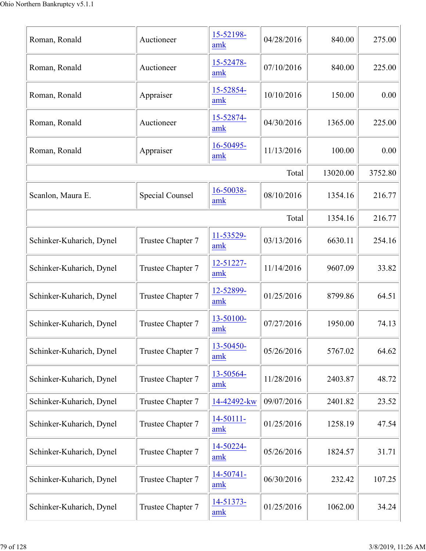| Roman, Ronald            | Auctioneer             | 15-52198-<br>amk | 04/28/2016 | 840.00   | 275.00  |
|--------------------------|------------------------|------------------|------------|----------|---------|
| Roman, Ronald            | Auctioneer             | 15-52478-<br>amk | 07/10/2016 | 840.00   | 225.00  |
| Roman, Ronald            | Appraiser              | 15-52854-<br>amk | 10/10/2016 | 150.00   | 0.00    |
| Roman, Ronald            | Auctioneer             | 15-52874-<br>amk | 04/30/2016 | 1365.00  | 225.00  |
| Roman, Ronald            | Appraiser              | 16-50495-<br>amk | 11/13/2016 | 100.00   | 0.00    |
|                          |                        |                  | Total      | 13020.00 | 3752.80 |
| Scanlon, Maura E.        | <b>Special Counsel</b> | 16-50038-<br>amk | 08/10/2016 | 1354.16  | 216.77  |
|                          |                        |                  | Total      | 1354.16  | 216.77  |
| Schinker-Kuharich, Dynel | Trustee Chapter 7      | 11-53529-<br>amk | 03/13/2016 | 6630.11  | 254.16  |
| Schinker-Kuharich, Dynel | Trustee Chapter 7      | 12-51227-<br>amk | 11/14/2016 | 9607.09  | 33.82   |
| Schinker-Kuharich, Dynel | Trustee Chapter 7      | 12-52899-<br>amk | 01/25/2016 | 8799.86  | 64.51   |
| Schinker-Kuharich, Dynel | Trustee Chapter 7      | 13-50100-<br>amk | 07/27/2016 | 1950.00  | 74.13   |
| Schinker-Kuharich, Dynel | Trustee Chapter 7      | 13-50450-<br>amk | 05/26/2016 | 5767.02  | 64.62   |
| Schinker-Kuharich, Dynel | Trustee Chapter 7      | 13-50564-<br>amk | 11/28/2016 | 2403.87  | 48.72   |
| Schinker-Kuharich, Dynel | Trustee Chapter 7      | 14-42492-kw      | 09/07/2016 | 2401.82  | 23.52   |
| Schinker-Kuharich, Dynel | Trustee Chapter 7      | 14-50111-<br>amk | 01/25/2016 | 1258.19  | 47.54   |
| Schinker-Kuharich, Dynel | Trustee Chapter 7      | 14-50224-<br>amk | 05/26/2016 | 1824.57  | 31.71   |
| Schinker-Kuharich, Dynel | Trustee Chapter 7      | 14-50741-<br>amk | 06/30/2016 | 232.42   | 107.25  |
| Schinker-Kuharich, Dynel | Trustee Chapter 7      | 14-51373-<br>amk | 01/25/2016 | 1062.00  | 34.24   |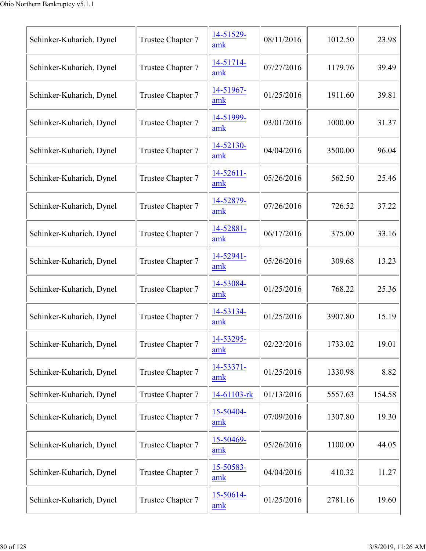| Schinker-Kuharich, Dynel | Trustee Chapter 7 | 14-51529-<br>amk | 08/11/2016 | 1012.50 | 23.98  |
|--------------------------|-------------------|------------------|------------|---------|--------|
| Schinker-Kuharich, Dynel | Trustee Chapter 7 | 14-51714-<br>amk | 07/27/2016 | 1179.76 | 39.49  |
| Schinker-Kuharich, Dynel | Trustee Chapter 7 | 14-51967-<br>amk | 01/25/2016 | 1911.60 | 39.81  |
| Schinker-Kuharich, Dynel | Trustee Chapter 7 | 14-51999-<br>amk | 03/01/2016 | 1000.00 | 31.37  |
| Schinker-Kuharich, Dynel | Trustee Chapter 7 | 14-52130-<br>amk | 04/04/2016 | 3500.00 | 96.04  |
| Schinker-Kuharich, Dynel | Trustee Chapter 7 | 14-52611-<br>amk | 05/26/2016 | 562.50  | 25.46  |
| Schinker-Kuharich, Dynel | Trustee Chapter 7 | 14-52879-<br>amk | 07/26/2016 | 726.52  | 37.22  |
| Schinker-Kuharich, Dynel | Trustee Chapter 7 | 14-52881-<br>amk | 06/17/2016 | 375.00  | 33.16  |
| Schinker-Kuharich, Dynel | Trustee Chapter 7 | 14-52941-<br>amk | 05/26/2016 | 309.68  | 13.23  |
| Schinker-Kuharich, Dynel | Trustee Chapter 7 | 14-53084-<br>amk | 01/25/2016 | 768.22  | 25.36  |
| Schinker-Kuharich, Dynel | Trustee Chapter 7 | 14-53134-<br>amk | 01/25/2016 | 3907.80 | 15.19  |
| Schinker-Kuharich, Dynel | Trustee Chapter 7 | 14-53295-<br>amk | 02/22/2016 | 1733.02 | 19.01  |
| Schinker-Kuharich, Dynel | Trustee Chapter 7 | 14-53371-<br>amk | 01/25/2016 | 1330.98 | 8.82   |
| Schinker-Kuharich, Dynel | Trustee Chapter 7 | 14-61103-rk      | 01/13/2016 | 5557.63 | 154.58 |
| Schinker-Kuharich, Dynel | Trustee Chapter 7 | 15-50404-<br>amk | 07/09/2016 | 1307.80 | 19.30  |
| Schinker-Kuharich, Dynel | Trustee Chapter 7 | 15-50469-<br>amk | 05/26/2016 | 1100.00 | 44.05  |
| Schinker-Kuharich, Dynel | Trustee Chapter 7 | 15-50583-<br>amk | 04/04/2016 | 410.32  | 11.27  |
| Schinker-Kuharich, Dynel | Trustee Chapter 7 | 15-50614-<br>amk | 01/25/2016 | 2781.16 | 19.60  |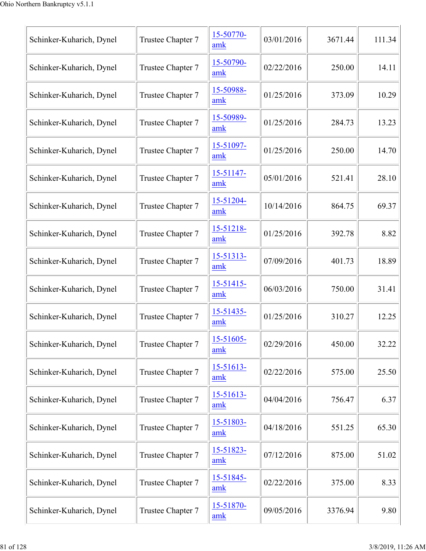| Schinker-Kuharich, Dynel | Trustee Chapter 7 | 15-50770-<br>amk | 03/01/2016 | 3671.44 | 111.34 |
|--------------------------|-------------------|------------------|------------|---------|--------|
| Schinker-Kuharich, Dynel | Trustee Chapter 7 | 15-50790-<br>amk | 02/22/2016 | 250.00  | 14.11  |
| Schinker-Kuharich, Dynel | Trustee Chapter 7 | 15-50988-<br>amk | 01/25/2016 | 373.09  | 10.29  |
| Schinker-Kuharich, Dynel | Trustee Chapter 7 | 15-50989-<br>amk | 01/25/2016 | 284.73  | 13.23  |
| Schinker-Kuharich, Dynel | Trustee Chapter 7 | 15-51097-<br>amk | 01/25/2016 | 250.00  | 14.70  |
| Schinker-Kuharich, Dynel | Trustee Chapter 7 | 15-51147-<br>amk | 05/01/2016 | 521.41  | 28.10  |
| Schinker-Kuharich, Dynel | Trustee Chapter 7 | 15-51204-<br>amk | 10/14/2016 | 864.75  | 69.37  |
| Schinker-Kuharich, Dynel | Trustee Chapter 7 | 15-51218-<br>amk | 01/25/2016 | 392.78  | 8.82   |
| Schinker-Kuharich, Dynel | Trustee Chapter 7 | 15-51313-<br>amk | 07/09/2016 | 401.73  | 18.89  |
| Schinker-Kuharich, Dynel | Trustee Chapter 7 | 15-51415-<br>amk | 06/03/2016 | 750.00  | 31.41  |
| Schinker-Kuharich, Dynel | Trustee Chapter 7 | 15-51435-<br>amk | 01/25/2016 | 310.27  | 12.25  |
| Schinker-Kuharich, Dynel | Trustee Chapter 7 | 15-51605-<br>amk | 02/29/2016 | 450.00  | 32.22  |
| Schinker-Kuharich, Dynel | Trustee Chapter 7 | 15-51613-<br>amk | 02/22/2016 | 575.00  | 25.50  |
| Schinker-Kuharich, Dynel | Trustee Chapter 7 | 15-51613-<br>amk | 04/04/2016 | 756.47  | 6.37   |
| Schinker-Kuharich, Dynel | Trustee Chapter 7 | 15-51803-<br>amk | 04/18/2016 | 551.25  | 65.30  |
| Schinker-Kuharich, Dynel | Trustee Chapter 7 | 15-51823-<br>amk | 07/12/2016 | 875.00  | 51.02  |
| Schinker-Kuharich, Dynel | Trustee Chapter 7 | 15-51845-<br>amk | 02/22/2016 | 375.00  | 8.33   |
| Schinker-Kuharich, Dynel | Trustee Chapter 7 | 15-51870-<br>amk | 09/05/2016 | 3376.94 | 9.80   |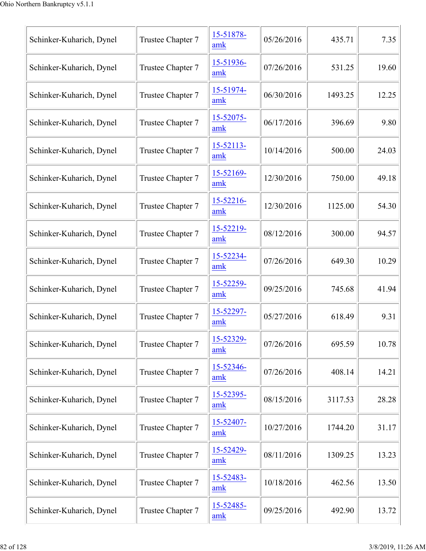| Schinker-Kuharich, Dynel | Trustee Chapter 7 | 15-51878-<br>amk | 05/26/2016 | 435.71  | 7.35  |
|--------------------------|-------------------|------------------|------------|---------|-------|
| Schinker-Kuharich, Dynel | Trustee Chapter 7 | 15-51936-<br>amk | 07/26/2016 | 531.25  | 19.60 |
| Schinker-Kuharich, Dynel | Trustee Chapter 7 | 15-51974-<br>amk | 06/30/2016 | 1493.25 | 12.25 |
| Schinker-Kuharich, Dynel | Trustee Chapter 7 | 15-52075-<br>amk | 06/17/2016 | 396.69  | 9.80  |
| Schinker-Kuharich, Dynel | Trustee Chapter 7 | 15-52113-<br>amk | 10/14/2016 | 500.00  | 24.03 |
| Schinker-Kuharich, Dynel | Trustee Chapter 7 | 15-52169-<br>amk | 12/30/2016 | 750.00  | 49.18 |
| Schinker-Kuharich, Dynel | Trustee Chapter 7 | 15-52216-<br>amk | 12/30/2016 | 1125.00 | 54.30 |
| Schinker-Kuharich, Dynel | Trustee Chapter 7 | 15-52219-<br>amk | 08/12/2016 | 300.00  | 94.57 |
| Schinker-Kuharich, Dynel | Trustee Chapter 7 | 15-52234-<br>amk | 07/26/2016 | 649.30  | 10.29 |
| Schinker-Kuharich, Dynel | Trustee Chapter 7 | 15-52259-<br>amk | 09/25/2016 | 745.68  | 41.94 |
| Schinker-Kuharich, Dynel | Trustee Chapter 7 | 15-52297-<br>amk | 05/27/2016 | 618.49  | 9.31  |
| Schinker-Kuharich, Dynel | Trustee Chapter 7 | 15-52329-<br>amk | 07/26/2016 | 695.59  | 10.78 |
| Schinker-Kuharich, Dynel | Trustee Chapter 7 | 15-52346-<br>amk | 07/26/2016 | 408.14  | 14.21 |
| Schinker-Kuharich, Dynel | Trustee Chapter 7 | 15-52395-<br>amk | 08/15/2016 | 3117.53 | 28.28 |
| Schinker-Kuharich, Dynel | Trustee Chapter 7 | 15-52407-<br>amk | 10/27/2016 | 1744.20 | 31.17 |
| Schinker-Kuharich, Dynel | Trustee Chapter 7 | 15-52429-<br>amk | 08/11/2016 | 1309.25 | 13.23 |
| Schinker-Kuharich, Dynel | Trustee Chapter 7 | 15-52483-<br>amk | 10/18/2016 | 462.56  | 13.50 |
| Schinker-Kuharich, Dynel | Trustee Chapter 7 | 15-52485-<br>amk | 09/25/2016 | 492.90  | 13.72 |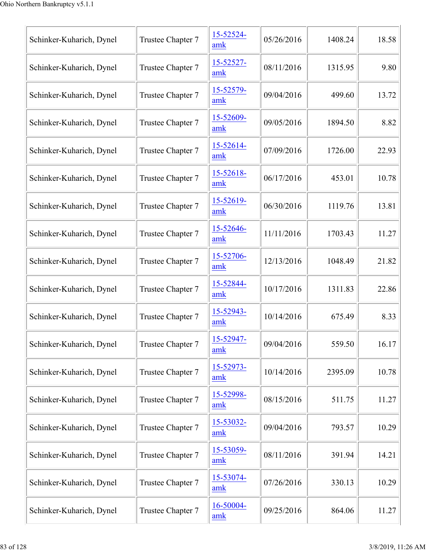| Schinker-Kuharich, Dynel | Trustee Chapter 7 | 15-52524-<br>amk | 05/26/2016 | 1408.24 | 18.58 |
|--------------------------|-------------------|------------------|------------|---------|-------|
| Schinker-Kuharich, Dynel | Trustee Chapter 7 | 15-52527-<br>amk | 08/11/2016 | 1315.95 | 9.80  |
| Schinker-Kuharich, Dynel | Trustee Chapter 7 | 15-52579-<br>amk | 09/04/2016 | 499.60  | 13.72 |
| Schinker-Kuharich, Dynel | Trustee Chapter 7 | 15-52609-<br>amk | 09/05/2016 | 1894.50 | 8.82  |
| Schinker-Kuharich, Dynel | Trustee Chapter 7 | 15-52614-<br>amk | 07/09/2016 | 1726.00 | 22.93 |
| Schinker-Kuharich, Dynel | Trustee Chapter 7 | 15-52618-<br>amk | 06/17/2016 | 453.01  | 10.78 |
| Schinker-Kuharich, Dynel | Trustee Chapter 7 | 15-52619-<br>amk | 06/30/2016 | 1119.76 | 13.81 |
| Schinker-Kuharich, Dynel | Trustee Chapter 7 | 15-52646-<br>amk | 11/11/2016 | 1703.43 | 11.27 |
| Schinker-Kuharich, Dynel | Trustee Chapter 7 | 15-52706-<br>amk | 12/13/2016 | 1048.49 | 21.82 |
| Schinker-Kuharich, Dynel | Trustee Chapter 7 | 15-52844-<br>amk | 10/17/2016 | 1311.83 | 22.86 |
| Schinker-Kuharich, Dynel | Trustee Chapter 7 | 15-52943-<br>amk | 10/14/2016 | 675.49  | 8.33  |
| Schinker-Kuharich, Dynel | Trustee Chapter 7 | 15-52947-<br>amk | 09/04/2016 | 559.50  | 16.17 |
| Schinker-Kuharich, Dynel | Trustee Chapter 7 | 15-52973-<br>amk | 10/14/2016 | 2395.09 | 10.78 |
| Schinker-Kuharich, Dynel | Trustee Chapter 7 | 15-52998-<br>amk | 08/15/2016 | 511.75  | 11.27 |
| Schinker-Kuharich, Dynel | Trustee Chapter 7 | 15-53032-<br>amk | 09/04/2016 | 793.57  | 10.29 |
| Schinker-Kuharich, Dynel | Trustee Chapter 7 | 15-53059-<br>amk | 08/11/2016 | 391.94  | 14.21 |
| Schinker-Kuharich, Dynel | Trustee Chapter 7 | 15-53074-<br>amk | 07/26/2016 | 330.13  | 10.29 |
| Schinker-Kuharich, Dynel | Trustee Chapter 7 | 16-50004-<br>amk | 09/25/2016 | 864.06  | 11.27 |
|                          |                   |                  |            |         |       |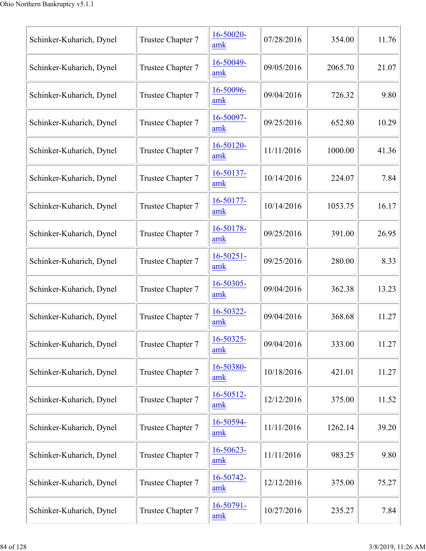| Schinker-Kuharich, Dynel | Trustee Chapter 7 | 16-50020-<br>amk      | 07/28/2016 | 354.00  | 11.76 |
|--------------------------|-------------------|-----------------------|------------|---------|-------|
| Schinker-Kuharich, Dynel | Trustee Chapter 7 | 16-50049-<br>amk      | 09/05/2016 | 2065.70 | 21.07 |
| Schinker-Kuharich, Dynel | Trustee Chapter 7 | 16-50096-<br>amk      | 09/04/2016 | 726.32  | 9.80  |
| Schinker-Kuharich, Dynel | Trustee Chapter 7 | 16-50097-<br>amk      | 09/25/2016 | 652.80  | 10.29 |
| Schinker-Kuharich, Dynel | Trustee Chapter 7 | 16-50120-<br>amk      | 11/11/2016 | 1000.00 | 41.36 |
| Schinker-Kuharich, Dynel | Trustee Chapter 7 | 16-50137-<br>amk      | 10/14/2016 | 224.07  | 7.84  |
| Schinker-Kuharich, Dynel | Trustee Chapter 7 | 16-50177-<br>amk      | 10/14/2016 | 1053.75 | 16.17 |
| Schinker-Kuharich, Dynel | Trustee Chapter 7 | 16-50178-<br>amk      | 09/25/2016 | 391.00  | 26.95 |
| Schinker-Kuharich, Dynel | Trustee Chapter 7 | $16 - 50251 -$<br>amk | 09/25/2016 | 280.00  | 8.33  |
| Schinker-Kuharich, Dynel | Trustee Chapter 7 | 16-50305-<br>amk      | 09/04/2016 | 362.38  | 13.23 |
| Schinker-Kuharich, Dynel | Trustee Chapter 7 | 16-50322-<br>amk      | 09/04/2016 | 368.68  | 11.27 |
| Schinker-Kuharich, Dynel | Trustee Chapter 7 | 16-50325-<br>amk      | 09/04/2016 | 333.00  | 11.27 |
| Schinker-Kuharich, Dynel | Trustee Chapter 7 | 16-50380-<br>amk      | 10/18/2016 | 421.01  | 11.27 |
| Schinker-Kuharich, Dynel | Trustee Chapter 7 | $16 - 50512 -$<br>amk | 12/12/2016 | 375.00  | 11.52 |
| Schinker-Kuharich, Dynel | Trustee Chapter 7 | 16-50594-<br>amk      | 11/11/2016 | 1262.14 | 39.20 |
| Schinker-Kuharich, Dynel | Trustee Chapter 7 | 16-50623-<br>amk      | 11/11/2016 | 983.25  | 9.80  |
| Schinker-Kuharich, Dynel | Trustee Chapter 7 | 16-50742-<br>amk      | 12/12/2016 | 375.00  | 75.27 |
| Schinker-Kuharich, Dynel | Trustee Chapter 7 | 16-50791-<br>amk      | 10/27/2016 | 235.27  | 7.84  |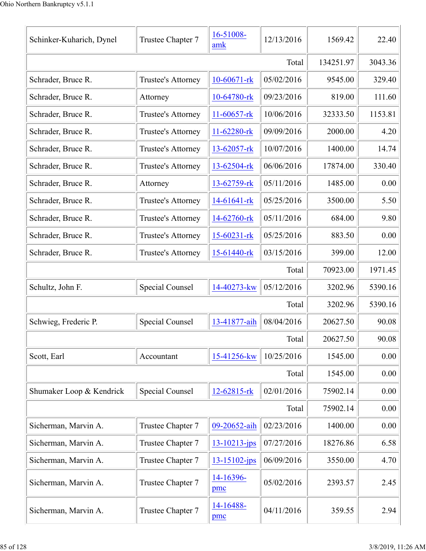| Schinker-Kuharich, Dynel | Trustee Chapter 7      | 16-51008-<br>amk | 12/13/2016 | 1569.42   | 22.40    |
|--------------------------|------------------------|------------------|------------|-----------|----------|
|                          |                        |                  | Total      | 134251.97 | 3043.36  |
| Schrader, Bruce R.       | Trustee's Attorney     | $10-60671$ -rk   | 05/02/2016 | 9545.00   | 329.40   |
| Schrader, Bruce R.       | Attorney               | 10-64780-rk      | 09/23/2016 | 819.00    | 111.60   |
| Schrader, Bruce R.       | Trustee's Attorney     | 11-60657-rk      | 10/06/2016 | 32333.50  | 1153.81  |
| Schrader, Bruce R.       | Trustee's Attorney     | 11-62280-rk      | 09/09/2016 | 2000.00   | 4.20     |
| Schrader, Bruce R.       | Trustee's Attorney     | 13-62057-rk      | 10/07/2016 | 1400.00   | 14.74    |
| Schrader, Bruce R.       | Trustee's Attorney     | 13-62504-rk      | 06/06/2016 | 17874.00  | 330.40   |
| Schrader, Bruce R.       | Attorney               | 13-62759-rk      | 05/11/2016 | 1485.00   | 0.00     |
| Schrader, Bruce R.       | Trustee's Attorney     | 14-61641-rk      | 05/25/2016 | 3500.00   | 5.50     |
| Schrader, Bruce R.       | Trustee's Attorney     | 14-62760-rk      | 05/11/2016 | 684.00    | 9.80     |
| Schrader, Bruce R.       | Trustee's Attorney     | 15-60231-rk      | 05/25/2016 | 883.50    | 0.00     |
| Schrader, Bruce R.       | Trustee's Attorney     | 15-61440-rk      | 03/15/2016 | 399.00    | 12.00    |
|                          |                        |                  | Total      | 70923.00  | 1971.45  |
| Schultz, John F.         | <b>Special Counsel</b> | 14-40273-kw      | 05/12/2016 | 3202.96   | 5390.16  |
|                          |                        |                  | Total      | 3202.96   | 5390.16  |
| Schwieg, Frederic P.     | <b>Special Counsel</b> | 13-41877-aih     | 08/04/2016 | 20627.50  | 90.08    |
|                          |                        |                  | Total      | 20627.50  | 90.08    |
| Scott, Earl              | Accountant             | 15-41256-kw      | 10/25/2016 | 1545.00   | 0.00     |
|                          |                        |                  | Total      | 1545.00   | 0.00     |
| Shumaker Loop & Kendrick | Special Counsel        | 12-62815-rk      | 02/01/2016 | 75902.14  | 0.00     |
|                          |                        |                  | Total      | 75902.14  | 0.00     |
| Sicherman, Marvin A.     | Trustee Chapter 7      | 09-20652-aih     | 02/23/2016 | 1400.00   | $0.00\,$ |
| Sicherman, Marvin A.     | Trustee Chapter 7      | 13-10213-jps     | 07/27/2016 | 18276.86  | 6.58     |
| Sicherman, Marvin A.     | Trustee Chapter 7      | 13-15102-jps     | 06/09/2016 | 3550.00   | 4.70     |
| Sicherman, Marvin A.     | Trustee Chapter 7      | 14-16396-<br>pmc | 05/02/2016 | 2393.57   | 2.45     |
| Sicherman, Marvin A.     | Trustee Chapter 7      | 14-16488-<br>pmc | 04/11/2016 | 359.55    | 2.94     |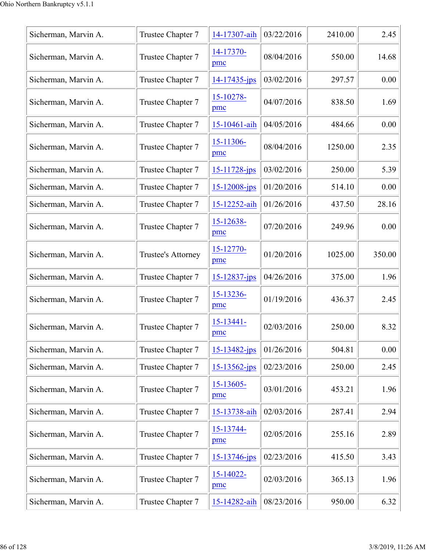| Sicherman, Marvin A. | Trustee Chapter 7  | 14-17307-aih          | 03/22/2016 | 2410.00 | 2.45   |
|----------------------|--------------------|-----------------------|------------|---------|--------|
| Sicherman, Marvin A. | Trustee Chapter 7  | 14-17370-<br>pmc      | 08/04/2016 | 550.00  | 14.68  |
| Sicherman, Marvin A. | Trustee Chapter 7  | $14 - 17435 - ips$    | 03/02/2016 | 297.57  | 0.00   |
| Sicherman, Marvin A. | Trustee Chapter 7  | 15-10278-<br>pmc      | 04/07/2016 | 838.50  | 1.69   |
| Sicherman, Marvin A. | Trustee Chapter 7  | 15-10461-aih          | 04/05/2016 | 484.66  | 0.00   |
| Sicherman, Marvin A. | Trustee Chapter 7  | 15-11306-<br>pmc      | 08/04/2016 | 1250.00 | 2.35   |
| Sicherman, Marvin A. | Trustee Chapter 7  | 15-11728-jps          | 03/02/2016 | 250.00  | 5.39   |
| Sicherman, Marvin A. | Trustee Chapter 7  | 15-12008-jps          | 01/20/2016 | 514.10  | 0.00   |
| Sicherman, Marvin A. | Trustee Chapter 7  | 15-12252-aih          | 01/26/2016 | 437.50  | 28.16  |
| Sicherman, Marvin A. | Trustee Chapter 7  | 15-12638-<br>pmc      | 07/20/2016 | 249.96  | 0.00   |
| Sicherman, Marvin A. | Trustee's Attorney | 15-12770-<br>pmc      | 01/20/2016 | 1025.00 | 350.00 |
| Sicherman, Marvin A. | Trustee Chapter 7  | $15 - 12837 - ips$    | 04/26/2016 | 375.00  | 1.96   |
| Sicherman, Marvin A. | Trustee Chapter 7  | 15-13236-<br>pmc      | 01/19/2016 | 436.37  | 2.45   |
| Sicherman, Marvin A. | Trustee Chapter 7  | $15 - 13441 -$<br>pmc | 02/03/2016 | 250.00  | 8.32   |
| Sicherman, Marvin A. | Trustee Chapter 7  | 15-13482-jps          | 01/26/2016 | 504.81  | 0.00   |
| Sicherman, Marvin A. | Trustee Chapter 7  | $15 - 13562 - ips$    | 02/23/2016 | 250.00  | 2.45   |
| Sicherman, Marvin A. | Trustee Chapter 7  | 15-13605-<br>pmc      | 03/01/2016 | 453.21  | 1.96   |
| Sicherman, Marvin A. | Trustee Chapter 7  | 15-13738-aih          | 02/03/2016 | 287.41  | 2.94   |
| Sicherman, Marvin A. | Trustee Chapter 7  | 15-13744-<br>pmc      | 02/05/2016 | 255.16  | 2.89   |
| Sicherman, Marvin A. | Trustee Chapter 7  | 15-13746-jps          | 02/23/2016 | 415.50  | 3.43   |
| Sicherman, Marvin A. | Trustee Chapter 7  | $15 - 14022$<br>pmc   | 02/03/2016 | 365.13  | 1.96   |
| Sicherman, Marvin A. | Trustee Chapter 7  | 15-14282-aih          | 08/23/2016 | 950.00  | 6.32   |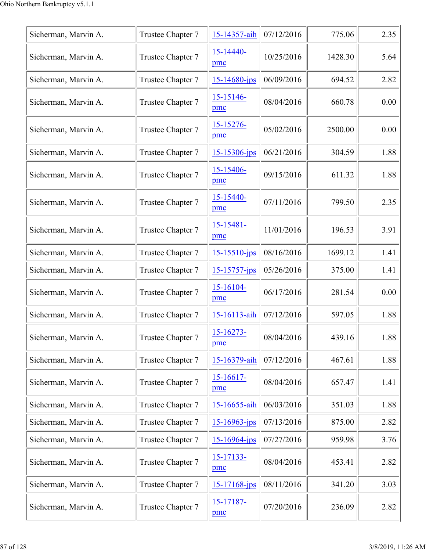| Sicherman, Marvin A. | Trustee Chapter 7 | 15-14357-aih          | 07/12/2016 | 775.06  | 2.35 |
|----------------------|-------------------|-----------------------|------------|---------|------|
| Sicherman, Marvin A. | Trustee Chapter 7 | $15 - 14440 -$<br>pmc | 10/25/2016 | 1428.30 | 5.64 |
| Sicherman, Marvin A. | Trustee Chapter 7 | $15 - 14680 - ips$    | 06/09/2016 | 694.52  | 2.82 |
| Sicherman, Marvin A. | Trustee Chapter 7 | 15-15146-<br>pmc      | 08/04/2016 | 660.78  | 0.00 |
| Sicherman, Marvin A. | Trustee Chapter 7 | 15-15276-<br>pmc      | 05/02/2016 | 2500.00 | 0.00 |
| Sicherman, Marvin A. | Trustee Chapter 7 | $15 - 15306$ -jps     | 06/21/2016 | 304.59  | 1.88 |
| Sicherman, Marvin A. | Trustee Chapter 7 | 15-15406-<br>pmc      | 09/15/2016 | 611.32  | 1.88 |
| Sicherman, Marvin A. | Trustee Chapter 7 | 15-15440-<br>pmc      | 07/11/2016 | 799.50  | 2.35 |
| Sicherman, Marvin A. | Trustee Chapter 7 | 15-15481-<br>pmc      | 11/01/2016 | 196.53  | 3.91 |
| Sicherman, Marvin A. | Trustee Chapter 7 | $15 - 15510 - ips$    | 08/16/2016 | 1699.12 | 1.41 |
| Sicherman, Marvin A. | Trustee Chapter 7 | $15 - 15757 - jps$    | 05/26/2016 | 375.00  | 1.41 |
| Sicherman, Marvin A. | Trustee Chapter 7 | 15-16104-<br>pmc      | 06/17/2016 | 281.54  | 0.00 |
| Sicherman, Marvin A. | Trustee Chapter 7 | 15-16113-aih          | 07/12/2016 | 597.05  | 1.88 |
| Sicherman, Marvin A. | Trustee Chapter 7 | 15-16273-<br>pmc      | 08/04/2016 | 439.16  | 1.88 |
| Sicherman, Marvin A. | Trustee Chapter 7 | 15-16379-aih          | 07/12/2016 | 467.61  | 1.88 |
| Sicherman, Marvin A. | Trustee Chapter 7 | $15-16617-$<br>pmc    | 08/04/2016 | 657.47  | 1.41 |
| Sicherman, Marvin A. | Trustee Chapter 7 | 15-16655-aih          | 06/03/2016 | 351.03  | 1.88 |
| Sicherman, Marvin A. | Trustee Chapter 7 | $15 - 16963$ -jps     | 07/13/2016 | 875.00  | 2.82 |
| Sicherman, Marvin A. | Trustee Chapter 7 | $15 - 16964$ -jps     | 07/27/2016 | 959.98  | 3.76 |
| Sicherman, Marvin A. | Trustee Chapter 7 | 15-17133-<br>pmc      | 08/04/2016 | 453.41  | 2.82 |
| Sicherman, Marvin A. | Trustee Chapter 7 | $15 - 17168$ -jps     | 08/11/2016 | 341.20  | 3.03 |
| Sicherman, Marvin A. | Trustee Chapter 7 | 15-17187-<br>pmc      | 07/20/2016 | 236.09  | 2.82 |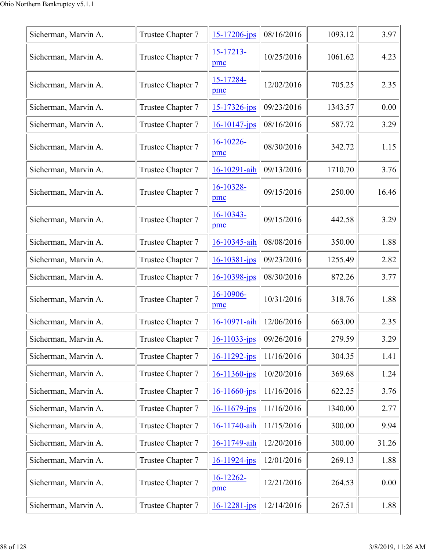| Sicherman, Marvin A. | Trustee Chapter 7 | 15-17206-jps       | 08/16/2016 | 1093.12 | 3.97  |
|----------------------|-------------------|--------------------|------------|---------|-------|
| Sicherman, Marvin A. | Trustee Chapter 7 | 15-17213-<br>pmc   | 10/25/2016 | 1061.62 | 4.23  |
| Sicherman, Marvin A. | Trustee Chapter 7 | 15-17284-<br>pmc   | 12/02/2016 | 705.25  | 2.35  |
| Sicherman, Marvin A. | Trustee Chapter 7 | 15-17326-jps       | 09/23/2016 | 1343.57 | 0.00  |
| Sicherman, Marvin A. | Trustee Chapter 7 | $16 - 10147$ -jps  | 08/16/2016 | 587.72  | 3.29  |
| Sicherman, Marvin A. | Trustee Chapter 7 | 16-10226-<br>pmc   | 08/30/2016 | 342.72  | 1.15  |
| Sicherman, Marvin A. | Trustee Chapter 7 | 16-10291-aih       | 09/13/2016 | 1710.70 | 3.76  |
| Sicherman, Marvin A. | Trustee Chapter 7 | 16-10328-<br>pmc   | 09/15/2016 | 250.00  | 16.46 |
| Sicherman, Marvin A. | Trustee Chapter 7 | 16-10343-<br>pmc   | 09/15/2016 | 442.58  | 3.29  |
| Sicherman, Marvin A. | Trustee Chapter 7 | 16-10345-aih       | 08/08/2016 | 350.00  | 1.88  |
| Sicherman, Marvin A. | Trustee Chapter 7 | 16-10381-jps       | 09/23/2016 | 1255.49 | 2.82  |
| Sicherman, Marvin A. | Trustee Chapter 7 | $16 - 10398 - ips$ | 08/30/2016 | 872.26  | 3.77  |
| Sicherman, Marvin A. | Trustee Chapter 7 | 16-10906-<br>pmc   | 10/31/2016 | 318.76  | 1.88  |
| Sicherman, Marvin A. | Trustee Chapter 7 | 16-10971-aih       | 12/06/2016 | 663.00  | 2.35  |
| Sicherman, Marvin A. | Trustee Chapter 7 | 16-11033-jps       | 09/26/2016 | 279.59  | 3.29  |
| Sicherman, Marvin A. | Trustee Chapter 7 | $16 - 11292 - ips$ | 11/16/2016 | 304.35  | 1.41  |
| Sicherman, Marvin A. | Trustee Chapter 7 | 16-11360-jps       | 10/20/2016 | 369.68  | 1.24  |
| Sicherman, Marvin A. | Trustee Chapter 7 | 16-11660-jps       | 11/16/2016 | 622.25  | 3.76  |
| Sicherman, Marvin A. | Trustee Chapter 7 | $16 - 11679$ -jps  | 11/16/2016 | 1340.00 | 2.77  |
| Sicherman, Marvin A. | Trustee Chapter 7 | 16-11740-aih       | 11/15/2016 | 300.00  | 9.94  |
| Sicherman, Marvin A. | Trustee Chapter 7 | 16-11749-aih       | 12/20/2016 | 300.00  | 31.26 |
| Sicherman, Marvin A. | Trustee Chapter 7 | 16-11924-jps       | 12/01/2016 | 269.13  | 1.88  |
| Sicherman, Marvin A. | Trustee Chapter 7 | $16-12262-$<br>pmc | 12/21/2016 | 264.53  | 0.00  |
| Sicherman, Marvin A. | Trustee Chapter 7 | $16 - 12281 - ips$ | 12/14/2016 | 267.51  | 1.88  |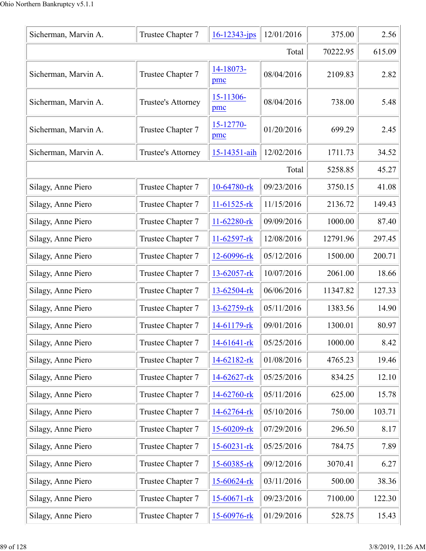| Sicherman, Marvin A. | Trustee Chapter 7  | $16 - 12343 - ips$ | 12/01/2016 | 375.00   | 2.56   |
|----------------------|--------------------|--------------------|------------|----------|--------|
| Total                |                    |                    |            | 70222.95 | 615.09 |
| Sicherman, Marvin A. | Trustee Chapter 7  | 14-18073-<br>pmc   | 08/04/2016 | 2109.83  | 2.82   |
| Sicherman, Marvin A. | Trustee's Attorney | 15-11306-<br>pmc   | 08/04/2016 | 738.00   | 5.48   |
| Sicherman, Marvin A. | Trustee Chapter 7  | 15-12770-<br>pmc   | 01/20/2016 | 699.29   | 2.45   |
| Sicherman, Marvin A. | Trustee's Attorney | 15-14351-aih       | 12/02/2016 | 1711.73  | 34.52  |
|                      |                    |                    | Total      | 5258.85  | 45.27  |
| Silagy, Anne Piero   | Trustee Chapter 7  | 10-64780-rk        | 09/23/2016 | 3750.15  | 41.08  |
| Silagy, Anne Piero   | Trustee Chapter 7  | $11-61525$ -rk     | 11/15/2016 | 2136.72  | 149.43 |
| Silagy, Anne Piero   | Trustee Chapter 7  | 11-62280-rk        | 09/09/2016 | 1000.00  | 87.40  |
| Silagy, Anne Piero   | Trustee Chapter 7  | 11-62597-rk        | 12/08/2016 | 12791.96 | 297.45 |
| Silagy, Anne Piero   | Trustee Chapter 7  | 12-60996-rk        | 05/12/2016 | 1500.00  | 200.71 |
| Silagy, Anne Piero   | Trustee Chapter 7  | 13-62057-rk        | 10/07/2016 | 2061.00  | 18.66  |
| Silagy, Anne Piero   | Trustee Chapter 7  | 13-62504-rk        | 06/06/2016 | 11347.82 | 127.33 |
| Silagy, Anne Piero   | Trustee Chapter 7  | 13-62759-rk        | 05/11/2016 | 1383.56  | 14.90  |
| Silagy, Anne Piero   | Trustee Chapter 7  | 14-61179-rk        | 09/01/2016 | 1300.01  | 80.97  |
| Silagy, Anne Piero   | Trustee Chapter 7  | 14-61641-rk        | 05/25/2016 | 1000.00  | 8.42   |
| Silagy, Anne Piero   | Trustee Chapter 7  | 14-62182-rk        | 01/08/2016 | 4765.23  | 19.46  |
| Silagy, Anne Piero   | Trustee Chapter 7  | 14-62627-rk        | 05/25/2016 | 834.25   | 12.10  |
| Silagy, Anne Piero   | Trustee Chapter 7  | 14-62760-rk        | 05/11/2016 | 625.00   | 15.78  |
| Silagy, Anne Piero   | Trustee Chapter 7  | 14-62764-rk        | 05/10/2016 | 750.00   | 103.71 |
| Silagy, Anne Piero   | Trustee Chapter 7  | 15-60209-rk        | 07/29/2016 | 296.50   | 8.17   |
| Silagy, Anne Piero   | Trustee Chapter 7  | $15 - 60231 - rk$  | 05/25/2016 | 784.75   | 7.89   |
| Silagy, Anne Piero   | Trustee Chapter 7  | 15-60385-rk        | 09/12/2016 | 3070.41  | 6.27   |
| Silagy, Anne Piero   | Trustee Chapter 7  | 15-60624-rk        | 03/11/2016 | 500.00   | 38.36  |
| Silagy, Anne Piero   | Trustee Chapter 7  | $15 - 60671 -$ rk  | 09/23/2016 | 7100.00  | 122.30 |
| Silagy, Anne Piero   | Trustee Chapter 7  | 15-60976-rk        | 01/29/2016 | 528.75   | 15.43  |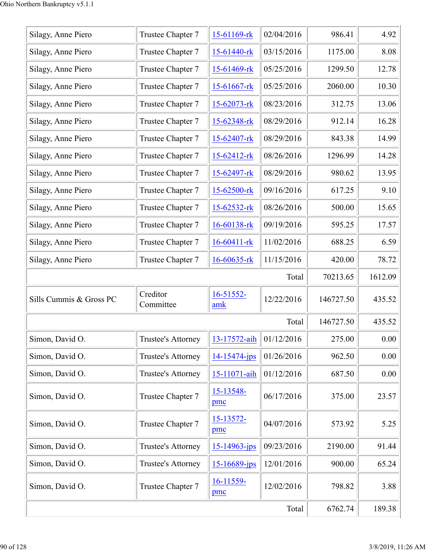| Silagy, Anne Piero      | Trustee Chapter 7     | 15-61169-rk       | 02/04/2016 | 986.41    | 4.92     |
|-------------------------|-----------------------|-------------------|------------|-----------|----------|
| Silagy, Anne Piero      | Trustee Chapter 7     | 15-61440-rk       | 03/15/2016 | 1175.00   | 8.08     |
| Silagy, Anne Piero      | Trustee Chapter 7     | $15-61469$ -rk    | 05/25/2016 | 1299.50   | 12.78    |
| Silagy, Anne Piero      | Trustee Chapter 7     | $15 - 61667$ -rk  | 05/25/2016 | 2060.00   | 10.30    |
| Silagy, Anne Piero      | Trustee Chapter 7     | 15-62073-rk       | 08/23/2016 | 312.75    | 13.06    |
| Silagy, Anne Piero      | Trustee Chapter 7     | 15-62348-rk       | 08/29/2016 | 912.14    | 16.28    |
| Silagy, Anne Piero      | Trustee Chapter 7     | 15-62407-rk       | 08/29/2016 | 843.38    | 14.99    |
| Silagy, Anne Piero      | Trustee Chapter 7     | 15-62412-rk       | 08/26/2016 | 1296.99   | 14.28    |
| Silagy, Anne Piero      | Trustee Chapter 7     | 15-62497-rk       | 08/29/2016 | 980.62    | 13.95    |
| Silagy, Anne Piero      | Trustee Chapter 7     | 15-62500-rk       | 09/16/2016 | 617.25    | 9.10     |
| Silagy, Anne Piero      | Trustee Chapter 7     | 15-62532-rk       | 08/26/2016 | 500.00    | 15.65    |
| Silagy, Anne Piero      | Trustee Chapter 7     | 16-60138-rk       | 09/19/2016 | 595.25    | 17.57    |
| Silagy, Anne Piero      | Trustee Chapter 7     | $16 - 60411 - rk$ | 11/02/2016 | 688.25    | 6.59     |
| Silagy, Anne Piero      | Trustee Chapter 7     | 16-60635-rk       | 11/15/2016 | 420.00    | 78.72    |
|                         |                       |                   | Total      | 70213.65  | 1612.09  |
| Sills Cummis & Gross PC | Creditor<br>Committee | 16-51552-<br>amk  | 12/22/2016 | 146727.50 | 435.52   |
|                         |                       |                   | Total      | 146727.50 | 435.52   |
| Simon, David O.         | Trustee's Attorney    | 13-17572-aih      | 01/12/2016 | 275.00    | $0.00\,$ |
| Simon, David O.         | Trustee's Attorney    | 14-15474-jps      | 01/26/2016 | 962.50    | 0.00     |
| Simon, David O.         | Trustee's Attorney    | 15-11071-aih      | 01/12/2016 | 687.50    | 0.00     |
| Simon, David O.         | Trustee Chapter 7     | 15-13548-<br>pmc  | 06/17/2016 | 375.00    | 23.57    |
| Simon, David O.         | Trustee Chapter 7     | 15-13572-<br>pmc  | 04/07/2016 | 573.92    | 5.25     |
| Simon, David O.         | Trustee's Attorney    | 15-14963-jps      | 09/23/2016 | 2190.00   | 91.44    |
| Simon, David O.         | Trustee's Attorney    | $15 - 16689$ -jps | 12/01/2016 | 900.00    | 65.24    |
|                         |                       |                   |            |           |          |
| Simon, David O.         | Trustee Chapter 7     | 16-11559-<br>pmc  | 12/02/2016 | 798.82    | 3.88     |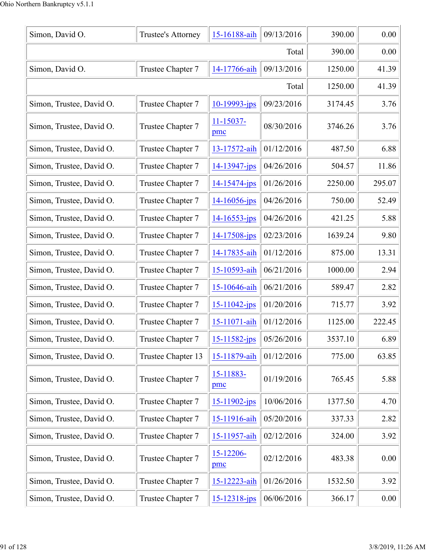| Simon, David O.          | Trustee's Attorney | 15-16188-aih          | 09/13/2016 | 390.00  | 0.00     |
|--------------------------|--------------------|-----------------------|------------|---------|----------|
|                          | 390.00             | 0.00                  |            |         |          |
| Simon, David O.          | Trustee Chapter 7  | 14-17766-aih          | 09/13/2016 | 1250.00 | 41.39    |
|                          |                    |                       | Total      | 1250.00 | 41.39    |
| Simon, Trustee, David O. | Trustee Chapter 7  | $10 - 19993 - jps$    | 09/23/2016 | 3174.45 | 3.76     |
| Simon, Trustee, David O. | Trustee Chapter 7  | $11 - 15037 -$<br>pmc | 08/30/2016 | 3746.26 | 3.76     |
| Simon, Trustee, David O. | Trustee Chapter 7  | 13-17572-aih          | 01/12/2016 | 487.50  | 6.88     |
| Simon, Trustee, David O. | Trustee Chapter 7  | 14-13947-jps          | 04/26/2016 | 504.57  | 11.86    |
| Simon, Trustee, David O. | Trustee Chapter 7  | 14-15474-jps          | 01/26/2016 | 2250.00 | 295.07   |
| Simon, Trustee, David O. | Trustee Chapter 7  | $14 - 16056$ -jps     | 04/26/2016 | 750.00  | 52.49    |
| Simon, Trustee, David O. | Trustee Chapter 7  | $14 - 16553$ -jps     | 04/26/2016 | 421.25  | 5.88     |
| Simon, Trustee, David O. | Trustee Chapter 7  | 14-17508-jps          | 02/23/2016 | 1639.24 | 9.80     |
| Simon, Trustee, David O. | Trustee Chapter 7  | 14-17835-aih          | 01/12/2016 | 875.00  | 13.31    |
| Simon, Trustee, David O. | Trustee Chapter 7  | 15-10593-aih          | 06/21/2016 | 1000.00 | 2.94     |
| Simon, Trustee, David O. | Trustee Chapter 7  | 15-10646-aih          | 06/21/2016 | 589.47  | 2.82     |
| Simon, Trustee, David O. | Trustee Chapter 7  | 15-11042-jps          | 01/20/2016 | 715.77  | 3.92     |
| Simon, Trustee, David O. | Trustee Chapter 7  | 15-11071-aih          | 01/12/2016 | 1125.00 | 222.45   |
| Simon, Trustee, David O. | Trustee Chapter 7  | 15-11582-jps          | 05/26/2016 | 3537.10 | 6.89     |
| Simon, Trustee, David O. | Trustee Chapter 13 | 15-11879-aih          | 01/12/2016 | 775.00  | 63.85    |
| Simon, Trustee, David O. | Trustee Chapter 7  | 15-11883-<br>pmc      | 01/19/2016 | 765.45  | 5.88     |
| Simon, Trustee, David O. | Trustee Chapter 7  | 15-11902-jps          | 10/06/2016 | 1377.50 | 4.70     |
| Simon, Trustee, David O. | Trustee Chapter 7  | 15-11916-aih          | 05/20/2016 | 337.33  | 2.82     |
| Simon, Trustee, David O. | Trustee Chapter 7  | 15-11957-aih          | 02/12/2016 | 324.00  | 3.92     |
| Simon, Trustee, David O. | Trustee Chapter 7  | 15-12206-<br>pmc      | 02/12/2016 | 483.38  | 0.00     |
| Simon, Trustee, David O. | Trustee Chapter 7  | 15-12223-aih          | 01/26/2016 | 1532.50 | 3.92     |
| Simon, Trustee, David O. | Trustee Chapter 7  | 15-12318-jps          | 06/06/2016 | 366.17  | $0.00\,$ |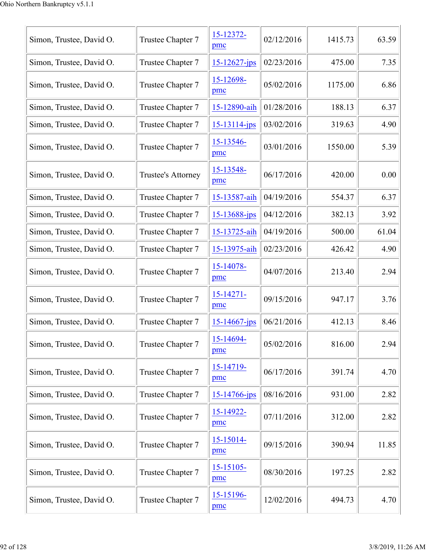| Simon, Trustee, David O. | Trustee Chapter 7  | 15-12372-<br>pmc      | 02/12/2016 | 1415.73 | 63.59 |
|--------------------------|--------------------|-----------------------|------------|---------|-------|
| Simon, Trustee, David O. | Trustee Chapter 7  | $15 - 12627 - jps$    | 02/23/2016 | 475.00  | 7.35  |
| Simon, Trustee, David O. | Trustee Chapter 7  | 15-12698-<br>pmc      | 05/02/2016 | 1175.00 | 6.86  |
| Simon, Trustee, David O. | Trustee Chapter 7  | 15-12890-aih          | 01/28/2016 | 188.13  | 6.37  |
| Simon, Trustee, David O. | Trustee Chapter 7  | 15-13114-jps          | 03/02/2016 | 319.63  | 4.90  |
| Simon, Trustee, David O. | Trustee Chapter 7  | 15-13546-<br>pmc      | 03/01/2016 | 1550.00 | 5.39  |
| Simon, Trustee, David O. | Trustee's Attorney | 15-13548-<br>pmc      | 06/17/2016 | 420.00  | 0.00  |
| Simon, Trustee, David O. | Trustee Chapter 7  | 15-13587-aih          | 04/19/2016 | 554.37  | 6.37  |
| Simon, Trustee, David O. | Trustee Chapter 7  | 15-13688-jps          | 04/12/2016 | 382.13  | 3.92  |
| Simon, Trustee, David O. | Trustee Chapter 7  | 15-13725-aih          | 04/19/2016 | 500.00  | 61.04 |
| Simon, Trustee, David O. | Trustee Chapter 7  | 15-13975-aih          | 02/23/2016 | 426.42  | 4.90  |
| Simon, Trustee, David O. | Trustee Chapter 7  | 15-14078-<br>pmc      | 04/07/2016 | 213.40  | 2.94  |
| Simon, Trustee, David O. | Trustee Chapter 7  | $15 - 14271 -$<br>pmc | 09/15/2016 | 947.17  | 3.76  |
| Simon, Trustee, David O. | Trustee Chapter 7  | $15 - 14667$ -jps     | 06/21/2016 | 412.13  | 8.46  |
| Simon, Trustee, David O. | Trustee Chapter 7  | 15-14694-<br>pmc      | 05/02/2016 | 816.00  | 2.94  |
| Simon, Trustee, David O. | Trustee Chapter 7  | 15-14719-<br>pmc      | 06/17/2016 | 391.74  | 4.70  |
| Simon, Trustee, David O. | Trustee Chapter 7  | $15 - 14766$ -jps     | 08/16/2016 | 931.00  | 2.82  |
| Simon, Trustee, David O. | Trustee Chapter 7  | 15-14922-<br>pmc      | 07/11/2016 | 312.00  | 2.82  |
| Simon, Trustee, David O. | Trustee Chapter 7  | 15-15014-<br>pmc      | 09/15/2016 | 390.94  | 11.85 |
| Simon, Trustee, David O. | Trustee Chapter 7  | $15 - 15105$<br>pmc   | 08/30/2016 | 197.25  | 2.82  |
| Simon, Trustee, David O. | Trustee Chapter 7  | 15-15196-<br>pmc      | 12/02/2016 | 494.73  | 4.70  |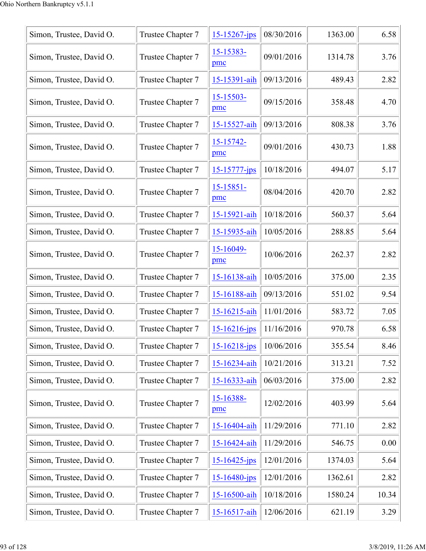| Simon, Trustee, David O. | Trustee Chapter 7 | $15 - 15267$ -jps  | 08/30/2016 | 1363.00 | 6.58  |
|--------------------------|-------------------|--------------------|------------|---------|-------|
| Simon, Trustee, David O. | Trustee Chapter 7 | 15-15383-<br>pmc   | 09/01/2016 | 1314.78 | 3.76  |
| Simon, Trustee, David O. | Trustee Chapter 7 | 15-15391-aih       | 09/13/2016 | 489.43  | 2.82  |
| Simon, Trustee, David O. | Trustee Chapter 7 | 15-15503-<br>pmc   | 09/15/2016 | 358.48  | 4.70  |
| Simon, Trustee, David O. | Trustee Chapter 7 | 15-15527-aih       | 09/13/2016 | 808.38  | 3.76  |
| Simon, Trustee, David O. | Trustee Chapter 7 | 15-15742-<br>pmc   | 09/01/2016 | 430.73  | 1.88  |
| Simon, Trustee, David O. | Trustee Chapter 7 | $15 - 15777 - jps$ | 10/18/2016 | 494.07  | 5.17  |
| Simon, Trustee, David O. | Trustee Chapter 7 | 15-15851-<br>pmc   | 08/04/2016 | 420.70  | 2.82  |
| Simon, Trustee, David O. | Trustee Chapter 7 | 15-15921-aih       | 10/18/2016 | 560.37  | 5.64  |
| Simon, Trustee, David O. | Trustee Chapter 7 | 15-15935-aih       | 10/05/2016 | 288.85  | 5.64  |
| Simon, Trustee, David O. | Trustee Chapter 7 | 15-16049-<br>pmc   | 10/06/2016 | 262.37  | 2.82  |
| Simon, Trustee, David O. | Trustee Chapter 7 | 15-16138-aih       | 10/05/2016 | 375.00  | 2.35  |
| Simon, Trustee, David O. | Trustee Chapter 7 | 15-16188-aih       | 09/13/2016 | 551.02  | 9.54  |
| Simon, Trustee, David O. | Trustee Chapter 7 | 15-16215-aih       | 11/01/2016 | 583.72  | 7.05  |
| Simon, Trustee, David O. | Trustee Chapter 7 | $15 - 16216$ -jps  | 11/16/2016 | 970.78  | 6.58  |
| Simon, Trustee, David O. | Trustee Chapter 7 | $15 - 16218$ -jps  | 10/06/2016 | 355.54  | 8.46  |
| Simon, Trustee, David O. | Trustee Chapter 7 | 15-16234-aih       | 10/21/2016 | 313.21  | 7.52  |
| Simon, Trustee, David O. | Trustee Chapter 7 | 15-16333-aih       | 06/03/2016 | 375.00  | 2.82  |
| Simon, Trustee, David O. | Trustee Chapter 7 | 15-16388-<br>pmc   | 12/02/2016 | 403.99  | 5.64  |
| Simon, Trustee, David O. | Trustee Chapter 7 | 15-16404-aih       | 11/29/2016 | 771.10  | 2.82  |
| Simon, Trustee, David O. | Trustee Chapter 7 | 15-16424-aih       | 11/29/2016 | 546.75  | 0.00  |
| Simon, Trustee, David O. | Trustee Chapter 7 | $15 - 16425 - ips$ | 12/01/2016 | 1374.03 | 5.64  |
| Simon, Trustee, David O. | Trustee Chapter 7 | 15-16480-jps       | 12/01/2016 | 1362.61 | 2.82  |
| Simon, Trustee, David O. | Trustee Chapter 7 | 15-16500-aih       | 10/18/2016 | 1580.24 | 10.34 |
| Simon, Trustee, David O. | Trustee Chapter 7 | 15-16517-aih       | 12/06/2016 | 621.19  | 3.29  |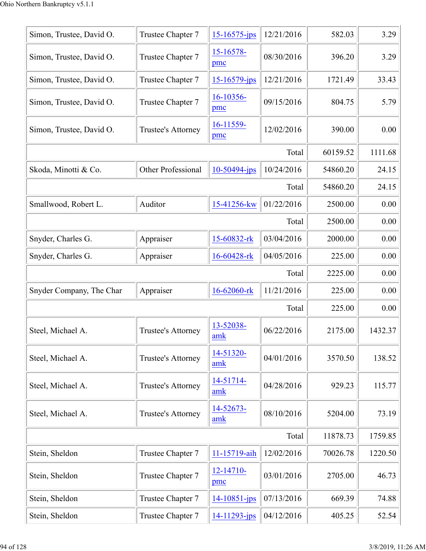| Simon, Trustee, David O. | Trustee Chapter 7         | $15 - 16575$ -jps           | 12/21/2016 | 582.03   | 3.29    |
|--------------------------|---------------------------|-----------------------------|------------|----------|---------|
| Simon, Trustee, David O. | Trustee Chapter 7         | 15-16578-<br>pmc            | 08/30/2016 | 396.20   | 3.29    |
| Simon, Trustee, David O. | Trustee Chapter 7         | $15 - 16579 - ips$          | 12/21/2016 | 1721.49  | 33.43   |
| Simon, Trustee, David O. | Trustee Chapter 7         | 16-10356-<br>pmc            | 09/15/2016 | 804.75   | 5.79    |
| Simon, Trustee, David O. | Trustee's Attorney        | 16-11559-<br>pmc            | 12/02/2016 | 390.00   | 0.00    |
|                          |                           |                             | Total      | 60159.52 | 1111.68 |
| Skoda, Minotti & Co.     | <b>Other Professional</b> | 10-50494-jps                | 10/24/2016 | 54860.20 | 24.15   |
|                          |                           |                             | Total      | 54860.20 | 24.15   |
| Smallwood, Robert L.     | Auditor                   | 15-41256-kw                 | 01/22/2016 | 2500.00  | 0.00    |
|                          |                           |                             | Total      | 2500.00  | 0.00    |
| Snyder, Charles G.       | Appraiser                 | 15-60832-rk                 | 03/04/2016 | 2000.00  | 0.00    |
| Snyder, Charles G.       | Appraiser                 | 16-60428-rk                 | 04/05/2016 | 225.00   | 0.00    |
|                          |                           |                             | Total      | 2225.00  | 0.00    |
| Snyder Company, The Char | Appraiser                 | 16-62060-rk                 | 11/21/2016 | 225.00   | 0.00    |
|                          |                           |                             | Total      | 225.00   | 0.00    |
| Steel, Michael A.        | Trustee's Attorney        | 13-52038-<br>$\mathbf{amk}$ | 06/22/2016 | 2175.00  | 1432.37 |
| Steel, Michael A.        | Trustee's Attorney        | 14-51320-<br>amk            | 04/01/2016 | 3570.50  | 138.52  |
| Steel, Michael A.        | Trustee's Attorney        | 14-51714-<br>amk            | 04/28/2016 | 929.23   | 115.77  |
| Steel, Michael A.        | Trustee's Attorney        | 14-52673-<br>amk            | 08/10/2016 | 5204.00  | 73.19   |
|                          |                           |                             | Total      | 11878.73 | 1759.85 |
| Stein, Sheldon           | Trustee Chapter 7         | 11-15719-aih                | 12/02/2016 | 70026.78 | 1220.50 |
| Stein, Sheldon           | Trustee Chapter 7         | 12-14710-<br>pmc            | 03/01/2016 | 2705.00  | 46.73   |
| Stein, Sheldon           | Trustee Chapter 7         | $14 - 10851 - ips$          | 07/13/2016 | 669.39   | 74.88   |
| Stein, Sheldon           | Trustee Chapter 7         | 14-11293-jps                | 04/12/2016 | 405.25   | 52.54   |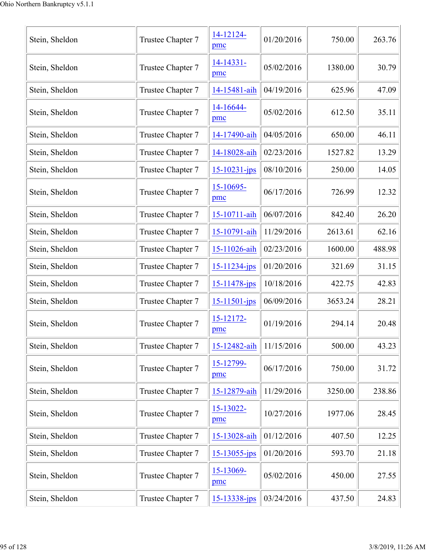| Stein, Sheldon | Trustee Chapter 7 | 14-12124-<br>pmc   | 01/20/2016 | 750.00  | 263.76 |
|----------------|-------------------|--------------------|------------|---------|--------|
| Stein, Sheldon | Trustee Chapter 7 | 14-14331-<br>pmc   | 05/02/2016 | 1380.00 | 30.79  |
| Stein, Sheldon | Trustee Chapter 7 | 14-15481-aih       | 04/19/2016 | 625.96  | 47.09  |
| Stein, Sheldon | Trustee Chapter 7 | 14-16644-<br>pmc   | 05/02/2016 | 612.50  | 35.11  |
| Stein, Sheldon | Trustee Chapter 7 | 14-17490-aih       | 04/05/2016 | 650.00  | 46.11  |
| Stein, Sheldon | Trustee Chapter 7 | 14-18028-aih       | 02/23/2016 | 1527.82 | 13.29  |
| Stein, Sheldon | Trustee Chapter 7 | $15 - 10231 - jps$ | 08/10/2016 | 250.00  | 14.05  |
| Stein, Sheldon | Trustee Chapter 7 | 15-10695-<br>pmc   | 06/17/2016 | 726.99  | 12.32  |
| Stein, Sheldon | Trustee Chapter 7 | 15-10711-aih       | 06/07/2016 | 842.40  | 26.20  |
| Stein, Sheldon | Trustee Chapter 7 | 15-10791-aih       | 11/29/2016 | 2613.61 | 62.16  |
| Stein, Sheldon | Trustee Chapter 7 | 15-11026-aih       | 02/23/2016 | 1600.00 | 488.98 |
| Stein, Sheldon | Trustee Chapter 7 | 15-11234-jps       | 01/20/2016 | 321.69  | 31.15  |
| Stein, Sheldon | Trustee Chapter 7 | 15-11478-jps       | 10/18/2016 | 422.75  | 42.83  |
| Stein, Sheldon | Trustee Chapter 7 | $15 - 11501 - ips$ | 06/09/2016 | 3653.24 | 28.21  |
| Stein, Sheldon | Trustee Chapter 7 | 15-12172-<br>pmc   | 01/19/2016 | 294.14  | 20.48  |
| Stein, Sheldon | Trustee Chapter 7 | 15-12482-aih       | 11/15/2016 | 500.00  | 43.23  |
| Stein, Sheldon | Trustee Chapter 7 | 15-12799-<br>pmc   | 06/17/2016 | 750.00  | 31.72  |
| Stein, Sheldon | Trustee Chapter 7 | 15-12879-aih       | 11/29/2016 | 3250.00 | 238.86 |
| Stein, Sheldon | Trustee Chapter 7 | 15-13022-<br>pmc   | 10/27/2016 | 1977.06 | 28.45  |
| Stein, Sheldon | Trustee Chapter 7 | 15-13028-aih       | 01/12/2016 | 407.50  | 12.25  |
| Stein, Sheldon | Trustee Chapter 7 | 15-13055-jps       | 01/20/2016 | 593.70  | 21.18  |
| Stein, Sheldon | Trustee Chapter 7 | 15-13069-<br>pmc   | 05/02/2016 | 450.00  | 27.55  |
| Stein, Sheldon | Trustee Chapter 7 | 15-13338-jps       | 03/24/2016 | 437.50  | 24.83  |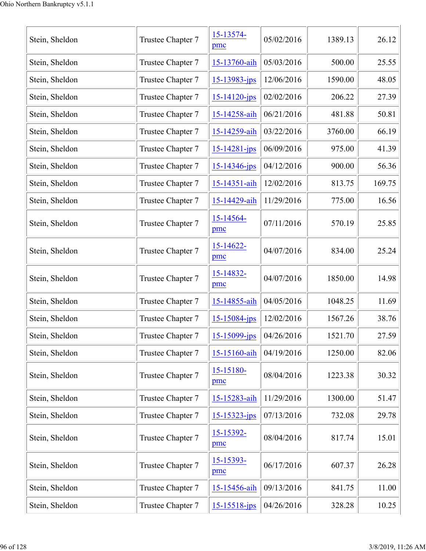| Stein, Sheldon | Trustee Chapter 7 | 15-13574-<br>pmc   | 05/02/2016 | 1389.13 | 26.12  |
|----------------|-------------------|--------------------|------------|---------|--------|
| Stein, Sheldon | Trustee Chapter 7 | 15-13760-aih       | 05/03/2016 | 500.00  | 25.55  |
| Stein, Sheldon | Trustee Chapter 7 | 15-13983-jps       | 12/06/2016 | 1590.00 | 48.05  |
| Stein, Sheldon | Trustee Chapter 7 | $15 - 14120 - ips$ | 02/02/2016 | 206.22  | 27.39  |
| Stein, Sheldon | Trustee Chapter 7 | 15-14258-aih       | 06/21/2016 | 481.88  | 50.81  |
| Stein, Sheldon | Trustee Chapter 7 | 15-14259-aih       | 03/22/2016 | 3760.00 | 66.19  |
| Stein, Sheldon | Trustee Chapter 7 | 15-14281-jps       | 06/09/2016 | 975.00  | 41.39  |
| Stein, Sheldon | Trustee Chapter 7 | 15-14346-jps       | 04/12/2016 | 900.00  | 56.36  |
| Stein, Sheldon | Trustee Chapter 7 | 15-14351-aih       | 12/02/2016 | 813.75  | 169.75 |
| Stein, Sheldon | Trustee Chapter 7 | 15-14429-aih       | 11/29/2016 | 775.00  | 16.56  |
| Stein, Sheldon | Trustee Chapter 7 | 15-14564-<br>pmc   | 07/11/2016 | 570.19  | 25.85  |
| Stein, Sheldon | Trustee Chapter 7 | 15-14622-<br>pmc   | 04/07/2016 | 834.00  | 25.24  |
| Stein, Sheldon | Trustee Chapter 7 | 15-14832-<br>pmc   | 04/07/2016 | 1850.00 | 14.98  |
| Stein, Sheldon | Trustee Chapter 7 | 15-14855-aih       | 04/05/2016 | 1048.25 | 11.69  |
| Stein, Sheldon | Trustee Chapter 7 | 15-15084-jps       | 12/02/2016 | 1567.26 | 38.76  |
| Stein, Sheldon | Trustee Chapter 7 | 15-15099-jps       | 04/26/2016 | 1521.70 | 27.59  |
| Stein, Sheldon | Trustee Chapter 7 | 15-15160-aih       | 04/19/2016 | 1250.00 | 82.06  |
| Stein, Sheldon | Trustee Chapter 7 | 15-15180-<br>pmc   | 08/04/2016 | 1223.38 | 30.32  |
| Stein, Sheldon | Trustee Chapter 7 | 15-15283-aih       | 11/29/2016 | 1300.00 | 51.47  |
| Stein, Sheldon | Trustee Chapter 7 | 15-15323-jps       | 07/13/2016 | 732.08  | 29.78  |
| Stein, Sheldon | Trustee Chapter 7 | 15-15392-<br>pmc   | 08/04/2016 | 817.74  | 15.01  |
| Stein, Sheldon | Trustee Chapter 7 | 15-15393-<br>pmc   | 06/17/2016 | 607.37  | 26.28  |
| Stein, Sheldon | Trustee Chapter 7 | 15-15456-aih       | 09/13/2016 | 841.75  | 11.00  |
| Stein, Sheldon | Trustee Chapter 7 | 15-15518-jps       | 04/26/2016 | 328.28  | 10.25  |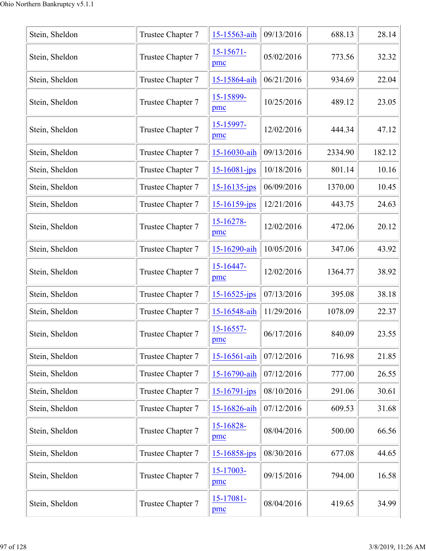| Stein, Sheldon | Trustee Chapter 7 | 15-15563-aih          | 09/13/2016 | 688.13  | 28.14  |
|----------------|-------------------|-----------------------|------------|---------|--------|
| Stein, Sheldon | Trustee Chapter 7 | $15 - 15671 -$<br>pmc | 05/02/2016 | 773.56  | 32.32  |
| Stein, Sheldon | Trustee Chapter 7 | 15-15864-aih          | 06/21/2016 | 934.69  | 22.04  |
| Stein, Sheldon | Trustee Chapter 7 | 15-15899-<br>pmc      | 10/25/2016 | 489.12  | 23.05  |
| Stein, Sheldon | Trustee Chapter 7 | 15-15997-<br>pmc      | 12/02/2016 | 444.34  | 47.12  |
| Stein, Sheldon | Trustee Chapter 7 | 15-16030-aih          | 09/13/2016 | 2334.90 | 182.12 |
| Stein, Sheldon | Trustee Chapter 7 | 15-16081-jps          | 10/18/2016 | 801.14  | 10.16  |
| Stein, Sheldon | Trustee Chapter 7 | 15-16135-jps          | 06/09/2016 | 1370.00 | 10.45  |
| Stein, Sheldon | Trustee Chapter 7 | $15 - 16159$ -jps     | 12/21/2016 | 443.75  | 24.63  |
| Stein, Sheldon | Trustee Chapter 7 | $15 - 16278$<br>pmc   | 12/02/2016 | 472.06  | 20.12  |
| Stein, Sheldon | Trustee Chapter 7 | 15-16290-aih          | 10/05/2016 | 347.06  | 43.92  |
| Stein, Sheldon | Trustee Chapter 7 | 15-16447-<br>pmc      | 12/02/2016 | 1364.77 | 38.92  |
| Stein, Sheldon | Trustee Chapter 7 | 15-16525-jps          | 07/13/2016 | 395.08  | 38.18  |
| Stein, Sheldon | Trustee Chapter 7 | 15-16548-aih          | 11/29/2016 | 1078.09 | 22.37  |
| Stein, Sheldon | Trustee Chapter 7 | $15 - 16557$ -<br>pmc | 06/17/2016 | 840.09  | 23.55  |
| Stein, Sheldon | Trustee Chapter 7 | 15-16561-aih          | 07/12/2016 | 716.98  | 21.85  |
| Stein, Sheldon | Trustee Chapter 7 | 15-16790-aih          | 07/12/2016 | 777.00  | 26.55  |
| Stein, Sheldon | Trustee Chapter 7 | $15 - 16791 - ips$    | 08/10/2016 | 291.06  | 30.61  |
| Stein, Sheldon | Trustee Chapter 7 | 15-16826-aih          | 07/12/2016 | 609.53  | 31.68  |
| Stein, Sheldon | Trustee Chapter 7 | 15-16828-<br>pmc      | 08/04/2016 | 500.00  | 66.56  |
| Stein, Sheldon | Trustee Chapter 7 | 15-16858-jps          | 08/30/2016 | 677.08  | 44.65  |
| Stein, Sheldon | Trustee Chapter 7 | 15-17003-<br>pmc      | 09/15/2016 | 794.00  | 16.58  |
| Stein, Sheldon | Trustee Chapter 7 | $15 - 17081 -$<br>pmc | 08/04/2016 | 419.65  | 34.99  |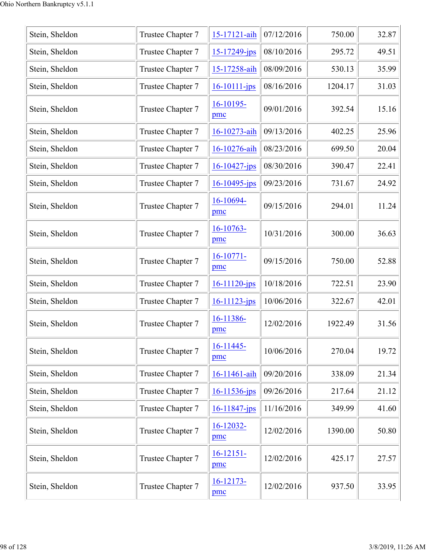| Stein, Sheldon | Trustee Chapter 7 | 15-17121-aih          | 07/12/2016 | 750.00  | 32.87 |
|----------------|-------------------|-----------------------|------------|---------|-------|
| Stein, Sheldon | Trustee Chapter 7 | 15-17249-jps          | 08/10/2016 | 295.72  | 49.51 |
| Stein, Sheldon | Trustee Chapter 7 | 15-17258-aih          | 08/09/2016 | 530.13  | 35.99 |
| Stein, Sheldon | Trustee Chapter 7 | $16 - 10111 - ips$    | 08/16/2016 | 1204.17 | 31.03 |
| Stein, Sheldon | Trustee Chapter 7 | 16-10195-<br>pmc      | 09/01/2016 | 392.54  | 15.16 |
| Stein, Sheldon | Trustee Chapter 7 | 16-10273-aih          | 09/13/2016 | 402.25  | 25.96 |
| Stein, Sheldon | Trustee Chapter 7 | 16-10276-aih          | 08/23/2016 | 699.50  | 20.04 |
| Stein, Sheldon | Trustee Chapter 7 | $16 - 10427$ -jps     | 08/30/2016 | 390.47  | 22.41 |
| Stein, Sheldon | Trustee Chapter 7 | $16 - 10495$ -jps     | 09/23/2016 | 731.67  | 24.92 |
| Stein, Sheldon | Trustee Chapter 7 | 16-10694-<br>pmc      | 09/15/2016 | 294.01  | 11.24 |
| Stein, Sheldon | Trustee Chapter 7 | 16-10763-<br>pmc      | 10/31/2016 | 300.00  | 36.63 |
| Stein, Sheldon | Trustee Chapter 7 | $16-10771-$<br>pmc    | 09/15/2016 | 750.00  | 52.88 |
| Stein, Sheldon | Trustee Chapter 7 | $16 - 11120$ -jps     | 10/18/2016 | 722.51  | 23.90 |
| Stein, Sheldon | Trustee Chapter 7 | 16-11123-jps          | 10/06/2016 | 322.67  | 42.01 |
| Stein, Sheldon | Trustee Chapter 7 | 16-11386-<br>pmc      | 12/02/2016 | 1922.49 | 31.56 |
| Stein, Sheldon | Trustee Chapter 7 | $16 - 11445 -$<br>pmc | 10/06/2016 | 270.04  | 19.72 |
| Stein, Sheldon | Trustee Chapter 7 | 16-11461-aih          | 09/20/2016 | 338.09  | 21.34 |
| Stein, Sheldon | Trustee Chapter 7 | 16-11536-jps          | 09/26/2016 | 217.64  | 21.12 |
| Stein, Sheldon | Trustee Chapter 7 | $16 - 11847$ -jps     | 11/16/2016 | 349.99  | 41.60 |
| Stein, Sheldon | Trustee Chapter 7 | 16-12032-<br>pmc      | 12/02/2016 | 1390.00 | 50.80 |
| Stein, Sheldon | Trustee Chapter 7 | $16 - 12151 -$<br>pmc | 12/02/2016 | 425.17  | 27.57 |
| Stein, Sheldon | Trustee Chapter 7 | $16 - 12173 -$<br>pmc | 12/02/2016 | 937.50  | 33.95 |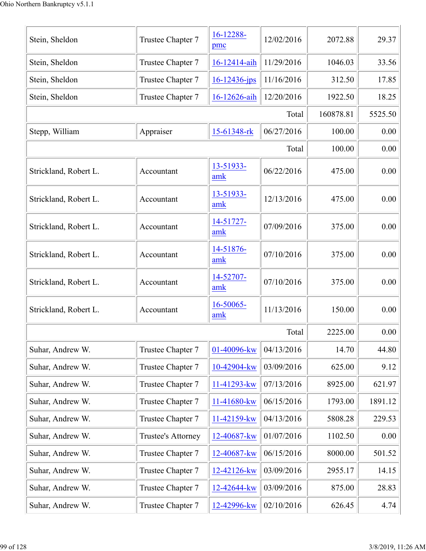| Stein, Sheldon        | Trustee Chapter 7  | 16-12288-<br>pmc   | 12/02/2016 | 2072.88   | 29.37   |
|-----------------------|--------------------|--------------------|------------|-----------|---------|
| Stein, Sheldon        | Trustee Chapter 7  | 16-12414-aih       | 11/29/2016 | 1046.03   | 33.56   |
| Stein, Sheldon        | Trustee Chapter 7  | $16 - 12436 - ips$ | 11/16/2016 | 312.50    | 17.85   |
| Stein, Sheldon        | Trustee Chapter 7  | 16-12626-aih       | 12/20/2016 | 1922.50   | 18.25   |
|                       |                    |                    | Total      | 160878.81 | 5525.50 |
| Stepp, William        | Appraiser          | 15-61348-rk        | 06/27/2016 | 100.00    | 0.00    |
|                       |                    |                    | Total      | 100.00    | 0.00    |
| Strickland, Robert L. | Accountant         | 13-51933-<br>amk   | 06/22/2016 | 475.00    | 0.00    |
| Strickland, Robert L. | Accountant         | 13-51933-<br>amk   | 12/13/2016 | 475.00    | 0.00    |
| Strickland, Robert L. | Accountant         | 14-51727-<br>amk   | 07/09/2016 | 375.00    | 0.00    |
| Strickland, Robert L. | Accountant         | 14-51876-<br>amk   | 07/10/2016 | 375.00    | 0.00    |
| Strickland, Robert L. | Accountant         | 14-52707-<br>amk   | 07/10/2016 | 375.00    | 0.00    |
| Strickland, Robert L. | Accountant         | 16-50065-<br>amk   | 11/13/2016 | 150.00    | 0.00    |
|                       |                    |                    | Total      | 2225.00   | 0.00    |
| Suhar, Andrew W.      | Trustee Chapter 7  | 01-40096-kw        | 04/13/2016 | 14.70     | 44.80   |
| Suhar, Andrew W.      | Trustee Chapter 7  | 10-42904-kw        | 03/09/2016 | 625.00    | 9.12    |
| Suhar, Andrew W.      | Trustee Chapter 7  | 11-41293-kw        | 07/13/2016 | 8925.00   | 621.97  |
| Suhar, Andrew W.      | Trustee Chapter 7  | 11-41680-kw        | 06/15/2016 | 1793.00   | 1891.12 |
| Suhar, Andrew W.      | Trustee Chapter 7  | 11-42159-kw        | 04/13/2016 | 5808.28   | 229.53  |
| Suhar, Andrew W.      | Trustee's Attorney | 12-40687-kw        | 01/07/2016 | 1102.50   | 0.00    |
| Suhar, Andrew W.      | Trustee Chapter 7  | 12-40687-kw        | 06/15/2016 | 8000.00   | 501.52  |
| Suhar, Andrew W.      | Trustee Chapter 7  | 12-42126-kw        | 03/09/2016 | 2955.17   | 14.15   |
| Suhar, Andrew W.      | Trustee Chapter 7  | 12-42644-kw        | 03/09/2016 | 875.00    | 28.83   |
| Suhar, Andrew W.      | Trustee Chapter 7  | 12-42996-kw        | 02/10/2016 | 626.45    | 4.74    |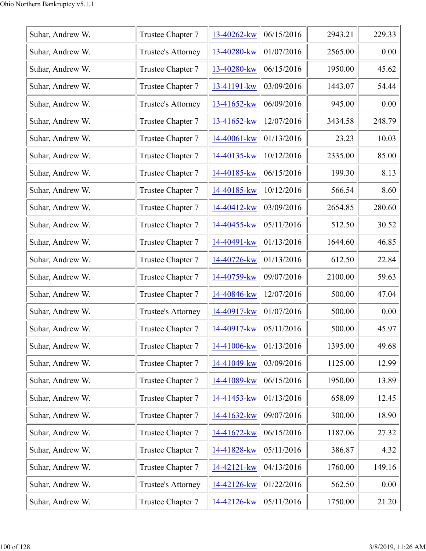| Suhar, Andrew W. | Trustee Chapter 7         | 13-40262-kw | 06/15/2016 | 2943.21 | 229.33 |
|------------------|---------------------------|-------------|------------|---------|--------|
| Suhar, Andrew W. | Trustee's Attorney        | 13-40280-kw | 01/07/2016 | 2565.00 | 0.00   |
| Suhar, Andrew W. | Trustee Chapter 7         | 13-40280-kw | 06/15/2016 | 1950.00 | 45.62  |
| Suhar, Andrew W. | Trustee Chapter 7         | 13-41191-kw | 03/09/2016 | 1443.07 | 54.44  |
| Suhar, Andrew W. | Trustee's Attorney        | 13-41652-kw | 06/09/2016 | 945.00  | 0.00   |
| Suhar, Andrew W. | Trustee Chapter 7         | 13-41652-kw | 12/07/2016 | 3434.58 | 248.79 |
| Suhar, Andrew W. | Trustee Chapter 7         | 14-40061-kw | 01/13/2016 | 23.23   | 10.03  |
| Suhar, Andrew W. | Trustee Chapter 7         | 14-40135-kw | 10/12/2016 | 2335.00 | 85.00  |
| Suhar, Andrew W. | Trustee Chapter 7         | 14-40185-kw | 06/15/2016 | 199.30  | 8.13   |
| Suhar, Andrew W. | Trustee Chapter 7         | 14-40185-kw | 10/12/2016 | 566.54  | 8.60   |
| Suhar, Andrew W. | Trustee Chapter 7         | 14-40412-kw | 03/09/2016 | 2654.85 | 280.60 |
| Suhar, Andrew W. | Trustee Chapter 7         | 14-40455-kw | 05/11/2016 | 512.50  | 30.52  |
| Suhar, Andrew W. | Trustee Chapter 7         | 14-40491-kw | 01/13/2016 | 1644.60 | 46.85  |
| Suhar, Andrew W. | Trustee Chapter 7         | 14-40726-kw | 01/13/2016 | 612.50  | 22.84  |
| Suhar, Andrew W. | Trustee Chapter 7         | 14-40759-kw | 09/07/2016 | 2100.00 | 59.63  |
| Suhar, Andrew W. | Trustee Chapter 7         | 14-40846-kw | 12/07/2016 | 500.00  | 47.04  |
| Suhar, Andrew W. | Trustee's Attorney        | 14-40917-kw | 01/07/2016 | 500.00  | 0.00   |
| Suhar, Andrew W. | Trustee Chapter 7         | 14-40917-kw | 05/11/2016 | 500.00  | 45.97  |
| Suhar, Andrew W. | Trustee Chapter 7         | 14-41006-kw | 01/13/2016 | 1395.00 | 49.68  |
| Suhar, Andrew W. | Trustee Chapter 7         | 14-41049-kw | 03/09/2016 | 1125.00 | 12.99  |
| Suhar, Andrew W. | Trustee Chapter 7         | 14-41089-kw | 06/15/2016 | 1950.00 | 13.89  |
| Suhar, Andrew W. | Trustee Chapter 7         | 14-41453-kw | 01/13/2016 | 658.09  | 12.45  |
| Suhar, Andrew W. | Trustee Chapter 7         | 14-41632-kw | 09/07/2016 | 300.00  | 18.90  |
| Suhar, Andrew W. | Trustee Chapter 7         | 14-41672-kw | 06/15/2016 | 1187.06 | 27.32  |
| Suhar, Andrew W. | Trustee Chapter 7         | 14-41828-kw | 05/11/2016 | 386.87  | 4.32   |
| Suhar, Andrew W. | Trustee Chapter 7         | 14-42121-kw | 04/13/2016 | 1760.00 | 149.16 |
| Suhar, Andrew W. | <b>Trustee's Attorney</b> | 14-42126-kw | 01/22/2016 | 562.50  | 0.00   |
| Suhar, Andrew W. | Trustee Chapter 7         | 14-42126-kw | 05/11/2016 | 1750.00 | 21.20  |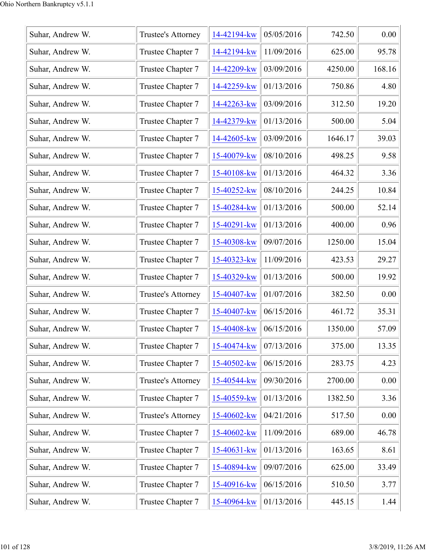| Suhar, Andrew W. | Trustee's Attorney | 14-42194-kw | 05/05/2016 | 742.50  | 0.00   |
|------------------|--------------------|-------------|------------|---------|--------|
| Suhar, Andrew W. | Trustee Chapter 7  | 14-42194-kw | 11/09/2016 | 625.00  | 95.78  |
| Suhar, Andrew W. | Trustee Chapter 7  | 14-42209-kw | 03/09/2016 | 4250.00 | 168.16 |
| Suhar, Andrew W. | Trustee Chapter 7  | 14-42259-kw | 01/13/2016 | 750.86  | 4.80   |
| Suhar, Andrew W. | Trustee Chapter 7  | 14-42263-kw | 03/09/2016 | 312.50  | 19.20  |
| Suhar, Andrew W. | Trustee Chapter 7  | 14-42379-kw | 01/13/2016 | 500.00  | 5.04   |
| Suhar, Andrew W. | Trustee Chapter 7  | 14-42605-kw | 03/09/2016 | 1646.17 | 39.03  |
| Suhar, Andrew W. | Trustee Chapter 7  | 15-40079-kw | 08/10/2016 | 498.25  | 9.58   |
| Suhar, Andrew W. | Trustee Chapter 7  | 15-40108-kw | 01/13/2016 | 464.32  | 3.36   |
| Suhar, Andrew W. | Trustee Chapter 7  | 15-40252-kw | 08/10/2016 | 244.25  | 10.84  |
| Suhar, Andrew W. | Trustee Chapter 7  | 15-40284-kw | 01/13/2016 | 500.00  | 52.14  |
| Suhar, Andrew W. | Trustee Chapter 7  | 15-40291-kw | 01/13/2016 | 400.00  | 0.96   |
| Suhar, Andrew W. | Trustee Chapter 7  | 15-40308-kw | 09/07/2016 | 1250.00 | 15.04  |
| Suhar, Andrew W. | Trustee Chapter 7  | 15-40323-kw | 11/09/2016 | 423.53  | 29.27  |
| Suhar, Andrew W. | Trustee Chapter 7  | 15-40329-kw | 01/13/2016 | 500.00  | 19.92  |
| Suhar, Andrew W. | Trustee's Attorney | 15-40407-kw | 01/07/2016 | 382.50  | 0.00   |
| Suhar, Andrew W. | Trustee Chapter 7  | 15-40407-kw | 06/15/2016 | 461.72  | 35.31  |
| Suhar, Andrew W. | Trustee Chapter 7  | 15-40408-kw | 06/15/2016 | 1350.00 | 57.09  |
| Suhar, Andrew W. | Trustee Chapter 7  | 15-40474-kw | 07/13/2016 | 375.00  | 13.35  |
| Suhar, Andrew W. | Trustee Chapter 7  | 15-40502-kw | 06/15/2016 | 283.75  | 4.23   |
| Suhar, Andrew W. | Trustee's Attorney | 15-40544-kw | 09/30/2016 | 2700.00 | 0.00   |
| Suhar, Andrew W. | Trustee Chapter 7  | 15-40559-kw | 01/13/2016 | 1382.50 | 3.36   |
| Suhar, Andrew W. | Trustee's Attorney | 15-40602-kw | 04/21/2016 | 517.50  | 0.00   |
| Suhar, Andrew W. | Trustee Chapter 7  | 15-40602-kw | 11/09/2016 | 689.00  | 46.78  |
| Suhar, Andrew W. | Trustee Chapter 7  | 15-40631-kw | 01/13/2016 | 163.65  | 8.61   |
| Suhar, Andrew W. | Trustee Chapter 7  | 15-40894-kw | 09/07/2016 | 625.00  | 33.49  |
| Suhar, Andrew W. | Trustee Chapter 7  | 15-40916-kw | 06/15/2016 | 510.50  | 3.77   |
| Suhar, Andrew W. | Trustee Chapter 7  | 15-40964-kw | 01/13/2016 | 445.15  | 1.44   |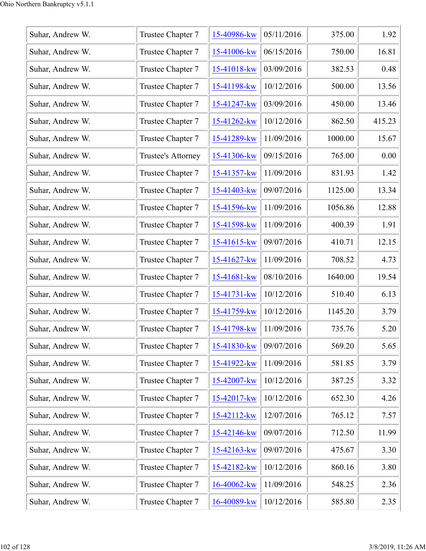| Suhar, Andrew W. | Trustee Chapter 7  | 15-40986-kw | 05/11/2016 | 375.00  | 1.92   |
|------------------|--------------------|-------------|------------|---------|--------|
| Suhar, Andrew W. | Trustee Chapter 7  | 15-41006-kw | 06/15/2016 | 750.00  | 16.81  |
| Suhar, Andrew W. | Trustee Chapter 7  | 15-41018-kw | 03/09/2016 | 382.53  | 0.48   |
| Suhar, Andrew W. | Trustee Chapter 7  | 15-41198-kw | 10/12/2016 | 500.00  | 13.56  |
| Suhar, Andrew W. | Trustee Chapter 7  | 15-41247-kw | 03/09/2016 | 450.00  | 13.46  |
| Suhar, Andrew W. | Trustee Chapter 7  | 15-41262-kw | 10/12/2016 | 862.50  | 415.23 |
| Suhar, Andrew W. | Trustee Chapter 7  | 15-41289-kw | 11/09/2016 | 1000.00 | 15.67  |
| Suhar, Andrew W. | Trustee's Attorney | 15-41306-kw | 09/15/2016 | 765.00  | 0.00   |
| Suhar, Andrew W. | Trustee Chapter 7  | 15-41357-kw | 11/09/2016 | 831.93  | 1.42   |
| Suhar, Andrew W. | Trustee Chapter 7  | 15-41403-kw | 09/07/2016 | 1125.00 | 13.34  |
| Suhar, Andrew W. | Trustee Chapter 7  | 15-41596-kw | 11/09/2016 | 1056.86 | 12.88  |
| Suhar, Andrew W. | Trustee Chapter 7  | 15-41598-kw | 11/09/2016 | 400.39  | 1.91   |
| Suhar, Andrew W. | Trustee Chapter 7  | 15-41615-kw | 09/07/2016 | 410.71  | 12.15  |
| Suhar, Andrew W. | Trustee Chapter 7  | 15-41627-kw | 11/09/2016 | 708.52  | 4.73   |
| Suhar, Andrew W. | Trustee Chapter 7  | 15-41681-kw | 08/10/2016 | 1640.00 | 19.54  |
| Suhar, Andrew W. | Trustee Chapter 7  | 15-41731-kw | 10/12/2016 | 510.40  | 6.13   |
| Suhar, Andrew W. | Trustee Chapter 7  | 15-41759-kw | 10/12/2016 | 1145.20 | 3.79   |
| Suhar, Andrew W. | Trustee Chapter 7  | 15-41798-kw | 11/09/2016 | 735.76  | 5.20   |
| Suhar, Andrew W. | Trustee Chapter 7  | 15-41830-kw | 09/07/2016 | 569.20  | 5.65   |
| Suhar, Andrew W. | Trustee Chapter 7  | 15-41922-kw | 11/09/2016 | 581.85  | 3.79   |
| Suhar, Andrew W. | Trustee Chapter 7  | 15-42007-kw | 10/12/2016 | 387.25  | 3.32   |
| Suhar, Andrew W. | Trustee Chapter 7  | 15-42017-kw | 10/12/2016 | 652.30  | 4.26   |
| Suhar, Andrew W. | Trustee Chapter 7  | 15-42112-kw | 12/07/2016 | 765.12  | 7.57   |
| Suhar, Andrew W. | Trustee Chapter 7  | 15-42146-kw | 09/07/2016 | 712.50  | 11.99  |
| Suhar, Andrew W. | Trustee Chapter 7  | 15-42163-kw | 09/07/2016 | 475.67  | 3.30   |
| Suhar, Andrew W. | Trustee Chapter 7  | 15-42182-kw | 10/12/2016 | 860.16  | 3.80   |
| Suhar, Andrew W. | Trustee Chapter 7  | 16-40062-kw | 11/09/2016 | 548.25  | 2.36   |
| Suhar, Andrew W. | Trustee Chapter 7  | 16-40089-kw | 10/12/2016 | 585.80  | 2.35   |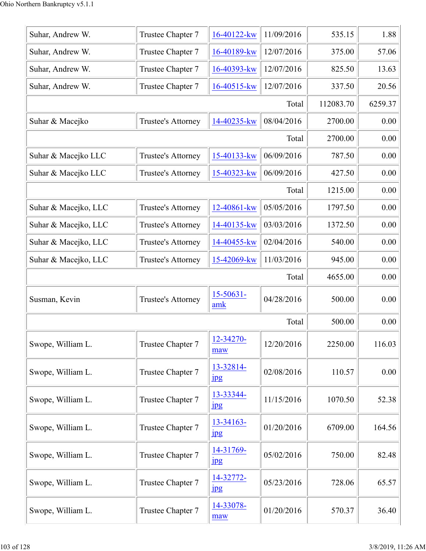| Suhar, Andrew W.     | Trustee Chapter 7         | 16-40122-kw                   | 11/09/2016 | 535.15    | 1.88    |
|----------------------|---------------------------|-------------------------------|------------|-----------|---------|
| Suhar, Andrew W.     | Trustee Chapter 7         | 16-40189-kw                   | 12/07/2016 | 375.00    | 57.06   |
| Suhar, Andrew W.     | Trustee Chapter 7         | $16 - 40393 - kw$             | 12/07/2016 | 825.50    | 13.63   |
| Suhar, Andrew W.     | Trustee Chapter 7         | $16 - 40515$ -kw              | 12/07/2016 | 337.50    | 20.56   |
|                      |                           |                               | Total      | 112083.70 | 6259.37 |
| Suhar & Macejko      | Trustee's Attorney        | 14-40235-kw                   | 08/04/2016 | 2700.00   | 0.00    |
|                      |                           |                               | Total      | 2700.00   | 0.00    |
| Suhar & Macejko LLC  | Trustee's Attorney        | 15-40133-kw                   | 06/09/2016 | 787.50    | 0.00    |
| Suhar & Macejko LLC  | Trustee's Attorney        | 15-40323-kw                   | 06/09/2016 | 427.50    | 0.00    |
|                      |                           |                               | Total      | 1215.00   | 0.00    |
| Suhar & Macejko, LLC | Trustee's Attorney        | 12-40861-kw                   | 05/05/2016 | 1797.50   | 0.00    |
| Suhar & Macejko, LLC | Trustee's Attorney        | 14-40135-kw                   | 03/03/2016 | 1372.50   | 0.00    |
| Suhar & Macejko, LLC | Trustee's Attorney        | 14-40455-kw                   | 02/04/2016 | 540.00    | 0.00    |
| Suhar & Macejko, LLC | Trustee's Attorney        | 15-42069-kw                   | 11/03/2016 | 945.00    | 0.00    |
|                      |                           |                               | Total      | 4655.00   | 0.00    |
| Susman, Kevin        | <b>Trustee's Attorney</b> | $15 - 50631 -$<br>amk         | 04/28/2016 | 500.00    | 0.00    |
|                      |                           |                               | Total      | 500.00    | 0.00    |
| Swope, William L.    | Trustee Chapter 7         | 12-34270-<br>maw              | 12/20/2016 | 2250.00   | 116.03  |
| Swope, William L.    | Trustee Chapter 7         | 13-32814-<br>$_{\rm 1\!P\!S}$ | 02/08/2016 | 110.57    | 0.00    |
| Swope, William L.    | Trustee Chapter 7         | 13-33344-<br>$_{\rm 1\!P\!S}$ | 11/15/2016 | 1070.50   | 52.38   |
| Swope, William L.    | Trustee Chapter 7         | $13 - 34163 -$<br>jpg         | 01/20/2016 | 6709.00   | 164.56  |
| Swope, William L.    | Trustee Chapter 7         | 14-31769-<br>$_{\rm 1pg}$     | 05/02/2016 | 750.00    | 82.48   |
| Swope, William L.    | Trustee Chapter 7         | 14-32772-<br>$_{\rm 1pg}$     | 05/23/2016 | 728.06    | 65.57   |
| Swope, William L.    | Trustee Chapter 7         | 14-33078-<br>maw              | 01/20/2016 | 570.37    | 36.40   |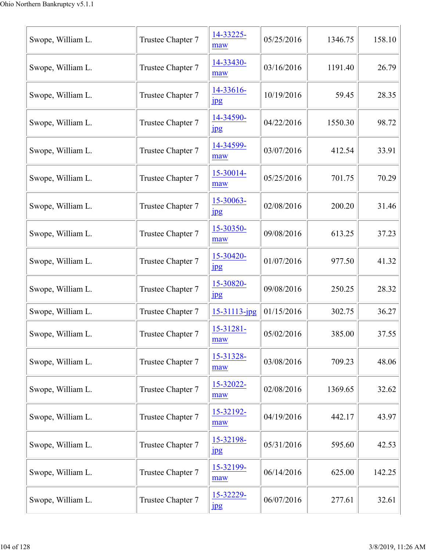| Swope, William L. | Trustee Chapter 7 | 14-33225-<br>maw              | 05/25/2016 | 1346.75 | 158.10 |
|-------------------|-------------------|-------------------------------|------------|---------|--------|
| Swope, William L. | Trustee Chapter 7 | 14-33430-<br>maw              | 03/16/2016 | 1191.40 | 26.79  |
| Swope, William L. | Trustee Chapter 7 | 14-33616-<br>$_{\rm 1\!P\!S}$ | 10/19/2016 | 59.45   | 28.35  |
| Swope, William L. | Trustee Chapter 7 | 14-34590-<br>jpg              | 04/22/2016 | 1550.30 | 98.72  |
| Swope, William L. | Trustee Chapter 7 | 14-34599-<br>maw              | 03/07/2016 | 412.54  | 33.91  |
| Swope, William L. | Trustee Chapter 7 | 15-30014-<br>maw              | 05/25/2016 | 701.75  | 70.29  |
| Swope, William L. | Trustee Chapter 7 | 15-30063-<br>$_{\rm 1\!P\!S}$ | 02/08/2016 | 200.20  | 31.46  |
| Swope, William L. | Trustee Chapter 7 | 15-30350-<br>maw              | 09/08/2016 | 613.25  | 37.23  |
| Swope, William L. | Trustee Chapter 7 | 15-30420-<br>$_{\rm 1\!P\!S}$ | 01/07/2016 | 977.50  | 41.32  |
| Swope, William L. | Trustee Chapter 7 | 15-30820-<br>$_{\rm 1\!P\!S}$ | 09/08/2016 | 250.25  | 28.32  |
| Swope, William L. | Trustee Chapter 7 | 15-31113-jpg                  | 01/15/2016 | 302.75  | 36.27  |
| Swope, William L. | Trustee Chapter 7 | 15-31281-<br>maw              | 05/02/2016 | 385.00  | 37.55  |
| Swope, William L. | Trustee Chapter 7 | 15-31328-<br>maw              | 03/08/2016 | 709.23  | 48.06  |
| Swope, William L. | Trustee Chapter 7 | 15-32022-<br>maw              | 02/08/2016 | 1369.65 | 32.62  |
| Swope, William L. | Trustee Chapter 7 | 15-32192-<br>maw              | 04/19/2016 | 442.17  | 43.97  |
| Swope, William L. | Trustee Chapter 7 | 15-32198-<br>jpg              | 05/31/2016 | 595.60  | 42.53  |
| Swope, William L. | Trustee Chapter 7 | 15-32199-<br>maw              | 06/14/2016 | 625.00  | 142.25 |
| Swope, William L. | Trustee Chapter 7 | 15-32229-<br>$_{\rm 1\!P\!S}$ | 06/07/2016 | 277.61  | 32.61  |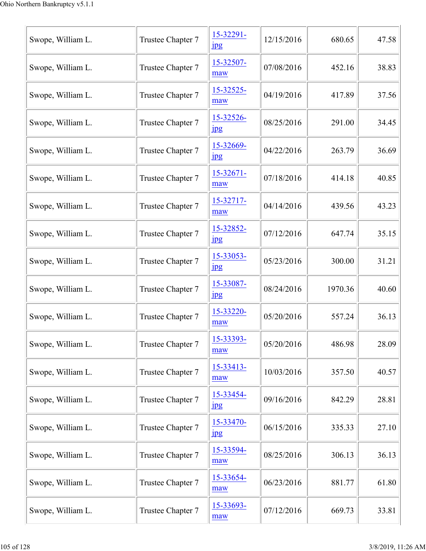| Swope, William L. | Trustee Chapter 7 | 15-32291-<br>$_{\rm 1pg}$     | 12/15/2016 | 680.65  | 47.58 |
|-------------------|-------------------|-------------------------------|------------|---------|-------|
| Swope, William L. | Trustee Chapter 7 | 15-32507-<br>maw              | 07/08/2016 | 452.16  | 38.83 |
| Swope, William L. | Trustee Chapter 7 | 15-32525-<br>maw              | 04/19/2016 | 417.89  | 37.56 |
| Swope, William L. | Trustee Chapter 7 | 15-32526-<br>jpg              | 08/25/2016 | 291.00  | 34.45 |
| Swope, William L. | Trustee Chapter 7 | 15-32669-<br>$_{\rm 1pg}$     | 04/22/2016 | 263.79  | 36.69 |
| Swope, William L. | Trustee Chapter 7 | $15 - 32671 -$<br>maw         | 07/18/2016 | 414.18  | 40.85 |
| Swope, William L. | Trustee Chapter 7 | 15-32717-<br>maw              | 04/14/2016 | 439.56  | 43.23 |
| Swope, William L. | Trustee Chapter 7 | 15-32852-<br>$_{\rm 1\!P\!S}$ | 07/12/2016 | 647.74  | 35.15 |
| Swope, William L. | Trustee Chapter 7 | 15-33053-<br>$\frac{1}{2}$    | 05/23/2016 | 300.00  | 31.21 |
| Swope, William L. | Trustee Chapter 7 | 15-33087-<br>jpg              | 08/24/2016 | 1970.36 | 40.60 |
| Swope, William L. | Trustee Chapter 7 | 15-33220-<br>maw              | 05/20/2016 | 557.24  | 36.13 |
| Swope, William L. | Trustee Chapter 7 | 15-33393-<br>maw              | 05/20/2016 | 486.98  | 28.09 |
| Swope, William L. | Trustee Chapter 7 | 15-33413-<br>maw              | 10/03/2016 | 357.50  | 40.57 |
| Swope, William L. | Trustee Chapter 7 | 15-33454-<br>$_{\rm 1\!P\!S}$ | 09/16/2016 | 842.29  | 28.81 |
| Swope, William L. | Trustee Chapter 7 | 15-33470-<br>jpg              | 06/15/2016 | 335.33  | 27.10 |
| Swope, William L. | Trustee Chapter 7 | 15-33594-<br>maw              | 08/25/2016 | 306.13  | 36.13 |
| Swope, William L. | Trustee Chapter 7 | 15-33654-<br>maw              | 06/23/2016 | 881.77  | 61.80 |
| Swope, William L. | Trustee Chapter 7 | 15-33693-<br>maw              | 07/12/2016 | 669.73  | 33.81 |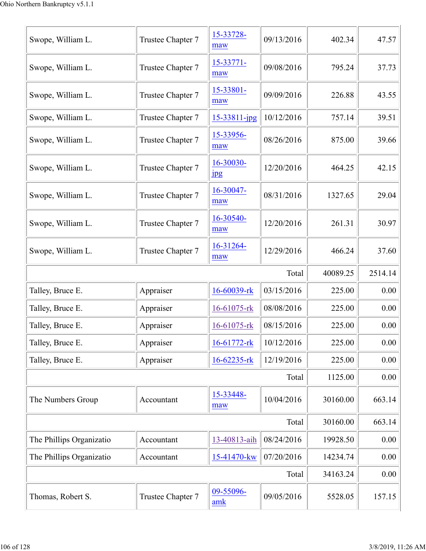| Thomas, Robert S.        | Trustee Chapter 7 | 09-55096-<br>amk  | 09/05/2016 | 5528.05  | 157.15  |
|--------------------------|-------------------|-------------------|------------|----------|---------|
|                          |                   |                   | Total      | 34163.24 | 0.00    |
| The Phillips Organizatio | Accountant        | 15-41470-kw       | 07/20/2016 | 14234.74 | 0.00    |
| The Phillips Organizatio | Accountant        | 13-40813-aih      | 08/24/2016 | 19928.50 | 0.00    |
|                          |                   |                   | Total      | 30160.00 | 663.14  |
| The Numbers Group        | Accountant        | 15-33448-<br>maw  | 10/04/2016 | 30160.00 | 663.14  |
|                          |                   |                   | Total      | 1125.00  | 0.00    |
| Talley, Bruce E.         | Appraiser         | $16 - 62235 - rk$ | 12/19/2016 | 225.00   | 0.00    |
| Talley, Bruce E.         | Appraiser         | 16-61772-rk       | 10/12/2016 | 225.00   | 0.00    |
| Talley, Bruce E.         | Appraiser         | 16-61075-rk       | 08/15/2016 | 225.00   | 0.00    |
| Talley, Bruce E.         | Appraiser         | 16-61075-rk       | 08/08/2016 | 225.00   | 0.00    |
| Talley, Bruce E.         | Appraiser         | 16-60039-rk       | 03/15/2016 | 225.00   | 0.00    |
|                          |                   |                   | Total      | 40089.25 | 2514.14 |
| Swope, William L.        | Trustee Chapter 7 | 16-31264-<br>maw  | 12/29/2016 | 466.24   | 37.60   |
| Swope, William L.        | Trustee Chapter 7 | 16-30540-<br>maw  | 12/20/2016 | 261.31   | 30.97   |
| Swope, William L.        | Trustee Chapter 7 | 16-30047-<br>maw  | 08/31/2016 | 1327.65  | 29.04   |
| Swope, William L.        | Trustee Chapter 7 | 16-30030-<br>jpg  | 12/20/2016 | 464.25   | 42.15   |
| Swope, William L.        | Trustee Chapter 7 | 15-33956-<br>maw  | 08/26/2016 | 875.00   | 39.66   |
| Swope, William L.        | Trustee Chapter 7 | 15-33811-jpg      | 10/12/2016 | 757.14   | 39.51   |
| Swope, William L.        | Trustee Chapter 7 | 15-33801-<br>maw  | 09/09/2016 | 226.88   | 43.55   |
| Swope, William L.        | Trustee Chapter 7 | 15-33771-<br>maw  | 09/08/2016 | 795.24   | 37.73   |
| Swope, William L.        | Trustee Chapter 7 | 15-33728-<br>maw  | 09/13/2016 | 402.34   | 47.57   |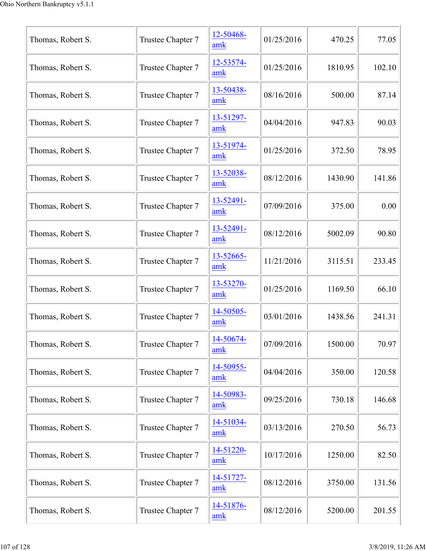| Thomas, Robert S. | Trustee Chapter 7 | 12-50468-<br>amk | 01/25/2016 | 470.25  | 77.05  |
|-------------------|-------------------|------------------|------------|---------|--------|
| Thomas, Robert S. | Trustee Chapter 7 | 12-53574-<br>amk | 01/25/2016 | 1810.95 | 102.10 |
| Thomas, Robert S. | Trustee Chapter 7 | 13-50438-<br>amk | 08/16/2016 | 500.00  | 87.14  |
| Thomas, Robert S. | Trustee Chapter 7 | 13-51297-<br>amk | 04/04/2016 | 947.83  | 90.03  |
| Thomas, Robert S. | Trustee Chapter 7 | 13-51974-<br>amk | 01/25/2016 | 372.50  | 78.95  |
| Thomas, Robert S. | Trustee Chapter 7 | 13-52038-<br>amk | 08/12/2016 | 1430.90 | 141.86 |
| Thomas, Robert S. | Trustee Chapter 7 | 13-52491-<br>amk | 07/09/2016 | 375.00  | 0.00   |
| Thomas, Robert S. | Trustee Chapter 7 | 13-52491-<br>amk | 08/12/2016 | 5002.09 | 90.80  |
| Thomas, Robert S. | Trustee Chapter 7 | 13-52665-<br>amk | 11/21/2016 | 3115.51 | 233.45 |
| Thomas, Robert S. | Trustee Chapter 7 | 13-53270-<br>amk | 01/25/2016 | 1169.50 | 66.10  |
| Thomas, Robert S. | Trustee Chapter 7 | 14-50505-<br>amk | 03/01/2016 | 1438.56 | 241.31 |
| Thomas, Robert S. | Trustee Chapter 7 | 14-50674-<br>amk | 07/09/2016 | 1500.00 | 70.97  |
| Thomas, Robert S. | Trustee Chapter 7 | 14-50955-<br>amk | 04/04/2016 | 350.00  | 120.58 |
| Thomas, Robert S. | Trustee Chapter 7 | 14-50983-<br>amk | 09/25/2016 | 730.18  | 146.68 |
| Thomas, Robert S. | Trustee Chapter 7 | 14-51034-<br>amk | 03/13/2016 | 270.50  | 56.73  |
| Thomas, Robert S. | Trustee Chapter 7 | 14-51220-<br>amk | 10/17/2016 | 1250.00 | 82.50  |
| Thomas, Robert S. | Trustee Chapter 7 | 14-51727-<br>amk | 08/12/2016 | 3750.00 | 131.56 |
| Thomas, Robert S. | Trustee Chapter 7 | 14-51876-<br>amk | 08/12/2016 | 5200.00 | 201.55 |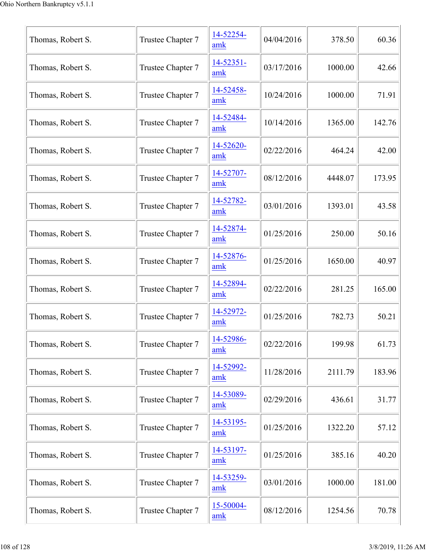| Thomas, Robert S. | Trustee Chapter 7 | 14-52254-<br>amk | 04/04/2016 | 378.50  | 60.36  |
|-------------------|-------------------|------------------|------------|---------|--------|
| Thomas, Robert S. | Trustee Chapter 7 | 14-52351-<br>amk | 03/17/2016 | 1000.00 | 42.66  |
| Thomas, Robert S. | Trustee Chapter 7 | 14-52458-<br>amk | 10/24/2016 | 1000.00 | 71.91  |
| Thomas, Robert S. | Trustee Chapter 7 | 14-52484-<br>amk | 10/14/2016 | 1365.00 | 142.76 |
| Thomas, Robert S. | Trustee Chapter 7 | 14-52620-<br>amk | 02/22/2016 | 464.24  | 42.00  |
| Thomas, Robert S. | Trustee Chapter 7 | 14-52707-<br>amk | 08/12/2016 | 4448.07 | 173.95 |
| Thomas, Robert S. | Trustee Chapter 7 | 14-52782-<br>amk | 03/01/2016 | 1393.01 | 43.58  |
| Thomas, Robert S. | Trustee Chapter 7 | 14-52874-<br>amk | 01/25/2016 | 250.00  | 50.16  |
| Thomas, Robert S. | Trustee Chapter 7 | 14-52876-<br>amk | 01/25/2016 | 1650.00 | 40.97  |
| Thomas, Robert S. | Trustee Chapter 7 | 14-52894-<br>amk | 02/22/2016 | 281.25  | 165.00 |
| Thomas, Robert S. | Trustee Chapter 7 | 14-52972-<br>amk | 01/25/2016 | 782.73  | 50.21  |
| Thomas, Robert S. | Trustee Chapter 7 | 14-52986-<br>amk | 02/22/2016 | 199.98  | 61.73  |
| Thomas, Robert S. | Trustee Chapter 7 | 14-52992-<br>amk | 11/28/2016 | 2111.79 | 183.96 |
| Thomas, Robert S. | Trustee Chapter 7 | 14-53089-<br>amk | 02/29/2016 | 436.61  | 31.77  |
| Thomas, Robert S. | Trustee Chapter 7 | 14-53195-<br>amk | 01/25/2016 | 1322.20 | 57.12  |
| Thomas, Robert S. | Trustee Chapter 7 | 14-53197-<br>amk | 01/25/2016 | 385.16  | 40.20  |
| Thomas, Robert S. | Trustee Chapter 7 | 14-53259-<br>amk | 03/01/2016 | 1000.00 | 181.00 |
| Thomas, Robert S. | Trustee Chapter 7 | 15-50004-<br>amk | 08/12/2016 | 1254.56 | 70.78  |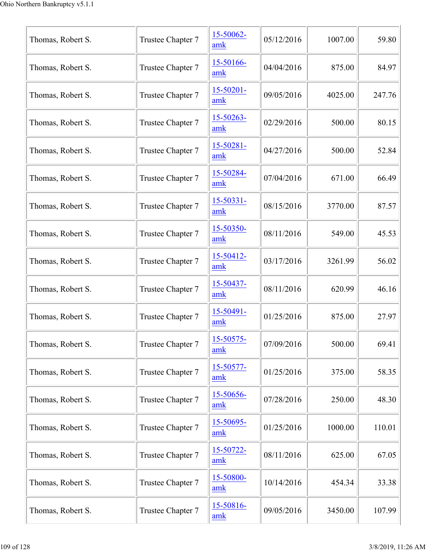| Thomas, Robert S. | Trustee Chapter 7 | 15-50062-<br>amk      | 05/12/2016 | 1007.00 | 59.80  |
|-------------------|-------------------|-----------------------|------------|---------|--------|
| Thomas, Robert S. | Trustee Chapter 7 | 15-50166-<br>amk      | 04/04/2016 | 875.00  | 84.97  |
| Thomas, Robert S. | Trustee Chapter 7 | $15 - 50201 -$<br>amk | 09/05/2016 | 4025.00 | 247.76 |
| Thomas, Robert S. | Trustee Chapter 7 | 15-50263-<br>amk      | 02/29/2016 | 500.00  | 80.15  |
| Thomas, Robert S. | Trustee Chapter 7 | 15-50281-<br>amk      | 04/27/2016 | 500.00  | 52.84  |
| Thomas, Robert S. | Trustee Chapter 7 | 15-50284-<br>amk      | 07/04/2016 | 671.00  | 66.49  |
| Thomas, Robert S. | Trustee Chapter 7 | 15-50331-<br>amk      | 08/15/2016 | 3770.00 | 87.57  |
| Thomas, Robert S. | Trustee Chapter 7 | 15-50350-<br>amk      | 08/11/2016 | 549.00  | 45.53  |
| Thomas, Robert S. | Trustee Chapter 7 | 15-50412-<br>amk      | 03/17/2016 | 3261.99 | 56.02  |
| Thomas, Robert S. | Trustee Chapter 7 | 15-50437-<br>amk      | 08/11/2016 | 620.99  | 46.16  |
| Thomas, Robert S. | Trustee Chapter 7 | 15-50491-<br>amk      | 01/25/2016 | 875.00  | 27.97  |
| Thomas, Robert S. | Trustee Chapter 7 | 15-50575-<br>amk      | 07/09/2016 | 500.00  | 69.41  |
| Thomas, Robert S. | Trustee Chapter 7 | 15-50577-<br>amk      | 01/25/2016 | 375.00  | 58.35  |
| Thomas, Robert S. | Trustee Chapter 7 | 15-50656-<br>amk      | 07/28/2016 | 250.00  | 48.30  |
| Thomas, Robert S. | Trustee Chapter 7 | 15-50695-<br>amk      | 01/25/2016 | 1000.00 | 110.01 |
| Thomas, Robert S. | Trustee Chapter 7 | 15-50722-<br>amk      | 08/11/2016 | 625.00  | 67.05  |
| Thomas, Robert S. | Trustee Chapter 7 | 15-50800-<br>amk      | 10/14/2016 | 454.34  | 33.38  |
| Thomas, Robert S. | Trustee Chapter 7 | 15-50816-<br>amk      | 09/05/2016 | 3450.00 | 107.99 |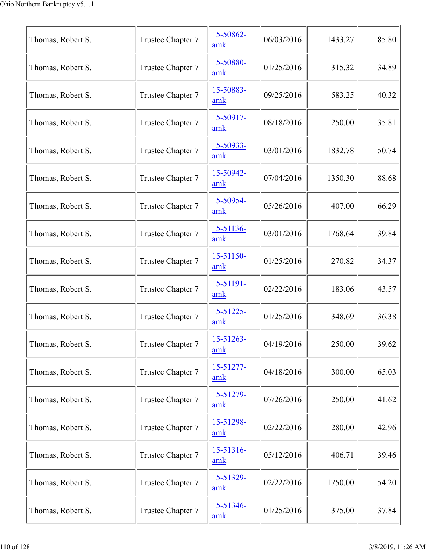| Thomas, Robert S. | Trustee Chapter 7 | 15-50862-<br>amk      | 06/03/2016 | 1433.27 | 85.80 |
|-------------------|-------------------|-----------------------|------------|---------|-------|
| Thomas, Robert S. | Trustee Chapter 7 | 15-50880-<br>amk      | 01/25/2016 | 315.32  | 34.89 |
| Thomas, Robert S. | Trustee Chapter 7 | 15-50883-<br>amk      | 09/25/2016 | 583.25  | 40.32 |
| Thomas, Robert S. | Trustee Chapter 7 | 15-50917-<br>amk      | 08/18/2016 | 250.00  | 35.81 |
| Thomas, Robert S. | Trustee Chapter 7 | 15-50933-<br>amk      | 03/01/2016 | 1832.78 | 50.74 |
| Thomas, Robert S. | Trustee Chapter 7 | 15-50942-<br>amk      | 07/04/2016 | 1350.30 | 88.68 |
| Thomas, Robert S. | Trustee Chapter 7 | 15-50954-<br>amk      | 05/26/2016 | 407.00  | 66.29 |
| Thomas, Robert S. | Trustee Chapter 7 | 15-51136-<br>amk      | 03/01/2016 | 1768.64 | 39.84 |
| Thomas, Robert S. | Trustee Chapter 7 | 15-51150-<br>amk      | 01/25/2016 | 270.82  | 34.37 |
| Thomas, Robert S. | Trustee Chapter 7 | $15 - 51191 -$<br>amk | 02/22/2016 | 183.06  | 43.57 |
| Thomas, Robert S. | Trustee Chapter 7 | 15-51225-<br>amk      | 01/25/2016 | 348.69  | 36.38 |
| Thomas, Robert S. | Trustee Chapter 7 | 15-51263-<br>amk      | 04/19/2016 | 250.00  | 39.62 |
| Thomas, Robert S. | Trustee Chapter 7 | 15-51277-<br>amk      | 04/18/2016 | 300.00  | 65.03 |
| Thomas, Robert S. | Trustee Chapter 7 | 15-51279-<br>amk      | 07/26/2016 | 250.00  | 41.62 |
| Thomas, Robert S. | Trustee Chapter 7 | 15-51298-<br>amk      | 02/22/2016 | 280.00  | 42.96 |
| Thomas, Robert S. | Trustee Chapter 7 | 15-51316-<br>amk      | 05/12/2016 | 406.71  | 39.46 |
| Thomas, Robert S. | Trustee Chapter 7 | 15-51329-<br>amk      | 02/22/2016 | 1750.00 | 54.20 |
| Thomas, Robert S. | Trustee Chapter 7 | 15-51346-<br>amk      | 01/25/2016 | 375.00  | 37.84 |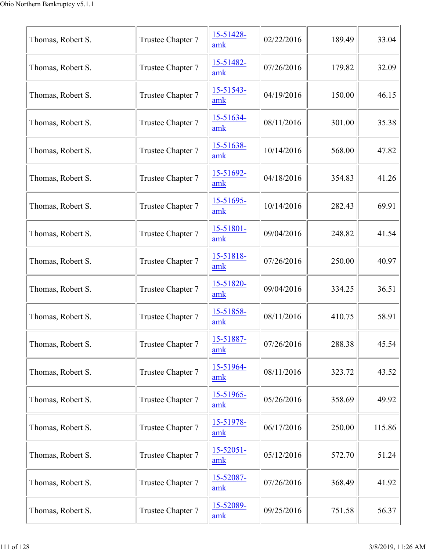|                   |                   | 15-51428-             |            |        |        |
|-------------------|-------------------|-----------------------|------------|--------|--------|
| Thomas, Robert S. | Trustee Chapter 7 | amk                   | 02/22/2016 | 189.49 | 33.04  |
| Thomas, Robert S. | Trustee Chapter 7 | 15-51482-<br>amk      | 07/26/2016 | 179.82 | 32.09  |
| Thomas, Robert S. | Trustee Chapter 7 | 15-51543-<br>amk      | 04/19/2016 | 150.00 | 46.15  |
| Thomas, Robert S. | Trustee Chapter 7 | 15-51634-<br>amk      | 08/11/2016 | 301.00 | 35.38  |
| Thomas, Robert S. | Trustee Chapter 7 | 15-51638-<br>amk      | 10/14/2016 | 568.00 | 47.82  |
| Thomas, Robert S. | Trustee Chapter 7 | $15 - 51692 -$<br>amk | 04/18/2016 | 354.83 | 41.26  |
| Thomas, Robert S. | Trustee Chapter 7 | 15-51695-<br>amk      | 10/14/2016 | 282.43 | 69.91  |
| Thomas, Robert S. | Trustee Chapter 7 | 15-51801-<br>amk      | 09/04/2016 | 248.82 | 41.54  |
| Thomas, Robert S. | Trustee Chapter 7 | 15-51818-<br>amk      | 07/26/2016 | 250.00 | 40.97  |
| Thomas, Robert S. | Trustee Chapter 7 | 15-51820-<br>amk      | 09/04/2016 | 334.25 | 36.51  |
| Thomas, Robert S. | Trustee Chapter 7 | 15-51858-<br>amk      | 08/11/2016 | 410.75 | 58.91  |
| Thomas, Robert S. | Trustee Chapter 7 | 15-51887-<br>amk      | 07/26/2016 | 288.38 | 45.54  |
| Thomas, Robert S. | Trustee Chapter 7 | 15-51964-<br>amk      | 08/11/2016 | 323.72 | 43.52  |
| Thomas, Robert S. | Trustee Chapter 7 | 15-51965-<br>amk      | 05/26/2016 | 358.69 | 49.92  |
| Thomas, Robert S. | Trustee Chapter 7 | 15-51978-<br>amk      | 06/17/2016 | 250.00 | 115.86 |
| Thomas, Robert S. | Trustee Chapter 7 | $15 - 52051 -$<br>amk | 05/12/2016 | 572.70 | 51.24  |
| Thomas, Robert S. | Trustee Chapter 7 | 15-52087-<br>amk      | 07/26/2016 | 368.49 | 41.92  |
| Thomas, Robert S. | Trustee Chapter 7 | 15-52089-<br>amk      | 09/25/2016 | 751.58 | 56.37  |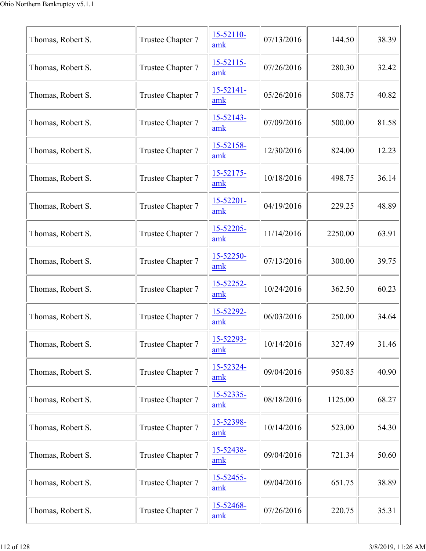| Thomas, Robert S. | Trustee Chapter 7 | 15-52110-<br>amk | 07/13/2016 | 144.50  | 38.39 |
|-------------------|-------------------|------------------|------------|---------|-------|
| Thomas, Robert S. | Trustee Chapter 7 | 15-52115-<br>amk | 07/26/2016 | 280.30  | 32.42 |
| Thomas, Robert S. | Trustee Chapter 7 | 15-52141-<br>amk | 05/26/2016 | 508.75  | 40.82 |
| Thomas, Robert S. | Trustee Chapter 7 | 15-52143-<br>amk | 07/09/2016 | 500.00  | 81.58 |
| Thomas, Robert S. | Trustee Chapter 7 | 15-52158-<br>amk | 12/30/2016 | 824.00  | 12.23 |
| Thomas, Robert S. | Trustee Chapter 7 | 15-52175-<br>amk | 10/18/2016 | 498.75  | 36.14 |
| Thomas, Robert S. | Trustee Chapter 7 | 15-52201-<br>amk | 04/19/2016 | 229.25  | 48.89 |
| Thomas, Robert S. | Trustee Chapter 7 | 15-52205-<br>amk | 11/14/2016 | 2250.00 | 63.91 |
| Thomas, Robert S. | Trustee Chapter 7 | 15-52250-<br>amk | 07/13/2016 | 300.00  | 39.75 |
| Thomas, Robert S. | Trustee Chapter 7 | 15-52252-<br>amk | 10/24/2016 | 362.50  | 60.23 |
| Thomas, Robert S. | Trustee Chapter 7 | 15-52292-<br>amk | 06/03/2016 | 250.00  | 34.64 |
| Thomas, Robert S. | Trustee Chapter 7 | 15-52293-<br>amk | 10/14/2016 | 327.49  | 31.46 |
| Thomas, Robert S. | Trustee Chapter 7 | 15-52324-<br>amk | 09/04/2016 | 950.85  | 40.90 |
| Thomas, Robert S. | Trustee Chapter 7 | 15-52335-<br>amk | 08/18/2016 | 1125.00 | 68.27 |
| Thomas, Robert S. | Trustee Chapter 7 | 15-52398-<br>amk | 10/14/2016 | 523.00  | 54.30 |
| Thomas, Robert S. | Trustee Chapter 7 | 15-52438-<br>amk | 09/04/2016 | 721.34  | 50.60 |
| Thomas, Robert S. | Trustee Chapter 7 | 15-52455-<br>amk | 09/04/2016 | 651.75  | 38.89 |
| Thomas, Robert S. | Trustee Chapter 7 | 15-52468-<br>amk | 07/26/2016 | 220.75  | 35.31 |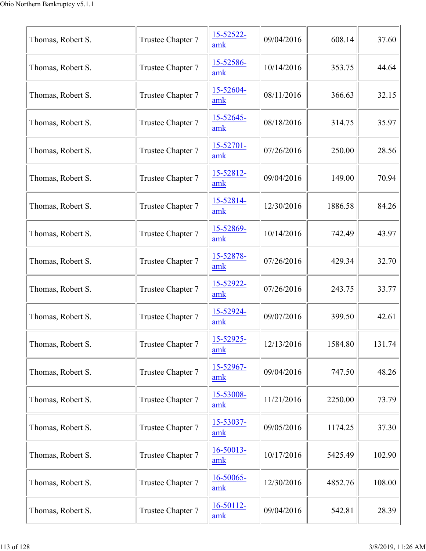| Thomas, Robert S. | Trustee Chapter 7 | 15-52522-<br>amk      | 09/04/2016 | 608.14  | 37.60  |
|-------------------|-------------------|-----------------------|------------|---------|--------|
| Thomas, Robert S. | Trustee Chapter 7 | 15-52586-<br>amk      | 10/14/2016 | 353.75  | 44.64  |
| Thomas, Robert S. | Trustee Chapter 7 | 15-52604-<br>amk      | 08/11/2016 | 366.63  | 32.15  |
| Thomas, Robert S. | Trustee Chapter 7 | 15-52645-<br>amk      | 08/18/2016 | 314.75  | 35.97  |
| Thomas, Robert S. | Trustee Chapter 7 | $15 - 52701 -$<br>amk | 07/26/2016 | 250.00  | 28.56  |
| Thomas, Robert S. | Trustee Chapter 7 | 15-52812-<br>amk      | 09/04/2016 | 149.00  | 70.94  |
| Thomas, Robert S. | Trustee Chapter 7 | 15-52814-<br>amk      | 12/30/2016 | 1886.58 | 84.26  |
| Thomas, Robert S. | Trustee Chapter 7 | 15-52869-<br>amk      | 10/14/2016 | 742.49  | 43.97  |
| Thomas, Robert S. | Trustee Chapter 7 | 15-52878-<br>amk      | 07/26/2016 | 429.34  | 32.70  |
| Thomas, Robert S. | Trustee Chapter 7 | 15-52922-<br>amk      | 07/26/2016 | 243.75  | 33.77  |
| Thomas, Robert S. | Trustee Chapter 7 | 15-52924-<br>amk      | 09/07/2016 | 399.50  | 42.61  |
| Thomas, Robert S. | Trustee Chapter 7 | 15-52925-<br>amk      | 12/13/2016 | 1584.80 | 131.74 |
| Thomas, Robert S. | Trustee Chapter 7 | 15-52967-<br>amk      | 09/04/2016 | 747.50  | 48.26  |
| Thomas, Robert S. | Trustee Chapter 7 | 15-53008-<br>amk      | 11/21/2016 | 2250.00 | 73.79  |
| Thomas, Robert S. | Trustee Chapter 7 | 15-53037-<br>amk      | 09/05/2016 | 1174.25 | 37.30  |
| Thomas, Robert S. | Trustee Chapter 7 | 16-50013-<br>amk      | 10/17/2016 | 5425.49 | 102.90 |
| Thomas, Robert S. | Trustee Chapter 7 | 16-50065-<br>amk      | 12/30/2016 | 4852.76 | 108.00 |
| Thomas, Robert S. | Trustee Chapter 7 | 16-50112-<br>amk      | 09/04/2016 | 542.81  | 28.39  |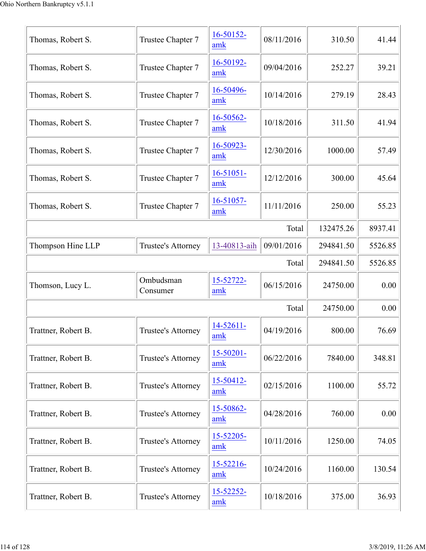| Thomas, Robert S.   | Trustee Chapter 7     | $16 - 50152 -$<br>amk | 08/11/2016 | 310.50    | 41.44   |  |
|---------------------|-----------------------|-----------------------|------------|-----------|---------|--|
| Thomas, Robert S.   | Trustee Chapter 7     | 16-50192-<br>amk      | 09/04/2016 | 252.27    | 39.21   |  |
| Thomas, Robert S.   | Trustee Chapter 7     | 16-50496-<br>amk      | 10/14/2016 | 279.19    | 28.43   |  |
| Thomas, Robert S.   | Trustee Chapter 7     | 16-50562-<br>amk      | 10/18/2016 | 311.50    | 41.94   |  |
| Thomas, Robert S.   | Trustee Chapter 7     | 16-50923-<br>amk      | 12/30/2016 | 1000.00   | 57.49   |  |
| Thomas, Robert S.   | Trustee Chapter 7     | $16 - 51051 -$<br>amk | 12/12/2016 | 300.00    | 45.64   |  |
| Thomas, Robert S.   | Trustee Chapter 7     | 16-51057-<br>amk      | 11/11/2016 | 250.00    | 55.23   |  |
|                     |                       |                       | Total      | 132475.26 | 8937.41 |  |
| Thompson Hine LLP   | Trustee's Attorney    | 13-40813-aih          | 09/01/2016 | 294841.50 | 5526.85 |  |
|                     |                       |                       | Total      | 294841.50 | 5526.85 |  |
| Thomson, Lucy L.    | Ombudsman<br>Consumer | 15-52722-<br>amk      | 06/15/2016 | 24750.00  | 0.00    |  |
|                     | Total                 |                       |            |           |         |  |
|                     |                       |                       |            | 24750.00  | 0.00    |  |
| Trattner, Robert B. | Trustee's Attorney    | 14-52611-<br>amk      | 04/19/2016 | 800.00    | 76.69   |  |
| Trattner, Robert B. | Trustee's Attorney    | $15 - 50201 -$<br>amk | 06/22/2016 | 7840.00   | 348.81  |  |
| Trattner, Robert B. | Trustee's Attorney    | 15-50412-<br>amk      | 02/15/2016 | 1100.00   | 55.72   |  |
| Trattner, Robert B. | Trustee's Attorney    | 15-50862-<br>amk      | 04/28/2016 | 760.00    | 0.00    |  |
| Trattner, Robert B. | Trustee's Attorney    | 15-52205-<br>amk      | 10/11/2016 | 1250.00   | 74.05   |  |
| Trattner, Robert B. | Trustee's Attorney    | 15-52216-<br>amk      | 10/24/2016 | 1160.00   | 130.54  |  |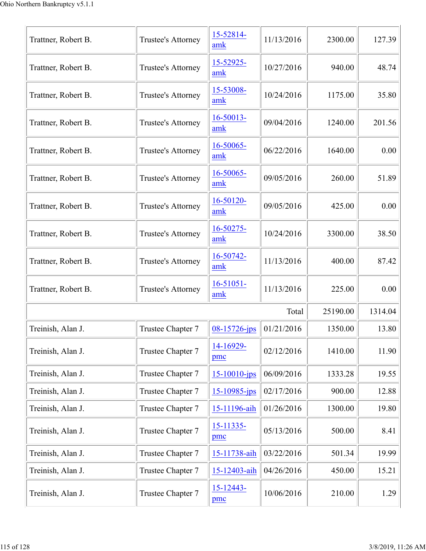| Trattner, Robert B. | Trustee's Attorney | 15-52814-<br>amk      | 11/13/2016 | 2300.00  | 127.39  |
|---------------------|--------------------|-----------------------|------------|----------|---------|
| Trattner, Robert B. | Trustee's Attorney | 15-52925-<br>amk      | 10/27/2016 | 940.00   | 48.74   |
| Trattner, Robert B. | Trustee's Attorney | 15-53008-<br>amk      | 10/24/2016 | 1175.00  | 35.80   |
| Trattner, Robert B. | Trustee's Attorney | 16-50013-<br>amk      | 09/04/2016 | 1240.00  | 201.56  |
| Trattner, Robert B. | Trustee's Attorney | 16-50065-<br>amk      | 06/22/2016 | 1640.00  | 0.00    |
| Trattner, Robert B. | Trustee's Attorney | 16-50065-<br>amk      | 09/05/2016 | 260.00   | 51.89   |
| Trattner, Robert B. | Trustee's Attorney | 16-50120-<br>amk      | 09/05/2016 | 425.00   | 0.00    |
| Trattner, Robert B. | Trustee's Attorney | 16-50275-<br>amk      | 10/24/2016 | 3300.00  | 38.50   |
| Trattner, Robert B. | Trustee's Attorney | 16-50742-<br>amk      | 11/13/2016 | 400.00   | 87.42   |
| Trattner, Robert B. | Trustee's Attorney | $16 - 51051 -$<br>amk | 11/13/2016 | 225.00   | 0.00    |
|                     |                    |                       | Total      | 25190.00 | 1314.04 |
| Treinish, Alan J.   | Trustee Chapter 7  | $08 - 15726 - ips$    | 01/21/2016 | 1350.00  | 13.80   |
| Treinish, Alan J.   | Trustee Chapter 7  | 14-16929-<br>pmc      | 02/12/2016 | 1410.00  | 11.90   |
| Treinish, Alan J.   | Trustee Chapter 7  | $15 - 10010 - ips$    | 06/09/2016 | 1333.28  | 19.55   |
| Treinish, Alan J.   | Trustee Chapter 7  | $15 - 10985$ -jps     | 02/17/2016 | 900.00   | 12.88   |
| Treinish, Alan J.   | Trustee Chapter 7  | 15-11196-aih          | 01/26/2016 | 1300.00  | 19.80   |
| Treinish, Alan J.   | Trustee Chapter 7  | 15-11335-<br>pmc      | 05/13/2016 | 500.00   | 8.41    |
| Treinish, Alan J.   | Trustee Chapter 7  | 15-11738-aih          | 03/22/2016 | 501.34   | 19.99   |
| Treinish, Alan J.   | Trustee Chapter 7  | 15-12403-aih          | 04/26/2016 | 450.00   | 15.21   |
| Treinish, Alan J.   | Trustee Chapter 7  | 15-12443-<br>pmc      | 10/06/2016 | 210.00   | 1.29    |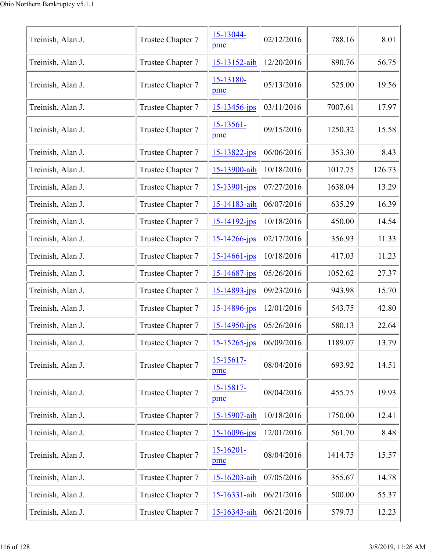| Treinish, Alan J. | Trustee Chapter 7 | 15-13044-<br>pmc      | 02/12/2016 | 788.16  | 8.01   |
|-------------------|-------------------|-----------------------|------------|---------|--------|
| Treinish, Alan J. | Trustee Chapter 7 | 15-13152-aih          | 12/20/2016 | 890.76  | 56.75  |
| Treinish, Alan J. | Trustee Chapter 7 | 15-13180-<br>pmc      | 05/13/2016 | 525.00  | 19.56  |
| Treinish, Alan J. | Trustee Chapter 7 | $15 - 13456 - ips$    | 03/11/2016 | 7007.61 | 17.97  |
| Treinish, Alan J. | Trustee Chapter 7 | $15 - 13561 -$<br>pmc | 09/15/2016 | 1250.32 | 15.58  |
| Treinish, Alan J. | Trustee Chapter 7 | 15-13822-jps          | 06/06/2016 | 353.30  | 8.43   |
| Treinish, Alan J. | Trustee Chapter 7 | 15-13900-aih          | 10/18/2016 | 1017.75 | 126.73 |
| Treinish, Alan J. | Trustee Chapter 7 | $15 - 13901 - ips$    | 07/27/2016 | 1638.04 | 13.29  |
| Treinish, Alan J. | Trustee Chapter 7 | 15-14183-aih          | 06/07/2016 | 635.29  | 16.39  |
| Treinish, Alan J. | Trustee Chapter 7 | $15 - 14192 - ips$    | 10/18/2016 | 450.00  | 14.54  |
| Treinish, Alan J. | Trustee Chapter 7 | $15 - 14266$ -jps     | 02/17/2016 | 356.93  | 11.33  |
| Treinish, Alan J. | Trustee Chapter 7 | $15 - 14661 - ips$    | 10/18/2016 | 417.03  | 11.23  |
| Treinish, Alan J. | Trustee Chapter 7 | 15-14687-jps          | 05/26/2016 | 1052.62 | 27.37  |
| Treinish, Alan J. | Trustee Chapter 7 | $15 - 14893 - ips$    | 09/23/2016 | 943.98  | 15.70  |
| Treinish, Alan J. | Trustee Chapter 7 | 15-14896-jps          | 12/01/2016 | 543.75  | 42.80  |
| Treinish, Alan J. | Trustee Chapter 7 | 15-14950-jps          | 05/26/2016 | 580.13  | 22.64  |
| Treinish, Alan J. | Trustee Chapter 7 | $15 - 15265$ -jps     | 06/09/2016 | 1189.07 | 13.79  |
| Treinish, Alan J. | Trustee Chapter 7 | 15-15617-<br>pmc      | 08/04/2016 | 693.92  | 14.51  |
| Treinish, Alan J. | Trustee Chapter 7 | 15-15817-<br>pmc      | 08/04/2016 | 455.75  | 19.93  |
| Treinish, Alan J. | Trustee Chapter 7 | 15-15907-aih          | 10/18/2016 | 1750.00 | 12.41  |
| Treinish, Alan J. | Trustee Chapter 7 | 15-16096-jps          | 12/01/2016 | 561.70  | 8.48   |
| Treinish, Alan J. | Trustee Chapter 7 | $15 - 16201 -$<br>pmc | 08/04/2016 | 1414.75 | 15.57  |
| Treinish, Alan J. | Trustee Chapter 7 | 15-16203-aih          | 07/05/2016 | 355.67  | 14.78  |
| Treinish, Alan J. | Trustee Chapter 7 | 15-16331-aih          | 06/21/2016 | 500.00  | 55.37  |
| Treinish, Alan J. | Trustee Chapter 7 | 15-16343-aih          | 06/21/2016 | 579.73  | 12.23  |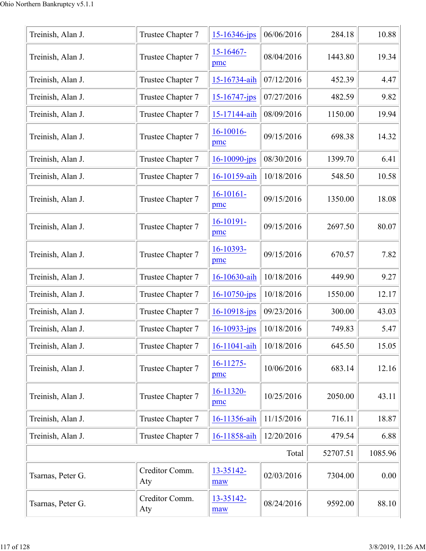| Treinish, Alan J. | Trustee Chapter 7     | $15 - 16346$ -jps   | 06/06/2016 | 284.18   | 10.88   |
|-------------------|-----------------------|---------------------|------------|----------|---------|
| Treinish, Alan J. | Trustee Chapter 7     | $15 - 16467$<br>pmc | 08/04/2016 | 1443.80  | 19.34   |
| Treinish, Alan J. | Trustee Chapter 7     | 15-16734-aih        | 07/12/2016 | 452.39   | 4.47    |
| Treinish, Alan J. | Trustee Chapter 7     | 15-16747-jps        | 07/27/2016 | 482.59   | 9.82    |
| Treinish, Alan J. | Trustee Chapter 7     | 15-17144-aih        | 08/09/2016 | 1150.00  | 19.94   |
| Treinish, Alan J. | Trustee Chapter 7     | 16-10016-<br>pmc    | 09/15/2016 | 698.38   | 14.32   |
| Treinish, Alan J. | Trustee Chapter 7     | 16-10090-jps        | 08/30/2016 | 1399.70  | 6.41    |
| Treinish, Alan J. | Trustee Chapter 7     | 16-10159-aih        | 10/18/2016 | 548.50   | 10.58   |
| Treinish, Alan J. | Trustee Chapter 7     | $16-10161-$<br>pmc  | 09/15/2016 | 1350.00  | 18.08   |
| Treinish, Alan J. | Trustee Chapter 7     | $16-10191-$<br>pmc  | 09/15/2016 | 2697.50  | 80.07   |
| Treinish, Alan J. | Trustee Chapter 7     | 16-10393-<br>pmc    | 09/15/2016 | 670.57   | 7.82    |
| Treinish, Alan J. | Trustee Chapter 7     | 16-10630-aih        | 10/18/2016 | 449.90   | 9.27    |
| Treinish, Alan J. | Trustee Chapter 7     | $16 - 10750$ -jps   | 10/18/2016 | 1550.00  | 12.17   |
| Treinish, Alan J. | Trustee Chapter 7     | $16 - 10918$ -jps   | 09/23/2016 | 300.00   | 43.03   |
| Treinish, Alan J. | Trustee Chapter 7     | $16 - 10933 - ips$  | 10/18/2016 | 749.83   | 5.47    |
| Treinish, Alan J. | Trustee Chapter 7     | 16-11041-aih        | 10/18/2016 | 645.50   | 15.05   |
| Treinish, Alan J. | Trustee Chapter 7     | $16-11275-$<br>pmc  | 10/06/2016 | 683.14   | 12.16   |
| Treinish, Alan J. | Trustee Chapter 7     | 16-11320-<br>pmc    | 10/25/2016 | 2050.00  | 43.11   |
| Treinish, Alan J. | Trustee Chapter 7     | 16-11356-aih        | 11/15/2016 | 716.11   | 18.87   |
| Treinish, Alan J. | Trustee Chapter 7     | 16-11858-aih        | 12/20/2016 | 479.54   | 6.88    |
|                   |                       |                     | Total      | 52707.51 | 1085.96 |
| Tsarnas, Peter G. | Creditor Comm.<br>Aty | 13-35142-<br>maw    | 02/03/2016 | 7304.00  | 0.00    |
| Tsarnas, Peter G. | Creditor Comm.<br>Aty | 13-35142-<br>maw    | 08/24/2016 | 9592.00  | 88.10   |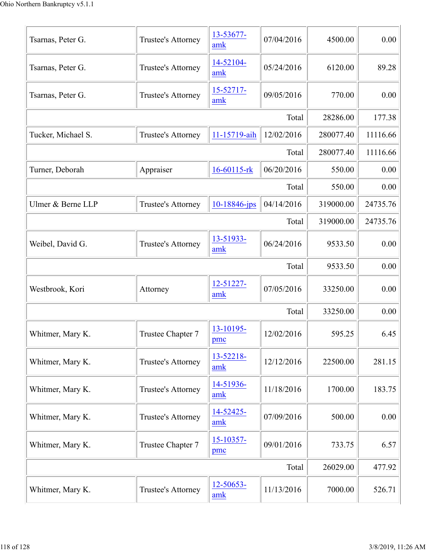| Tsarnas, Peter G.  | Trustee's Attorney | 13-53677-<br>amk  | 07/04/2016 | 4500.00   | 0.00     |
|--------------------|--------------------|-------------------|------------|-----------|----------|
| Tsarnas, Peter G.  | Trustee's Attorney | 14-52104-<br>amk  | 05/24/2016 | 6120.00   | 89.28    |
| Tsarnas, Peter G.  | Trustee's Attorney | 15-52717-<br>amk  | 09/05/2016 | 770.00    | 0.00     |
|                    |                    |                   | Total      | 28286.00  | 177.38   |
| Tucker, Michael S. | Trustee's Attorney | 11-15719-aih      | 12/02/2016 | 280077.40 | 11116.66 |
|                    |                    |                   | Total      | 280077.40 | 11116.66 |
| Turner, Deborah    | Appraiser          | 16-60115-rk       | 06/20/2016 | 550.00    | 0.00     |
|                    |                    |                   | Total      | 550.00    | 0.00     |
| Ulmer & Berne LLP  | Trustee's Attorney | $10 - 18846$ -jps | 04/14/2016 | 319000.00 | 24735.76 |
|                    |                    |                   | Total      | 319000.00 | 24735.76 |
| Weibel, David G.   | Trustee's Attorney | 13-51933-<br>amk  | 06/24/2016 | 9533.50   | 0.00     |
|                    |                    |                   | Total      | 9533.50   | 0.00     |
| Westbrook, Kori    | Attorney           | 12-51227-<br>amk  | 07/05/2016 | 33250.00  | 0.00     |
|                    |                    |                   | Total      | 33250.00  | 0.00     |
| Whitmer, Mary K.   | Trustee Chapter 7  | 13-10195-<br>pmc  | 12/02/2016 | 595.25    | 6.45     |
| Whitmer, Mary K.   | Trustee's Attorney | 13-52218-<br>amk  | 12/12/2016 | 22500.00  | 281.15   |
| Whitmer, Mary K.   | Trustee's Attorney | 14-51936-<br>amk  | 11/18/2016 | 1700.00   | 183.75   |
| Whitmer, Mary K.   | Trustee's Attorney | 14-52425-<br>amk  | 07/09/2016 | 500.00    | 0.00     |
| Whitmer, Mary K.   | Trustee Chapter 7  | 15-10357-<br>pmc  | 09/01/2016 | 733.75    | 6.57     |
|                    |                    |                   | Total      | 26029.00  | 477.92   |
| Whitmer, Mary K.   | Trustee's Attorney | 12-50653-<br>amk  | 11/13/2016 | 7000.00   | 526.71   |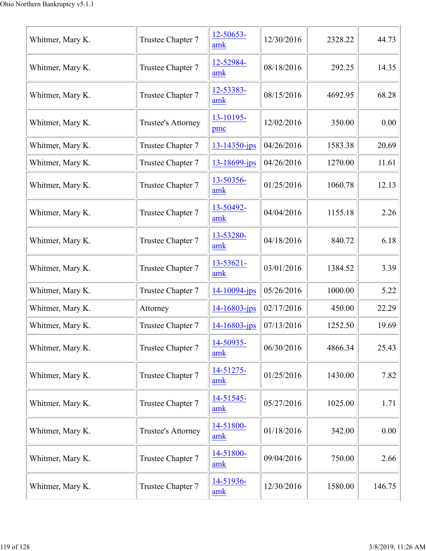| Whitmer, Mary K. | Trustee Chapter 7  | 12-50653-<br>amk   | 12/30/2016 | 2328.22 | 44.73  |
|------------------|--------------------|--------------------|------------|---------|--------|
| Whitmer, Mary K. | Trustee Chapter 7  | 12-52984-<br>amk   | 08/18/2016 | 292.25  | 14.35  |
| Whitmer, Mary K. | Trustee Chapter 7  | 12-53383-<br>amk   | 08/15/2016 | 4692.95 | 68.28  |
| Whitmer, Mary K. | Trustee's Attorney | 13-10195-<br>pmc   | 12/02/2016 | 350.00  | 0.00   |
| Whitmer, Mary K. | Trustee Chapter 7  | $13 - 14350 - ips$ | 04/26/2016 | 1583.38 | 20.69  |
| Whitmer, Mary K. | Trustee Chapter 7  | 13-18699-jps       | 04/26/2016 | 1270.00 | 11.61  |
| Whitmer, Mary K. | Trustee Chapter 7  | 13-50356-<br>amk   | 01/25/2016 | 1060.78 | 12.13  |
| Whitmer, Mary K. | Trustee Chapter 7  | 13-50492-<br>amk   | 04/04/2016 | 1155.18 | 2.26   |
| Whitmer, Mary K. | Trustee Chapter 7  | 13-53280-<br>amk   | 04/18/2016 | 840.72  | 6.18   |
| Whitmer, Mary K. | Trustee Chapter 7  | 13-53621-<br>amk   | 03/01/2016 | 1384.52 | 3.39   |
| Whitmer, Mary K. | Trustee Chapter 7  | 14-10094-jps       | 05/26/2016 | 1000.00 | 5.22   |
| Whitmer, Mary K. | Attorney           | 14-16803-jps       | 02/17/2016 | 450.00  | 22.29  |
| Whitmer, Mary K. | Trustee Chapter 7  | 14-16803-jps       | 07/13/2016 | 1252.50 | 19.69  |
| Whitmer, Mary K. | Trustee Chapter 7  | 14-50935-<br>amk   | 06/30/2016 | 4866.34 | 25.43  |
| Whitmer, Mary K. | Trustee Chapter 7  | 14-51275-<br>amk   | 01/25/2016 | 1430.00 | 7.82   |
| Whitmer, Mary K. | Trustee Chapter 7  | 14-51545-<br>amk   | 05/27/2016 | 1025.00 | 1.71   |
| Whitmer, Mary K. | Trustee's Attorney | 14-51800-<br>amk   | 01/18/2016 | 342.00  | 0.00   |
| Whitmer, Mary K. | Trustee Chapter 7  | 14-51800-<br>amk   | 09/04/2016 | 750.00  | 2.66   |
| Whitmer, Mary K. | Trustee Chapter 7  | 14-51936-<br>amk   | 12/30/2016 | 1580.00 | 146.75 |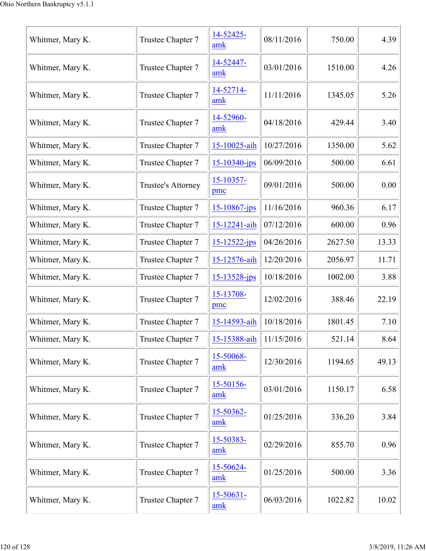| Whitmer, Mary K. | Trustee Chapter 7  | 14-52425-<br>amk      | 08/11/2016 | 750.00  | 4.39  |
|------------------|--------------------|-----------------------|------------|---------|-------|
| Whitmer, Mary K. | Trustee Chapter 7  | 14-52447-<br>amk      | 03/01/2016 | 1510.00 | 4.26  |
| Whitmer, Mary K. | Trustee Chapter 7  | 14-52714-<br>amk      | 11/11/2016 | 1345.05 | 5.26  |
| Whitmer, Mary K. | Trustee Chapter 7  | 14-52960-<br>amk      | 04/18/2016 | 429.44  | 3.40  |
| Whitmer, Mary K. | Trustee Chapter 7  | 15-10025-aih          | 10/27/2016 | 1350.00 | 5.62  |
| Whitmer, Mary K. | Trustee Chapter 7  | 15-10340-jps          | 06/09/2016 | 500.00  | 6.61  |
| Whitmer, Mary K. | Trustee's Attorney | 15-10357-<br>pmc      | 09/01/2016 | 500.00  | 0.00  |
| Whitmer, Mary K. | Trustee Chapter 7  | 15-10867-jps          | 11/16/2016 | 960.36  | 6.17  |
| Whitmer, Mary K. | Trustee Chapter 7  | 15-12241-aih          | 07/12/2016 | 600.00  | 0.96  |
| Whitmer, Mary K. | Trustee Chapter 7  | 15-12522-jps          | 04/26/2016 | 2627.50 | 13.33 |
| Whitmer, Mary K. | Trustee Chapter 7  | 15-12576-aih          | 12/20/2016 | 2056.97 | 11.71 |
| Whitmer, Mary K. | Trustee Chapter 7  | $15 - 13528 - ips$    | 10/18/2016 | 1002.00 | 3.88  |
| Whitmer, Mary K. | Trustee Chapter 7  | 15-13708-<br>pmc      | 12/02/2016 | 388.46  | 22.19 |
| Whitmer, Mary K. | Trustee Chapter 7  | 15-14593-aih          | 10/18/2016 | 1801.45 | 7.10  |
| Whitmer, Mary K. | Trustee Chapter 7  | 15-15388-aih          | 11/15/2016 | 521.14  | 8.64  |
| Whitmer, Mary K. | Trustee Chapter 7  | 15-50068-<br>amk      | 12/30/2016 | 1194.65 | 49.13 |
| Whitmer, Mary K. | Trustee Chapter 7  | 15-50156-<br>amk      | 03/01/2016 | 1150.17 | 6.58  |
| Whitmer, Mary K. | Trustee Chapter 7  | 15-50362-<br>amk      | 01/25/2016 | 336.20  | 3.84  |
| Whitmer, Mary K. | Trustee Chapter 7  | 15-50383-<br>amk      | 02/29/2016 | 855.70  | 0.96  |
| Whitmer, Mary K. | Trustee Chapter 7  | 15-50624-<br>amk      | 01/25/2016 | 500.00  | 3.36  |
| Whitmer, Mary K. | Trustee Chapter 7  | $15 - 50631 -$<br>amk | 06/03/2016 | 1022.82 | 10.02 |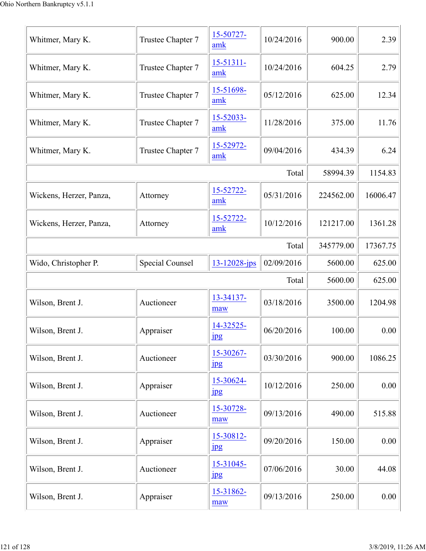| Whitmer, Mary K.        | Trustee Chapter 7      | 15-50727-<br>amk              | 10/24/2016 | 900.00    | 2.39     |
|-------------------------|------------------------|-------------------------------|------------|-----------|----------|
| Whitmer, Mary K.        | Trustee Chapter 7      | 15-51311-<br>amk              | 10/24/2016 | 604.25    | 2.79     |
| Whitmer, Mary K.        | Trustee Chapter 7      | 15-51698-<br>amk              | 05/12/2016 | 625.00    | 12.34    |
| Whitmer, Mary K.        | Trustee Chapter 7      | 15-52033-<br>amk              | 11/28/2016 | 375.00    | 11.76    |
| Whitmer, Mary K.        | Trustee Chapter 7      | 15-52972-<br>amk              | 09/04/2016 | 434.39    | 6.24     |
|                         |                        |                               | Total      | 58994.39  | 1154.83  |
| Wickens, Herzer, Panza, | Attorney               | 15-52722-<br>amk              | 05/31/2016 | 224562.00 | 16006.47 |
| Wickens, Herzer, Panza, | Attorney               | 15-52722-<br>amk              | 10/12/2016 | 121217.00 | 1361.28  |
|                         | 345779.00              | 17367.75                      |            |           |          |
| Wido, Christopher P.    | <b>Special Counsel</b> | $13 - 12028$ -jps             | 02/09/2016 | 5600.00   | 625.00   |
| Total                   |                        |                               |            |           | 625.00   |
| Wilson, Brent J.        | Auctioneer             | 13-34137-<br>maw              | 03/18/2016 | 3500.00   | 1204.98  |
| Wilson, Brent J.        | Appraiser              | 14-32525-<br><u>jpg</u>       | 06/20/2016 | 100.00    | 0.00     |
| Wilson, Brent J.        | Auctioneer             | 15-30267-<br>$_{\rm 1\!P\!S}$ | 03/30/2016 | 900.00    | 1086.25  |
| Wilson, Brent J.        | Appraiser              | 15-30624-<br>$_{\rm 1pg}$     | 10/12/2016 | 250.00    | 0.00     |
| Wilson, Brent J.        | Auctioneer             | 15-30728-<br>maw              | 09/13/2016 | 490.00    | 515.88   |
| Wilson, Brent J.        | Appraiser              | 15-30812-<br>$_{\rm 1pg}$     | 09/20/2016 | 150.00    | 0.00     |
| Wilson, Brent J.        | Auctioneer             | 15-31045-<br>jpg              | 07/06/2016 | 30.00     | 44.08    |
| Wilson, Brent J.        | Appraiser              | 15-31862-<br>maw              | 09/13/2016 | 250.00    | 0.00     |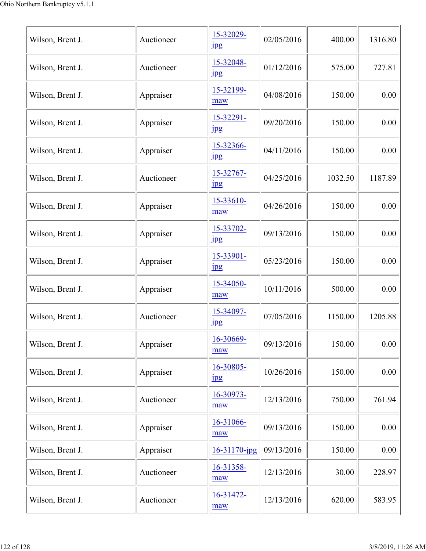| Wilson, Brent J. | Auctioneer | 15-32029-<br>$_{\rm 1pg}$     | 02/05/2016 | 400.00  | 1316.80 |
|------------------|------------|-------------------------------|------------|---------|---------|
| Wilson, Brent J. | Auctioneer | 15-32048-<br>jpg              | 01/12/2016 | 575.00  | 727.81  |
| Wilson, Brent J. | Appraiser  | 15-32199-<br>maw              | 04/08/2016 | 150.00  | 0.00    |
| Wilson, Brent J. | Appraiser  | 15-32291-<br>$_{\rm 1pg}$     | 09/20/2016 | 150.00  | 0.00    |
| Wilson, Brent J. | Appraiser  | 15-32366-<br><b>Jpg</b>       | 04/11/2016 | 150.00  | 0.00    |
| Wilson, Brent J. | Auctioneer | 15-32767-<br>$_{\rm 1\!P\!S}$ | 04/25/2016 | 1032.50 | 1187.89 |
| Wilson, Brent J. | Appraiser  | 15-33610-<br>maw              | 04/26/2016 | 150.00  | 0.00    |
| Wilson, Brent J. | Appraiser  | 15-33702-<br><b>Jpg</b>       | 09/13/2016 | 150.00  | 0.00    |
| Wilson, Brent J. | Appraiser  | 15-33901-<br>$_{\rm 1pg}$     | 05/23/2016 | 150.00  | 0.00    |
| Wilson, Brent J. | Appraiser  | 15-34050-<br>maw              | 10/11/2016 | 500.00  | 0.00    |
| Wilson, Brent J. | Auctioneer | 15-34097-<br>$_{\rm 1\!P\!S}$ | 07/05/2016 | 1150.00 | 1205.88 |
| Wilson, Brent J. | Appraiser  | 16-30669-<br>maw              | 09/13/2016 | 150.00  | 0.00    |
| Wilson, Brent J. | Appraiser  | 16-30805-<br><b>Jpg</b>       | 10/26/2016 | 150.00  | 0.00    |
| Wilson, Brent J. | Auctioneer | 16-30973-<br>maw              | 12/13/2016 | 750.00  | 761.94  |
| Wilson, Brent J. | Appraiser  | 16-31066-<br>maw              | 09/13/2016 | 150.00  | 0.00    |
| Wilson, Brent J. | Appraiser  | 16-31170-jpg                  | 09/13/2016 | 150.00  | 0.00    |
| Wilson, Brent J. | Auctioneer | 16-31358-<br>maw              | 12/13/2016 | 30.00   | 228.97  |
| Wilson, Brent J. | Auctioneer | $16 - 31472 -$<br>maw         | 12/13/2016 | 620.00  | 583.95  |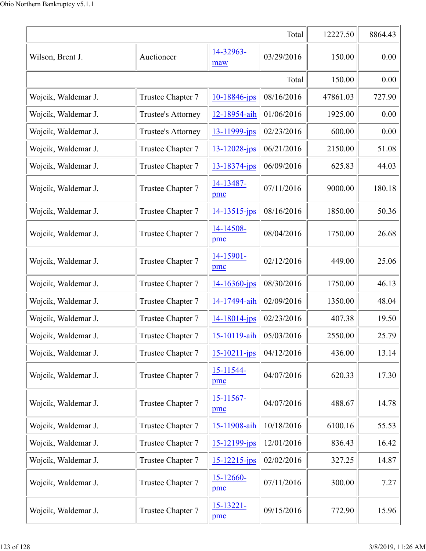|                     |                    |                     | Total      | 12227.50 | 8864.43 |
|---------------------|--------------------|---------------------|------------|----------|---------|
| Wilson, Brent J.    | Auctioneer         | 14-32963-<br>maw    | 03/29/2016 | 150.00   | 0.00    |
|                     |                    |                     | Total      | 150.00   | 0.00    |
| Wojcik, Waldemar J. | Trustee Chapter 7  | 10-18846-jps        | 08/16/2016 | 47861.03 | 727.90  |
| Wojcik, Waldemar J. | Trustee's Attorney | 12-18954-aih        | 01/06/2016 | 1925.00  | 0.00    |
| Wojcik, Waldemar J. | Trustee's Attorney | 13-11999-jps        | 02/23/2016 | 600.00   | 0.00    |
| Wojcik, Waldemar J. | Trustee Chapter 7  | $13 - 12028 - ips$  | 06/21/2016 | 2150.00  | 51.08   |
| Wojcik, Waldemar J. | Trustee Chapter 7  | $13 - 18374$ -jps   | 06/09/2016 | 625.83   | 44.03   |
| Wojcik, Waldemar J. | Trustee Chapter 7  | 14-13487-<br>pmc    | 07/11/2016 | 9000.00  | 180.18  |
| Wojcik, Waldemar J. | Trustee Chapter 7  | $14 - 13515$ -jps   | 08/16/2016 | 1850.00  | 50.36   |
| Wojcik, Waldemar J. | Trustee Chapter 7  | 14-14508-<br>pmc    | 08/04/2016 | 1750.00  | 26.68   |
| Wojcik, Waldemar J. | Trustee Chapter 7  | 14-15901-<br>pmc    | 02/12/2016 | 449.00   | 25.06   |
| Wojcik, Waldemar J. | Trustee Chapter 7  | $14 - 16360$ -jps   | 08/30/2016 | 1750.00  | 46.13   |
| Wojcik, Waldemar J. | Trustee Chapter 7  | 14-17494-aih        | 02/09/2016 | 1350.00  | 48.04   |
| Wojcik, Waldemar J. | Trustee Chapter 7  | $14 - 18014 - jps$  | 02/23/2016 | 407.38   | 19.50   |
| Wojcik, Waldemar J. | Trustee Chapter 7  | $15 - 10119 - a h$  | 05/03/2016 | 2550.00  | 25.79   |
| Wojcik, Waldemar J. | Trustee Chapter 7  | $15 - 10211 - ips$  | 04/12/2016 | 436.00   | 13.14   |
| Wojcik, Waldemar J. | Trustee Chapter 7  | 15-11544-<br>pmc    | 04/07/2016 | 620.33   | 17.30   |
| Wojcik, Waldemar J. | Trustee Chapter 7  | $15 - 11567$<br>pmc | 04/07/2016 | 488.67   | 14.78   |
| Wojcik, Waldemar J. | Trustee Chapter 7  | 15-11908-aih        | 10/18/2016 | 6100.16  | 55.53   |
| Wojcik, Waldemar J. | Trustee Chapter 7  | 15-12199-jps        | 12/01/2016 | 836.43   | 16.42   |
| Wojcik, Waldemar J. | Trustee Chapter 7  | $15 - 12215$ -jps   | 02/02/2016 | 327.25   | 14.87   |
| Wojcik, Waldemar J. | Trustee Chapter 7  | 15-12660-<br>pmc    | 07/11/2016 | 300.00   | 7.27    |
| Wojcik, Waldemar J. | Trustee Chapter 7  | 15-13221-<br>pmc    | 09/15/2016 | 772.90   | 15.96   |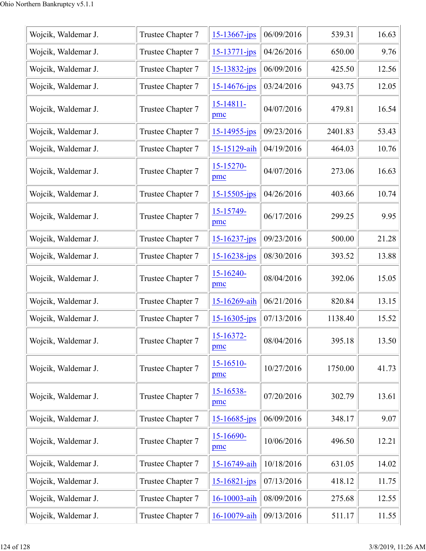| Wojcik, Waldemar J. | Trustee Chapter 7 | 15-13667-jps          | 06/09/2016 | 539.31  | 16.63 |
|---------------------|-------------------|-----------------------|------------|---------|-------|
| Wojcik, Waldemar J. | Trustee Chapter 7 | 15-13771-jps          | 04/26/2016 | 650.00  | 9.76  |
| Wojcik, Waldemar J. | Trustee Chapter 7 | 15-13832-jps          | 06/09/2016 | 425.50  | 12.56 |
| Wojcik, Waldemar J. | Trustee Chapter 7 | $15 - 14676$ -jps     | 03/24/2016 | 943.75  | 12.05 |
| Wojcik, Waldemar J. | Trustee Chapter 7 | 15-14811-<br>pmc      | 04/07/2016 | 479.81  | 16.54 |
| Wojcik, Waldemar J. | Trustee Chapter 7 | 15-14955-jps          | 09/23/2016 | 2401.83 | 53.43 |
| Wojcik, Waldemar J. | Trustee Chapter 7 | 15-15129-aih          | 04/19/2016 | 464.03  | 10.76 |
| Wojcik, Waldemar J. | Trustee Chapter 7 | 15-15270-<br>pmc      | 04/07/2016 | 273.06  | 16.63 |
| Wojcik, Waldemar J. | Trustee Chapter 7 | $15 - 15505$ -jps     | 04/26/2016 | 403.66  | 10.74 |
| Wojcik, Waldemar J. | Trustee Chapter 7 | 15-15749-<br>pmc      | 06/17/2016 | 299.25  | 9.95  |
| Wojcik, Waldemar J. | Trustee Chapter 7 | 15-16237-jps          | 09/23/2016 | 500.00  | 21.28 |
| Wojcik, Waldemar J. | Trustee Chapter 7 | $15 - 16238 - ips$    | 08/30/2016 | 393.52  | 13.88 |
| Wojcik, Waldemar J. | Trustee Chapter 7 | 15-16240-<br>pmc      | 08/04/2016 | 392.06  | 15.05 |
| Wojcik, Waldemar J. | Trustee Chapter 7 | 15-16269-aih          | 06/21/2016 | 820.84  | 13.15 |
| Wojcik, Waldemar J. | Trustee Chapter 7 | 15-16305-jps          | 07/13/2016 | 1138.40 | 15.52 |
| Wojcik, Waldemar J. | Trustee Chapter 7 | 15-16372-<br>pmc      | 08/04/2016 | 395.18  | 13.50 |
| Wojcik, Waldemar J. | Trustee Chapter 7 | $15 - 16510 -$<br>pmc | 10/27/2016 | 1750.00 | 41.73 |
| Wojcik, Waldemar J. | Trustee Chapter 7 | 15-16538-<br>pmc      | 07/20/2016 | 302.79  | 13.61 |
| Wojcik, Waldemar J. | Trustee Chapter 7 | 15-16685-jps          | 06/09/2016 | 348.17  | 9.07  |
| Wojcik, Waldemar J. | Trustee Chapter 7 | 15-16690-<br>pmc      | 10/06/2016 | 496.50  | 12.21 |
| Wojcik, Waldemar J. | Trustee Chapter 7 | 15-16749-aih          | 10/18/2016 | 631.05  | 14.02 |
| Wojcik, Waldemar J. | Trustee Chapter 7 | 15-16821-jps          | 07/13/2016 | 418.12  | 11.75 |
| Wojcik, Waldemar J. | Trustee Chapter 7 | 16-10003-aih          | 08/09/2016 | 275.68  | 12.55 |
| Wojcik, Waldemar J. | Trustee Chapter 7 | 16-10079-aih          | 09/13/2016 | 511.17  | 11.55 |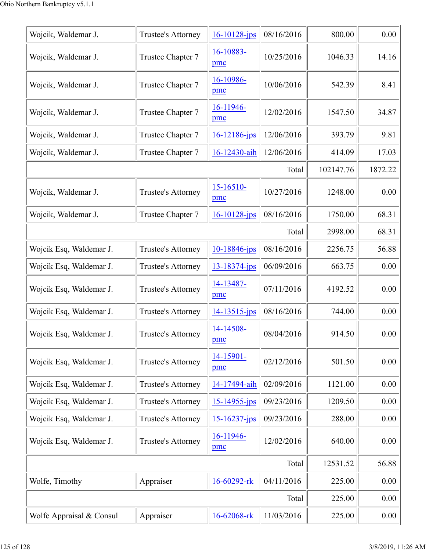| Wojcik, Waldemar J.      | Trustee's Attorney | $16 - 10128$ -jps  | 08/16/2016 | 800.00    | 0.00     |
|--------------------------|--------------------|--------------------|------------|-----------|----------|
| Wojcik, Waldemar J.      | Trustee Chapter 7  | 16-10883-<br>pmc   | 10/25/2016 | 1046.33   | 14.16    |
| Wojcik, Waldemar J.      | Trustee Chapter 7  | 16-10986-<br>pmc   | 10/06/2016 | 542.39    | 8.41     |
| Wojcik, Waldemar J.      | Trustee Chapter 7  | 16-11946-<br>pmc   | 12/02/2016 | 1547.50   | 34.87    |
| Wojcik, Waldemar J.      | Trustee Chapter 7  | $16 - 12186$ -jps  | 12/06/2016 | 393.79    | 9.81     |
| Wojcik, Waldemar J.      | Trustee Chapter 7  | 16-12430-aih       | 12/06/2016 | 414.09    | 17.03    |
|                          |                    |                    | Total      | 102147.76 | 1872.22  |
| Wojcik, Waldemar J.      | Trustee's Attorney | 15-16510-<br>pmc   | 10/27/2016 | 1248.00   | 0.00     |
| Wojcik, Waldemar J.      | Trustee Chapter 7  | $16 - 10128$ -jps  | 08/16/2016 | 1750.00   | 68.31    |
|                          |                    |                    | Total      | 2998.00   | 68.31    |
| Wojcik Esq, Waldemar J.  | Trustee's Attorney | 10-18846-jps       | 08/16/2016 | 2256.75   | 56.88    |
| Wojcik Esq, Waldemar J.  | Trustee's Attorney | 13-18374-jps       | 06/09/2016 | 663.75    | 0.00     |
| Wojcik Esq, Waldemar J.  | Trustee's Attorney | 14-13487-<br>pmc   | 07/11/2016 | 4192.52   | 0.00     |
| Wojcik Esq, Waldemar J.  | Trustee's Attorney | 14-13515-jps       | 08/16/2016 | 744.00    | 0.00     |
| Wojcik Esq, Waldemar J.  | Trustee's Attorney | 14-14508-<br>pmc   | 08/04/2016 | 914.50    | 0.00     |
| Wojcik Esq, Waldemar J.  | Trustee's Attorney | 14-15901-<br>pmc   | 02/12/2016 | 501.50    | $0.00\,$ |
| Wojcik Esq, Waldemar J.  | Trustee's Attorney | 14-17494-aih       | 02/09/2016 | 1121.00   | 0.00     |
| Wojcik Esq, Waldemar J.  | Trustee's Attorney | $15 - 14955 - jps$ | 09/23/2016 | 1209.50   | 0.00     |
| Wojcik Esq, Waldemar J.  | Trustee's Attorney | $15 - 16237 - ips$ | 09/23/2016 | 288.00    | 0.00     |
| Wojcik Esq, Waldemar J.  | Trustee's Attorney | 16-11946-<br>pmc   | 12/02/2016 | 640.00    | 0.00     |
|                          |                    |                    | Total      | 12531.52  | 56.88    |
| Wolfe, Timothy           | Appraiser          | 16-60292-rk        | 04/11/2016 | 225.00    | 0.00     |
|                          |                    |                    | Total      | 225.00    | 0.00     |
| Wolfe Appraisal & Consul | Appraiser          | 16-62068-rk        | 11/03/2016 | 225.00    | 0.00     |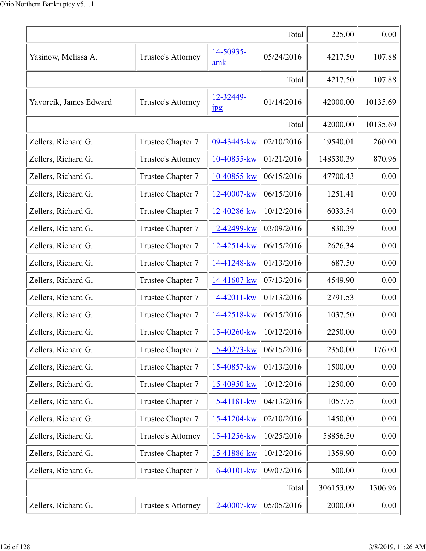|                        |                    |                               | Total      | 225.00    | 0.00     |
|------------------------|--------------------|-------------------------------|------------|-----------|----------|
| Yasinow, Melissa A.    | Trustee's Attorney | 14-50935-<br>amk              | 05/24/2016 | 4217.50   | 107.88   |
|                        |                    |                               | Total      | 4217.50   | 107.88   |
| Yavorcik, James Edward | Trustee's Attorney | 12-32449-<br>$_{\rm 1\!P\!S}$ | 01/14/2016 | 42000.00  | 10135.69 |
| Total                  |                    |                               |            | 42000.00  | 10135.69 |
| Zellers, Richard G.    | Trustee Chapter 7  | 09-43445-kw                   | 02/10/2016 | 19540.01  | 260.00   |
| Zellers, Richard G.    | Trustee's Attorney | 10-40855-kw                   | 01/21/2016 | 148530.39 | 870.96   |
| Zellers, Richard G.    | Trustee Chapter 7  | 10-40855-kw                   | 06/15/2016 | 47700.43  | 0.00     |
| Zellers, Richard G.    | Trustee Chapter 7  | 12-40007-kw                   | 06/15/2016 | 1251.41   | 0.00     |
| Zellers, Richard G.    | Trustee Chapter 7  | 12-40286-kw                   | 10/12/2016 | 6033.54   | 0.00     |
| Zellers, Richard G.    | Trustee Chapter 7  | 12-42499-kw                   | 03/09/2016 | 830.39    | 0.00     |
| Zellers, Richard G.    | Trustee Chapter 7  | 12-42514-kw                   | 06/15/2016 | 2626.34   | 0.00     |
| Zellers, Richard G.    | Trustee Chapter 7  | 14-41248-kw                   | 01/13/2016 | 687.50    | 0.00     |
| Zellers, Richard G.    | Trustee Chapter 7  | 14-41607-kw                   | 07/13/2016 | 4549.90   | 0.00     |
| Zellers, Richard G.    | Trustee Chapter 7  | 14-42011-kw                   | 01/13/2016 | 2791.53   | 0.00     |
| Zellers, Richard G.    | Trustee Chapter 7  | 14-42518-kw                   | 06/15/2016 | 1037.50   | 0.00     |
| Zellers, Richard G.    | Trustee Chapter 7  | 15-40260-kw                   | 10/12/2016 | 2250.00   | 0.00     |
| Zellers, Richard G.    | Trustee Chapter 7  | 15-40273-kw                   | 06/15/2016 | 2350.00   | 176.00   |
| Zellers, Richard G.    | Trustee Chapter 7  | 15-40857-kw                   | 01/13/2016 | 1500.00   | 0.00     |
| Zellers, Richard G.    | Trustee Chapter 7  | 15-40950-kw                   | 10/12/2016 | 1250.00   | 0.00     |
| Zellers, Richard G.    | Trustee Chapter 7  | 15-41181-kw                   | 04/13/2016 | 1057.75   | 0.00     |
| Zellers, Richard G.    | Trustee Chapter 7  | 15-41204-kw                   | 02/10/2016 | 1450.00   | 0.00     |
| Zellers, Richard G.    | Trustee's Attorney | 15-41256-kw                   | 10/25/2016 | 58856.50  | 0.00     |
| Zellers, Richard G.    | Trustee Chapter 7  | 15-41886-kw                   | 10/12/2016 | 1359.90   | 0.00     |
| Zellers, Richard G.    | Trustee Chapter 7  | 16-40101-kw                   | 09/07/2016 | 500.00    | 0.00     |
|                        |                    |                               | Total      | 306153.09 | 1306.96  |
| Zellers, Richard G.    | Trustee's Attorney | 12-40007-kw                   | 05/05/2016 | 2000.00   | 0.00     |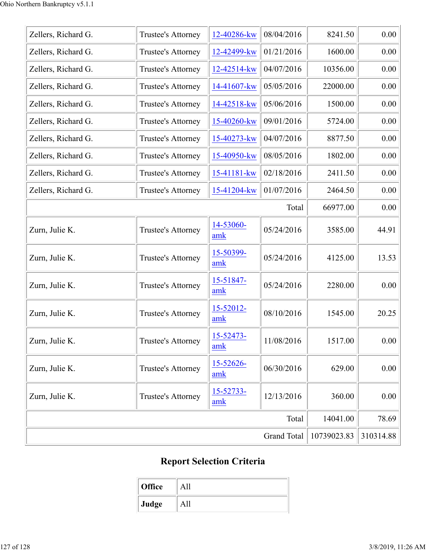| Zellers, Richard G. | Trustee's Attorney | 12-40286-kw      | 08/04/2016         | 8241.50     | 0.00      |
|---------------------|--------------------|------------------|--------------------|-------------|-----------|
| Zellers, Richard G. | Trustee's Attorney | 12-42499-kw      | 01/21/2016         | 1600.00     | 0.00      |
| Zellers, Richard G. | Trustee's Attorney | 12-42514-kw      | 04/07/2016         | 10356.00    | 0.00      |
| Zellers, Richard G. | Trustee's Attorney | 14-41607-kw      | 05/05/2016         | 22000.00    | 0.00      |
| Zellers, Richard G. | Trustee's Attorney | 14-42518-kw      | 05/06/2016         | 1500.00     | 0.00      |
| Zellers, Richard G. | Trustee's Attorney | 15-40260-kw      | 09/01/2016         | 5724.00     | 0.00      |
| Zellers, Richard G. | Trustee's Attorney | 15-40273-kw      | 04/07/2016         | 8877.50     | 0.00      |
| Zellers, Richard G. | Trustee's Attorney | 15-40950-kw      | 08/05/2016         | 1802.00     | 0.00      |
| Zellers, Richard G. | Trustee's Attorney | 15-41181-kw      | 02/18/2016         | 2411.50     | 0.00      |
| Zellers, Richard G. | Trustee's Attorney | 15-41204-kw      | 01/07/2016         | 2464.50     | 0.00      |
|                     |                    |                  | Total              | 66977.00    | 0.00      |
| Zurn, Julie K.      | Trustee's Attorney | 14-53060-<br>amk | 05/24/2016         | 3585.00     | 44.91     |
| Zurn, Julie K.      | Trustee's Attorney | 15-50399-<br>amk | 05/24/2016         | 4125.00     | 13.53     |
| Zurn, Julie K.      | Trustee's Attorney | 15-51847-<br>amk | 05/24/2016         | 2280.00     | 0.00      |
| Zurn, Julie K.      | Trustee's Attorney | 15-52012-<br>amk | 08/10/2016         | 1545.00     | 20.25     |
| Zurn, Julie K.      | Trustee's Attorney | 15-52473-<br>amk | 11/08/2016         | 1517.00     | 0.00      |
| Zurn, Julie K.      | Trustee's Attorney | 15-52626-<br>amk | 06/30/2016         | 629.00      | 0.00      |
| Zurn, Julie K.      | Trustee's Attorney | 15-52733-<br>amk | 12/13/2016         | 360.00      | 0.00      |
|                     |                    |                  | Total              | 14041.00    | 78.69     |
|                     |                    |                  | <b>Grand Total</b> | 10739023.83 | 310314.88 |

## **Report Selection Criteria**

| <b>Office</b> |  |
|---------------|--|
| Judge         |  |